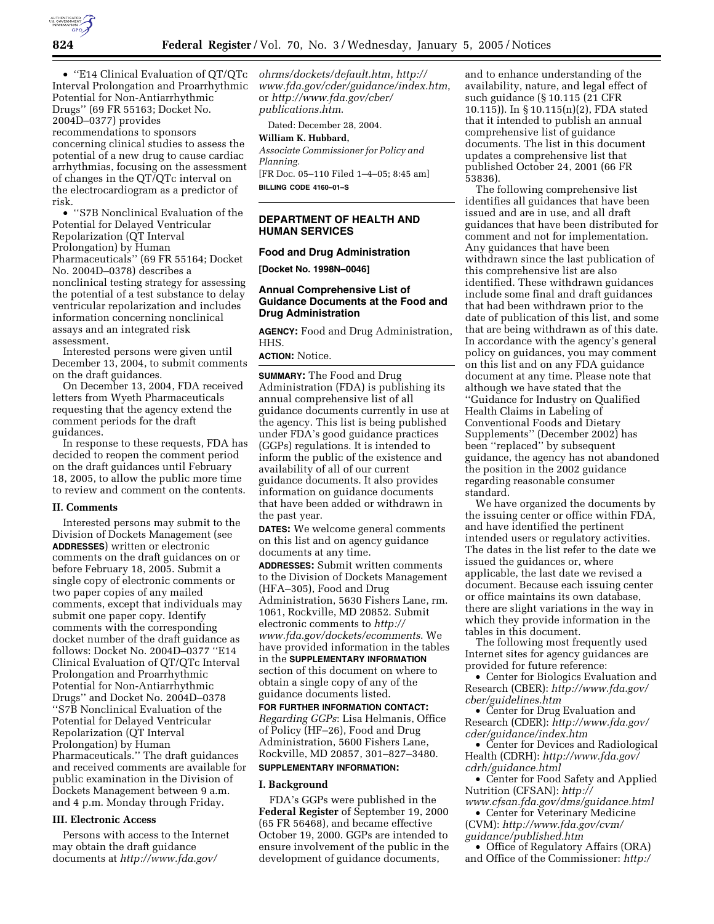

Interval Prolongation and Proarrhythmic Potential for Non-Antiarrhythmic Drugs'' (69 FR 55163; Docket No. 2004D–0377) provides recommendations to sponsors concerning clinical studies to assess the potential of a new drug to cause cardiac arrhythmias, focusing on the assessment of changes in the QT/QTc interval on the electrocardiogram as a predictor of risk.

• ''S7B Nonclinical Evaluation of the Potential for Delayed Ventricular Repolarization (QT Interval Prolongation) by Human Pharmaceuticals'' (69 FR 55164; Docket No. 2004D–0378) describes a nonclinical testing strategy for assessing the potential of a test substance to delay ventricular repolarization and includes information concerning nonclinical assays and an integrated risk assessment.

Interested persons were given until December 13, 2004, to submit comments on the draft guidances.

On December 13, 2004, FDA received letters from Wyeth Pharmaceuticals requesting that the agency extend the comment periods for the draft guidances.

In response to these requests, FDA has decided to reopen the comment period on the draft guidances until February 18, 2005, to allow the public more time to review and comment on the contents.

#### **II. Comments**

Interested persons may submit to the Division of Dockets Management (see **ADDRESSES**) written or electronic comments on the draft guidances on or before February 18, 2005. Submit a single copy of electronic comments or two paper copies of any mailed comments, except that individuals may submit one paper copy. Identify comments with the corresponding docket number of the draft guidance as follows: Docket No. 2004D–0377 ''E14 Clinical Evaluation of QT/QTc Interval Prolongation and Proarrhythmic Potential for Non-Antiarrhythmic Drugs'' and Docket No. 2004D–0378 ''S7B Nonclinical Evaluation of the Potential for Delayed Ventricular Repolarization (QT Interval Prolongation) by Human Pharmaceuticals.'' The draft guidances and received comments are available for public examination in the Division of Dockets Management between 9 a.m. and 4 p.m. Monday through Friday.

#### **III. Electronic Access**

Persons with access to the Internet may obtain the draft guidance documents at *http://www.fda.gov/*

• ''E14 Clinical Evaluation of QT/QTc *ohrms/dockets/default.htm*, *http:// www.fda.gov/cder/guidance/index.htm*, or *http://www.fda.gov/cber/ publications.htm*.

Dated: December 28, 2004.

#### **William K. Hubbard,**

*Associate Commissioner for Policy and Planning.*

[FR Doc. 05–110 Filed 1–4–05; 8:45 am] **BILLING CODE 4160–01–S**

#### **DEPARTMENT OF HEALTH AND HUMAN SERVICES**

#### **Food and Drug Administration**

**[Docket No. 1998N–0046]**

#### **Annual Comprehensive List of Guidance Documents at the Food and Drug Administration**

**AGENCY:** Food and Drug Administration, HHS.

**ACTION:** Notice.

**SUMMARY:** The Food and Drug Administration (FDA) is publishing its annual comprehensive list of all guidance documents currently in use at the agency. This list is being published under FDA's good guidance practices (GGPs) regulations. It is intended to inform the public of the existence and availability of all of our current guidance documents. It also provides information on guidance documents that have been added or withdrawn in the past year.

**DATES:** We welcome general comments on this list and on agency guidance documents at any time.

**ADDRESSES:** Submit written comments to the Division of Dockets Management (HFA–305), Food and Drug Administration, 5630 Fishers Lane, rm. 1061, Rockville, MD 20852. Submit electronic comments to *http:// www.fda.gov/dockets/ecomments*. We have provided information in the tables in the **SUPPLEMENTARY INFORMATION** section of this document on where to obtain a single copy of any of the guidance documents listed.

**FOR FURTHER INFORMATION CONTACT:** *Regarding GGPs*: Lisa Helmanis, Office of Policy (HF–26), Food and Drug Administration, 5600 Fishers Lane, Rockville, MD 20857, 301–827–3480.

## **SUPPLEMENTARY INFORMATION:**

#### **I. Background**

FDA's GGPs were published in the **Federal Register** of September 19, 2000 (65 FR 56468), and became effective October 19, 2000. GGPs are intended to ensure involvement of the public in the development of guidance documents,

and to enhance understanding of the availability, nature, and legal effect of such guidance (§ 10.115 (21 CFR 10.115)). In § 10.115(n)(2), FDA stated that it intended to publish an annual comprehensive list of guidance documents. The list in this document updates a comprehensive list that published October 24, 2001 (66 FR 53836).

The following comprehensive list identifies all guidances that have been issued and are in use, and all draft guidances that have been distributed for comment and not for implementation. Any guidances that have been withdrawn since the last publication of this comprehensive list are also identified. These withdrawn guidances include some final and draft guidances that had been withdrawn prior to the date of publication of this list, and some that are being withdrawn as of this date. In accordance with the agency's general policy on guidances, you may comment on this list and on any FDA guidance document at any time. Please note that although we have stated that the ''Guidance for Industry on Qualified Health Claims in Labeling of Conventional Foods and Dietary Supplements'' (December 2002) has been ''replaced'' by subsequent guidance, the agency has not abandoned the position in the 2002 guidance regarding reasonable consumer standard.

We have organized the documents by the issuing center or office within FDA, and have identified the pertinent intended users or regulatory activities. The dates in the list refer to the date we issued the guidances or, where applicable, the last date we revised a document. Because each issuing center or office maintains its own database, there are slight variations in the way in which they provide information in the tables in this document.

The following most frequently used Internet sites for agency guidances are provided for future reference:

• Center for Biologics Evaluation and Research (CBER): *http://www.fda.gov/ cber/guidelines.htm*

• Center for Drug Evaluation and Research (CDER): *http://www.fda.gov/ cder/guidance/index.htm*

• Center for Devices and Radiological Health (CDRH): *http://www.fda.gov/ cdrh/guidance.html*

• Center for Food Safety and Applied Nutrition (CFSAN): *http://*

*www.cfsan.fda.gov/dms/guidance.html* • Center for Veterinary Medicine (CVM): *http://www.fda.gov/cvm/*

*guidance/published.htm*

• Office of Regulatory Affairs (ORA) and Office of the Commissioner: *http:/*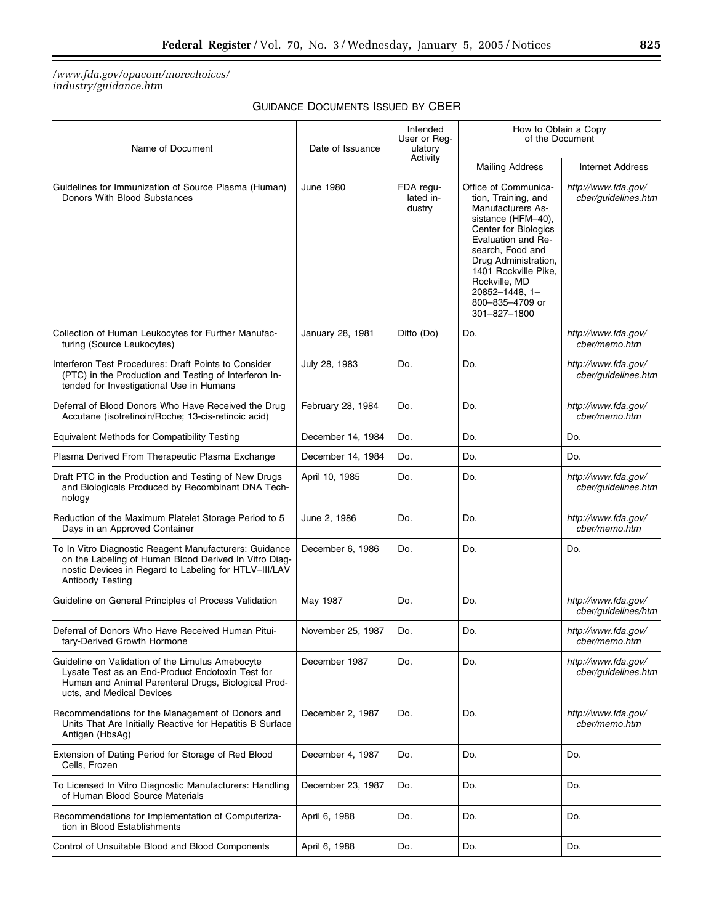#### */www.fda.gov/opacom/morechoices/ industry/guidance.htm*

### GUIDANCE DOCUMENTS ISSUED BY CBER

| Name of Document                                                                                                                                                                                    | Date of Issuance  | Intended<br>User or Reg-<br>ulatory<br>Activity | How to Obtain a Copy<br>of the Document                                                                                                                                                                                                                                        |                                            |
|-----------------------------------------------------------------------------------------------------------------------------------------------------------------------------------------------------|-------------------|-------------------------------------------------|--------------------------------------------------------------------------------------------------------------------------------------------------------------------------------------------------------------------------------------------------------------------------------|--------------------------------------------|
|                                                                                                                                                                                                     |                   |                                                 | <b>Mailing Address</b>                                                                                                                                                                                                                                                         | <b>Internet Address</b>                    |
| Guidelines for Immunization of Source Plasma (Human)<br>Donors With Blood Substances                                                                                                                | June 1980         | FDA regu-<br>lated in-<br>dustry                | Office of Communica-<br>tion, Training, and<br>Manufacturers As-<br>sistance (HFM-40),<br>Center for Biologics<br>Evaluation and Re-<br>search, Food and<br>Drug Administration,<br>1401 Rockville Pike,<br>Rockville, MD<br>20852-1448, 1-<br>800-835-4709 or<br>301-827-1800 | http://www.fda.gov/<br>cber/guidelines.htm |
| Collection of Human Leukocytes for Further Manufac-<br>turing (Source Leukocytes)                                                                                                                   | January 28, 1981  | Ditto (Do)                                      | Do.                                                                                                                                                                                                                                                                            | http://www.fda.gov/<br>cber/memo.htm       |
| Interferon Test Procedures: Draft Points to Consider<br>(PTC) in the Production and Testing of Interferon In-<br>tended for Investigational Use in Humans                                           | July 28, 1983     | Do.                                             | Do.                                                                                                                                                                                                                                                                            | http://www.fda.gov/<br>cber/quidelines.htm |
| Deferral of Blood Donors Who Have Received the Drug<br>Accutane (isotretinoin/Roche; 13-cis-retinoic acid)                                                                                          | February 28, 1984 | Do.                                             | Do.                                                                                                                                                                                                                                                                            | http://www.fda.gov/<br>cber/memo.htm       |
| Equivalent Methods for Compatibility Testing                                                                                                                                                        | December 14, 1984 | Do.                                             | Do.                                                                                                                                                                                                                                                                            | Do.                                        |
| Plasma Derived From Therapeutic Plasma Exchange                                                                                                                                                     | December 14, 1984 | Do.                                             | Do.                                                                                                                                                                                                                                                                            | Do.                                        |
| Draft PTC in the Production and Testing of New Drugs<br>and Biologicals Produced by Recombinant DNA Tech-<br>nology                                                                                 | April 10, 1985    | Do.                                             | Do.                                                                                                                                                                                                                                                                            | http://www.fda.gov/<br>cber/guidelines.htm |
| Reduction of the Maximum Platelet Storage Period to 5<br>Days in an Approved Container                                                                                                              | June 2, 1986      | Do.                                             | Do.                                                                                                                                                                                                                                                                            | http://www.fda.gov/<br>cber/memo.htm       |
| To In Vitro Diagnostic Reagent Manufacturers: Guidance<br>on the Labeling of Human Blood Derived In Vitro Diag-<br>nostic Devices in Regard to Labeling for HTLV-III/LAV<br><b>Antibody Testing</b> | December 6, 1986  | Do.                                             | Do.                                                                                                                                                                                                                                                                            | Do.                                        |
| Guideline on General Principles of Process Validation                                                                                                                                               | May 1987          | Do.                                             | Do.                                                                                                                                                                                                                                                                            | http://www.fda.gov/<br>cber/guidelines/htm |
| Deferral of Donors Who Have Received Human Pitui-<br>tary-Derived Growth Hormone                                                                                                                    | November 25, 1987 | Do.                                             | Do.                                                                                                                                                                                                                                                                            | http://www.fda.gov/<br>cber/memo.htm       |
| Guideline on Validation of the Limulus Amebocyte<br>Lysate Test as an End-Product Endotoxin Test for<br>Human and Animal Parenteral Drugs, Biological Prod-<br>ucts, and Medical Devices            | December 1987     | Do.                                             | Do.                                                                                                                                                                                                                                                                            | http://www.fda.gov/<br>cber/guidelines.htm |
| Recommendations for the Management of Donors and<br>Units That Are Initially Reactive for Hepatitis B Surface<br>Antigen (HbsAg)                                                                    | December 2, 1987  | Do.                                             | Do.                                                                                                                                                                                                                                                                            | http://www.fda.gov/<br>cber/memo.htm       |
| Extension of Dating Period for Storage of Red Blood<br>Cells, Frozen                                                                                                                                | December 4, 1987  | Do.                                             | Do.                                                                                                                                                                                                                                                                            | Do.                                        |
| To Licensed In Vitro Diagnostic Manufacturers: Handling<br>of Human Blood Source Materials                                                                                                          | December 23, 1987 | Do.                                             | Do.                                                                                                                                                                                                                                                                            | Do.                                        |
| Recommendations for Implementation of Computeriza-<br>tion in Blood Establishments                                                                                                                  | April 6, 1988     | Do.                                             | Do.                                                                                                                                                                                                                                                                            | Do.                                        |
| Control of Unsuitable Blood and Blood Components                                                                                                                                                    | April 6, 1988     | Do.                                             | Do.                                                                                                                                                                                                                                                                            | Do.                                        |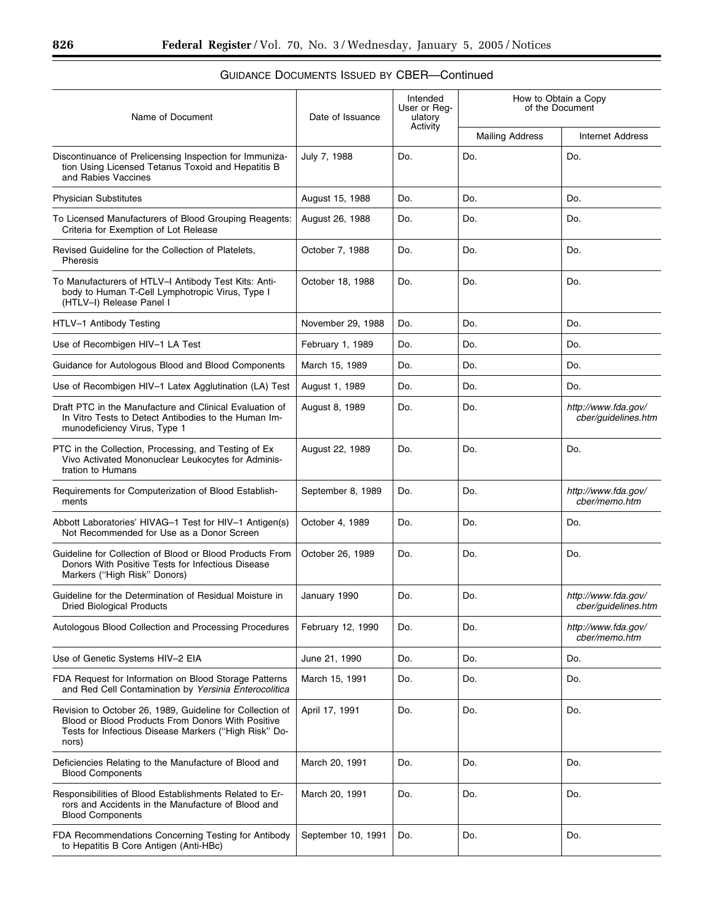#### Name of Document Date of Issuance Intended User or Regulatory **Activity** How to Obtain a Copy of the Document Mailing Address | Internet Address Discontinuance of Prelicensing Inspection for Immunization Using Licensed Tetanus Toxoid and Hepatitis B and Rabies Vaccines July 7, 1988 Do. Do. Do. Physician Substitutes **August 15, 1988** Do. Do. Do. Do. Do. To Licensed Manufacturers of Blood Grouping Reagents: Criteria for Exemption of Lot Release August 26, 1988 | Do. | Do. | Do. | Do. Revised Guideline for the Collection of Platelets, Pheresis October 7, 1988 Do. Do. Do. Do. To Manufacturers of HTLV–I Antibody Test Kits: Antibody to Human T-Cell Lymphotropic Virus, Type I (HTLV–I) Release Panel I October 18, 1988  $\vert$  Do.  $\vert$  Do.  $\vert$  Do.  $\vert$  Do. HTLV–1 Antibody Testing November 29, 1988 Do. Do. Do. Do. Do. Use of Recombigen HIV–1 LA Test February 1, 1989 Do. Do. Do. Do. Do. Do. Guidance for Autologous Blood and Blood Components | March 15, 1989 | Do. | Do. | Do. | Do. | Do. Use of Recombigen HIV–1 Latex Agglutination (LA) Test  $\vert$  August 1, 1989  $\vert$  Do.  $\vert$  Do.  $\vert$  Do.  $\vert$  Do. Draft PTC in the Manufacture and Clinical Evaluation of In Vitro Tests to Detect Antibodies to the Human Immunodeficiency Virus, Type 1 August 8, 1989 Do. Do. *http://www.fda.gov/ cber/guidelines.htm* PTC in the Collection, Processing, and Testing of Ex Vivo Activated Mononuclear Leukocytes for Administration to Humans August 22, 1989 | Do. | Do. | Do. | Do. Requirements for Computerization of Blood Establishments September 8, 1989 Do. **Do.** Do. **http://www.fda.gov/** *cber/memo.htm* Abbott Laboratories' HIVAG–1 Test for HIV–1 Antigen(s) Not Recommended for Use as a Donor Screen October 4, 1989 Do. Do. Do. Do. Guideline for Collection of Blood or Blood Products From Donors With Positive Tests for Infectious Disease Markers (''High Risk'' Donors) October 26, 1989  $\vert$  Do.  $\vert$  Do.  $\vert$  Do.  $\vert$  Do. Guideline for the Determination of Residual Moisture in Dried Biological Products January 1990 Do. Do. *http://www.fda.gov/ cber/guidelines.htm* Autologous Blood Collection and Processing Procedures February 12, 1990 Do. **Do.** Do. *http://www.fda.gov/ cber/memo.htm* Use of Genetic Systems HIV–2 EIA  $\vert$  June 21, 1990  $\vert$  Do.  $\vert$  Do.  $\vert$  Do.  $\vert$  Do.  $\vert$  Do. FDA Request for Information on Blood Storage Patterns and Red Cell Contamination by *Yersinia Enterocolitica* March 15, 1991  $\vert$  Do.  $\vert$  Do.  $\vert$  Do.  $\vert$  Do. Revision to October 26, 1989, Guideline for Collection of Blood or Blood Products From Donors With Positive Tests for Infectious Disease Markers (''High Risk'' Donors) April 17, 1991 | Do. | Do. | Do. | Do. Deficiencies Relating to the Manufacture of Blood and Blood Components March 20, 1991 | Do. | Do. | Do. | Do. Responsibilities of Blood Establishments Related to Errors and Accidents in the Manufacture of Blood and Blood Components March 20, 1991 | Do. | Do. | Do. | Do. FDA Recommendations Concerning Testing for Antibody to Hepatitis B Core Antigen (Anti-HBc) September 10, 1991 | Do.  $\vert$  Do.  $\vert$  Do.  $\vert$  Do.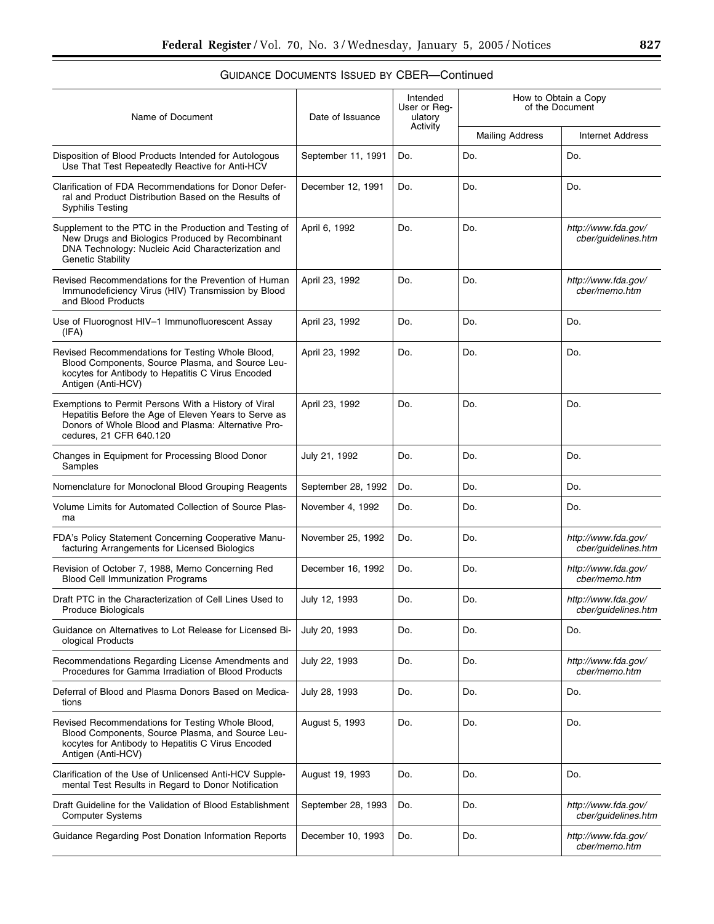| Name of Document                                                                                                                                                                              | Date of Issuance   | Intended<br>User or Reg-<br>ulatory<br>Activity | How to Obtain a Copy<br>of the Document |                                            |
|-----------------------------------------------------------------------------------------------------------------------------------------------------------------------------------------------|--------------------|-------------------------------------------------|-----------------------------------------|--------------------------------------------|
|                                                                                                                                                                                               |                    |                                                 | <b>Mailing Address</b>                  | <b>Internet Address</b>                    |
| Disposition of Blood Products Intended for Autologous<br>Use That Test Repeatedly Reactive for Anti-HCV                                                                                       | September 11, 1991 | Do.                                             | Do.                                     | Do.                                        |
| Clarification of FDA Recommendations for Donor Defer-<br>ral and Product Distribution Based on the Results of<br><b>Syphilis Testing</b>                                                      | December 12, 1991  | Do.                                             | Do.                                     | Do.                                        |
| Supplement to the PTC in the Production and Testing of<br>New Drugs and Biologics Produced by Recombinant<br>DNA Technology: Nucleic Acid Characterization and<br><b>Genetic Stability</b>    | April 6, 1992      | Do.                                             | Do.                                     | http://www.fda.gov/<br>cber/guidelines.htm |
| Revised Recommendations for the Prevention of Human<br>Immunodeficiency Virus (HIV) Transmission by Blood<br>and Blood Products                                                               | April 23, 1992     | Do.                                             | Do.                                     | http://www.fda.gov/<br>cber/memo.htm       |
| Use of Fluorognost HIV-1 Immunofluorescent Assay<br>(IFA)                                                                                                                                     | April 23, 1992     | Do.                                             | Do.                                     | Do.                                        |
| Revised Recommendations for Testing Whole Blood,<br>Blood Components, Source Plasma, and Source Leu-<br>kocytes for Antibody to Hepatitis C Virus Encoded<br>Antigen (Anti-HCV)               | April 23, 1992     | Do.                                             | Do.                                     | Do.                                        |
| Exemptions to Permit Persons With a History of Viral<br>Hepatitis Before the Age of Eleven Years to Serve as<br>Donors of Whole Blood and Plasma: Alternative Pro-<br>cedures, 21 CFR 640.120 | April 23, 1992     | Do.                                             | Do.                                     | Do.                                        |
| Changes in Equipment for Processing Blood Donor<br>Samples                                                                                                                                    | July 21, 1992      | Do.                                             | Do.                                     | Do.                                        |
| Nomenclature for Monoclonal Blood Grouping Reagents                                                                                                                                           | September 28, 1992 | Do.                                             | Do.                                     | Do.                                        |
| Volume Limits for Automated Collection of Source Plas-<br>ma                                                                                                                                  | November 4, 1992   | Do.                                             | Do.                                     | Do.                                        |
| FDA's Policy Statement Concerning Cooperative Manu-<br>facturing Arrangements for Licensed Biologics                                                                                          | November 25, 1992  | Do.                                             | Do.                                     | http://www.fda.gov/<br>cber/quidelines.htm |
| Revision of October 7, 1988, Memo Concerning Red<br><b>Blood Cell Immunization Programs</b>                                                                                                   | December 16, 1992  | Do.                                             | Do.                                     | http://www.fda.gov/<br>cber/memo.htm       |
| Draft PTC in the Characterization of Cell Lines Used to<br>Produce Biologicals                                                                                                                | July 12, 1993      | Do.                                             | Do.                                     | http://www.fda.gov/<br>cber/guidelines.htm |
| Guidance on Alternatives to Lot Release for Licensed Bi-<br>ological Products                                                                                                                 | July 20, 1993      | Do.                                             | Do.                                     | Do.                                        |
| Recommendations Regarding License Amendments and<br>Procedures for Gamma Irradiation of Blood Products                                                                                        | July 22, 1993      | Do.                                             | Do.                                     | http://www.fda.gov/<br>cber/memo.htm       |
| Deferral of Blood and Plasma Donors Based on Medica-<br>tions                                                                                                                                 | July 28, 1993      | Do.                                             | Do.                                     | Do.                                        |
| Revised Recommendations for Testing Whole Blood,<br>Blood Components, Source Plasma, and Source Leu-<br>kocytes for Antibody to Hepatitis C Virus Encoded<br>Antigen (Anti-HCV)               | August 5, 1993     | Do.                                             | Do.                                     | Do.                                        |
| Clarification of the Use of Unlicensed Anti-HCV Supple-<br>mental Test Results in Regard to Donor Notification                                                                                | August 19, 1993    | Do.                                             | Do.                                     | Do.                                        |
| Draft Guideline for the Validation of Blood Establishment<br><b>Computer Systems</b>                                                                                                          | September 28, 1993 | Do.                                             | Do.                                     | http://www.fda.gov/<br>cber/guidelines.htm |
| Guidance Regarding Post Donation Information Reports                                                                                                                                          | December 10, 1993  | Do.                                             | Do.                                     | http://www.fda.gov/<br>cber/memo.htm       |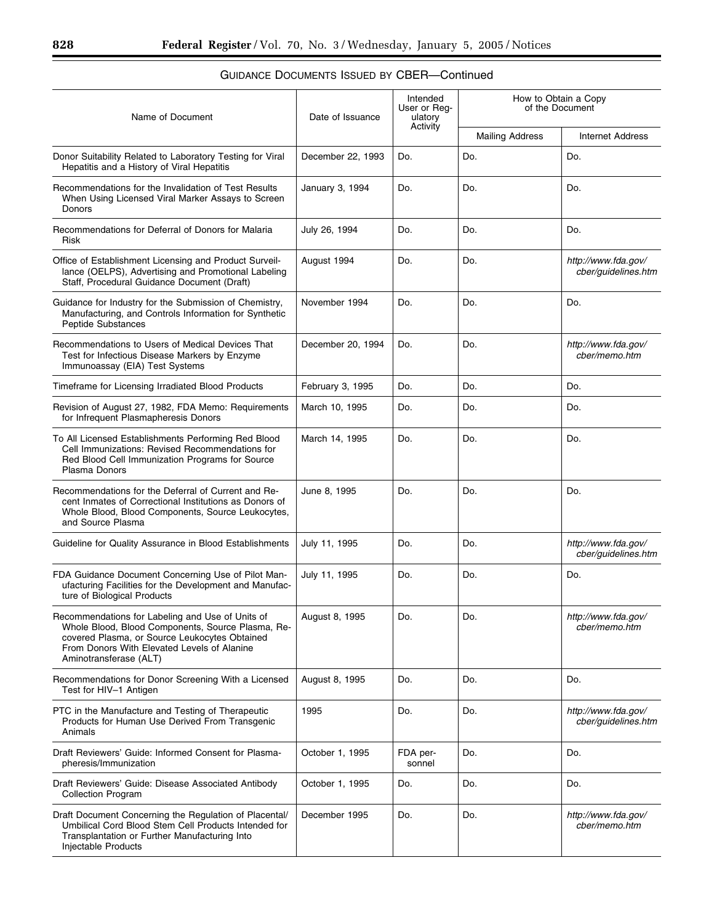▀

| Name of Document                                                                                                                                                                                                                | Date of Issuance  | Intended<br>User or Reg-<br>ulatory<br>Activity | How to Obtain a Copy<br>of the Document |                                            |
|---------------------------------------------------------------------------------------------------------------------------------------------------------------------------------------------------------------------------------|-------------------|-------------------------------------------------|-----------------------------------------|--------------------------------------------|
|                                                                                                                                                                                                                                 |                   |                                                 | <b>Mailing Address</b>                  | <b>Internet Address</b>                    |
| Donor Suitability Related to Laboratory Testing for Viral<br>Hepatitis and a History of Viral Hepatitis                                                                                                                         | December 22, 1993 | Do.                                             | Do.                                     | Do.                                        |
| Recommendations for the Invalidation of Test Results<br>When Using Licensed Viral Marker Assays to Screen<br>Donors                                                                                                             | January 3, 1994   | Do.                                             | Do.                                     | Do.                                        |
| Recommendations for Deferral of Donors for Malaria<br><b>Risk</b>                                                                                                                                                               | July 26, 1994     | Do.                                             | Do.                                     | Do.                                        |
| Office of Establishment Licensing and Product Surveil-<br>lance (OELPS), Advertising and Promotional Labeling<br>Staff, Procedural Guidance Document (Draft)                                                                    | August 1994       | Do.                                             | Do.                                     | http://www.fda.gov/<br>cber/guidelines.htm |
| Guidance for Industry for the Submission of Chemistry,<br>Manufacturing, and Controls Information for Synthetic<br>Peptide Substances                                                                                           | November 1994     | Do.                                             | Do.                                     | Do.                                        |
| Recommendations to Users of Medical Devices That<br>Test for Infectious Disease Markers by Enzyme<br>Immunoassay (EIA) Test Systems                                                                                             | December 20, 1994 | Do.                                             | Do.                                     | http://www.fda.gov/<br>cber/memo.htm       |
| Timeframe for Licensing Irradiated Blood Products                                                                                                                                                                               | February 3, 1995  | Do.                                             | Do.                                     | Do.                                        |
| Revision of August 27, 1982, FDA Memo: Requirements<br>for Infrequent Plasmapheresis Donors                                                                                                                                     | March 10, 1995    | Do.                                             | Do.                                     | Do.                                        |
| To All Licensed Establishments Performing Red Blood<br>Cell Immunizations: Revised Recommendations for<br>Red Blood Cell Immunization Programs for Source<br>Plasma Donors                                                      | March 14, 1995    | Do.                                             | Do.                                     | Do.                                        |
| Recommendations for the Deferral of Current and Re-<br>cent Inmates of Correctional Institutions as Donors of<br>Whole Blood, Blood Components, Source Leukocytes,<br>and Source Plasma                                         | June 8, 1995      | Do.                                             | Do.                                     | Do.                                        |
| Guideline for Quality Assurance in Blood Establishments                                                                                                                                                                         | July 11, 1995     | Do.                                             | Do.                                     | http://www.fda.gov/<br>cber/guidelines.htm |
| FDA Guidance Document Concerning Use of Pilot Man-<br>ufacturing Facilities for the Development and Manufac-<br>ture of Biological Products                                                                                     | July 11, 1995     | Do.                                             | Do.                                     | Do.                                        |
| Recommendations for Labeling and Use of Units of<br>Whole Blood, Blood Components, Source Plasma, Re-<br>covered Plasma, or Source Leukocytes Obtained<br>From Donors With Elevated Levels of Alanine<br>Aminotransferase (ALT) | August 8, 1995    | Do.                                             | Do.                                     | http://www.fda.gov/<br>cber/memo.htm       |
| Recommendations for Donor Screening With a Licensed<br>Test for HIV-1 Antigen                                                                                                                                                   | August 8, 1995    | Do.                                             | Do.                                     | Do.                                        |
| PTC in the Manufacture and Testing of Therapeutic<br>Products for Human Use Derived From Transgenic<br>Animals                                                                                                                  | 1995              | Do.                                             | Do.                                     | http://www.fda.gov/<br>cber/quidelines.htm |
| Draft Reviewers' Guide: Informed Consent for Plasma-<br>pheresis/Immunization                                                                                                                                                   | October 1, 1995   | FDA per-<br>sonnel                              | Do.                                     | Do.                                        |
| Draft Reviewers' Guide: Disease Associated Antibody<br><b>Collection Program</b>                                                                                                                                                | October 1, 1995   | Do.                                             | Do.                                     | Do.                                        |
| Draft Document Concerning the Regulation of Placental/<br>Umbilical Cord Blood Stem Cell Products Intended for<br>Transplantation or Further Manufacturing Into<br>Injectable Products                                          | December 1995     | Do.                                             | Do.                                     | http://www.fda.gov/<br>cber/memo.htm       |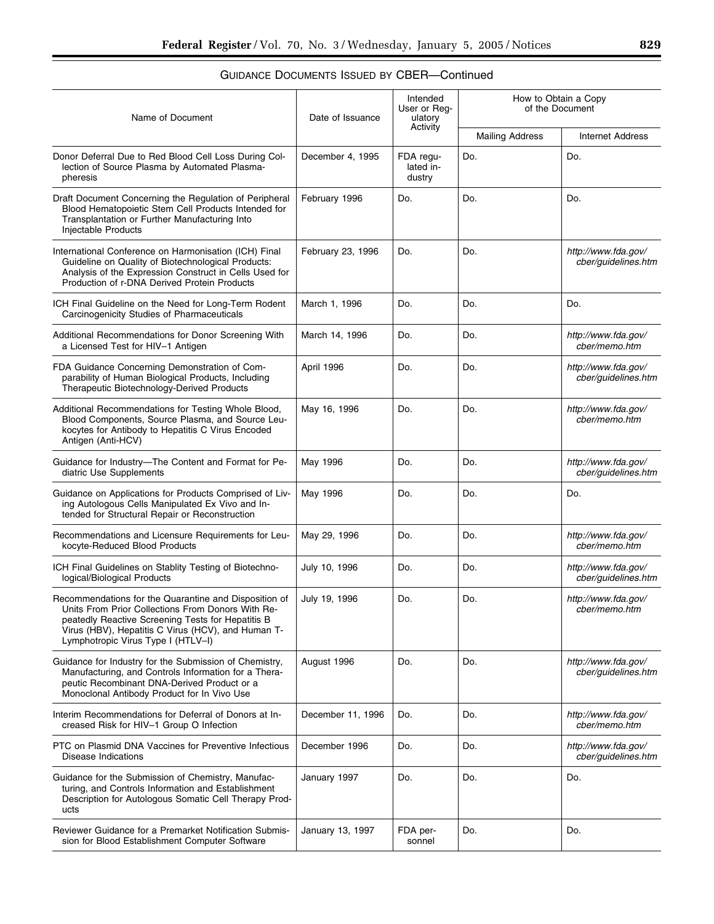| Name of Document                                                                                                                                                                                                                                            | Date of Issuance  | Intended<br>User or Reg-<br>ulatory<br>Activity | How to Obtain a Copy<br>of the Document |                                            |
|-------------------------------------------------------------------------------------------------------------------------------------------------------------------------------------------------------------------------------------------------------------|-------------------|-------------------------------------------------|-----------------------------------------|--------------------------------------------|
|                                                                                                                                                                                                                                                             |                   |                                                 | <b>Mailing Address</b>                  | <b>Internet Address</b>                    |
| Donor Deferral Due to Red Blood Cell Loss During Col-<br>lection of Source Plasma by Automated Plasma-<br>pheresis                                                                                                                                          | December 4, 1995  | FDA regu-<br>lated in-<br>dustry                | Do.                                     | Do.                                        |
| Draft Document Concerning the Regulation of Peripheral<br>Blood Hematopoietic Stem Cell Products Intended for<br>Transplantation or Further Manufacturing Into<br>Injectable Products                                                                       | February 1996     | Do.                                             | Do.                                     | Do.                                        |
| International Conference on Harmonisation (ICH) Final<br>Guideline on Quality of Biotechnological Products:<br>Analysis of the Expression Construct in Cells Used for<br>Production of r-DNA Derived Protein Products                                       | February 23, 1996 | Do.                                             | Do.                                     | http://www.fda.gov/<br>cber/guidelines.htm |
| ICH Final Guideline on the Need for Long-Term Rodent<br>Carcinogenicity Studies of Pharmaceuticals                                                                                                                                                          | March 1, 1996     | Do.                                             | Do.                                     | Do.                                        |
| Additional Recommendations for Donor Screening With<br>a Licensed Test for HIV-1 Antigen                                                                                                                                                                    | March 14, 1996    | Do.                                             | Do.                                     | http://www.fda.gov/<br>cber/memo.htm       |
| FDA Guidance Concerning Demonstration of Com-<br>parability of Human Biological Products, Including<br>Therapeutic Biotechnology-Derived Products                                                                                                           | April 1996        | Do.                                             | Do.                                     | http://www.fda.gov/<br>cber/guidelines.htm |
| Additional Recommendations for Testing Whole Blood,<br>Blood Components, Source Plasma, and Source Leu-<br>kocytes for Antibody to Hepatitis C Virus Encoded<br>Antigen (Anti-HCV)                                                                          | May 16, 1996      | Do.                                             | Do.                                     | http://www.fda.gov/<br>cber/memo.htm       |
| Guidance for Industry-The Content and Format for Pe-<br>diatric Use Supplements                                                                                                                                                                             | May 1996          | Do.                                             | Do.                                     | http://www.fda.gov/<br>cber/guidelines.htm |
| Guidance on Applications for Products Comprised of Liv-<br>ing Autologous Cells Manipulated Ex Vivo and In-<br>tended for Structural Repair or Reconstruction                                                                                               | May 1996          | Do.                                             | Do.                                     | Do.                                        |
| Recommendations and Licensure Requirements for Leu-<br>kocyte-Reduced Blood Products                                                                                                                                                                        | May 29, 1996      | Do.                                             | Do.                                     | http://www.fda.gov/<br>cber/memo.htm       |
| ICH Final Guidelines on Stablity Testing of Biotechno-<br>logical/Biological Products                                                                                                                                                                       | July 10, 1996     | Do.                                             | Do.                                     | http://www.fda.gov/<br>cber/guidelines.htm |
| Recommendations for the Quarantine and Disposition of<br>Units From Prior Collections From Donors With Re-<br>peatedly Reactive Screening Tests for Hepatitis B<br>Virus (HBV), Hepatitis C Virus (HCV), and Human T-<br>Lymphotropic Virus Type I (HTLV-I) | July 19, 1996     | Do.                                             | Do.                                     | http://www.fda.gov/<br>cber/memo.htm       |
| Guidance for Industry for the Submission of Chemistry,<br>Manufacturing, and Controls Information for a Thera-<br>peutic Recombinant DNA-Derived Product or a<br>Monoclonal Antibody Product for In Vivo Use                                                | August 1996       | Do.                                             | Do.                                     | http://www.fda.gov/<br>cber/guidelines.htm |
| Interim Recommendations for Deferral of Donors at In-<br>creased Risk for HIV-1 Group O Infection                                                                                                                                                           | December 11, 1996 | Do.                                             | Do.                                     | http://www.fda.gov/<br>cber/memo.htm       |
| PTC on Plasmid DNA Vaccines for Preventive Infectious<br>Disease Indications                                                                                                                                                                                | December 1996     | Do.                                             | Do.                                     | http://www.fda.gov/<br>cber/guidelines.htm |
| Guidance for the Submission of Chemistry, Manufac-<br>turing, and Controls Information and Establishment<br>Description for Autologous Somatic Cell Therapy Prod-<br>ucts                                                                                   | January 1997      | Do.                                             | Do.                                     | Do.                                        |
| Reviewer Guidance for a Premarket Notification Submis-<br>sion for Blood Establishment Computer Software                                                                                                                                                    | January 13, 1997  | FDA per-<br>sonnel                              | Do.                                     | Do.                                        |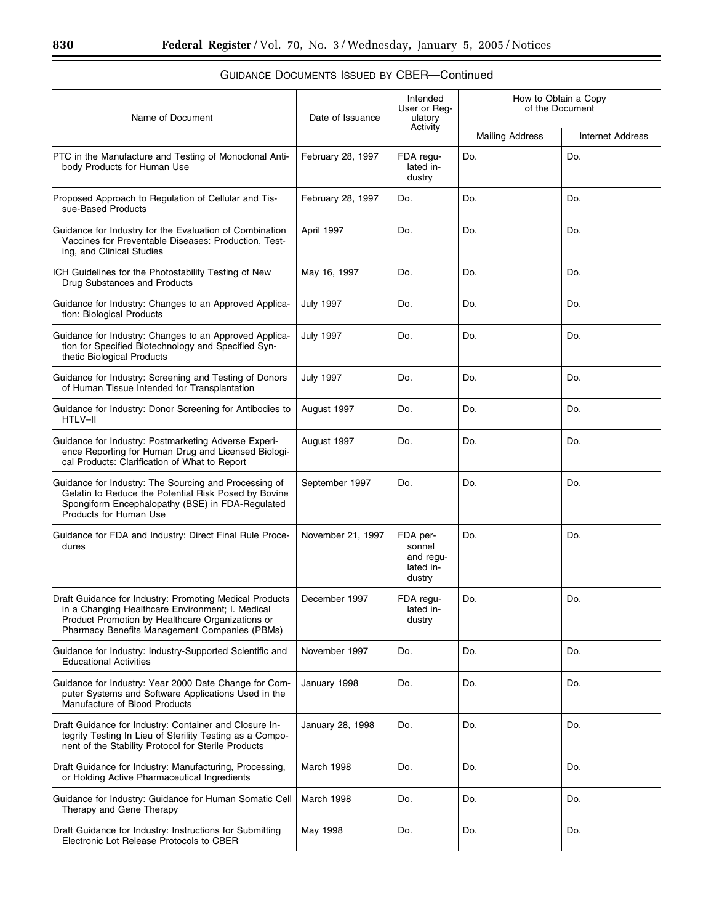Ξ

| Name of Document                                                                                                                                                                                                 | Date of Issuance  | Intended<br>User or Req-<br>ulatory<br>Activity        | How to Obtain a Copy<br>of the Document |                         |
|------------------------------------------------------------------------------------------------------------------------------------------------------------------------------------------------------------------|-------------------|--------------------------------------------------------|-----------------------------------------|-------------------------|
|                                                                                                                                                                                                                  |                   |                                                        | <b>Mailing Address</b>                  | <b>Internet Address</b> |
| PTC in the Manufacture and Testing of Monoclonal Anti-<br>body Products for Human Use                                                                                                                            | February 28, 1997 | FDA regu-<br>lated in-<br>dustry                       | Do.                                     | Do.                     |
| Proposed Approach to Regulation of Cellular and Tis-<br>sue-Based Products                                                                                                                                       | February 28, 1997 | Do.                                                    | Do.                                     | Do.                     |
| Guidance for Industry for the Evaluation of Combination<br>Vaccines for Preventable Diseases: Production, Test-<br>ing, and Clinical Studies                                                                     | April 1997        | Do.                                                    | Do.                                     | Do.                     |
| ICH Guidelines for the Photostability Testing of New<br>Drug Substances and Products                                                                                                                             | May 16, 1997      | Do.                                                    | Do.                                     | Do.                     |
| Guidance for Industry: Changes to an Approved Applica-<br>tion: Biological Products                                                                                                                              | July 1997         | Do.                                                    | Do.                                     | Do.                     |
| Guidance for Industry: Changes to an Approved Applica-<br>tion for Specified Biotechnology and Specified Syn-<br>thetic Biological Products                                                                      | <b>July 1997</b>  | Do.                                                    | Do.                                     | Do.                     |
| Guidance for Industry: Screening and Testing of Donors<br>of Human Tissue Intended for Transplantation                                                                                                           | <b>July 1997</b>  | Do.                                                    | Do.                                     | Do.                     |
| Guidance for Industry: Donor Screening for Antibodies to<br>HTLV-II                                                                                                                                              | August 1997       | Do.                                                    | Do.                                     | Do.                     |
| Guidance for Industry: Postmarketing Adverse Experi-<br>ence Reporting for Human Drug and Licensed Biologi-<br>cal Products: Clarification of What to Report                                                     | August 1997       | Do.                                                    | Do.                                     | Do.                     |
| Guidance for Industry: The Sourcing and Processing of<br>Gelatin to Reduce the Potential Risk Posed by Bovine<br>Spongiform Encephalopathy (BSE) in FDA-Regulated<br><b>Products for Human Use</b>               | September 1997    | Do.                                                    | Do.                                     | Do.                     |
| Guidance for FDA and Industry: Direct Final Rule Proce-<br>dures                                                                                                                                                 | November 21, 1997 | FDA per-<br>sonnel<br>and regu-<br>lated in-<br>dustry | Do.                                     | Do.                     |
| Draft Guidance for Industry: Promoting Medical Products<br>in a Changing Healthcare Environment; I. Medical<br>Product Promotion by Healthcare Organizations or<br>Pharmacy Benefits Management Companies (PBMs) | December 1997     | FDA regu-<br>lated in-<br>dustry                       | Do.                                     | Do.                     |
| Guidance for Industry: Industry-Supported Scientific and<br><b>Educational Activities</b>                                                                                                                        | November 1997     | Do.                                                    | Do.                                     | Do.                     |
| Guidance for Industry: Year 2000 Date Change for Com-<br>puter Systems and Software Applications Used in the<br>Manufacture of Blood Products                                                                    | January 1998      | Do.                                                    | Do.                                     | Do.                     |
| Draft Guidance for Industry: Container and Closure In-<br>tegrity Testing In Lieu of Sterility Testing as a Compo-<br>nent of the Stability Protocol for Sterile Products                                        | January 28, 1998  | Do.                                                    | Do.                                     | Do.                     |
| Draft Guidance for Industry: Manufacturing, Processing,<br>or Holding Active Pharmaceutical Ingredients                                                                                                          | March 1998        | Do.                                                    | Do.                                     | Do.                     |
| Guidance for Industry: Guidance for Human Somatic Cell<br>Therapy and Gene Therapy                                                                                                                               | March 1998        | Do.                                                    | Do.                                     | Do.                     |
| Draft Guidance for Industry: Instructions for Submitting<br>Electronic Lot Release Protocols to CBER                                                                                                             | May 1998          | Do.                                                    | Do.                                     | Do.                     |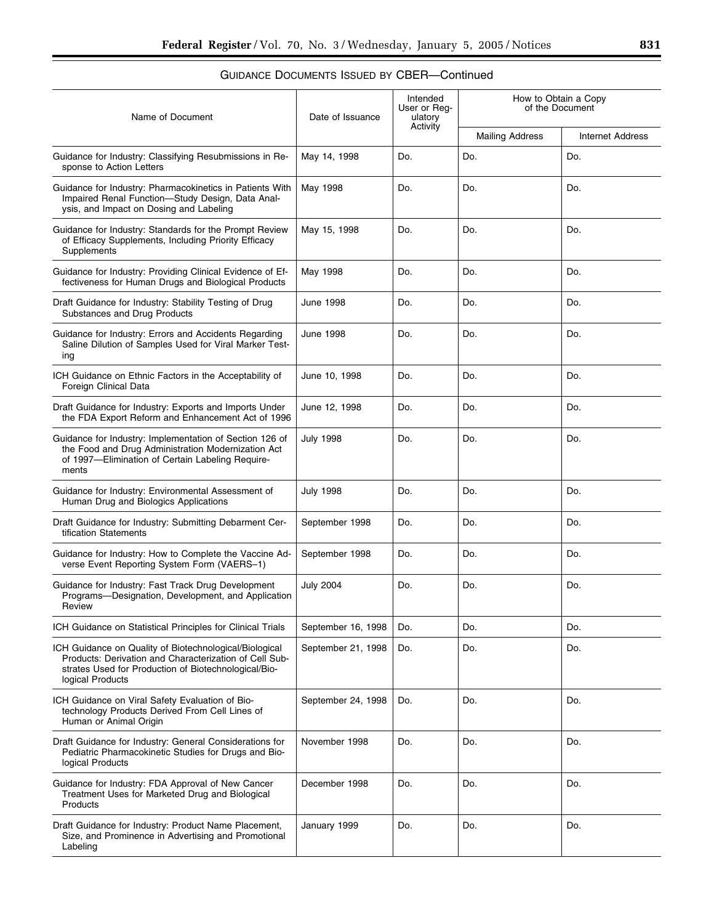| <b>GUIDANCE DOCUMENTS ISSUED BY CBER—Continued</b> |
|----------------------------------------------------|
|----------------------------------------------------|

| Name of Document                                                                                                                                                                             | Date of Issuance   | Intended<br>User or Reg-<br>ulatory | How to Obtain a Copy<br>of the Document |                         |  |
|----------------------------------------------------------------------------------------------------------------------------------------------------------------------------------------------|--------------------|-------------------------------------|-----------------------------------------|-------------------------|--|
|                                                                                                                                                                                              |                    | Activity                            | <b>Mailing Address</b>                  | <b>Internet Address</b> |  |
| Guidance for Industry: Classifying Resubmissions in Re-<br>sponse to Action Letters                                                                                                          | May 14, 1998       | Do.                                 | Do.                                     | Do.                     |  |
| Guidance for Industry: Pharmacokinetics in Patients With<br>Impaired Renal Function-Study Design, Data Anal-<br>ysis, and Impact on Dosing and Labeling                                      | May 1998           | Do.                                 | Do.                                     | Do.                     |  |
| Guidance for Industry: Standards for the Prompt Review<br>of Efficacy Supplements, Including Priority Efficacy<br>Supplements                                                                | May 15, 1998       | Do.                                 | Do.                                     | Do.                     |  |
| Guidance for Industry: Providing Clinical Evidence of Ef-<br>fectiveness for Human Drugs and Biological Products                                                                             | May 1998           | Do.                                 | Do.                                     | Do.                     |  |
| Draft Guidance for Industry: Stability Testing of Drug<br>Substances and Drug Products                                                                                                       | June 1998          | Do.                                 | Do.                                     | Do.                     |  |
| Guidance for Industry: Errors and Accidents Regarding<br>Saline Dilution of Samples Used for Viral Marker Test-<br>ing                                                                       | <b>June 1998</b>   | Do.                                 | Do.                                     | Do.                     |  |
| ICH Guidance on Ethnic Factors in the Acceptability of<br>Foreign Clinical Data                                                                                                              | June 10, 1998      | Do.                                 | Do.                                     | Do.                     |  |
| Draft Guidance for Industry: Exports and Imports Under<br>the FDA Export Reform and Enhancement Act of 1996                                                                                  | June 12, 1998      | Do.                                 | Do.                                     | Do.                     |  |
| Guidance for Industry: Implementation of Section 126 of<br>the Food and Drug Administration Modernization Act<br>of 1997-Elimination of Certain Labeling Require-<br>ments                   | <b>July 1998</b>   | Do.                                 | Do.                                     | Do.                     |  |
| Guidance for Industry: Environmental Assessment of<br>Human Drug and Biologics Applications                                                                                                  | July 1998          | Do.                                 | Do.                                     | Do.                     |  |
| Draft Guidance for Industry: Submitting Debarment Cer-<br>tification Statements                                                                                                              | September 1998     | Do.                                 | Do.                                     | Do.                     |  |
| Guidance for Industry: How to Complete the Vaccine Ad-<br>verse Event Reporting System Form (VAERS-1)                                                                                        | September 1998     | Do.                                 | Do.                                     | Do.                     |  |
| Guidance for Industry: Fast Track Drug Development<br>Programs-Designation, Development, and Application<br>Review                                                                           | <b>July 2004</b>   | Do.                                 | Do.                                     | Do.                     |  |
| ICH Guidance on Statistical Principles for Clinical Trials                                                                                                                                   | September 16, 1998 | Do.                                 | Do.                                     | Do.                     |  |
| ICH Guidance on Quality of Biotechnological/Biological<br>Products: Derivation and Characterization of Cell Sub-<br>strates Used for Production of Biotechnological/Bio-<br>logical Products | September 21, 1998 | Do.                                 | Do.                                     | Do.                     |  |
| ICH Guidance on Viral Safety Evaluation of Bio-<br>technology Products Derived From Cell Lines of<br>Human or Animal Origin                                                                  | September 24, 1998 | Do.                                 | Do.                                     | Do.                     |  |
| Draft Guidance for Industry: General Considerations for<br>Pediatric Pharmacokinetic Studies for Drugs and Bio-<br>logical Products                                                          | November 1998      | Do.                                 | Do.                                     | Do.                     |  |
| Guidance for Industry: FDA Approval of New Cancer<br>Treatment Uses for Marketed Drug and Biological<br>Products                                                                             | December 1998      | Do.                                 | Do.                                     | Do.                     |  |
| Draft Guidance for Industry: Product Name Placement,<br>Size, and Prominence in Advertising and Promotional<br>Labeling                                                                      | January 1999       | Do.                                 | Do.                                     | Do.                     |  |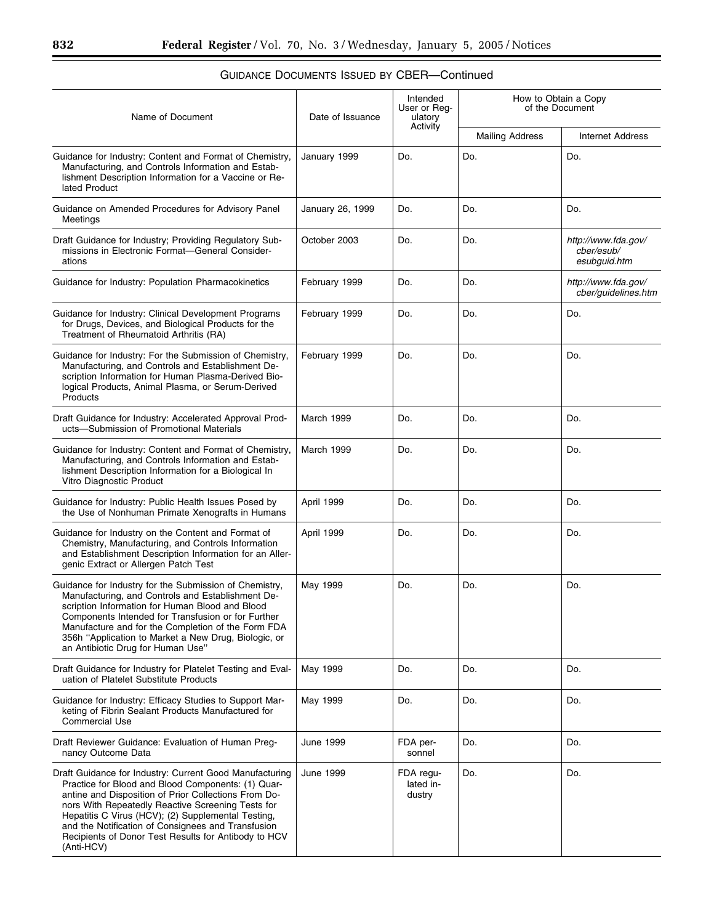$\equiv$ 

| Name of Document                                                                                                                                                                                                                                                                                                                                                                                             | Date of Issuance | Intended<br>User or Reg-<br>ulatory<br>Activity | How to Obtain a Copy<br>of the Document |                                                   |
|--------------------------------------------------------------------------------------------------------------------------------------------------------------------------------------------------------------------------------------------------------------------------------------------------------------------------------------------------------------------------------------------------------------|------------------|-------------------------------------------------|-----------------------------------------|---------------------------------------------------|
|                                                                                                                                                                                                                                                                                                                                                                                                              |                  |                                                 | <b>Mailing Address</b>                  | <b>Internet Address</b>                           |
| Guidance for Industry: Content and Format of Chemistry,<br>Manufacturing, and Controls Information and Estab-<br>lishment Description Information for a Vaccine or Re-<br>lated Product                                                                                                                                                                                                                      | January 1999     | Do.                                             | Do.                                     | Do.                                               |
| Guidance on Amended Procedures for Advisory Panel<br>Meetings                                                                                                                                                                                                                                                                                                                                                | January 26, 1999 | Do.                                             | Do.                                     | Do.                                               |
| Draft Guidance for Industry; Providing Regulatory Sub-<br>missions in Electronic Format-General Consider-<br>ations                                                                                                                                                                                                                                                                                          | October 2003     | Do.                                             | Do.                                     | http://www.fda.gov/<br>cber/esub/<br>esubguid.htm |
| Guidance for Industry: Population Pharmacokinetics                                                                                                                                                                                                                                                                                                                                                           | February 1999    | Do.                                             | Do.                                     | http://www.fda.gov/<br>cber/guidelines.htm        |
| Guidance for Industry: Clinical Development Programs<br>for Drugs, Devices, and Biological Products for the<br>Treatment of Rheumatoid Arthritis (RA)                                                                                                                                                                                                                                                        | February 1999    | Do.                                             | Do.                                     | Do.                                               |
| Guidance for Industry: For the Submission of Chemistry,<br>Manufacturing, and Controls and Establishment De-<br>scription Information for Human Plasma-Derived Bio-<br>logical Products, Animal Plasma, or Serum-Derived<br>Products                                                                                                                                                                         | February 1999    | Do.                                             | Do.                                     | Do.                                               |
| Draft Guidance for Industry: Accelerated Approval Prod-<br>ucts-Submission of Promotional Materials                                                                                                                                                                                                                                                                                                          | March 1999       | Do.                                             | Do.                                     | Do.                                               |
| Guidance for Industry: Content and Format of Chemistry,<br>Manufacturing, and Controls Information and Estab-<br>lishment Description Information for a Biological In<br>Vitro Diagnostic Product                                                                                                                                                                                                            | March 1999       | Do.                                             | Do.                                     | Do.                                               |
| Guidance for Industry: Public Health Issues Posed by<br>the Use of Nonhuman Primate Xenografts in Humans                                                                                                                                                                                                                                                                                                     | April 1999       | Do.                                             | Do.                                     | Do.                                               |
| Guidance for Industry on the Content and Format of<br>Chemistry, Manufacturing, and Controls Information<br>and Establishment Description Information for an Aller-<br>genic Extract or Allergen Patch Test                                                                                                                                                                                                  | April 1999       | Do.                                             | Do.                                     | Do.                                               |
| Guidance for Industry for the Submission of Chemistry,<br>Manufacturing, and Controls and Establishment De-<br>scription Information for Human Blood and Blood<br>Components Intended for Transfusion or for Further<br>Manufacture and for the Completion of the Form FDA<br>356h "Application to Market a New Drug, Biologic, or<br>an Antibiotic Drug for Human Use"                                      | May 1999         | Do.                                             | Do.                                     | Do.                                               |
| Draft Guidance for Industry for Platelet Testing and Eval-<br>uation of Platelet Substitute Products                                                                                                                                                                                                                                                                                                         | May 1999         | Do.                                             | Do.                                     | Do.                                               |
| Guidance for Industry: Efficacy Studies to Support Mar-<br>keting of Fibrin Sealant Products Manufactured for<br><b>Commercial Use</b>                                                                                                                                                                                                                                                                       | May 1999         | Do.                                             | Do.                                     | Do.                                               |
| Draft Reviewer Guidance: Evaluation of Human Preg-<br>nancy Outcome Data                                                                                                                                                                                                                                                                                                                                     | June 1999        | FDA per-<br>sonnel                              | Do.                                     | Do.                                               |
| Draft Guidance for Industry: Current Good Manufacturing<br>Practice for Blood and Blood Components: (1) Quar-<br>antine and Disposition of Prior Collections From Do-<br>nors With Repeatedly Reactive Screening Tests for<br>Hepatitis C Virus (HCV); (2) Supplemental Testing,<br>and the Notification of Consignees and Transfusion<br>Recipients of Donor Test Results for Antibody to HCV<br>(Anti-HCV) | June 1999        | FDA regu-<br>lated in-<br>dustry                | Do.                                     | Do.                                               |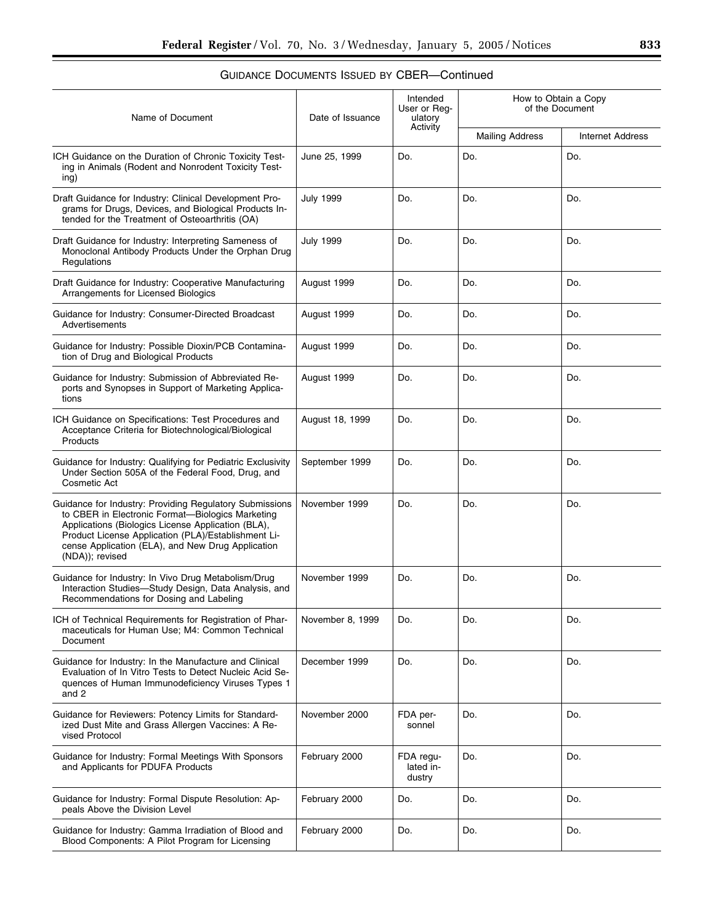| Name of Document                                                                                                                                                                                                                                                                                 | Date of Issuance | Intended<br>User or Reg-<br>ulatory | How to Obtain a Copy<br>of the Document |                         |
|--------------------------------------------------------------------------------------------------------------------------------------------------------------------------------------------------------------------------------------------------------------------------------------------------|------------------|-------------------------------------|-----------------------------------------|-------------------------|
|                                                                                                                                                                                                                                                                                                  |                  | Activity                            | <b>Mailing Address</b>                  | <b>Internet Address</b> |
| ICH Guidance on the Duration of Chronic Toxicity Test-<br>ing in Animals (Rodent and Nonrodent Toxicity Test-<br>ing)                                                                                                                                                                            | June 25, 1999    | Do.                                 | Do.                                     | Do.                     |
| Draft Guidance for Industry: Clinical Development Pro-<br>grams for Drugs, Devices, and Biological Products In-<br>tended for the Treatment of Osteoarthritis (OA)                                                                                                                               | <b>July 1999</b> | Do.                                 | Do.                                     | Do.                     |
| Draft Guidance for Industry: Interpreting Sameness of<br>Monoclonal Antibody Products Under the Orphan Drug<br>Regulations                                                                                                                                                                       | <b>July 1999</b> | Do.                                 | Do.                                     | Do.                     |
| Draft Guidance for Industry: Cooperative Manufacturing<br>Arrangements for Licensed Biologics                                                                                                                                                                                                    | August 1999      | Do.                                 | Do.                                     | Do.                     |
| Guidance for Industry: Consumer-Directed Broadcast<br>Advertisements                                                                                                                                                                                                                             | August 1999      | Do.                                 | Do.                                     | Do.                     |
| Guidance for Industry: Possible Dioxin/PCB Contamina-<br>tion of Drug and Biological Products                                                                                                                                                                                                    | August 1999      | Do.                                 | Do.                                     | Do.                     |
| Guidance for Industry: Submission of Abbreviated Re-<br>ports and Synopses in Support of Marketing Applica-<br>tions                                                                                                                                                                             | August 1999      | Do.                                 | Do.                                     | Do.                     |
| ICH Guidance on Specifications: Test Procedures and<br>Acceptance Criteria for Biotechnological/Biological<br>Products                                                                                                                                                                           | August 18, 1999  | Do.                                 | Do.                                     | Do.                     |
| Guidance for Industry: Qualifying for Pediatric Exclusivity<br>Under Section 505A of the Federal Food, Drug, and<br>Cosmetic Act                                                                                                                                                                 | September 1999   | Do.                                 | Do.                                     | Do.                     |
| Guidance for Industry: Providing Regulatory Submissions<br>to CBER in Electronic Format-Biologics Marketing<br>Applications (Biologics License Application (BLA),<br>Product License Application (PLA)/Establishment Li-<br>cense Application (ELA), and New Drug Application<br>(NDA)); revised | November 1999    | Do.                                 | Do.                                     | Do.                     |
| Guidance for Industry: In Vivo Drug Metabolism/Drug<br>Interaction Studies-Study Design, Data Analysis, and<br>Recommendations for Dosing and Labeling                                                                                                                                           | November 1999    | Do.                                 | Do.                                     | Do.                     |
| ICH of Technical Requirements for Registration of Phar-<br>maceuticals for Human Use; M4: Common Technical<br>Document                                                                                                                                                                           | November 8, 1999 | Do.                                 | Do.                                     | Do.                     |
| Guidance for Industry: In the Manufacture and Clinical<br>Evaluation of In Vitro Tests to Detect Nucleic Acid Se-<br>quences of Human Immunodeficiency Viruses Types 1<br>and 2                                                                                                                  | December 1999    | Do.                                 | Do.                                     | Do.                     |
| Guidance for Reviewers: Potency Limits for Standard-<br>ized Dust Mite and Grass Allergen Vaccines: A Re-<br>vised Protocol                                                                                                                                                                      | November 2000    | FDA per-<br>sonnel                  | Do.                                     | Do.                     |
| Guidance for Industry: Formal Meetings With Sponsors<br>and Applicants for PDUFA Products                                                                                                                                                                                                        | February 2000    | FDA regu-<br>lated in-<br>dustry    | Do.                                     | Do.                     |
| Guidance for Industry: Formal Dispute Resolution: Ap-<br>peals Above the Division Level                                                                                                                                                                                                          | February 2000    | Do.                                 | Do.                                     | Do.                     |
| Guidance for Industry: Gamma Irradiation of Blood and<br>Blood Components: A Pilot Program for Licensing                                                                                                                                                                                         | February 2000    | Do.                                 | Do.                                     | Do.                     |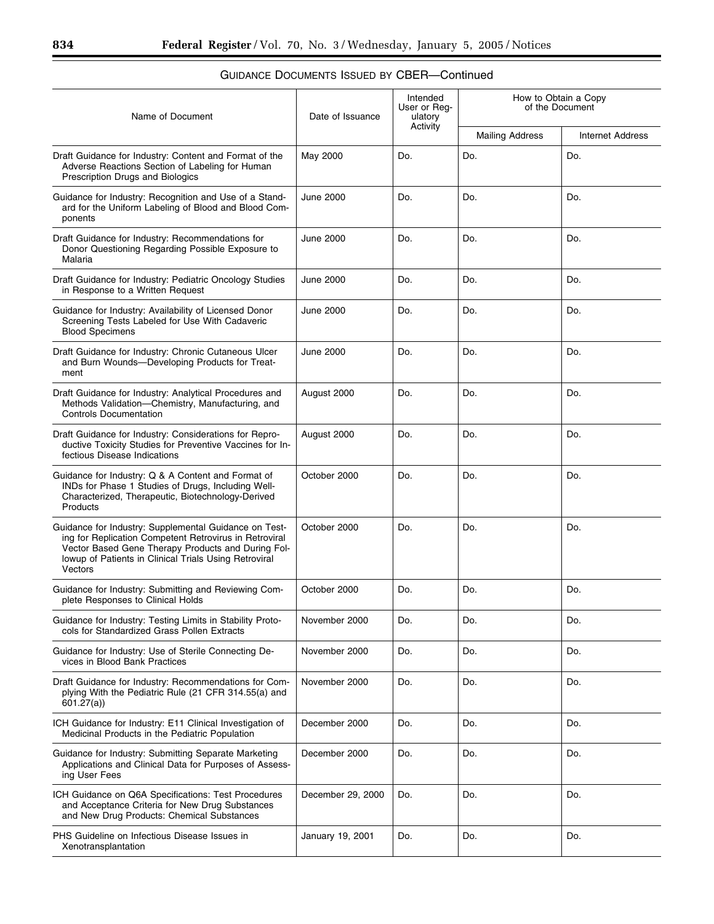۰

| Name of Document                                                                                                                                                                                                                          | Date of Issuance  | Intended<br>User or Reg-<br>ulatory<br>Activity | How to Obtain a Copy<br>of the Document |                         |
|-------------------------------------------------------------------------------------------------------------------------------------------------------------------------------------------------------------------------------------------|-------------------|-------------------------------------------------|-----------------------------------------|-------------------------|
|                                                                                                                                                                                                                                           |                   |                                                 | <b>Mailing Address</b>                  | <b>Internet Address</b> |
| Draft Guidance for Industry: Content and Format of the<br>Adverse Reactions Section of Labeling for Human<br>Prescription Drugs and Biologics                                                                                             | May 2000          | Do.                                             | Do.                                     | Do.                     |
| Guidance for Industry: Recognition and Use of a Stand-<br>ard for the Uniform Labeling of Blood and Blood Com-<br>ponents                                                                                                                 | June 2000         | Do.                                             | Do.                                     | Do.                     |
| Draft Guidance for Industry: Recommendations for<br>Donor Questioning Regarding Possible Exposure to<br>Malaria                                                                                                                           | <b>June 2000</b>  | Do.                                             | Do.                                     | Do.                     |
| Draft Guidance for Industry: Pediatric Oncology Studies<br>in Response to a Written Request                                                                                                                                               | June 2000         | Do.                                             | Do.                                     | Do.                     |
| Guidance for Industry: Availability of Licensed Donor<br>Screening Tests Labeled for Use With Cadaveric<br><b>Blood Specimens</b>                                                                                                         | June 2000         | Do.                                             | Do.                                     | Do.                     |
| Draft Guidance for Industry: Chronic Cutaneous Ulcer<br>and Burn Wounds-Developing Products for Treat-<br>ment                                                                                                                            | June 2000         | Do.                                             | Do.                                     | Do.                     |
| Draft Guidance for Industry: Analytical Procedures and<br>Methods Validation-Chemistry, Manufacturing, and<br><b>Controls Documentation</b>                                                                                               | August 2000       | Do.                                             | Do.                                     | Do.                     |
| Draft Guidance for Industry: Considerations for Repro-<br>ductive Toxicity Studies for Preventive Vaccines for In-<br>fectious Disease Indications                                                                                        | August 2000       | Do.                                             | Do.                                     | Do.                     |
| Guidance for Industry: Q & A Content and Format of<br>INDs for Phase 1 Studies of Drugs, Including Well-<br>Characterized, Therapeutic, Biotechnology-Derived<br>Products                                                                 | October 2000      | Do.                                             | Do.                                     | Do.                     |
| Guidance for Industry: Supplemental Guidance on Test-<br>ing for Replication Competent Retrovirus in Retroviral<br>Vector Based Gene Therapy Products and During Fol-<br>lowup of Patients in Clinical Trials Using Retroviral<br>Vectors | October 2000      | Do.                                             | Do.                                     | Do.                     |
| Guidance for Industry: Submitting and Reviewing Com-<br>plete Responses to Clinical Holds                                                                                                                                                 | October 2000      | Do.                                             | Do.                                     | Do.                     |
| Guidance for Industry: Testing Limits in Stability Proto-<br>cols for Standardized Grass Pollen Extracts                                                                                                                                  | November 2000     | Do.                                             | Do.                                     | Do.                     |
| Guidance for Industry: Use of Sterile Connecting De-<br>vices in Blood Bank Practices                                                                                                                                                     | November 2000     | Do.                                             | Do.                                     | Do.                     |
| Draft Guidance for Industry: Recommendations for Com-<br>plying With the Pediatric Rule (21 CFR 314.55(a) and<br>601.27(a)                                                                                                                | November 2000     | Do.                                             | Do.                                     | Do.                     |
| ICH Guidance for Industry: E11 Clinical Investigation of<br>Medicinal Products in the Pediatric Population                                                                                                                                | December 2000     | Do.                                             | Do.                                     | Do.                     |
| Guidance for Industry: Submitting Separate Marketing<br>Applications and Clinical Data for Purposes of Assess-<br>ing User Fees                                                                                                           | December 2000     | Do.                                             | Do.                                     | Do.                     |
| ICH Guidance on Q6A Specifications: Test Procedures<br>and Acceptance Criteria for New Drug Substances<br>and New Drug Products: Chemical Substances                                                                                      | December 29, 2000 | Do.                                             | Do.                                     | Do.                     |
| PHS Guideline on Infectious Disease Issues in<br>Xenotransplantation                                                                                                                                                                      | January 19, 2001  | Do.                                             | Do.                                     | Do.                     |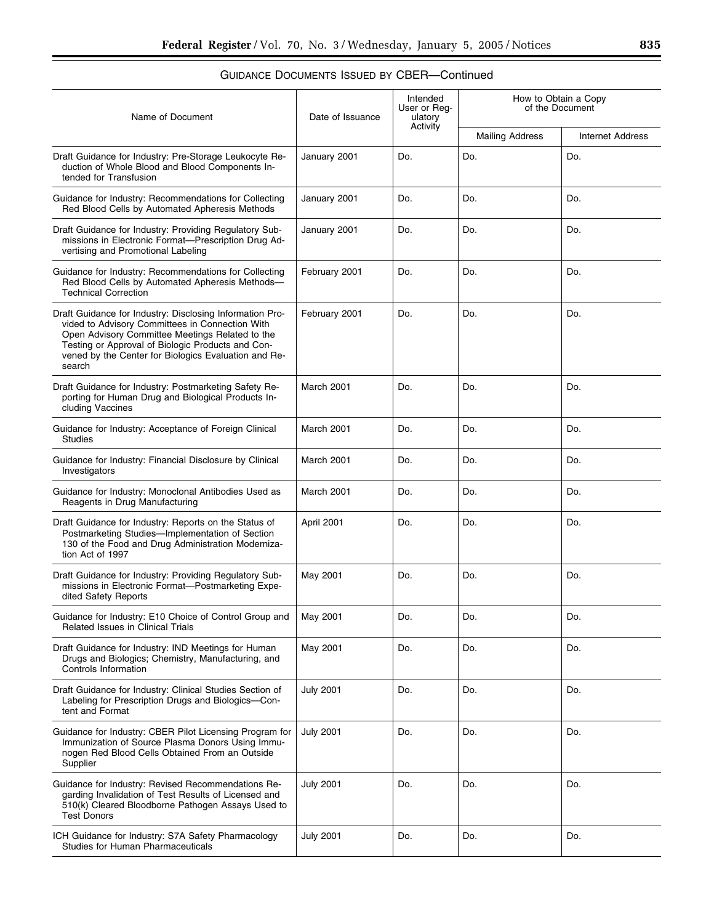| Name of Document                                                                                                                                                                                                                                                                      | Date of Issuance | Intended<br>User or Reg-<br>ulatory | How to Obtain a Copy<br>of the Document |                         |
|---------------------------------------------------------------------------------------------------------------------------------------------------------------------------------------------------------------------------------------------------------------------------------------|------------------|-------------------------------------|-----------------------------------------|-------------------------|
|                                                                                                                                                                                                                                                                                       |                  | Activity                            | <b>Mailing Address</b>                  | <b>Internet Address</b> |
| Draft Guidance for Industry: Pre-Storage Leukocyte Re-<br>duction of Whole Blood and Blood Components In-<br>tended for Transfusion                                                                                                                                                   | January 2001     | Do.                                 | Do.                                     | Do.                     |
| Guidance for Industry: Recommendations for Collecting<br>Red Blood Cells by Automated Apheresis Methods                                                                                                                                                                               | January 2001     | Do.                                 | Do.                                     | Do.                     |
| Draft Guidance for Industry: Providing Regulatory Sub-<br>missions in Electronic Format-Prescription Drug Ad-<br>vertising and Promotional Labeling                                                                                                                                   | January 2001     | Do.                                 | Do.                                     | Do.                     |
| Guidance for Industry: Recommendations for Collecting<br>Red Blood Cells by Automated Apheresis Methods-<br><b>Technical Correction</b>                                                                                                                                               | February 2001    | Do.                                 | Do.                                     | Do.                     |
| Draft Guidance for Industry: Disclosing Information Pro-<br>vided to Advisory Committees in Connection With<br>Open Advisory Committee Meetings Related to the<br>Testing or Approval of Biologic Products and Con-<br>vened by the Center for Biologics Evaluation and Re-<br>search | February 2001    | Do.                                 | Do.                                     | Do.                     |
| Draft Guidance for Industry: Postmarketing Safety Re-<br>porting for Human Drug and Biological Products In-<br>cluding Vaccines                                                                                                                                                       | March 2001       | Do.                                 | Do.                                     | Do.                     |
| Guidance for Industry: Acceptance of Foreign Clinical<br><b>Studies</b>                                                                                                                                                                                                               | March 2001       | Do.                                 | Do.                                     | Do.                     |
| Guidance for Industry: Financial Disclosure by Clinical<br>Investigators                                                                                                                                                                                                              | March 2001       | Do.                                 | Do.                                     | Do.                     |
| Guidance for Industry: Monoclonal Antibodies Used as<br>Reagents in Drug Manufacturing                                                                                                                                                                                                | March 2001       | Do.                                 | Do.                                     | Do.                     |
| Draft Guidance for Industry: Reports on the Status of<br>Postmarketing Studies-Implementation of Section<br>130 of the Food and Drug Administration Moderniza-<br>tion Act of 1997                                                                                                    | April 2001       | Do.                                 | Do.                                     | Do.                     |
| Draft Guidance for Industry: Providing Regulatory Sub-<br>missions in Electronic Format-Postmarketing Expe-<br>dited Safety Reports                                                                                                                                                   | May 2001         | Do.                                 | Do.                                     | Do.                     |
| Guidance for Industry: E10 Choice of Control Group and<br><b>Related Issues in Clinical Trials</b>                                                                                                                                                                                    | May 2001         | Do.                                 | Do.                                     | Do.                     |
| Draft Guidance for Industry: IND Meetings for Human<br>Drugs and Biologics; Chemistry, Manufacturing, and<br>Controls Information                                                                                                                                                     | May 2001         | Do.                                 | Do.                                     | Do.                     |
| Draft Guidance for Industry: Clinical Studies Section of<br>Labeling for Prescription Drugs and Biologics-Con-<br>tent and Format                                                                                                                                                     | <b>July 2001</b> | Do.                                 | Do.                                     | Do.                     |
| Guidance for Industry: CBER Pilot Licensing Program for<br>Immunization of Source Plasma Donors Using Immu-<br>nogen Red Blood Cells Obtained From an Outside<br>Supplier                                                                                                             | <b>July 2001</b> | Do.                                 | Do.                                     | Do.                     |
| Guidance for Industry: Revised Recommendations Re-<br>garding Invalidation of Test Results of Licensed and<br>510(k) Cleared Bloodborne Pathogen Assays Used to<br><b>Test Donors</b>                                                                                                 | <b>July 2001</b> | Do.                                 | Do.                                     | Do.                     |
| ICH Guidance for Industry: S7A Safety Pharmacology<br>Studies for Human Pharmaceuticals                                                                                                                                                                                               | <b>July 2001</b> | Do.                                 | Do.                                     | Do.                     |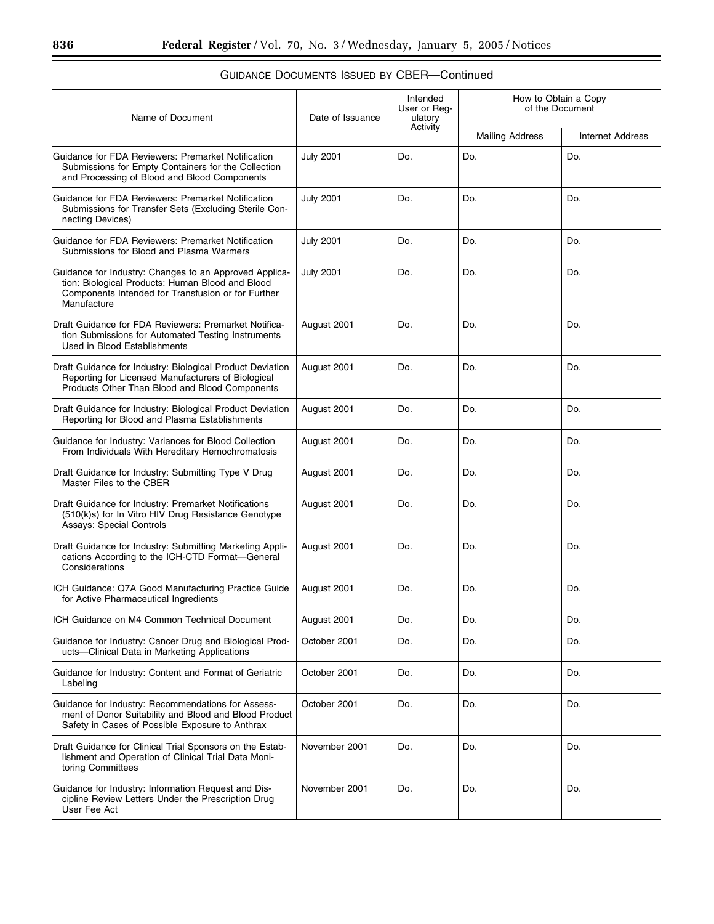| Name of Document                                                                                                                                                                | Date of Issuance | Intended<br>User or Req-<br>ulatory | How to Obtain a Copy<br>of the Document |                         |  |
|---------------------------------------------------------------------------------------------------------------------------------------------------------------------------------|------------------|-------------------------------------|-----------------------------------------|-------------------------|--|
|                                                                                                                                                                                 |                  | Activity                            | <b>Mailing Address</b>                  | <b>Internet Address</b> |  |
| Guidance for FDA Reviewers: Premarket Notification<br>Submissions for Empty Containers for the Collection<br>and Processing of Blood and Blood Components                       | <b>July 2001</b> | Do.                                 | Do.                                     | Do.                     |  |
| Guidance for FDA Reviewers: Premarket Notification<br>Submissions for Transfer Sets (Excluding Sterile Con-<br>necting Devices)                                                 | <b>July 2001</b> | Do.                                 | Do.                                     | Do.                     |  |
| Guidance for FDA Reviewers: Premarket Notification<br>Submissions for Blood and Plasma Warmers                                                                                  | <b>July 2001</b> | Do.                                 | Do.                                     | Do.                     |  |
| Guidance for Industry: Changes to an Approved Applica-<br>tion: Biological Products: Human Blood and Blood<br>Components Intended for Transfusion or for Further<br>Manufacture | <b>July 2001</b> | Do.                                 | Do.                                     | Do.                     |  |
| Draft Guidance for FDA Reviewers: Premarket Notifica-<br>tion Submissions for Automated Testing Instruments<br>Used in Blood Establishments                                     | August 2001      | Do.                                 | Do.                                     | Do.                     |  |
| Draft Guidance for Industry: Biological Product Deviation<br>Reporting for Licensed Manufacturers of Biological<br>Products Other Than Blood and Blood Components               | August 2001      | Do.                                 | Do.                                     | Do.                     |  |
| Draft Guidance for Industry: Biological Product Deviation<br>Reporting for Blood and Plasma Establishments                                                                      | August 2001      | Do.                                 | Do.                                     | Do.                     |  |
| Guidance for Industry: Variances for Blood Collection<br>From Individuals With Hereditary Hemochromatosis                                                                       | August 2001      | Do.                                 | Do.                                     | Do.                     |  |
| Draft Guidance for Industry: Submitting Type V Drug<br>Master Files to the CBER                                                                                                 | August 2001      | Do.                                 | Do.                                     | Do.                     |  |
| Draft Guidance for Industry: Premarket Notifications<br>(510(k)s) for In Vitro HIV Drug Resistance Genotype<br>Assays: Special Controls                                         | August 2001      | Do.                                 | Do.                                     | Do.                     |  |
| Draft Guidance for Industry: Submitting Marketing Appli-<br>cations According to the ICH-CTD Format-General<br>Considerations                                                   | August 2001      | Do.                                 | Do.                                     | Do.                     |  |
| ICH Guidance: Q7A Good Manufacturing Practice Guide<br>for Active Pharmaceutical Ingredients                                                                                    | August 2001      | Do.                                 | Do.                                     | Do.                     |  |
| ICH Guidance on M4 Common Technical Document                                                                                                                                    | August 2001      | Do.                                 | Do.                                     | Do.                     |  |
| Guidance for Industry: Cancer Drug and Biological Prod-<br>ucts-Clinical Data in Marketing Applications                                                                         | October 2001     | Do.                                 | Do.                                     | Do.                     |  |
| Guidance for Industry: Content and Format of Geriatric<br>Labeling                                                                                                              | October 2001     | Do.                                 | Do.                                     | Do.                     |  |
| Guidance for Industry: Recommendations for Assess-<br>ment of Donor Suitability and Blood and Blood Product<br>Safety in Cases of Possible Exposure to Anthrax                  | October 2001     | Do.                                 | Do.                                     | Do.                     |  |
| Draft Guidance for Clinical Trial Sponsors on the Estab-<br>lishment and Operation of Clinical Trial Data Moni-<br>toring Committees                                            | November 2001    | Do.                                 | Do.                                     | Do.                     |  |
| Guidance for Industry: Information Request and Dis-<br>cipline Review Letters Under the Prescription Drug<br>User Fee Act                                                       | November 2001    | Do.                                 | Do.                                     | Do.                     |  |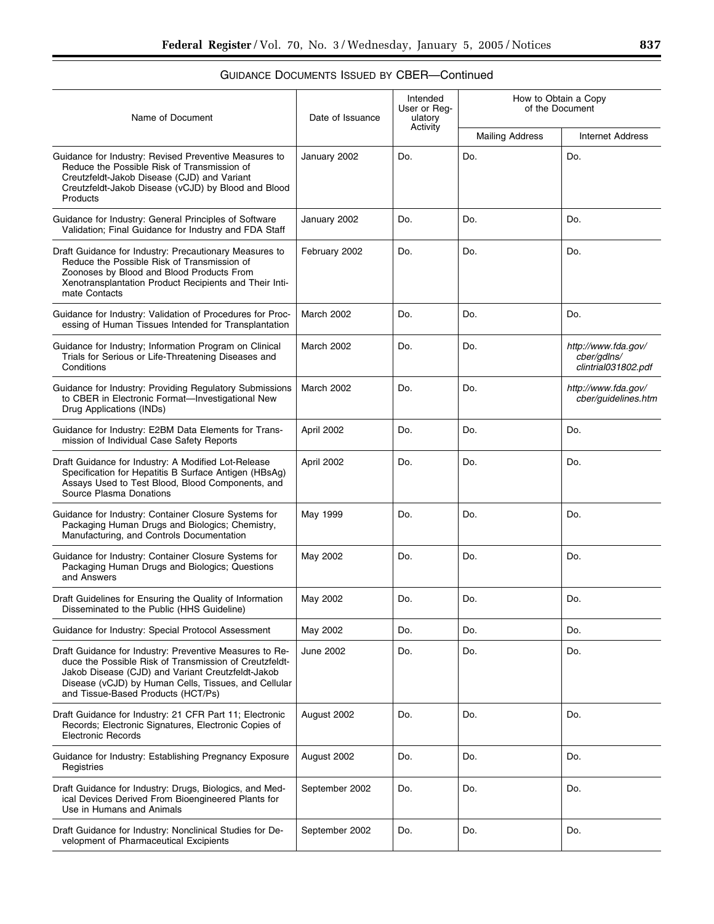| Name of Document                                                                                                                                                                                                                                                     | Date of Issuance  | Intended<br>User or Reg-<br>ulatory | How to Obtain a Copy<br>of the Document |                                                           |  |
|----------------------------------------------------------------------------------------------------------------------------------------------------------------------------------------------------------------------------------------------------------------------|-------------------|-------------------------------------|-----------------------------------------|-----------------------------------------------------------|--|
|                                                                                                                                                                                                                                                                      |                   | Activity                            | <b>Mailing Address</b>                  | <b>Internet Address</b>                                   |  |
| Guidance for Industry: Revised Preventive Measures to<br>Reduce the Possible Risk of Transmission of<br>Creutzfeldt-Jakob Disease (CJD) and Variant<br>Creutzfeldt-Jakob Disease (vCJD) by Blood and Blood<br>Products                                               | January 2002      | Do.                                 | Do.                                     | Do.                                                       |  |
| Guidance for Industry: General Principles of Software<br>Validation; Final Guidance for Industry and FDA Staff                                                                                                                                                       | January 2002      | Do.                                 | Do.                                     | Do.                                                       |  |
| Draft Guidance for Industry: Precautionary Measures to<br>Reduce the Possible Risk of Transmission of<br>Zoonoses by Blood and Blood Products From<br>Xenotransplantation Product Recipients and Their Inti-<br>mate Contacts                                        | February 2002     | Do.                                 | Do.                                     | Do.                                                       |  |
| Guidance for Industry: Validation of Procedures for Proc-<br>essing of Human Tissues Intended for Transplantation                                                                                                                                                    | <b>March 2002</b> | Do.                                 | Do.                                     | Do.                                                       |  |
| Guidance for Industry; Information Program on Clinical<br>Trials for Serious or Life-Threatening Diseases and<br>Conditions                                                                                                                                          | March 2002        | Do.                                 | Do.                                     | http://www.fda.gov/<br>cber/gdlns/<br>clintrial031802.pdf |  |
| Guidance for Industry: Providing Regulatory Submissions<br>to CBER in Electronic Format-Investigational New<br>Drug Applications (INDs)                                                                                                                              | March 2002        | Do.                                 | Do.                                     | http://www.fda.gov/<br>cber/guidelines.htm                |  |
| Guidance for Industry: E2BM Data Elements for Trans-<br>mission of Individual Case Safety Reports                                                                                                                                                                    | April 2002        | Do.                                 | Do.                                     | Do.                                                       |  |
| Draft Guidance for Industry: A Modified Lot-Release<br>Specification for Hepatitis B Surface Antigen (HBsAg)<br>Assays Used to Test Blood, Blood Components, and<br>Source Plasma Donations                                                                          | April 2002        | Do.                                 | Do.                                     | Do.                                                       |  |
| Guidance for Industry: Container Closure Systems for<br>Packaging Human Drugs and Biologics; Chemistry,<br>Manufacturing, and Controls Documentation                                                                                                                 | May 1999          | Do.                                 | Do.                                     | Do.                                                       |  |
| Guidance for Industry: Container Closure Systems for<br>Packaging Human Drugs and Biologics; Questions<br>and Answers                                                                                                                                                | May 2002          | Do.                                 | Do.                                     | Do.                                                       |  |
| Draft Guidelines for Ensuring the Quality of Information<br>Disseminated to the Public (HHS Guideline)                                                                                                                                                               | May 2002          | Do.                                 | Do.                                     | Do.                                                       |  |
| Guidance for Industry: Special Protocol Assessment                                                                                                                                                                                                                   | May 2002          | Do.                                 | Do.                                     | Do.                                                       |  |
| Draft Guidance for Industry: Preventive Measures to Re-<br>duce the Possible Risk of Transmission of Creutzfeldt-<br>Jakob Disease (CJD) and Variant Creutzfeldt-Jakob<br>Disease (vCJD) by Human Cells, Tissues, and Cellular<br>and Tissue-Based Products (HCT/Ps) | June 2002         | Do.                                 | Do.                                     | Do.                                                       |  |
| Draft Guidance for Industry: 21 CFR Part 11; Electronic<br>Records; Electronic Signatures, Electronic Copies of<br><b>Electronic Records</b>                                                                                                                         | August 2002       | Do.                                 | Do.                                     | Do.                                                       |  |
| Guidance for Industry: Establishing Pregnancy Exposure<br>Registries                                                                                                                                                                                                 | August 2002       | Do.                                 | Do.                                     | Do.                                                       |  |
| Draft Guidance for Industry: Drugs, Biologics, and Med-<br>ical Devices Derived From Bioengineered Plants for<br>Use in Humans and Animals                                                                                                                           | September 2002    | Do.                                 | Do.                                     | Do.                                                       |  |
| Draft Guidance for Industry: Nonclinical Studies for De-<br>velopment of Pharmaceutical Excipients                                                                                                                                                                   | September 2002    | Do.                                 | Do.                                     | Do.                                                       |  |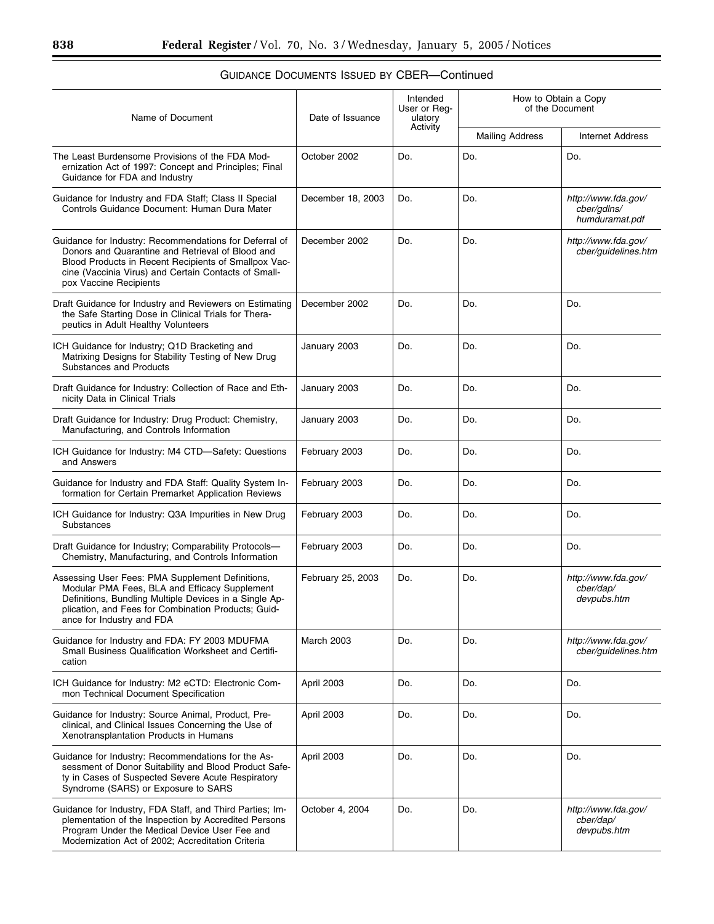| Name of Document                                                                                                                                                                                                                                     | Date of Issuance  | Intended<br>User or Reg-<br>ulatory | How to Obtain a Copy<br>of the Document |                                                      |  |
|------------------------------------------------------------------------------------------------------------------------------------------------------------------------------------------------------------------------------------------------------|-------------------|-------------------------------------|-----------------------------------------|------------------------------------------------------|--|
|                                                                                                                                                                                                                                                      |                   | Activity                            | <b>Mailing Address</b>                  | <b>Internet Address</b>                              |  |
| The Least Burdensome Provisions of the FDA Mod-<br>ernization Act of 1997: Concept and Principles; Final<br>Guidance for FDA and Industry                                                                                                            | October 2002      | Do.                                 | Do.                                     | Do.                                                  |  |
| Guidance for Industry and FDA Staff; Class II Special<br>Controls Guidance Document: Human Dura Mater                                                                                                                                                | December 18, 2003 | Do.                                 | Do.                                     | http://www.fda.gov/<br>cber/gdlns/<br>humduramat.pdf |  |
| Guidance for Industry: Recommendations for Deferral of<br>Donors and Quarantine and Retrieval of Blood and<br>Blood Products in Recent Recipients of Smallpox Vac-<br>cine (Vaccinia Virus) and Certain Contacts of Small-<br>pox Vaccine Recipients | December 2002     | Do.                                 | Do.                                     | http://www.fda.gov/<br>cber/guidelines.htm           |  |
| Draft Guidance for Industry and Reviewers on Estimating<br>the Safe Starting Dose in Clinical Trials for Thera-<br>peutics in Adult Healthy Volunteers                                                                                               | December 2002     | Do.                                 | Do.                                     | Do.                                                  |  |
| ICH Guidance for Industry; Q1D Bracketing and<br>Matrixing Designs for Stability Testing of New Drug<br><b>Substances and Products</b>                                                                                                               | January 2003      | Do.                                 | Do.                                     | Do.                                                  |  |
| Draft Guidance for Industry: Collection of Race and Eth-<br>nicity Data in Clinical Trials                                                                                                                                                           | January 2003      | Do.                                 | Do.                                     | Do.                                                  |  |
| Draft Guidance for Industry: Drug Product: Chemistry,<br>Manufacturing, and Controls Information                                                                                                                                                     | January 2003      | Do.                                 | Do.                                     | Do.                                                  |  |
| ICH Guidance for Industry: M4 CTD-Safety: Questions<br>and Answers                                                                                                                                                                                   | February 2003     | Do.                                 | Do.                                     | Do.                                                  |  |
| Guidance for Industry and FDA Staff: Quality System In-<br>formation for Certain Premarket Application Reviews                                                                                                                                       | February 2003     | Do.                                 | Do.                                     | Do.                                                  |  |
| ICH Guidance for Industry: Q3A Impurities in New Drug<br>Substances                                                                                                                                                                                  | February 2003     | Do.                                 | Do.                                     | Do.                                                  |  |
| Draft Guidance for Industry; Comparability Protocols-<br>Chemistry, Manufacturing, and Controls Information                                                                                                                                          | February 2003     | Do.                                 | Do.                                     | Do.                                                  |  |
| Assessing User Fees: PMA Supplement Definitions,<br>Modular PMA Fees, BLA and Efficacy Supplement<br>Definitions, Bundling Multiple Devices in a Single Ap-<br>plication, and Fees for Combination Products; Guid-<br>ance for Industry and FDA      | February 25, 2003 | Do.                                 | Do.                                     | http://www.fda.gov/<br>cber/dap/<br>devpubs.htm      |  |
| Guidance for Industry and FDA: FY 2003 MDUFMA<br>Small Business Qualification Worksheet and Certifi-<br>cation                                                                                                                                       | <b>March 2003</b> | Do.                                 | Do.                                     | http://www.fda.gov/<br>cber/guidelines.htm           |  |
| ICH Guidance for Industry: M2 eCTD: Electronic Com-<br>mon Technical Document Specification                                                                                                                                                          | April 2003        | Do.                                 | Do.                                     | Do.                                                  |  |
| Guidance for Industry: Source Animal, Product, Pre-<br>clinical, and Clinical Issues Concerning the Use of<br>Xenotransplantation Products in Humans                                                                                                 | April 2003        | Do.                                 | Do.                                     | Do.                                                  |  |
| Guidance for Industry: Recommendations for the As-<br>sessment of Donor Suitability and Blood Product Safe-<br>ty in Cases of Suspected Severe Acute Respiratory<br>Syndrome (SARS) or Exposure to SARS                                              | April 2003        | Do.                                 | Do.                                     | Do.                                                  |  |
| Guidance for Industry, FDA Staff, and Third Parties; Im-<br>plementation of the Inspection by Accredited Persons<br>Program Under the Medical Device User Fee and<br>Modernization Act of 2002; Accreditation Criteria                               | October 4, 2004   | Do.                                 | Do.                                     | http://www.fda.gov/<br>cber/dap/<br>devpubs.htm      |  |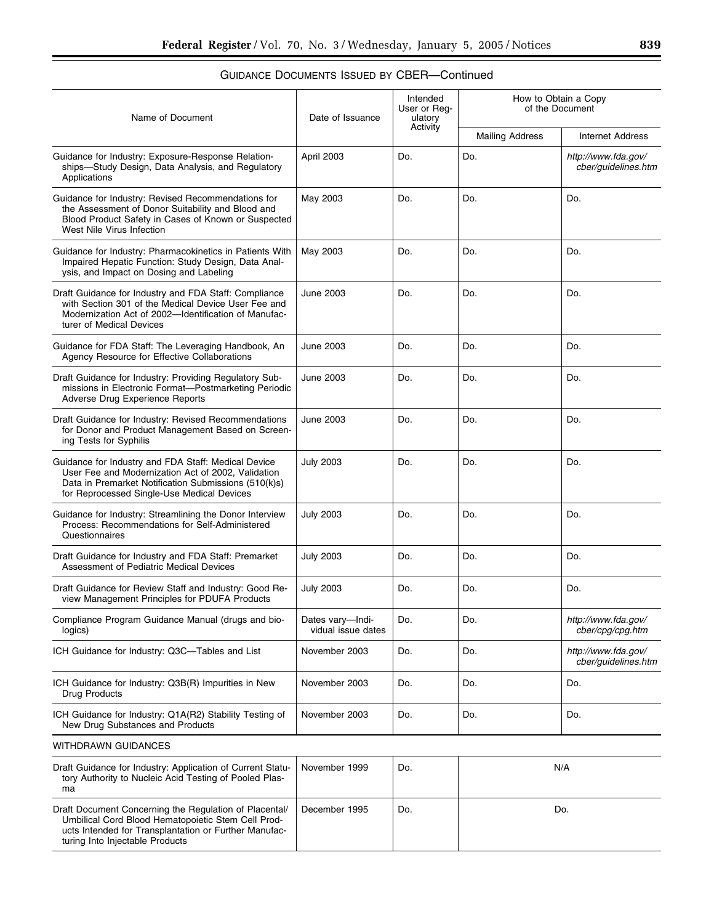| Name of Document                                                                                                                                                                                                | Date of Issuance                       | Intended<br>User or Reg-<br>ulatory | How to Obtain a Copy<br>of the Document |                                            |
|-----------------------------------------------------------------------------------------------------------------------------------------------------------------------------------------------------------------|----------------------------------------|-------------------------------------|-----------------------------------------|--------------------------------------------|
|                                                                                                                                                                                                                 |                                        | Activity                            | <b>Mailing Address</b>                  | <b>Internet Address</b>                    |
| Guidance for Industry: Exposure-Response Relation-<br>ships-Study Design, Data Analysis, and Regulatory<br>Applications                                                                                         | April 2003                             | Do.                                 | Do.                                     | http://www.fda.gov/<br>cber/guidelines.htm |
| Guidance for Industry: Revised Recommendations for<br>the Assessment of Donor Suitability and Blood and<br>Blood Product Safety in Cases of Known or Suspected<br>West Nile Virus Infection                     | May 2003                               | Do.                                 | Do.                                     | Do.                                        |
| Guidance for Industry: Pharmacokinetics in Patients With<br>Impaired Hepatic Function: Study Design, Data Anal-<br>ysis, and Impact on Dosing and Labeling                                                      | May 2003                               | Do.                                 | Do.                                     | Do.                                        |
| Draft Guidance for Industry and FDA Staff: Compliance<br>with Section 301 of the Medical Device User Fee and<br>Modernization Act of 2002-Identification of Manufac-<br>turer of Medical Devices                | <b>June 2003</b>                       | Do.                                 | Do.                                     | Do.                                        |
| Guidance for FDA Staff: The Leveraging Handbook, An<br>Agency Resource for Effective Collaborations                                                                                                             | <b>June 2003</b>                       | Do.                                 | Do.                                     | Do.                                        |
| Draft Guidance for Industry: Providing Regulatory Sub-<br>missions in Electronic Format-Postmarketing Periodic<br>Adverse Drug Experience Reports                                                               | <b>June 2003</b>                       | Do.                                 | Do.                                     | Do.                                        |
| Draft Guidance for Industry: Revised Recommendations<br>for Donor and Product Management Based on Screen-<br>ing Tests for Syphilis                                                                             | <b>June 2003</b>                       | Do.                                 | Do.                                     | Do.                                        |
| Guidance for Industry and FDA Staff: Medical Device<br>User Fee and Modernization Act of 2002, Validation<br>Data in Premarket Notification Submissions (510(k)s)<br>for Reprocessed Single-Use Medical Devices | <b>July 2003</b>                       | Do.                                 | Do.                                     | Do.                                        |
| Guidance for Industry: Streamlining the Donor Interview<br>Process: Recommendations for Self-Administered<br>Questionnaires                                                                                     | <b>July 2003</b>                       | Do.                                 | Do.                                     | Do.                                        |
| Draft Guidance for Industry and FDA Staff: Premarket<br>Assessment of Pediatric Medical Devices                                                                                                                 | <b>July 2003</b>                       | Do.                                 | Do.                                     | Do.                                        |
| Draft Guidance for Review Staff and Industry: Good Re-<br>view Management Principles for PDUFA Products                                                                                                         | <b>July 2003</b>                       | Do.                                 | Do.                                     | Do.                                        |
| Compliance Program Guidance Manual (drugs and bio-<br>logics)                                                                                                                                                   | Dates vary-Indi-<br>vidual issue dates | Do.                                 | Do.                                     | http://www.fda.gov/<br>cber/cpg/cpg.htm    |
| ICH Guidance for Industry: Q3C-Tables and List                                                                                                                                                                  | November 2003                          | Do.                                 | Do.                                     | http://www.fda.gov/<br>cber/quidelines.htm |
| ICH Guidance for Industry: Q3B(R) Impurities in New<br><b>Drug Products</b>                                                                                                                                     | November 2003                          | Do.                                 | Do.                                     | Do.                                        |
| ICH Guidance for Industry: Q1A(R2) Stability Testing of<br>New Drug Substances and Products                                                                                                                     | November 2003                          | Do.                                 | Do.                                     | Do.                                        |
| WITHDRAWN GUIDANCES                                                                                                                                                                                             |                                        |                                     |                                         |                                            |
| Draft Guidance for Industry: Application of Current Statu-<br>tory Authority to Nucleic Acid Testing of Pooled Plas-<br>ma                                                                                      | November 1999                          | Do.                                 |                                         | N/A                                        |
| Draft Document Concerning the Regulation of Placental/<br>Umbilical Cord Blood Hematopoietic Stem Cell Prod-<br>ucts Intended for Transplantation or Further Manufac-<br>turing Into Injectable Products        | December 1995                          | Do.                                 |                                         | Do.                                        |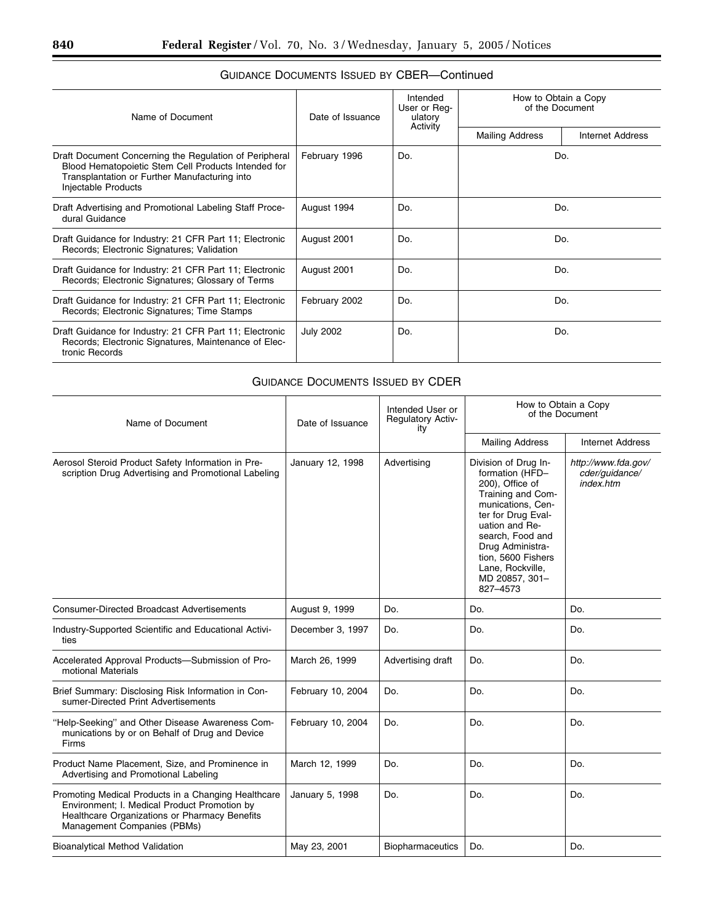| Name of Document                                                                                                                                                                      | Date of Issuance | Intended<br>User or Req-<br>ulatory | How to Obtain a Copy<br>of the Document |                  |
|---------------------------------------------------------------------------------------------------------------------------------------------------------------------------------------|------------------|-------------------------------------|-----------------------------------------|------------------|
|                                                                                                                                                                                       |                  | Activity                            | <b>Mailing Address</b>                  | Internet Address |
| Draft Document Concerning the Regulation of Peripheral<br>Blood Hematopoietic Stem Cell Products Intended for<br>Transplantation or Further Manufacturing into<br>Injectable Products | February 1996    | Do.                                 | Do.                                     |                  |
| Draft Advertising and Promotional Labeling Staff Proce-<br>dural Guidance                                                                                                             | August 1994      | Do.                                 | Do.                                     |                  |
| Draft Guidance for Industry: 21 CFR Part 11; Electronic<br>Records; Electronic Signatures; Validation                                                                                 | August 2001      | Do.                                 | Do.                                     |                  |
| Draft Guidance for Industry: 21 CFR Part 11; Electronic<br>Records; Electronic Signatures; Glossary of Terms                                                                          | August 2001      | Do.                                 | Do.                                     |                  |
| Draft Guidance for Industry: 21 CFR Part 11; Electronic<br>Records; Electronic Signatures; Time Stamps                                                                                | February 2002    | Do.                                 | Do.                                     |                  |
| Draft Guidance for Industry: 21 CFR Part 11; Electronic<br>Records; Electronic Signatures, Maintenance of Elec-<br>tronic Records                                                     | <b>July 2002</b> | Do.                                 | Do.                                     |                  |

### GUIDANCE DOCUMENTS ISSUED BY CDER

| Name of Document                                                                                                                                                                    | Date of Issuance  | Intended User or<br><b>Regulatory Activ-</b><br>itv | How to Obtain a Copy<br>of the Document                                                                                                                                                                                                                      |                                                    |
|-------------------------------------------------------------------------------------------------------------------------------------------------------------------------------------|-------------------|-----------------------------------------------------|--------------------------------------------------------------------------------------------------------------------------------------------------------------------------------------------------------------------------------------------------------------|----------------------------------------------------|
|                                                                                                                                                                                     |                   |                                                     | <b>Mailing Address</b>                                                                                                                                                                                                                                       | <b>Internet Address</b>                            |
| Aerosol Steroid Product Safety Information in Pre-<br>scription Drug Advertising and Promotional Labeling                                                                           | January 12, 1998  | Advertising                                         | Division of Drug In-<br>formation (HFD-<br>200), Office of<br>Training and Com-<br>munications, Cen-<br>ter for Drug Eval-<br>uation and Re-<br>search, Food and<br>Drug Administra-<br>tion, 5600 Fishers<br>Lane, Rockville,<br>MD 20857, 301-<br>827-4573 | http://www.fda.gov/<br>cder/guidance/<br>index.htm |
| <b>Consumer-Directed Broadcast Advertisements</b>                                                                                                                                   | August 9, 1999    | Do.                                                 | Do.                                                                                                                                                                                                                                                          | Do.                                                |
| Industry-Supported Scientific and Educational Activi-<br>ties                                                                                                                       | December 3, 1997  | Do.                                                 | Do.                                                                                                                                                                                                                                                          | Do.                                                |
| Accelerated Approval Products-Submission of Pro-<br>motional Materials                                                                                                              | March 26, 1999    | Advertising draft                                   | Do.                                                                                                                                                                                                                                                          | Do.                                                |
| Brief Summary: Disclosing Risk Information in Con-<br>sumer-Directed Print Advertisements                                                                                           | February 10, 2004 | Do.                                                 | Do.                                                                                                                                                                                                                                                          | Do.                                                |
| "Help-Seeking" and Other Disease Awareness Com-<br>munications by or on Behalf of Drug and Device<br><b>Firms</b>                                                                   | February 10, 2004 | Do.                                                 | Do.                                                                                                                                                                                                                                                          | Do.                                                |
| Product Name Placement, Size, and Prominence in<br>Advertising and Promotional Labeling                                                                                             | March 12, 1999    | Do.                                                 | Do.                                                                                                                                                                                                                                                          | Do.                                                |
| Promoting Medical Products in a Changing Healthcare<br>Environment; I. Medical Product Promotion by<br>Healthcare Organizations or Pharmacy Benefits<br>Management Companies (PBMs) | January 5, 1998   | Do.                                                 | Do.                                                                                                                                                                                                                                                          | Do.                                                |
| <b>Bioanalytical Method Validation</b>                                                                                                                                              | May 23, 2001      | <b>Biopharmaceutics</b>                             | Do.                                                                                                                                                                                                                                                          | Do.                                                |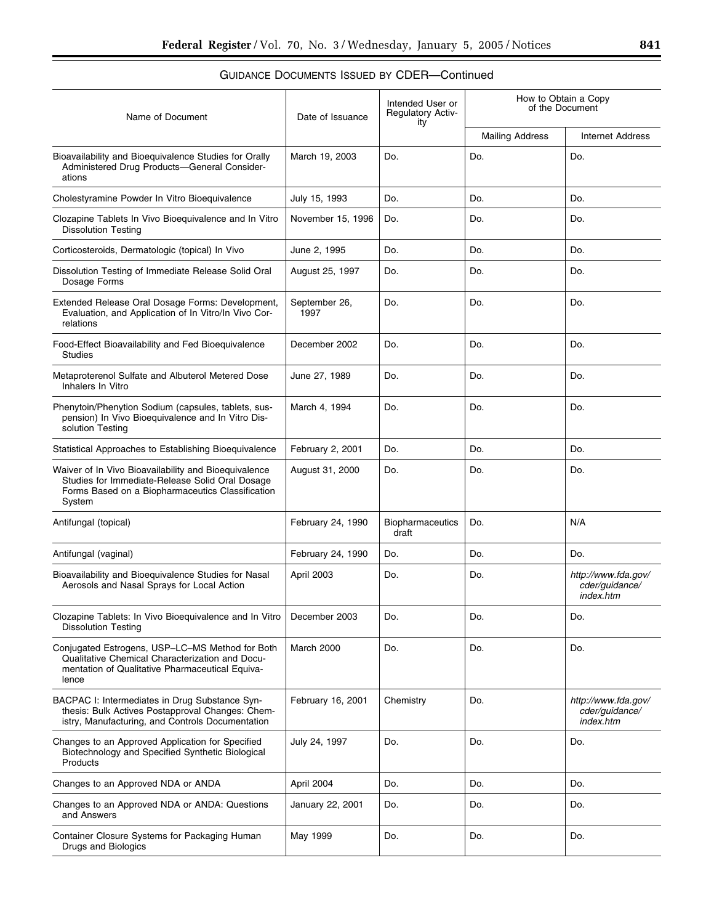| Name of Document                                                                                                                                                      | Date of Issuance      | Intended User or<br><b>Regulatory Activ-</b><br>ity | How to Obtain a Copy<br>of the Document |                                                    |
|-----------------------------------------------------------------------------------------------------------------------------------------------------------------------|-----------------------|-----------------------------------------------------|-----------------------------------------|----------------------------------------------------|
|                                                                                                                                                                       |                       |                                                     | <b>Mailing Address</b>                  | <b>Internet Address</b>                            |
| Bioavailability and Bioequivalence Studies for Orally<br>Administered Drug Products-General Consider-<br>ations                                                       | March 19, 2003        | Do.                                                 | Do.                                     | Do.                                                |
| Cholestyramine Powder In Vitro Bioequivalence                                                                                                                         | July 15, 1993         | Do.                                                 | Do.                                     | Do.                                                |
| Clozapine Tablets In Vivo Bioequivalence and In Vitro<br><b>Dissolution Testing</b>                                                                                   | November 15, 1996     | Do.                                                 | Do.                                     | Do.                                                |
| Corticosteroids, Dermatologic (topical) In Vivo                                                                                                                       | June 2, 1995          | Do.                                                 | Do.                                     | Do.                                                |
| Dissolution Testing of Immediate Release Solid Oral<br>Dosage Forms                                                                                                   | August 25, 1997       | Do.                                                 | Do.                                     | Do.                                                |
| Extended Release Oral Dosage Forms: Development,<br>Evaluation, and Application of In Vitro/In Vivo Cor-<br>relations                                                 | September 26,<br>1997 | Do.                                                 | Do.                                     | Do.                                                |
| Food-Effect Bioavailability and Fed Bioequivalence<br><b>Studies</b>                                                                                                  | December 2002         | Do.                                                 | Do.                                     | Do.                                                |
| Metaproterenol Sulfate and Albuterol Metered Dose<br>Inhalers In Vitro                                                                                                | June 27, 1989         | Do.                                                 | Do.                                     | Do.                                                |
| Phenytoin/Phenytion Sodium (capsules, tablets, sus-<br>pension) In Vivo Bioequivalence and In Vitro Dis-<br>solution Testing                                          | March 4, 1994         | Do.                                                 | Do.                                     | Do.                                                |
| Statistical Approaches to Establishing Bioequivalence                                                                                                                 | February 2, 2001      | Do.                                                 | Do.                                     | Do.                                                |
| Waiver of In Vivo Bioavailability and Bioequivalence<br>Studies for Immediate-Release Solid Oral Dosage<br>Forms Based on a Biopharmaceutics Classification<br>System | August 31, 2000       | Do.                                                 | Do.                                     | Do.                                                |
| Antifungal (topical)                                                                                                                                                  | February 24, 1990     | <b>Biopharmaceutics</b><br>draft                    | Do.                                     | N/A                                                |
| Antifungal (vaginal)                                                                                                                                                  | February 24, 1990     | Do.                                                 | Do.                                     | Do.                                                |
| Bioavailability and Bioeguivalence Studies for Nasal<br>Aerosols and Nasal Sprays for Local Action                                                                    | April 2003            | Do.                                                 | Do.                                     | http://www.fda.gov/<br>cder/guidance/<br>index.htm |
| Clozapine Tablets: In Vivo Bioequivalence and In Vitro<br><b>Dissolution Testing</b>                                                                                  | December 2003         | Do.                                                 | Do.                                     | Do.                                                |
| Conjugated Estrogens, USP-LC-MS Method for Both<br>Qualitative Chemical Characterization and Docu-<br>mentation of Qualitative Pharmaceutical Equiva-<br>lence        | March 2000            | Do.                                                 | Do.                                     | Do.                                                |
| BACPAC I: Intermediates in Drug Substance Syn-<br>thesis: Bulk Actives Postapproval Changes: Chem-<br>istry, Manufacturing, and Controls Documentation                | February 16, 2001     | Chemistry                                           | Do.                                     | http://www.fda.gov/<br>cder/guidance/<br>index.htm |
| Changes to an Approved Application for Specified<br>Biotechnology and Specified Synthetic Biological<br>Products                                                      | July 24, 1997         | Do.                                                 | Do.                                     | Do.                                                |
| Changes to an Approved NDA or ANDA                                                                                                                                    | April 2004            | Do.                                                 | Do.                                     | Do.                                                |
| Changes to an Approved NDA or ANDA: Questions<br>and Answers                                                                                                          | January 22, 2001      | Do.                                                 | Do.                                     | Do.                                                |
| Container Closure Systems for Packaging Human<br>Drugs and Biologics                                                                                                  | May 1999              | Do.                                                 | Do.                                     | Do.                                                |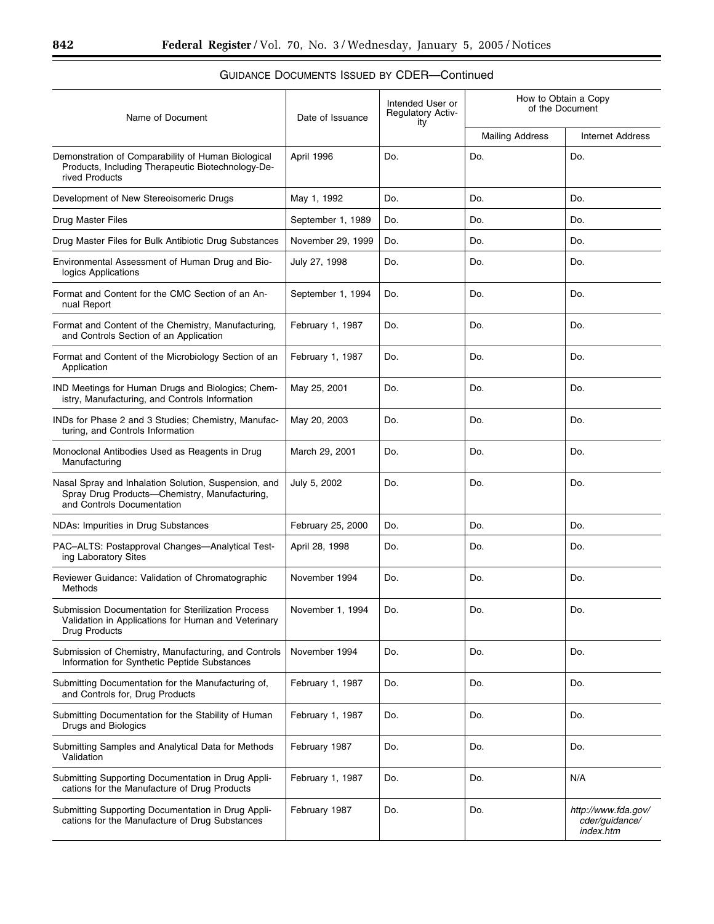| Name of Document                                                                                                                    | Date of Issuance  | Intended User or<br>Regulatory Activ-<br>ity | How to Obtain a Copy<br>of the Document |                                                    |  |
|-------------------------------------------------------------------------------------------------------------------------------------|-------------------|----------------------------------------------|-----------------------------------------|----------------------------------------------------|--|
|                                                                                                                                     |                   |                                              | <b>Mailing Address</b>                  | <b>Internet Address</b>                            |  |
| Demonstration of Comparability of Human Biological<br>Products, Including Therapeutic Biotechnology-De-<br>rived Products           | April 1996        | Do.                                          | Do.                                     | Do.                                                |  |
| Development of New Stereoisomeric Drugs                                                                                             | May 1, 1992       | Do.                                          | Do.                                     | Do.                                                |  |
| Drug Master Files                                                                                                                   | September 1, 1989 | Do.                                          | Do.                                     | Do.                                                |  |
| Drug Master Files for Bulk Antibiotic Drug Substances                                                                               | November 29, 1999 | Do.                                          | Do.                                     | Do.                                                |  |
| Environmental Assessment of Human Drug and Bio-<br>logics Applications                                                              | July 27, 1998     | Do.                                          | Do.                                     | Do.                                                |  |
| Format and Content for the CMC Section of an An-<br>nual Report                                                                     | September 1, 1994 | Do.                                          | Do.                                     | Do.                                                |  |
| Format and Content of the Chemistry, Manufacturing,<br>and Controls Section of an Application                                       | February 1, 1987  | Do.                                          | Do.                                     | Do.                                                |  |
| Format and Content of the Microbiology Section of an<br>Application                                                                 | February 1, 1987  | Do.                                          | Do.                                     | Do.                                                |  |
| IND Meetings for Human Drugs and Biologics; Chem-<br>istry, Manufacturing, and Controls Information                                 | May 25, 2001      | Do.                                          | Do.                                     | Do.                                                |  |
| INDs for Phase 2 and 3 Studies; Chemistry, Manufac-<br>turing, and Controls Information                                             | May 20, 2003      | Do.                                          | Do.                                     | Do.                                                |  |
| Monoclonal Antibodies Used as Reagents in Drug<br>Manufacturing                                                                     | March 29, 2001    | Do.                                          | Do.                                     | Do.                                                |  |
| Nasal Spray and Inhalation Solution, Suspension, and<br>Spray Drug Products-Chemistry, Manufacturing,<br>and Controls Documentation | July 5, 2002      | Do.                                          | Do.                                     | Do.                                                |  |
| NDAs: Impurities in Drug Substances                                                                                                 | February 25, 2000 | Do.                                          | Do.                                     | Do.                                                |  |
| PAC-ALTS: Postapproval Changes-Analytical Test-<br>ing Laboratory Sites                                                             | April 28, 1998    | Do.                                          | Do.                                     | Do.                                                |  |
| Reviewer Guidance: Validation of Chromatographic<br>Methods                                                                         | November 1994     | Do.                                          | Do.                                     | Do.                                                |  |
| Submission Documentation for Sterilization Process<br>Validation in Applications for Human and Veterinary<br><b>Drug Products</b>   | November 1, 1994  | Do.                                          | Do.                                     | Do.                                                |  |
| Submission of Chemistry, Manufacturing, and Controls<br>Information for Synthetic Peptide Substances                                | November 1994     | Do.                                          | Do.                                     | Do.                                                |  |
| Submitting Documentation for the Manufacturing of,<br>and Controls for, Drug Products                                               | February 1, 1987  | Do.                                          | Do.                                     | Do.                                                |  |
| Submitting Documentation for the Stability of Human<br>Drugs and Biologics                                                          | February 1, 1987  | Do.                                          | Do.                                     | Do.                                                |  |
| Submitting Samples and Analytical Data for Methods<br>Validation                                                                    | February 1987     | Do.                                          | Do.                                     | Do.                                                |  |
| Submitting Supporting Documentation in Drug Appli-<br>cations for the Manufacture of Drug Products                                  | February 1, 1987  | Do.                                          | Do.                                     | N/A                                                |  |
| Submitting Supporting Documentation in Drug Appli-<br>cations for the Manufacture of Drug Substances                                | February 1987     | Do.                                          | Do.                                     | http://www.fda.gov/<br>cder/guidance/<br>index.htm |  |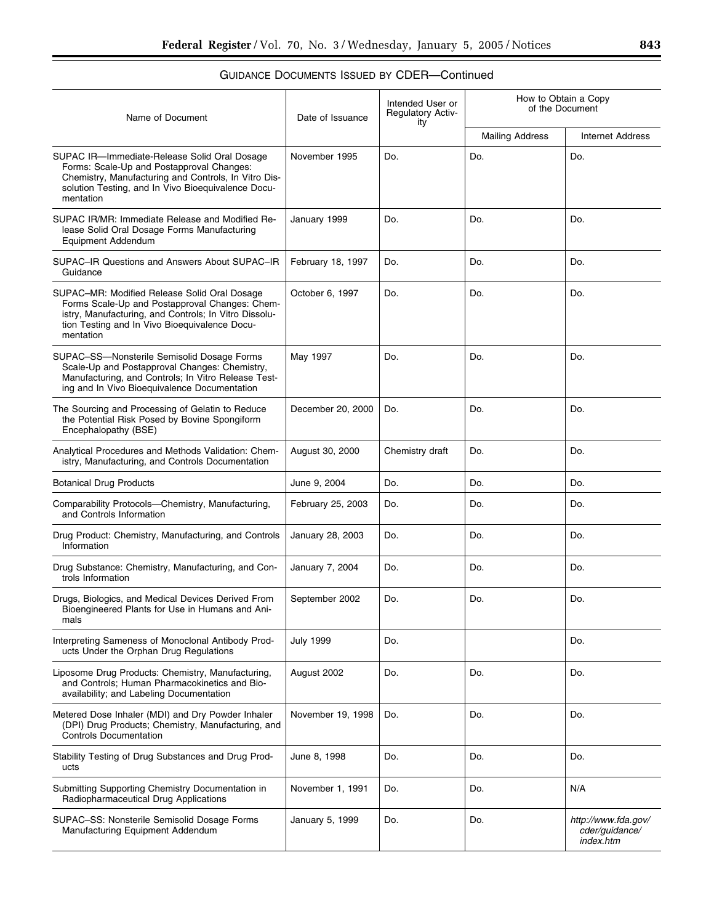| Name of Document                                                                                                                                                                                                      | Date of Issuance  | Intended User or<br><b>Regulatory Activ-</b><br>ity | How to Obtain a Copy<br>of the Document |                                                    |
|-----------------------------------------------------------------------------------------------------------------------------------------------------------------------------------------------------------------------|-------------------|-----------------------------------------------------|-----------------------------------------|----------------------------------------------------|
|                                                                                                                                                                                                                       |                   |                                                     | <b>Mailing Address</b>                  | <b>Internet Address</b>                            |
| SUPAC IR-Immediate-Release Solid Oral Dosage<br>Forms: Scale-Up and Postapproval Changes:<br>Chemistry, Manufacturing and Controls, In Vitro Dis-<br>solution Testing, and In Vivo Bioequivalence Docu-<br>mentation  | November 1995     | Do.                                                 | Do.                                     | Do.                                                |
| SUPAC IR/MR: Immediate Release and Modified Re-<br>lease Solid Oral Dosage Forms Manufacturing<br>Equipment Addendum                                                                                                  | January 1999      | Do.                                                 | Do.                                     | Do.                                                |
| SUPAC-IR Questions and Answers About SUPAC-IR<br>Guidance                                                                                                                                                             | February 18, 1997 | Do.                                                 | Do.                                     | Do.                                                |
| SUPAC-MR: Modified Release Solid Oral Dosage<br>Forms Scale-Up and Postapproval Changes: Chem-<br>istry, Manufacturing, and Controls; In Vitro Dissolu-<br>tion Testing and In Vivo Bioequivalence Docu-<br>mentation | October 6, 1997   | Do.                                                 | Do.                                     | Do.                                                |
| SUPAC-SS-Nonsterile Semisolid Dosage Forms<br>Scale-Up and Postapproval Changes: Chemistry,<br>Manufacturing, and Controls; In Vitro Release Test-<br>ing and In Vivo Bioequivalence Documentation                    | May 1997          | Do.                                                 | Do.                                     | Do.                                                |
| The Sourcing and Processing of Gelatin to Reduce<br>the Potential Risk Posed by Bovine Spongiform<br>Encephalopathy (BSE)                                                                                             | December 20, 2000 | Do.                                                 | Do.                                     | Do.                                                |
| Analytical Procedures and Methods Validation: Chem-<br>istry, Manufacturing, and Controls Documentation                                                                                                               | August 30, 2000   | Chemistry draft                                     | Do.                                     | Do.                                                |
| <b>Botanical Drug Products</b>                                                                                                                                                                                        | June 9, 2004      | Do.                                                 | Do.                                     | Do.                                                |
| Comparability Protocols-Chemistry, Manufacturing,<br>and Controls Information                                                                                                                                         | February 25, 2003 | Do.                                                 | Do.                                     | Do.                                                |
| Drug Product: Chemistry, Manufacturing, and Controls<br>Information                                                                                                                                                   | January 28, 2003  | Do.                                                 | Do.                                     | Do.                                                |
| Drug Substance: Chemistry, Manufacturing, and Con-<br>trols Information                                                                                                                                               | January 7, 2004   | Do.                                                 | Do.                                     | Do.                                                |
| Drugs, Biologics, and Medical Devices Derived From<br>Bioengineered Plants for Use in Humans and Ani-<br>mals                                                                                                         | September 2002    | Do.                                                 | Do.                                     | Do.                                                |
| Interpreting Sameness of Monoclonal Antibody Prod-<br>ucts Under the Orphan Drug Regulations                                                                                                                          | <b>July 1999</b>  | Do.                                                 |                                         | Do.                                                |
| Liposome Drug Products: Chemistry, Manufacturing,<br>and Controls; Human Pharmacokinetics and Bio-<br>availability; and Labeling Documentation                                                                        | August 2002       | Do.                                                 | Do.                                     | Do.                                                |
| Metered Dose Inhaler (MDI) and Dry Powder Inhaler<br>(DPI) Drug Products; Chemistry, Manufacturing, and<br><b>Controls Documentation</b>                                                                              | November 19, 1998 | Do.                                                 | Do.                                     | Do.                                                |
| Stability Testing of Drug Substances and Drug Prod-<br>ucts                                                                                                                                                           | June 8, 1998      | Do.                                                 | Do.                                     | Do.                                                |
| Submitting Supporting Chemistry Documentation in<br>Radiopharmaceutical Drug Applications                                                                                                                             | November 1, 1991  | Do.                                                 | Do.                                     | N/A                                                |
| SUPAC-SS: Nonsterile Semisolid Dosage Forms<br>Manufacturing Equipment Addendum                                                                                                                                       | January 5, 1999   | Do.                                                 | Do.                                     | http://www.fda.gov/<br>cder/guidance/<br>index.htm |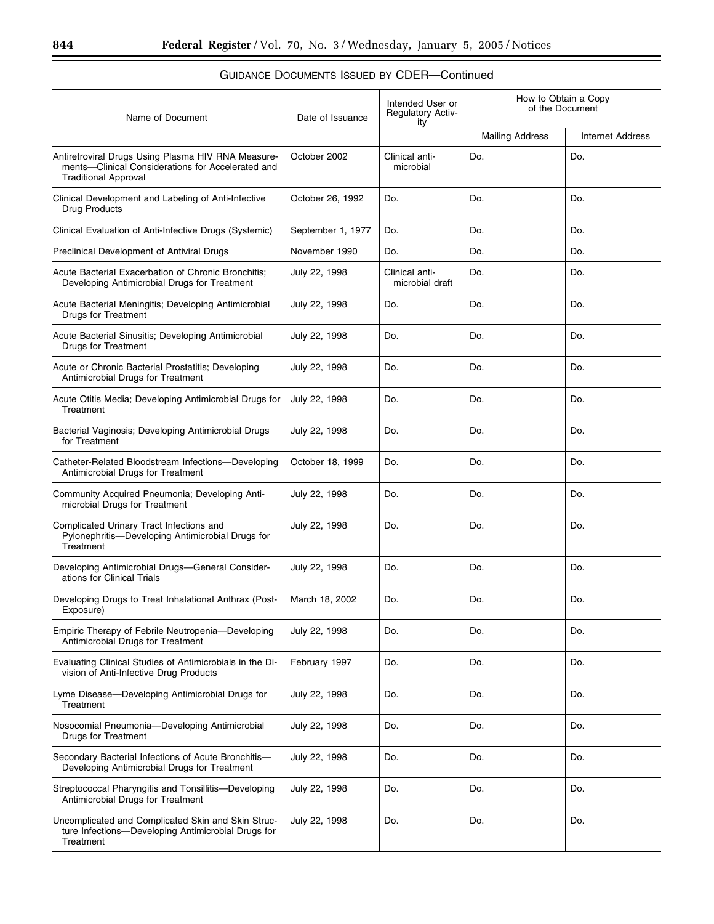#### Name of Document Date of Issuance Intended User or Regulatory Activity How to Obtain a Copy of the Document Mailing Address | Internet Address Antiretroviral Drugs Using Plasma HIV RNA Measurements—Clinical Considerations for Accelerated and Traditional Approval October 2002 | Clinical antimicrobial Do. Do. Clinical Development and Labeling of Anti-Infective Drug Products October 26, 1992 Do. Do. Do. Do. Do. Clinical Evaluation of Anti-Infective Drugs (Systemic) September 1, 1977 Do. Do. Do. Do. Do. Preclinical Development of Antiviral Drugs November 1990 Do. Do. Do. Do. Do. Do. Acute Bacterial Exacerbation of Chronic Bronchitis; Developing Antimicrobial Drugs for Treatment July 22, 1998 Clinical antimicrobial draft Do. Do. Acute Bacterial Meningitis; Developing Antimicrobial Drugs for Treatment July 22, 1998 Do. Do. Do. Acute Bacterial Sinusitis; Developing Antimicrobial Drugs for Treatment July 22, 1998 Do. Do. Do. Acute or Chronic Bacterial Prostatitis; Developing Antimicrobial Drugs for Treatment July 22, 1998  $\vert$  Do.  $\vert$  Do.  $\vert$  Do.  $\vert$  Do. Acute Otitis Media; Developing Antimicrobial Drugs for **Treatment** July 22, 1998 Do. Do. Do. Bacterial Vaginosis; Developing Antimicrobial Drugs for Treatment July 22, 1998  $\vert$  Do.  $\vert$  Do.  $\vert$  Do.  $\vert$  Do. Catheter-Related Bloodstream Infections—Developing Antimicrobial Drugs for Treatment October 18, 1999 Do. Do. Do. Do. Community Acquired Pneumonia; Developing Antimicrobial Drugs for Treatment July 22, 1998 Do. Do. Do. Complicated Urinary Tract Infections and Pylonephritis—Developing Antimicrobial Drugs for Treatment July 22, 1998  $\vert$  Do.  $\vert$  Do.  $\vert$  Do.  $\vert$  Do. Developing Antimicrobial Drugs—General Considerations for Clinical Trials July 22, 1998 Do. Do. Do. Developing Drugs to Treat Inhalational Anthrax (Post-Exposure) March 18, 2002 | Do. | Do. | Do. | Do. Empiric Therapy of Febrile Neutropenia—Developing Antimicrobial Drugs for Treatment July 22, 1998  $\vert$  Do.  $\vert$  Do.  $\vert$  Do.  $\vert$  Do. Evaluating Clinical Studies of Antimicrobials in the Division of Anti-Infective Drug Products February 1997 | Do. | Do. | Do. | Do. Lyme Disease—Developing Antimicrobial Drugs for **Treatment** July 22, 1998 Do. Do. Do. Nosocomial Pneumonia—Developing Antimicrobial Drugs for Treatment July 22, 1998 Do. Do. Do. Secondary Bacterial Infections of Acute Bronchitis— Developing Antimicrobial Drugs for Treatment July 22, 1998 Do. Do. Do. Streptococcal Pharyngitis and Tonsillitis—Developing Antimicrobial Drugs for Treatment July 22, 1998 Do. Do. Do. Uncomplicated and Complicated Skin and Skin Structure Infections—Developing Antimicrobial Drugs for **Treatment** July 22, 1998  $\vert$  Do.  $\vert$  Do.  $\vert$  Do.  $\vert$  Do.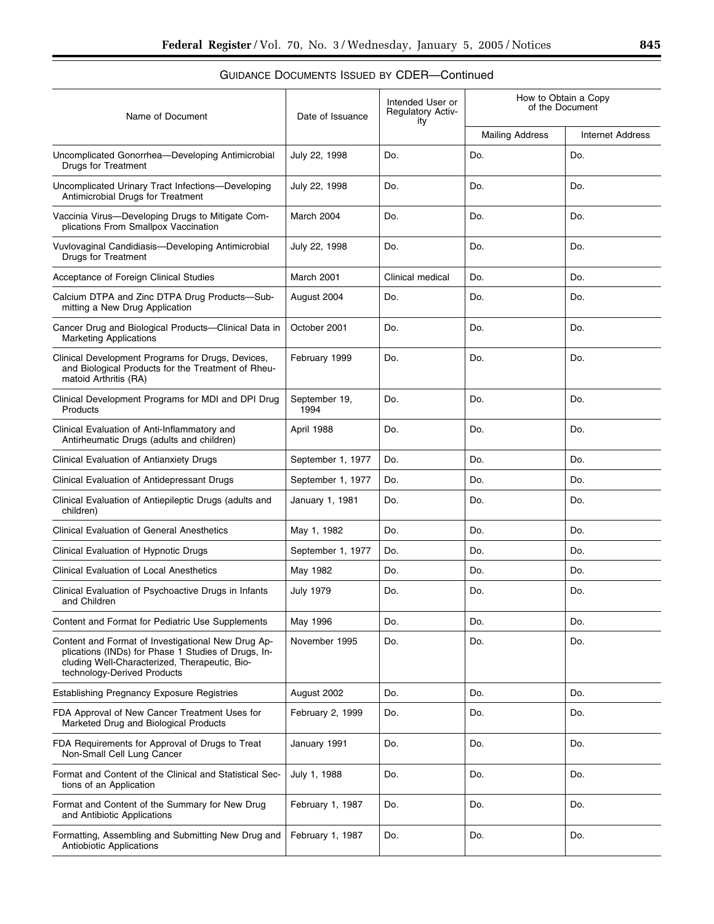| Name of Document                                                                                                                                                                          | Date of Issuance      | Intended User or<br><b>Regulatory Activ-</b><br>ity | How to Obtain a Copy<br>of the Document |                         |
|-------------------------------------------------------------------------------------------------------------------------------------------------------------------------------------------|-----------------------|-----------------------------------------------------|-----------------------------------------|-------------------------|
|                                                                                                                                                                                           |                       |                                                     | <b>Mailing Address</b>                  | <b>Internet Address</b> |
| Uncomplicated Gonorrhea-Developing Antimicrobial<br><b>Drugs for Treatment</b>                                                                                                            | July 22, 1998         | Do.                                                 | Do.                                     | Do.                     |
| Uncomplicated Urinary Tract Infections-Developing<br>Antimicrobial Drugs for Treatment                                                                                                    | July 22, 1998         | Do.                                                 | Do.                                     | Do.                     |
| Vaccinia Virus-Developing Drugs to Mitigate Com-<br>plications From Smallpox Vaccination                                                                                                  | March 2004            | Do.                                                 | Do.                                     | Do.                     |
| Vuvlovaginal Candidiasis-Developing Antimicrobial<br><b>Drugs for Treatment</b>                                                                                                           | July 22, 1998         | Do.                                                 | Do.                                     | Do.                     |
| Acceptance of Foreign Clinical Studies                                                                                                                                                    | March 2001            | Clinical medical                                    | Do.                                     | Do.                     |
| Calcium DTPA and Zinc DTPA Drug Products-Sub-<br>mitting a New Drug Application                                                                                                           | August 2004           | Do.                                                 | Do.                                     | Do.                     |
| Cancer Drug and Biological Products-Clinical Data in<br><b>Marketing Applications</b>                                                                                                     | October 2001          | Do.                                                 | Do.                                     | Do.                     |
| Clinical Development Programs for Drugs, Devices,<br>and Biological Products for the Treatment of Rheu-<br>matoid Arthritis (RA)                                                          | February 1999         | Do.                                                 | Do.                                     | Do.                     |
| Clinical Development Programs for MDI and DPI Drug<br>Products                                                                                                                            | September 19,<br>1994 | Do.                                                 | Do.                                     | Do.                     |
| Clinical Evaluation of Anti-Inflammatory and<br>Antirheumatic Drugs (adults and children)                                                                                                 | April 1988            | Do.                                                 | Do.                                     | Do.                     |
| Clinical Evaluation of Antianxiety Drugs                                                                                                                                                  | September 1, 1977     | Do.                                                 | Do.                                     | Do.                     |
| Clinical Evaluation of Antidepressant Drugs                                                                                                                                               | September 1, 1977     | Do.                                                 | Do.                                     | Do.                     |
| Clinical Evaluation of Antiepileptic Drugs (adults and<br>children)                                                                                                                       | January 1, 1981       | Do.                                                 | Do.                                     | Do.                     |
| <b>Clinical Evaluation of General Anesthetics</b>                                                                                                                                         | May 1, 1982           | Do.                                                 | Do.                                     | Do.                     |
| Clinical Evaluation of Hypnotic Drugs                                                                                                                                                     | September 1, 1977     | Do.                                                 | Do.                                     | Do.                     |
| <b>Clinical Evaluation of Local Anesthetics</b>                                                                                                                                           | May 1982              | Do.                                                 | Do.                                     | Do.                     |
| Clinical Evaluation of Psychoactive Drugs in Infants<br>and Children                                                                                                                      | <b>July 1979</b>      | Do.                                                 | Do.                                     | Do.                     |
| Content and Format for Pediatric Use Supplements                                                                                                                                          | May 1996              | Do.                                                 | Do.                                     | Do.                     |
| Content and Format of Investigational New Drug Ap-<br>plications (INDs) for Phase 1 Studies of Drugs, In-<br>cluding Well-Characterized, Therapeutic, Bio-<br>technology-Derived Products | November 1995         | Do.                                                 | Do.                                     | Do.                     |
| <b>Establishing Pregnancy Exposure Registries</b>                                                                                                                                         | August 2002           | Do.                                                 | Do.                                     | Do.                     |
| FDA Approval of New Cancer Treatment Uses for<br>Marketed Drug and Biological Products                                                                                                    | February 2, 1999      | Do.                                                 | Do.                                     | Do.                     |
| FDA Requirements for Approval of Drugs to Treat<br>Non-Small Cell Lung Cancer                                                                                                             | January 1991          | Do.                                                 | Do.                                     | Do.                     |
| Format and Content of the Clinical and Statistical Sec-<br>tions of an Application                                                                                                        | July 1, 1988          | Do.                                                 | Do.                                     | Do.                     |
| Format and Content of the Summary for New Drug<br>and Antibiotic Applications                                                                                                             | February 1, 1987      | Do.                                                 | Do.                                     | Do.                     |
| Formatting, Assembling and Submitting New Drug and<br><b>Antiobiotic Applications</b>                                                                                                     | February 1, 1987      | Do.                                                 | Do.                                     | Do.                     |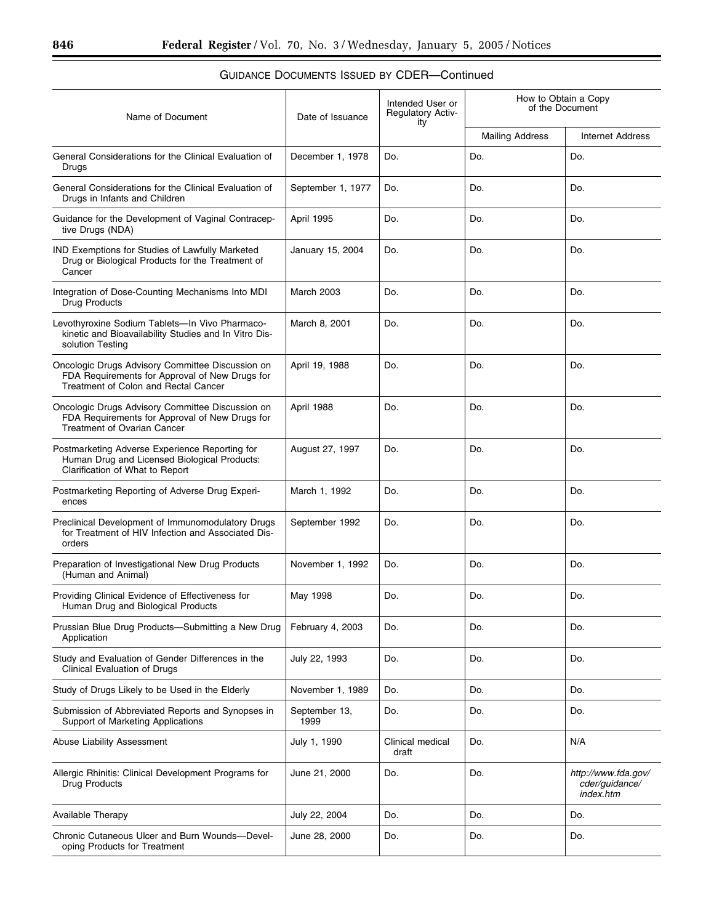#### Name of Document Date of Issuance Intended User or Regulatory Activity How to Obtain a Copy of the Document Mailing Address | Internet Address General Considerations for the Clinical Evaluation of Drugs December 1, 1978  $\vert$  Do.  $\vert$  Do.  $\vert$  Do.  $\vert$  Do. General Considerations for the Clinical Evaluation of Drugs in Infants and Children September 1, 1977  $\vert$  Do.  $\vert$  Do.  $\vert$  Do.  $\vert$  Do. Guidance for the Development of Vaginal Contraceptive Drugs (NDA) April 1995 | Do. | Do. | Do. | Do. IND Exemptions for Studies of Lawfully Marketed Drug or Biological Products for the Treatment of **Cancer** January 15, 2004 Do. Do. Do. Do. Do. Integration of Dose-Counting Mechanisms Into MDI Drug Products March 2003 Do. Do. Do. Do. Do. Levothyroxine Sodium Tablets—In Vivo Pharmacokinetic and Bioavailability Studies and In Vitro Dissolution Testing March 8, 2001 Do. Do. Do. Do. Do. Oncologic Drugs Advisory Committee Discussion on FDA Requirements for Approval of New Drugs for Treatment of Colon and Rectal Cancer April 19, 1988 | Do. | Do. | Do. | Do. Oncologic Drugs Advisory Committee Discussion on FDA Requirements for Approval of New Drugs for Treatment of Ovarian Cancer April 1988 Do. Do. Do. Postmarketing Adverse Experience Reporting for Human Drug and Licensed Biological Products: Clarification of What to Report August 27, 1997 | Do. | Do. | Do. | Do. Postmarketing Reporting of Adverse Drug Experiences March 1, 1992 Do. Do. Do. Preclinical Development of Immunomodulatory Drugs for Treatment of HIV Infection and Associated Disorders September 1992 Do. Do. Do. Do. Preparation of Investigational New Drug Products (Human and Animal) November 1, 1992  $\vert$  Do.  $\vert$  Do.  $\vert$  Do.  $\vert$  Do. Providing Clinical Evidence of Effectiveness for Human Drug and Biological Products May 1998 Do. Do. Do. Prussian Blue Drug Products—Submitting a New Drug Application February 4, 2003  $\vert$  Do.  $\vert$  Do.  $\vert$  Do.  $\vert$  Do. Study and Evaluation of Gender Differences in the Clinical Evaluation of Drugs July 22, 1993  $\vert$  Do.  $\vert$  Do.  $\vert$  Do.  $\vert$  Do. Study of Drugs Likely to be Used in the Elderly November 1, 1989 Do. Do. Do. Do. Do. Do. Submission of Abbreviated Reports and Synopses in Support of Marketing Applications September 13, 1999 Do. Do. Do. Abuse Liability Assessment **Abuse Liability Assessment C** and Tuly 1, 1990 Clinical medical draft Do. N/A Allergic Rhinitis: Clinical Development Programs for Drug Products June 21, 2000 Do. Do. *http://www.fda.gov/ cder/guidance/ index.htm* Available Therapy **Available Therapy** July 22, 2004 Do. Do. 2004 Do. 2004 Do. Chronic Cutaneous Ulcer and Burn Wounds—Developing Products for Treatment June 28, 2000 | Do. | Do. | Do. | Do.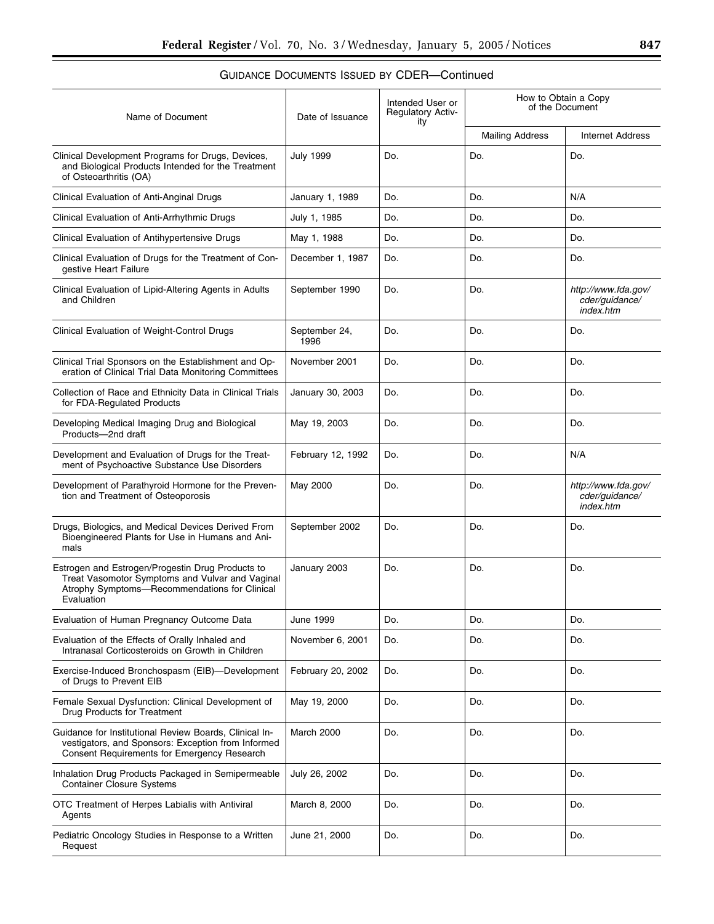| Name of Document                                                                                                                                                   | Date of Issuance      | Intended User or<br><b>Regulatory Activ-</b><br>ity | How to Obtain a Copy<br>of the Document |                                                    |
|--------------------------------------------------------------------------------------------------------------------------------------------------------------------|-----------------------|-----------------------------------------------------|-----------------------------------------|----------------------------------------------------|
|                                                                                                                                                                    |                       |                                                     | <b>Mailing Address</b>                  | <b>Internet Address</b>                            |
| Clinical Development Programs for Drugs, Devices,<br>and Biological Products Intended for the Treatment<br>of Osteoarthritis (OA)                                  | <b>July 1999</b>      | Do.                                                 | Do.                                     | Do.                                                |
| Clinical Evaluation of Anti-Anginal Drugs                                                                                                                          | January 1, 1989       | Do.                                                 | Do.                                     | N/A                                                |
| Clinical Evaluation of Anti-Arrhythmic Drugs                                                                                                                       | July 1, 1985          | Do.                                                 | Do.                                     | Do.                                                |
| Clinical Evaluation of Antihypertensive Drugs                                                                                                                      | May 1, 1988           | Do.                                                 | Do.                                     | Do.                                                |
| Clinical Evaluation of Drugs for the Treatment of Con-<br>gestive Heart Failure                                                                                    | December 1, 1987      | Do.                                                 | Do.                                     | Do.                                                |
| Clinical Evaluation of Lipid-Altering Agents in Adults<br>and Children                                                                                             | September 1990        | Do.                                                 | Do.                                     | http://www.fda.gov/<br>cder/guidance/<br>index.htm |
| Clinical Evaluation of Weight-Control Drugs                                                                                                                        | September 24,<br>1996 | Do.                                                 | Do.                                     | Do.                                                |
| Clinical Trial Sponsors on the Establishment and Op-<br>eration of Clinical Trial Data Monitoring Committees                                                       | November 2001         | Do.                                                 | Do.                                     | Do.                                                |
| Collection of Race and Ethnicity Data in Clinical Trials<br>for FDA-Regulated Products                                                                             | January 30, 2003      | Do.                                                 | Do.                                     | Do.                                                |
| Developing Medical Imaging Drug and Biological<br>Products-2nd draft                                                                                               | May 19, 2003          | Do.                                                 | Do.                                     | Do.                                                |
| Development and Evaluation of Drugs for the Treat-<br>ment of Psychoactive Substance Use Disorders                                                                 | February 12, 1992     | Do.                                                 | Do.                                     | N/A                                                |
| Development of Parathyroid Hormone for the Preven-<br>tion and Treatment of Osteoporosis                                                                           | May 2000              | Do.                                                 | Do.                                     | http://www.fda.gov/<br>cder/guidance/<br>index.htm |
| Drugs, Biologics, and Medical Devices Derived From<br>Bioengineered Plants for Use in Humans and Ani-<br>mals                                                      | September 2002        | Do.                                                 | Do.                                     | Do.                                                |
| Estrogen and Estrogen/Progestin Drug Products to<br>Treat Vasomotor Symptoms and Vulvar and Vaginal<br>Atrophy Symptoms-Recommendations for Clinical<br>Evaluation | January 2003          | Do.                                                 | Do.                                     | Do.                                                |
| Evaluation of Human Pregnancy Outcome Data                                                                                                                         | June 1999             | Do.                                                 | Do.                                     | Do.                                                |
| Evaluation of the Effects of Orally Inhaled and<br>Intranasal Corticosteroids on Growth in Children                                                                | November 6, 2001      | Do.                                                 | Do.                                     | Do.                                                |
| Exercise-Induced Bronchospasm (EIB)-Development<br>of Drugs to Prevent EIB                                                                                         | February 20, 2002     | Do.                                                 | Do.                                     | Do.                                                |
| Female Sexual Dysfunction: Clinical Development of<br>Drug Products for Treatment                                                                                  | May 19, 2000          | Do.                                                 | Do.                                     | Do.                                                |
| Guidance for Institutional Review Boards, Clinical In-<br>vestigators, and Sponsors: Exception from Informed<br><b>Consent Requirements for Emergency Research</b> | March 2000            | Do.                                                 | Do.                                     | Do.                                                |
| Inhalation Drug Products Packaged in Semipermeable<br><b>Container Closure Systems</b>                                                                             | July 26, 2002         | Do.                                                 | Do.                                     | Do.                                                |
| OTC Treatment of Herpes Labialis with Antiviral<br>Agents                                                                                                          | March 8, 2000         | Do.                                                 | Do.                                     | Do.                                                |
| Pediatric Oncology Studies in Response to a Written<br>Request                                                                                                     | June 21, 2000         | Do.                                                 | Do.                                     | Do.                                                |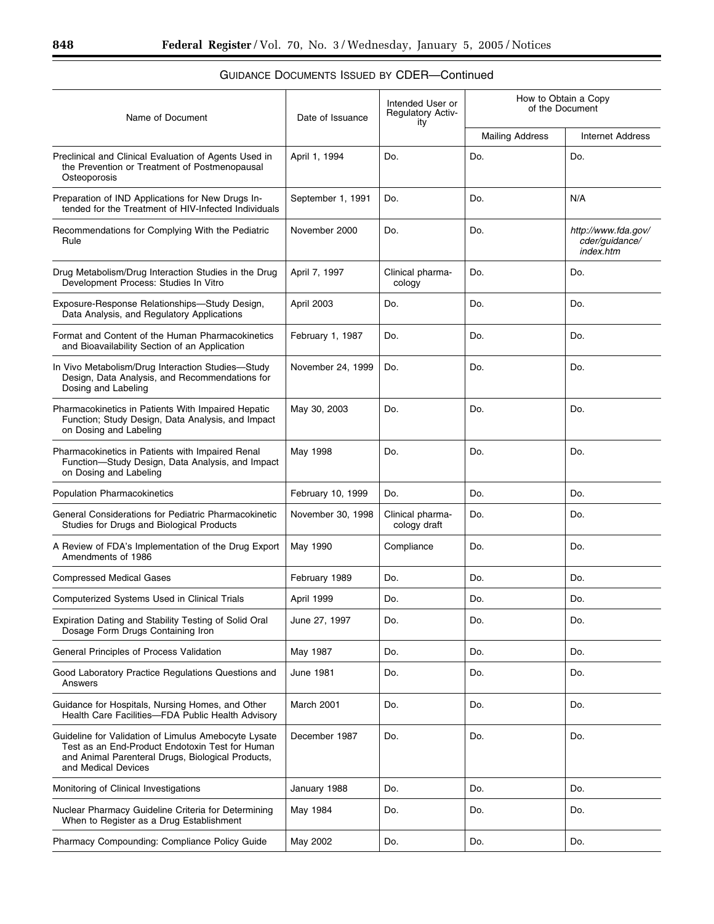| Name of Document                                                                                                                                                                    | Date of Issuance  | Intended User or<br><b>Regulatory Activ-</b><br>ity | How to Obtain a Copy<br>of the Document |                                                    |
|-------------------------------------------------------------------------------------------------------------------------------------------------------------------------------------|-------------------|-----------------------------------------------------|-----------------------------------------|----------------------------------------------------|
|                                                                                                                                                                                     |                   |                                                     | <b>Mailing Address</b>                  | <b>Internet Address</b>                            |
| Preclinical and Clinical Evaluation of Agents Used in<br>the Prevention or Treatment of Postmenopausal<br>Osteoporosis                                                              | April 1, 1994     | Do.                                                 | Do.                                     | Do.                                                |
| Preparation of IND Applications for New Drugs In-<br>tended for the Treatment of HIV-Infected Individuals                                                                           | September 1, 1991 | Do.                                                 | Do.                                     | N/A                                                |
| Recommendations for Complying With the Pediatric<br>Rule                                                                                                                            | November 2000     | Do.                                                 | Do.                                     | http://www.fda.gov/<br>cder/guidance/<br>index.htm |
| Drug Metabolism/Drug Interaction Studies in the Drug<br>Development Process: Studies In Vitro                                                                                       | April 7, 1997     | Clinical pharma-<br>cology                          | Do.                                     | Do.                                                |
| Exposure-Response Relationships-Study Design,<br>Data Analysis, and Regulatory Applications                                                                                         | April 2003        | Do.                                                 | Do.                                     | Do.                                                |
| Format and Content of the Human Pharmacokinetics<br>and Bioavailability Section of an Application                                                                                   | February 1, 1987  | Do.                                                 | Do.                                     | Do.                                                |
| In Vivo Metabolism/Drug Interaction Studies-Study<br>Design, Data Analysis, and Recommendations for<br>Dosing and Labeling                                                          | November 24, 1999 | Do.                                                 | Do.                                     | Do.                                                |
| Pharmacokinetics in Patients With Impaired Hepatic<br>Function; Study Design, Data Analysis, and Impact<br>on Dosing and Labeling                                                   | May 30, 2003      | Do.                                                 | Do.                                     | Do.                                                |
| Pharmacokinetics in Patients with Impaired Renal<br>Function-Study Design, Data Analysis, and Impact<br>on Dosing and Labeling                                                      | May 1998          | Do.                                                 | Do.                                     | Do.                                                |
| <b>Population Pharmacokinetics</b>                                                                                                                                                  | February 10, 1999 | Do.                                                 | Do.                                     | Do.                                                |
| General Considerations for Pediatric Pharmacokinetic<br>Studies for Drugs and Biological Products                                                                                   | November 30, 1998 | Clinical pharma-<br>cology draft                    | Do.                                     | Do.                                                |
| A Review of FDA's Implementation of the Drug Export<br>Amendments of 1986                                                                                                           | May 1990          | Compliance                                          | Do.                                     | Do.                                                |
| <b>Compressed Medical Gases</b>                                                                                                                                                     | February 1989     | Do.                                                 | Do.                                     | Do.                                                |
| Computerized Systems Used in Clinical Trials                                                                                                                                        | April 1999        | Do.                                                 | Do.                                     | Do.                                                |
| Expiration Dating and Stability Testing of Solid Oral<br>Dosage Form Drugs Containing Iron                                                                                          | June 27, 1997     | Do.                                                 | Do.                                     | Do.                                                |
| General Principles of Process Validation                                                                                                                                            | May 1987          | Do.                                                 | Do.                                     | Do.                                                |
| Good Laboratory Practice Regulations Questions and<br>Answers                                                                                                                       | June 1981         | Do.                                                 | Do.                                     | Do.                                                |
| Guidance for Hospitals, Nursing Homes, and Other<br>Health Care Facilities-FDA Public Health Advisory                                                                               | March 2001        | Do.                                                 | Do.                                     | Do.                                                |
| Guideline for Validation of Limulus Amebocyte Lysate<br>Test as an End-Product Endotoxin Test for Human<br>and Animal Parenteral Drugs, Biological Products,<br>and Medical Devices | December 1987     | Do.                                                 | Do.                                     | Do.                                                |
| Monitoring of Clinical Investigations                                                                                                                                               | January 1988      | Do.                                                 | Do.                                     | Do.                                                |
| Nuclear Pharmacy Guideline Criteria for Determining<br>When to Register as a Drug Establishment                                                                                     | May 1984          | Do.                                                 | Do.                                     | Do.                                                |
| Pharmacy Compounding: Compliance Policy Guide                                                                                                                                       | May 2002          | Do.                                                 | Do.                                     | Do.                                                |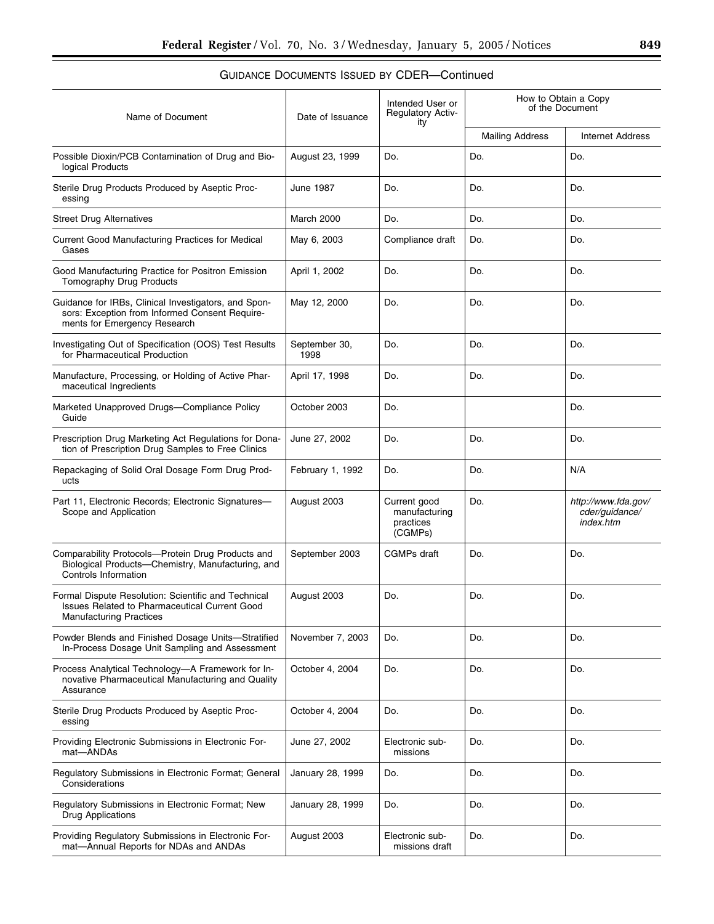| Name of Document                                                                                                                       | Date of Issuance      | Intended User or<br><b>Regulatory Activ-</b><br>ity   | How to Obtain a Copy<br>of the Document |                                                    |
|----------------------------------------------------------------------------------------------------------------------------------------|-----------------------|-------------------------------------------------------|-----------------------------------------|----------------------------------------------------|
|                                                                                                                                        |                       |                                                       | <b>Mailing Address</b>                  | <b>Internet Address</b>                            |
| Possible Dioxin/PCB Contamination of Drug and Bio-<br>logical Products                                                                 | August 23, 1999       | Do.                                                   | Do.                                     | Do.                                                |
| Sterile Drug Products Produced by Aseptic Proc-<br>essing                                                                              | <b>June 1987</b>      | Do.                                                   | Do.                                     | Do.                                                |
| <b>Street Drug Alternatives</b>                                                                                                        | March 2000            | Do.                                                   | Do.                                     | Do.                                                |
| Current Good Manufacturing Practices for Medical<br>Gases                                                                              | May 6, 2003           | Compliance draft                                      | Do.                                     | Do.                                                |
| Good Manufacturing Practice for Positron Emission<br>Tomography Drug Products                                                          | April 1, 2002         | Do.                                                   | Do.                                     | Do.                                                |
| Guidance for IRBs, Clinical Investigators, and Spon-<br>sors: Exception from Informed Consent Require-<br>ments for Emergency Research | May 12, 2000          | Do.                                                   | Do.                                     | Do.                                                |
| Investigating Out of Specification (OOS) Test Results<br>for Pharmaceutical Production                                                 | September 30,<br>1998 | Do.                                                   | Do.                                     | Do.                                                |
| Manufacture, Processing, or Holding of Active Phar-<br>maceutical Ingredients                                                          | April 17, 1998        | Do.                                                   | Do.                                     | Do.                                                |
| Marketed Unapproved Drugs-Compliance Policy<br>Guide                                                                                   | October 2003          | Do.                                                   |                                         | Do.                                                |
| Prescription Drug Marketing Act Regulations for Dona-<br>tion of Prescription Drug Samples to Free Clinics                             | June 27, 2002         | Do.                                                   | Do.                                     | Do.                                                |
| Repackaging of Solid Oral Dosage Form Drug Prod-<br>ucts                                                                               | February 1, 1992      | Do.                                                   | Do.                                     | N/A                                                |
| Part 11, Electronic Records; Electronic Signatures-<br>Scope and Application                                                           | August 2003           | Current good<br>manufacturing<br>practices<br>(CGMPs) | Do.                                     | http://www.fda.gov/<br>cder/guidance/<br>index.htm |
| Comparability Protocols-Protein Drug Products and<br>Biological Products-Chemistry, Manufacturing, and<br>Controls Information         | September 2003        | <b>CGMPs</b> draft                                    | Do.                                     | Do.                                                |
| Formal Dispute Resolution: Scientific and Technical<br>Issues Related to Pharmaceutical Current Good<br><b>Manufacturing Practices</b> | August 2003           | Do.                                                   | Do.                                     | Do.                                                |
| Powder Blends and Finished Dosage Units-Stratified<br>In-Process Dosage Unit Sampling and Assessment                                   | November 7, 2003      | Do.                                                   | Do.                                     | Do.                                                |
| Process Analytical Technology-A Framework for In-<br>novative Pharmaceutical Manufacturing and Quality<br>Assurance                    | October 4, 2004       | Do.                                                   | Do.                                     | Do.                                                |
| Sterile Drug Products Produced by Aseptic Proc-<br>essing                                                                              | October 4, 2004       | Do.                                                   | Do.                                     | Do.                                                |
| Providing Electronic Submissions in Electronic For-<br>mat-ANDAs                                                                       | June 27, 2002         | Electronic sub-<br>missions                           | Do.                                     | Do.                                                |
| Regulatory Submissions in Electronic Format; General<br>Considerations                                                                 | January 28, 1999      | Do.                                                   | Do.                                     | Do.                                                |
| Regulatory Submissions in Electronic Format; New<br><b>Drug Applications</b>                                                           | January 28, 1999      | Do.                                                   | Do.                                     | Do.                                                |
| Providing Regulatory Submissions in Electronic For-<br>mat-Annual Reports for NDAs and ANDAs                                           | August 2003           | Electronic sub-<br>missions draft                     | Do.                                     | Do.                                                |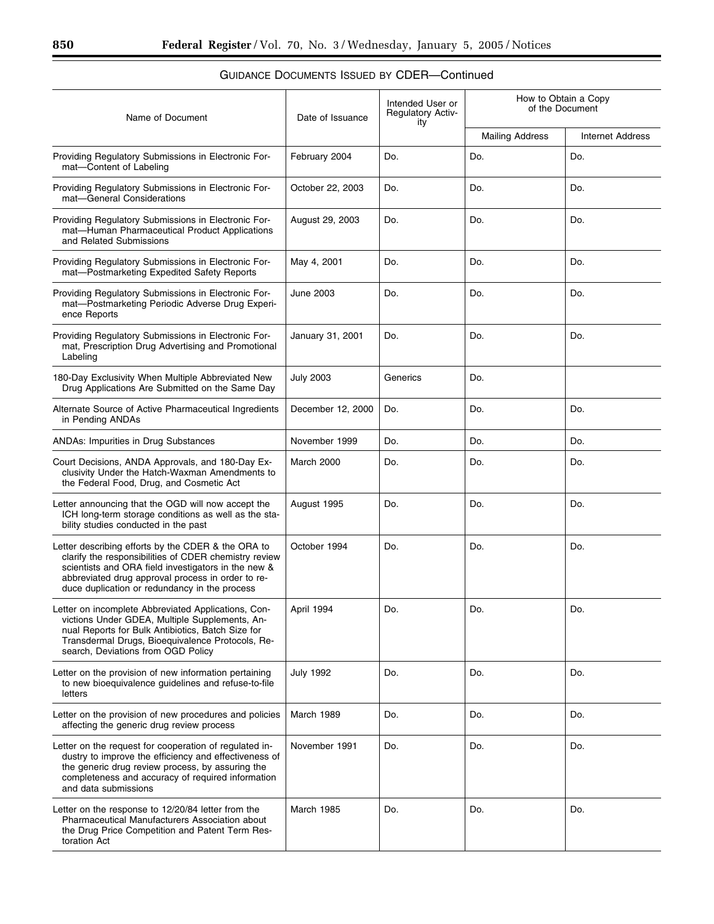| Name of Document                                                                                                                                                                                                                                                         | Date of Issuance  | Intended User or<br><b>Regulatory Activ-</b><br>ity | How to Obtain a Copy<br>of the Document |                         |
|--------------------------------------------------------------------------------------------------------------------------------------------------------------------------------------------------------------------------------------------------------------------------|-------------------|-----------------------------------------------------|-----------------------------------------|-------------------------|
|                                                                                                                                                                                                                                                                          |                   |                                                     | <b>Mailing Address</b>                  | <b>Internet Address</b> |
| Providing Regulatory Submissions in Electronic For-<br>mat-Content of Labeling                                                                                                                                                                                           | February 2004     | Do.                                                 | Do.                                     | Do.                     |
| Providing Regulatory Submissions in Electronic For-<br>mat-General Considerations                                                                                                                                                                                        | October 22, 2003  | Do.                                                 | Do.                                     | Do.                     |
| Providing Regulatory Submissions in Electronic For-<br>mat-Human Pharmaceutical Product Applications<br>and Related Submissions                                                                                                                                          | August 29, 2003   | Do.                                                 | Do.                                     | Do.                     |
| Providing Regulatory Submissions in Electronic For-<br>mat-Postmarketing Expedited Safety Reports                                                                                                                                                                        | May 4, 2001       | Do.                                                 | Do.                                     | Do.                     |
| Providing Regulatory Submissions in Electronic For-<br>mat-Postmarketing Periodic Adverse Drug Experi-<br>ence Reports                                                                                                                                                   | <b>June 2003</b>  | Do.                                                 | Do.                                     | Do.                     |
| Providing Regulatory Submissions in Electronic For-<br>mat, Prescription Drug Advertising and Promotional<br>Labeling                                                                                                                                                    | January 31, 2001  | Do.                                                 | Do.                                     | Do.                     |
| 180-Day Exclusivity When Multiple Abbreviated New<br>Drug Applications Are Submitted on the Same Day                                                                                                                                                                     | <b>July 2003</b>  | Generics                                            | Do.                                     |                         |
| Alternate Source of Active Pharmaceutical Ingredients<br>in Pending ANDAs                                                                                                                                                                                                | December 12, 2000 | Do.                                                 | Do.                                     | Do.                     |
| <b>ANDAs: Impurities in Drug Substances</b>                                                                                                                                                                                                                              | November 1999     | Do.                                                 | Do.                                     | Do.                     |
| Court Decisions, ANDA Approvals, and 180-Day Ex-<br>clusivity Under the Hatch-Waxman Amendments to<br>the Federal Food, Drug, and Cosmetic Act                                                                                                                           | March 2000        | Do.                                                 | Do.                                     | Do.                     |
| Letter announcing that the OGD will now accept the<br>ICH long-term storage conditions as well as the sta-<br>bility studies conducted in the past                                                                                                                       | August 1995       | Do.                                                 | Do.                                     | Do.                     |
| Letter describing efforts by the CDER & the ORA to<br>clarify the responsibilities of CDER chemistry review<br>scientists and ORA field investigators in the new &<br>abbreviated drug approval process in order to re-<br>duce duplication or redundancy in the process | October 1994      | Do.                                                 | Do.                                     | Do.                     |
| Letter on incomplete Abbreviated Applications, Con-<br>victions Under GDEA, Multiple Supplements, An-<br>nual Reports for Bulk Antibiotics, Batch Size for<br>Transdermal Drugs, Bioeguivalence Protocols, Re-<br>search, Deviations from OGD Policy                     | April 1994        | Do.                                                 | Do.                                     | Do.                     |
| Letter on the provision of new information pertaining<br>to new bioequivalence guidelines and refuse-to-file<br>letters                                                                                                                                                  | <b>July 1992</b>  | Do.                                                 | Do.                                     | Do.                     |
| Letter on the provision of new procedures and policies<br>affecting the generic drug review process                                                                                                                                                                      | March 1989        | Do.                                                 | Do.                                     | Do.                     |
| Letter on the request for cooperation of regulated in-<br>dustry to improve the efficiency and effectiveness of<br>the generic drug review process, by assuring the<br>completeness and accuracy of required information<br>and data submissions                         | November 1991     | Do.                                                 | Do.                                     | Do.                     |
| Letter on the response to 12/20/84 letter from the<br><b>Pharmaceutical Manufacturers Association about</b><br>the Drug Price Competition and Patent Term Res-<br>toration Act                                                                                           | March 1985        | Do.                                                 | Do.                                     | Do.                     |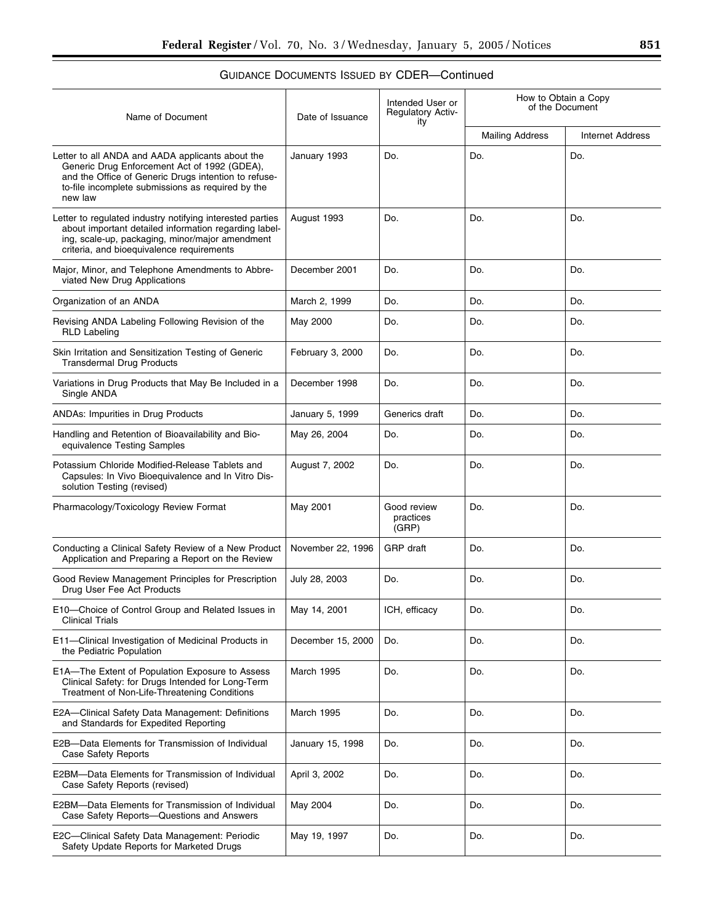| Name of Document                                                                                                                                                                                                         | Date of Issuance  | Intended User or<br><b>Regulatory Activ-</b><br>ity | How to Obtain a Copy<br>of the Document |                         |
|--------------------------------------------------------------------------------------------------------------------------------------------------------------------------------------------------------------------------|-------------------|-----------------------------------------------------|-----------------------------------------|-------------------------|
|                                                                                                                                                                                                                          |                   |                                                     | <b>Mailing Address</b>                  | <b>Internet Address</b> |
| Letter to all ANDA and AADA applicants about the<br>Generic Drug Enforcement Act of 1992 (GDEA),<br>and the Office of Generic Drugs intention to refuse-<br>to-file incomplete submissions as required by the<br>new law | January 1993      | Do.                                                 | Do.                                     | Do.                     |
| Letter to regulated industry notifying interested parties<br>about important detailed information regarding label-<br>ing, scale-up, packaging, minor/major amendment<br>criteria, and bioequivalence requirements       | August 1993       | Do.                                                 | Do.                                     | Do.                     |
| Major, Minor, and Telephone Amendments to Abbre-<br>viated New Drug Applications                                                                                                                                         | December 2001     | Do.                                                 | Do.                                     | Do.                     |
| Organization of an ANDA                                                                                                                                                                                                  | March 2, 1999     | Do.                                                 | Do.                                     | Do.                     |
| Revising ANDA Labeling Following Revision of the<br><b>RLD Labeling</b>                                                                                                                                                  | May 2000          | Do.                                                 | Do.                                     | Do.                     |
| Skin Irritation and Sensitization Testing of Generic<br><b>Transdermal Drug Products</b>                                                                                                                                 | February 3, 2000  | Do.                                                 | Do.                                     | Do.                     |
| Variations in Drug Products that May Be Included in a<br>Single ANDA                                                                                                                                                     | December 1998     | Do.                                                 | Do.                                     | Do.                     |
| ANDAs: Impurities in Drug Products                                                                                                                                                                                       | January 5, 1999   | Generics draft                                      | Do.                                     | Do.                     |
| Handling and Retention of Bioavailability and Bio-<br>equivalence Testing Samples                                                                                                                                        | May 26, 2004      | Do.                                                 | Do.                                     | Do.                     |
| Potassium Chloride Modified-Release Tablets and<br>Capsules: In Vivo Bioequivalence and In Vitro Dis-<br>solution Testing (revised)                                                                                      | August 7, 2002    | Do.                                                 | Do.                                     | Do.                     |
| Pharmacology/Toxicology Review Format                                                                                                                                                                                    | May 2001          | Good review<br>practices<br>(GRP)                   | Do.                                     | Do.                     |
| Conducting a Clinical Safety Review of a New Product<br>Application and Preparing a Report on the Review                                                                                                                 | November 22, 1996 | <b>GRP</b> draft                                    | Do.                                     | Do.                     |
| Good Review Management Principles for Prescription<br>Drug User Fee Act Products                                                                                                                                         | July 28, 2003     | Do.                                                 | Do.                                     | Do.                     |
| E10-Choice of Control Group and Related Issues in<br><b>Clinical Trials</b>                                                                                                                                              | May 14, 2001      | ICH, efficacy                                       | Do.                                     | Do.                     |
| E11-Clinical Investigation of Medicinal Products in<br>the Pediatric Population                                                                                                                                          | December 15, 2000 | Do.                                                 | Do.                                     | Do.                     |
| E1A-The Extent of Population Exposure to Assess<br>Clinical Safety: for Drugs Intended for Long-Term<br>Treatment of Non-Life-Threatening Conditions                                                                     | March 1995        | Do.                                                 | Do.                                     | Do.                     |
| E2A-Clinical Safety Data Management: Definitions<br>and Standards for Expedited Reporting                                                                                                                                | March 1995        | Do.                                                 | Do.                                     | Do.                     |
| E2B-Data Elements for Transmission of Individual<br>Case Safety Reports                                                                                                                                                  | January 15, 1998  | Do.                                                 | Do.                                     | Do.                     |
| E2BM-Data Elements for Transmission of Individual<br>Case Safety Reports (revised)                                                                                                                                       | April 3, 2002     | Do.                                                 | Do.                                     | Do.                     |
| E2BM-Data Elements for Transmission of Individual<br>Case Safety Reports-Questions and Answers                                                                                                                           | May 2004          | Do.                                                 | Do.                                     | Do.                     |
| E2C-Clinical Safety Data Management: Periodic<br>Safety Update Reports for Marketed Drugs                                                                                                                                | May 19, 1997      | Do.                                                 | Do.                                     | Do.                     |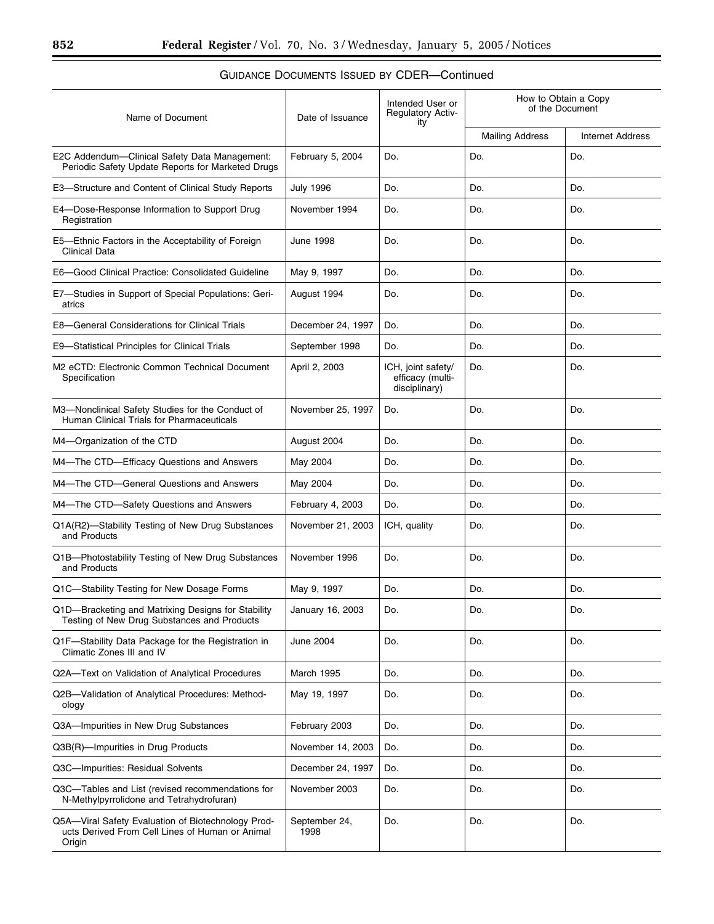| Name of Document                                                                                                | Date of Issuance      | Intended User or<br><b>Regulatory Activ-</b><br>ity     | How to Obtain a Copy<br>of the Document |                         |
|-----------------------------------------------------------------------------------------------------------------|-----------------------|---------------------------------------------------------|-----------------------------------------|-------------------------|
|                                                                                                                 |                       |                                                         | <b>Mailing Address</b>                  | <b>Internet Address</b> |
| E2C Addendum-Clinical Safety Data Management:<br>Periodic Safety Update Reports for Marketed Drugs              | February 5, 2004      | Do.                                                     | Do.                                     | Do.                     |
| E3—Structure and Content of Clinical Study Reports                                                              | <b>July 1996</b>      | Do.                                                     | Do.                                     | Do.                     |
| E4-Dose-Response Information to Support Drug<br>Registration                                                    | November 1994         | Do.                                                     | Do.                                     | Do.                     |
| E5—Ethnic Factors in the Acceptability of Foreign<br><b>Clinical Data</b>                                       | June 1998             | Do.                                                     | Do.                                     | Do.                     |
| E6-Good Clinical Practice: Consolidated Guideline                                                               | May 9, 1997           | Do.                                                     | Do.                                     | Do.                     |
| E7-Studies in Support of Special Populations: Geri-<br>atrics                                                   | August 1994           | Do.                                                     | Do.                                     | Do.                     |
| E8-General Considerations for Clinical Trials                                                                   | December 24, 1997     | Do.                                                     | Do.                                     | Do.                     |
| E9-Statistical Principles for Clinical Trials                                                                   | September 1998        | Do.                                                     | Do.                                     | Do.                     |
| M2 eCTD: Electronic Common Technical Document<br>Specification                                                  | April 2, 2003         | ICH, joint safety/<br>efficacy (multi-<br>disciplinary) | Do.                                     | Do.                     |
| M3-Nonclinical Safety Studies for the Conduct of<br>Human Clinical Trials for Pharmaceuticals                   | November 25, 1997     | Do.                                                     | Do.                                     | Do.                     |
| M4-Organization of the CTD                                                                                      | August 2004           | Do.                                                     | Do.                                     | Do.                     |
| M4-The CTD-Efficacy Questions and Answers                                                                       | May 2004              | Do.                                                     | Do.                                     | Do.                     |
| M4-The CTD-General Questions and Answers                                                                        | May 2004              | Do.                                                     | Do.                                     | Do.                     |
| M4-The CTD-Safety Questions and Answers                                                                         | February 4, 2003      | Do.                                                     | Do.                                     | Do.                     |
| Q1A(R2)-Stability Testing of New Drug Substances<br>and Products                                                | November 21, 2003     | ICH, quality                                            | Do.                                     | Do.                     |
| Q1B-Photostability Testing of New Drug Substances<br>and Products                                               | November 1996         | Do.                                                     | Do.                                     | Do.                     |
| Q1C-Stability Testing for New Dosage Forms                                                                      | May 9, 1997           | Do.                                                     | Do.                                     | Do.                     |
| Q1D-Bracketing and Matrixing Designs for Stability<br>Testing of New Drug Substances and Products               | January 16, 2003      | Do.                                                     | Do.                                     | Do.                     |
| Q1F-Stability Data Package for the Registration in<br>Climatic Zones III and IV                                 | June 2004             | Do.                                                     | Do.                                     | Do.                     |
| Q2A-Text on Validation of Analytical Procedures                                                                 | March 1995            | Do.                                                     | Do.                                     | Do.                     |
| Q2B-Validation of Analytical Procedures: Method-<br>ology                                                       | May 19, 1997          | Do.                                                     | Do.                                     | Do.                     |
| Q3A-Impurities in New Drug Substances                                                                           | February 2003         | Do.                                                     | Do.                                     | Do.                     |
| Q3B(R)-Impurities in Drug Products                                                                              | November 14, 2003     | Do.                                                     | Do.                                     | Do.                     |
| Q3C-Impurities: Residual Solvents                                                                               | December 24, 1997     | Do.                                                     | Do.                                     | Do.                     |
| Q3C-Tables and List (revised recommendations for<br>N-Methylpyrrolidone and Tetrahydrofuran)                    | November 2003         | Do.                                                     | Do.                                     | Do.                     |
| Q5A-Viral Safety Evaluation of Biotechnology Prod-<br>ucts Derived From Cell Lines of Human or Animal<br>Origin | September 24,<br>1998 | Do.                                                     | Do.                                     | Do.                     |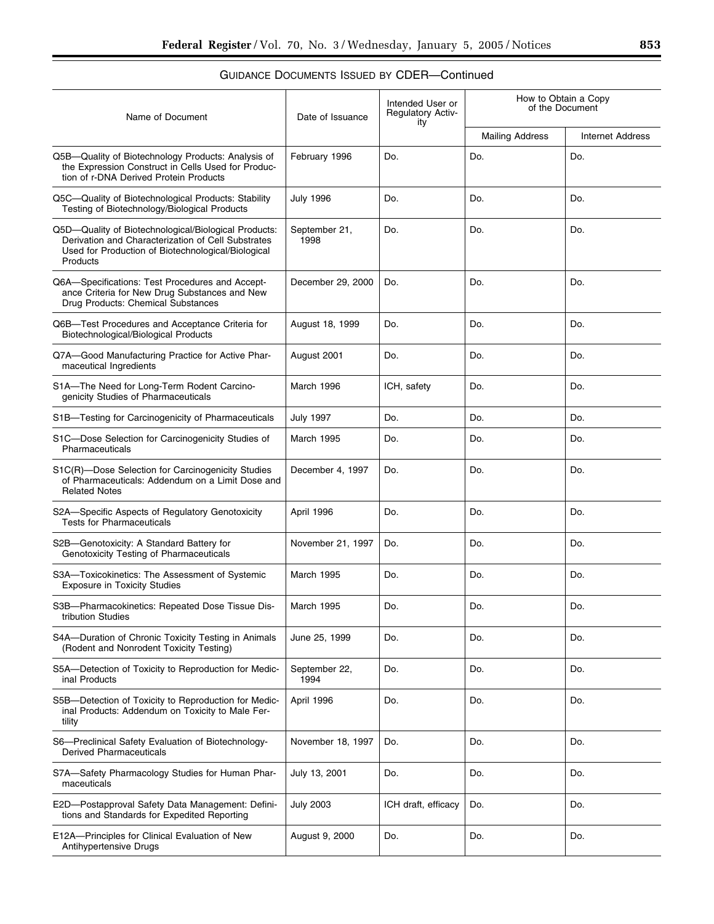# $\equiv$

| Name of Document                                                                                                                                                             | Date of Issuance      | Intended User or<br>Regulatory Activ-<br>ity | How to Obtain a Copy<br>of the Document |                         |
|------------------------------------------------------------------------------------------------------------------------------------------------------------------------------|-----------------------|----------------------------------------------|-----------------------------------------|-------------------------|
|                                                                                                                                                                              |                       |                                              | <b>Mailing Address</b>                  | <b>Internet Address</b> |
| Q5B-Quality of Biotechnology Products: Analysis of<br>the Expression Construct in Cells Used for Produc-<br>tion of r-DNA Derived Protein Products                           | February 1996         | Do.                                          | Do.                                     | Do.                     |
| Q5C-Quality of Biotechnological Products: Stability<br>Testing of Biotechnology/Biological Products                                                                          | <b>July 1996</b>      | Do.                                          | Do.                                     | Do.                     |
| Q5D-Quality of Biotechnological/Biological Products:<br>Derivation and Characterization of Cell Substrates<br>Used for Production of Biotechnological/Biological<br>Products | September 21,<br>1998 | Do.                                          | Do.                                     | Do.                     |
| Q6A-Specifications: Test Procedures and Accept-<br>ance Criteria for New Drug Substances and New<br>Drug Products: Chemical Substances                                       | December 29, 2000     | Do.                                          | Do.                                     | Do.                     |
| Q6B-Test Procedures and Acceptance Criteria for<br>Biotechnological/Biological Products                                                                                      | August 18, 1999       | Do.                                          | Do.                                     | Do.                     |
| Q7A-Good Manufacturing Practice for Active Phar-<br>maceutical Ingredients                                                                                                   | August 2001           | Do.                                          | Do.                                     | Do.                     |
| S1A-The Need for Long-Term Rodent Carcino-<br>genicity Studies of Pharmaceuticals                                                                                            | March 1996            | ICH, safety                                  | Do.                                     | Do.                     |
| S1B-Testing for Carcinogenicity of Pharmaceuticals                                                                                                                           | <b>July 1997</b>      | Do.                                          | Do.                                     | Do.                     |
| S1C-Dose Selection for Carcinogenicity Studies of<br>Pharmaceuticals                                                                                                         | March 1995            | Do.                                          | Do.                                     | Do.                     |
| S1C(R)-Dose Selection for Carcinogenicity Studies<br>of Pharmaceuticals: Addendum on a Limit Dose and<br><b>Related Notes</b>                                                | December 4, 1997      | Do.                                          | Do.                                     | Do.                     |
| S2A-Specific Aspects of Regulatory Genotoxicity<br><b>Tests for Pharmaceuticals</b>                                                                                          | April 1996            | Do.                                          | Do.                                     | Do.                     |
| S2B-Genotoxicity: A Standard Battery for<br>Genotoxicity Testing of Pharmaceuticals                                                                                          | November 21, 1997     | Do.                                          | Do.                                     | Do.                     |
| S3A-Toxicokinetics: The Assessment of Systemic<br><b>Exposure in Toxicity Studies</b>                                                                                        | March 1995            | Do.                                          | Do.                                     | Do.                     |
| S3B-Pharmacokinetics: Repeated Dose Tissue Dis-<br>tribution Studies                                                                                                         | <b>March 1995</b>     | Do.                                          | Do.                                     | Do.                     |
| S4A-Duration of Chronic Toxicity Testing in Animals<br>(Rodent and Nonrodent Toxicity Testing)                                                                               | June 25, 1999         | Do.                                          | Do.                                     | Do.                     |
| S5A-Detection of Toxicity to Reproduction for Medic-<br>inal Products                                                                                                        | September 22,<br>1994 | Do.                                          | Do.                                     | Do.                     |
| S5B-Detection of Toxicity to Reproduction for Medic-<br>inal Products: Addendum on Toxicity to Male Fer-<br>tility                                                           | April 1996            | Do.                                          | Do.                                     | Do.                     |
| S6-Preclinical Safety Evaluation of Biotechnology-<br><b>Derived Pharmaceuticals</b>                                                                                         | November 18, 1997     | Do.                                          | Do.                                     | Do.                     |
| S7A-Safety Pharmacology Studies for Human Phar-<br>maceuticals                                                                                                               | July 13, 2001         | Do.                                          | Do.                                     | Do.                     |
| E2D-Postapproval Safety Data Management: Defini-<br>tions and Standards for Expedited Reporting                                                                              | <b>July 2003</b>      | ICH draft, efficacy                          | Do.                                     | Do.                     |
| E12A-Principles for Clinical Evaluation of New<br>Antihypertensive Drugs                                                                                                     | August 9, 2000        | Do.                                          | Do.                                     | Do.                     |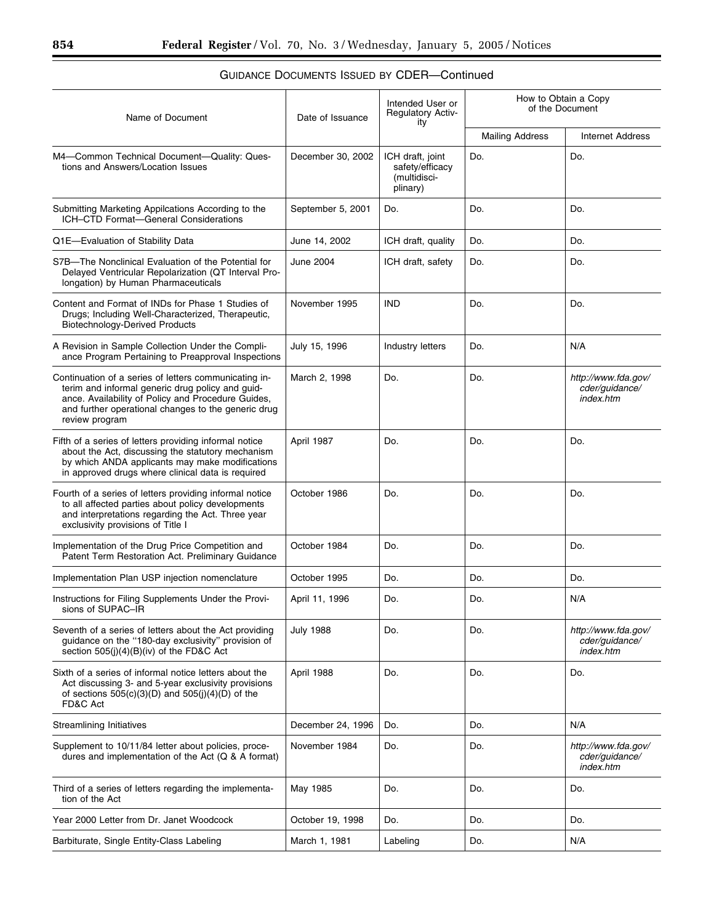| Name of Document                                                                                                                                                                                                                         | Date of Issuance  | Intended User or<br><b>Regulatory Activ-</b><br>ity             | How to Obtain a Copy<br>of the Document |                                                    |
|------------------------------------------------------------------------------------------------------------------------------------------------------------------------------------------------------------------------------------------|-------------------|-----------------------------------------------------------------|-----------------------------------------|----------------------------------------------------|
|                                                                                                                                                                                                                                          |                   |                                                                 | <b>Mailing Address</b>                  | <b>Internet Address</b>                            |
| M4-Common Technical Document-Quality: Ques-<br>tions and Answers/Location Issues                                                                                                                                                         | December 30, 2002 | ICH draft, joint<br>safety/efficacy<br>(multidisci-<br>plinary) | Do.                                     | Do.                                                |
| Submitting Marketing Appilcations According to the<br>ICH-CTD Format-General Considerations                                                                                                                                              | September 5, 2001 | Do.                                                             | Do.                                     | Do.                                                |
| Q1E-Evaluation of Stability Data                                                                                                                                                                                                         | June 14, 2002     | ICH draft, quality                                              | Do.                                     | Do.                                                |
| S7B-The Nonclinical Evaluation of the Potential for<br>Delayed Ventricular Repolarization (QT Interval Pro-<br>longation) by Human Pharmaceuticals                                                                                       | June 2004         | ICH draft, safety                                               | Do.                                     | Do.                                                |
| Content and Format of INDs for Phase 1 Studies of<br>Drugs; Including Well-Characterized, Therapeutic,<br><b>Biotechnology-Derived Products</b>                                                                                          | November 1995     | <b>IND</b>                                                      | Do.                                     | Do.                                                |
| A Revision in Sample Collection Under the Compli-<br>ance Program Pertaining to Preapproval Inspections                                                                                                                                  | July 15, 1996     | Industry letters                                                | Do.                                     | N/A                                                |
| Continuation of a series of letters communicating in-<br>terim and informal generic drug policy and guid-<br>ance. Availability of Policy and Procedure Guides,<br>and further operational changes to the generic drug<br>review program | March 2, 1998     | Do.                                                             | Do.                                     | http://www.fda.gov/<br>cder/guidance/<br>index.htm |
| Fifth of a series of letters providing informal notice<br>about the Act, discussing the statutory mechanism<br>by which ANDA applicants may make modifications<br>in approved drugs where clinical data is required                      | April 1987        | Do.                                                             | Do.                                     | Do.                                                |
| Fourth of a series of letters providing informal notice<br>to all affected parties about policy developments<br>and interpretations regarding the Act. Three year<br>exclusivity provisions of Title I                                   | October 1986      | Do.                                                             | Do.                                     | Do.                                                |
| Implementation of the Drug Price Competition and<br>Patent Term Restoration Act. Preliminary Guidance                                                                                                                                    | October 1984      | Do.                                                             | Do.                                     | Do.                                                |
| Implementation Plan USP injection nomenclature                                                                                                                                                                                           | October 1995      | Do.                                                             | Do.                                     | Do.                                                |
| Instructions for Filing Supplements Under the Provi-<br>sions of SUPAC-IR                                                                                                                                                                | April 11, 1996    | Do.                                                             | Do.                                     | N/A                                                |
| Seventh of a series of letters about the Act providing<br>guidance on the "180-day exclusivity" provision of<br>section 505(i)(4)(B)(iv) of the FD&C Act                                                                                 | <b>July 1988</b>  | Do.                                                             | Do.                                     | http://www.fda.gov/<br>cder/guidance/<br>index.htm |
| Sixth of a series of informal notice letters about the<br>Act discussing 3- and 5-year exclusivity provisions<br>of sections $505(c)(3)(D)$ and $505(i)(4)(D)$ of the<br>FD&C Act                                                        | April 1988        | Do.                                                             | Do.                                     | Do.                                                |
| <b>Streamlining Initiatives</b>                                                                                                                                                                                                          | December 24, 1996 | Do.                                                             | Do.                                     | N/A                                                |
| Supplement to 10/11/84 letter about policies, proce-<br>dures and implementation of the Act (Q & A format)                                                                                                                               | November 1984     | Do.                                                             | Do.                                     | http://www.fda.gov/<br>cder/quidance/<br>index.htm |
| Third of a series of letters regarding the implementa-<br>tion of the Act                                                                                                                                                                | May 1985          | Do.                                                             | Do.                                     | Do.                                                |
| Year 2000 Letter from Dr. Janet Woodcock                                                                                                                                                                                                 | October 19, 1998  | Do.                                                             | Do.                                     | Do.                                                |
| Barbiturate, Single Entity-Class Labeling                                                                                                                                                                                                | March 1, 1981     | Labeling                                                        | Do.                                     | N/A                                                |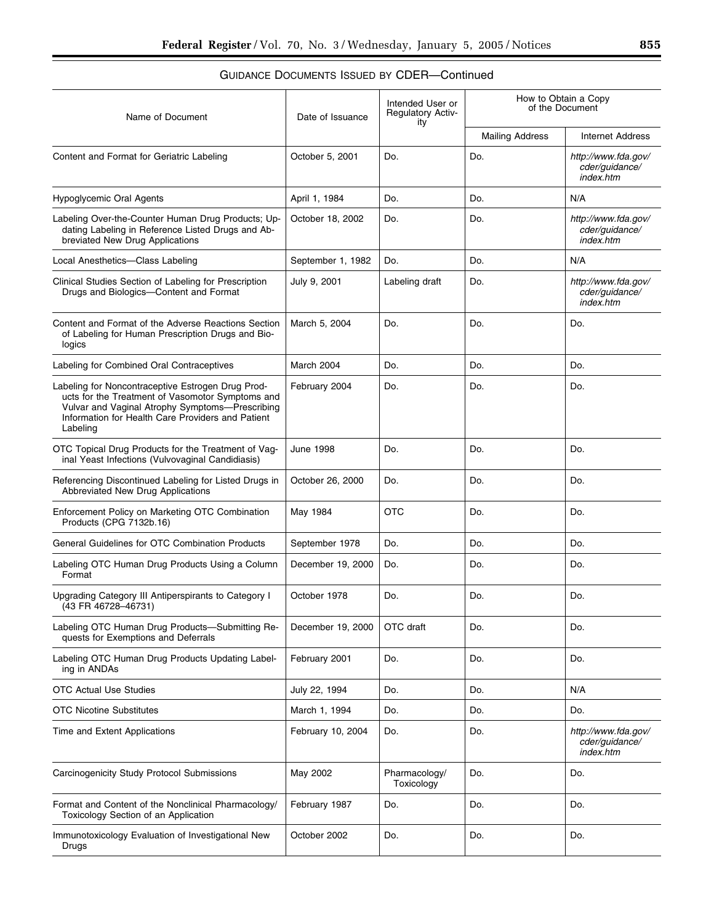| Name of Document                                                                                                                                                                                                          | Date of Issuance  | Intended User or<br><b>Regulatory Activ-</b><br>ity | How to Obtain a Copy<br>of the Document |                                                    |
|---------------------------------------------------------------------------------------------------------------------------------------------------------------------------------------------------------------------------|-------------------|-----------------------------------------------------|-----------------------------------------|----------------------------------------------------|
|                                                                                                                                                                                                                           |                   |                                                     | <b>Mailing Address</b>                  | <b>Internet Address</b>                            |
| Content and Format for Geriatric Labeling                                                                                                                                                                                 | October 5, 2001   | Do.                                                 | Do.                                     | http://www.fda.gov/<br>cder/guidance/<br>index.htm |
| <b>Hypoglycemic Oral Agents</b>                                                                                                                                                                                           | April 1, 1984     | Do.                                                 | Do.                                     | N/A                                                |
| Labeling Over-the-Counter Human Drug Products; Up-<br>dating Labeling in Reference Listed Drugs and Ab-<br>breviated New Drug Applications                                                                                | October 18, 2002  | Do.                                                 | Do.                                     | http://www.fda.gov/<br>cder/guidance/<br>index.htm |
| Local Anesthetics-Class Labeling                                                                                                                                                                                          | September 1, 1982 | Do.                                                 | Do.                                     | N/A                                                |
| Clinical Studies Section of Labeling for Prescription<br>Drugs and Biologics-Content and Format                                                                                                                           | July 9, 2001      | Labeling draft                                      | Do.                                     | http://www.fda.gov/<br>cder/guidance/<br>index.htm |
| Content and Format of the Adverse Reactions Section<br>of Labeling for Human Prescription Drugs and Bio-<br>logics                                                                                                        | March 5, 2004     | Do.                                                 | Do.                                     | Do.                                                |
| Labeling for Combined Oral Contraceptives                                                                                                                                                                                 | March 2004        | Do.                                                 | Do.                                     | Do.                                                |
| Labeling for Noncontraceptive Estrogen Drug Prod-<br>ucts for the Treatment of Vasomotor Symptoms and<br>Vulvar and Vaginal Atrophy Symptoms-Prescribing<br>Information for Health Care Providers and Patient<br>Labeling | February 2004     | Do.                                                 | Do.                                     | Do.                                                |
| OTC Topical Drug Products for the Treatment of Vag-<br>inal Yeast Infections (Vulvovaginal Candidiasis)                                                                                                                   | <b>June 1998</b>  | Do.                                                 | Do.                                     | Do.                                                |
| Referencing Discontinued Labeling for Listed Drugs in<br>Abbreviated New Drug Applications                                                                                                                                | October 26, 2000  | Do.                                                 | Do.                                     | Do.                                                |
| Enforcement Policy on Marketing OTC Combination<br>Products (CPG 7132b.16)                                                                                                                                                | May 1984          | OTC                                                 | Do.                                     | Do.                                                |
| General Guidelines for OTC Combination Products                                                                                                                                                                           | September 1978    | Do.                                                 | Do.                                     | Do.                                                |
| Labeling OTC Human Drug Products Using a Column<br>Format                                                                                                                                                                 | December 19, 2000 | Do.                                                 | Do.                                     | Do.                                                |
| Upgrading Category III Antiperspirants to Category I<br>(43 FR 46728-46731)                                                                                                                                               | October 1978      | Do.                                                 | Do.                                     | Do.                                                |
| Labeling OTC Human Drug Products-Submitting Re-<br>quests for Exemptions and Deferrals                                                                                                                                    | December 19, 2000 | OTC draft                                           | Do.                                     | Do.                                                |
| Labeling OTC Human Drug Products Updating Label-<br>ing in ANDAs                                                                                                                                                          | February 2001     | Do.                                                 | Do.                                     | Do.                                                |
| <b>OTC Actual Use Studies</b>                                                                                                                                                                                             | July 22, 1994     | Do.                                                 | Do.                                     | N/A                                                |
| <b>OTC Nicotine Substitutes</b>                                                                                                                                                                                           | March 1, 1994     | Do.                                                 | Do.                                     | Do.                                                |
| Time and Extent Applications                                                                                                                                                                                              | February 10, 2004 | Do.                                                 | Do.                                     | http://www.fda.gov/<br>cder/quidance/<br>index.htm |
| Carcinogenicity Study Protocol Submissions                                                                                                                                                                                | May 2002          | Pharmacology/<br>Toxicology                         | Do.                                     | Do.                                                |
| Format and Content of the Nonclinical Pharmacology/<br>Toxicology Section of an Application                                                                                                                               | February 1987     | Do.                                                 | Do.                                     | Do.                                                |
| Immunotoxicology Evaluation of Investigational New<br>Drugs                                                                                                                                                               | October 2002      | Do.                                                 | Do.                                     | Do.                                                |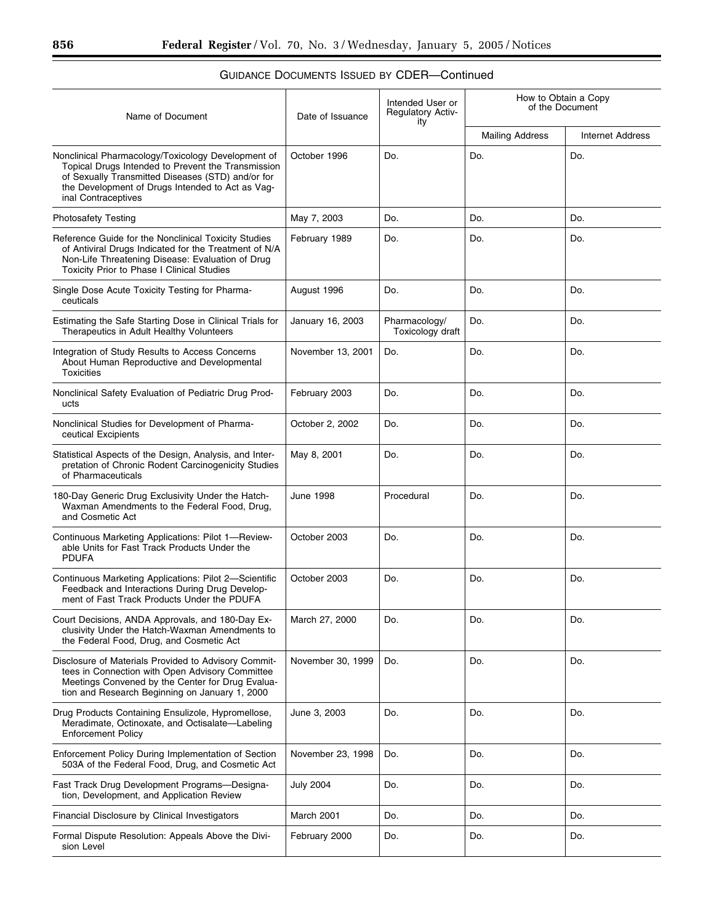| Name of Document                                                                                                                                                                                                                         | Date of Issuance  | Intended User or<br><b>Regulatory Activ-</b><br>ity | How to Obtain a Copy<br>of the Document |                         |
|------------------------------------------------------------------------------------------------------------------------------------------------------------------------------------------------------------------------------------------|-------------------|-----------------------------------------------------|-----------------------------------------|-------------------------|
|                                                                                                                                                                                                                                          |                   |                                                     | <b>Mailing Address</b>                  | <b>Internet Address</b> |
| Nonclinical Pharmacology/Toxicology Development of<br>Topical Drugs Intended to Prevent the Transmission<br>of Sexually Transmitted Diseases (STD) and/or for<br>the Development of Drugs Intended to Act as Vag-<br>inal Contraceptives | October 1996      | Do.                                                 | Do.                                     | Do.                     |
| <b>Photosafety Testing</b>                                                                                                                                                                                                               | May 7, 2003       | Do.                                                 | Do.                                     | Do.                     |
| Reference Guide for the Nonclinical Toxicity Studies<br>of Antiviral Drugs Indicated for the Treatment of N/A<br>Non-Life Threatening Disease: Evaluation of Drug<br>Toxicity Prior to Phase I Clinical Studies                          | February 1989     | Do.                                                 | Do.                                     | Do.                     |
| Single Dose Acute Toxicity Testing for Pharma-<br>ceuticals                                                                                                                                                                              | August 1996       | Do.                                                 | Do.                                     | Do.                     |
| Estimating the Safe Starting Dose in Clinical Trials for<br>Therapeutics in Adult Healthy Volunteers                                                                                                                                     | January 16, 2003  | Pharmacology/<br>Toxicology draft                   | Do.                                     | Do.                     |
| Integration of Study Results to Access Concerns<br>About Human Reproductive and Developmental<br><b>Toxicities</b>                                                                                                                       | November 13, 2001 | Do.                                                 | Do.                                     | Do.                     |
| Nonclinical Safety Evaluation of Pediatric Drug Prod-<br>ucts                                                                                                                                                                            | February 2003     | Do.                                                 | Do.                                     | Do.                     |
| Nonclinical Studies for Development of Pharma-<br>ceutical Excipients                                                                                                                                                                    | October 2, 2002   | Do.                                                 | Do.                                     | Do.                     |
| Statistical Aspects of the Design, Analysis, and Inter-<br>pretation of Chronic Rodent Carcinogenicity Studies<br>of Pharmaceuticals                                                                                                     | May 8, 2001       | Do.                                                 | Do.                                     | Do.                     |
| 180-Day Generic Drug Exclusivity Under the Hatch-<br>Waxman Amendments to the Federal Food, Drug,<br>and Cosmetic Act                                                                                                                    | <b>June 1998</b>  | Procedural                                          | Do.                                     | Do.                     |
| Continuous Marketing Applications: Pilot 1-Review-<br>able Units for Fast Track Products Under the<br><b>PDUFA</b>                                                                                                                       | October 2003      | Do.                                                 | Do.                                     | Do.                     |
| Continuous Marketing Applications: Pilot 2-Scientific<br>Feedback and Interactions During Drug Develop-<br>ment of Fast Track Products Under the PDUFA                                                                                   | October 2003      | Do.                                                 | Do.                                     | Do.                     |
| Court Decisions, ANDA Approvals, and 180-Day Ex-<br>clusivity Under the Hatch-Waxman Amendments to<br>the Federal Food, Drug, and Cosmetic Act                                                                                           | March 27, 2000    | Do.                                                 | Do.                                     | Do.                     |
| Disclosure of Materials Provided to Advisory Commit-<br>tees in Connection with Open Advisory Committee<br>Meetings Convened by the Center for Drug Evalua-<br>tion and Research Beginning on January 1, 2000                            | November 30, 1999 | Do.                                                 | Do.                                     | Do.                     |
| Drug Products Containing Ensulizole, Hypromellose,<br>Meradimate, Octinoxate, and Octisalate-Labeling<br><b>Enforcement Policy</b>                                                                                                       | June 3, 2003      | Do.                                                 | Do.                                     | Do.                     |
| Enforcement Policy During Implementation of Section<br>503A of the Federal Food, Drug, and Cosmetic Act                                                                                                                                  | November 23, 1998 | Do.                                                 | Do.                                     | Do.                     |
| Fast Track Drug Development Programs-Designa-<br>tion, Development, and Application Review                                                                                                                                               | <b>July 2004</b>  | Do.                                                 | Do.                                     | Do.                     |
| Financial Disclosure by Clinical Investigators                                                                                                                                                                                           | March 2001        | Do.                                                 | Do.                                     | Do.                     |
| Formal Dispute Resolution: Appeals Above the Divi-<br>sion Level                                                                                                                                                                         | February 2000     | Do.                                                 | Do.                                     | Do.                     |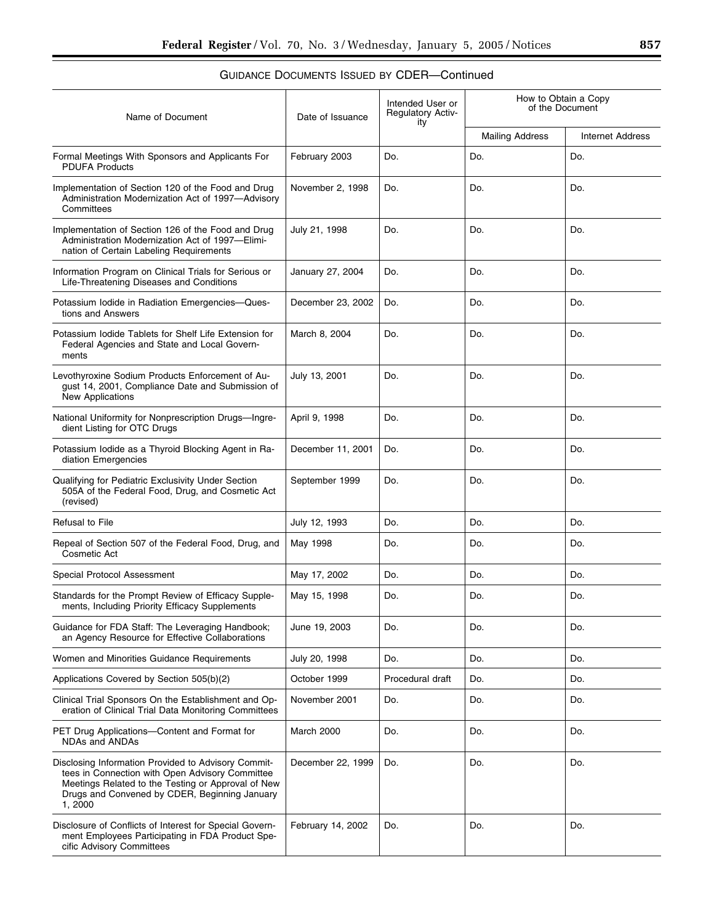| Name of Document                                                                                                                                                                                                         | Date of Issuance  | Intended User or<br><b>Regulatory Activ-</b><br>ity | How to Obtain a Copy<br>of the Document |                         |
|--------------------------------------------------------------------------------------------------------------------------------------------------------------------------------------------------------------------------|-------------------|-----------------------------------------------------|-----------------------------------------|-------------------------|
|                                                                                                                                                                                                                          |                   |                                                     | <b>Mailing Address</b>                  | <b>Internet Address</b> |
| Formal Meetings With Sponsors and Applicants For<br><b>PDUFA Products</b>                                                                                                                                                | February 2003     | Do.                                                 | Do.                                     | Do.                     |
| Implementation of Section 120 of the Food and Drug<br>Administration Modernization Act of 1997-Advisory<br>Committees                                                                                                    | November 2, 1998  | Do.                                                 | Do.                                     | Do.                     |
| Implementation of Section 126 of the Food and Drug<br>Administration Modernization Act of 1997-Elimi-<br>nation of Certain Labeling Requirements                                                                         | July 21, 1998     | Do.                                                 | Do.                                     | Do.                     |
| Information Program on Clinical Trials for Serious or<br>Life-Threatening Diseases and Conditions                                                                                                                        | January 27, 2004  | Do.                                                 | Do.                                     | Do.                     |
| Potassium Iodide in Radiation Emergencies-Ques-<br>tions and Answers                                                                                                                                                     | December 23, 2002 | Do.                                                 | Do.                                     | Do.                     |
| Potassium lodide Tablets for Shelf Life Extension for<br>Federal Agencies and State and Local Govern-<br>ments                                                                                                           | March 8, 2004     | Do.                                                 | Do.                                     | Do.                     |
| Levothyroxine Sodium Products Enforcement of Au-<br>gust 14, 2001, Compliance Date and Submission of<br>New Applications                                                                                                 | July 13, 2001     | Do.                                                 | Do.                                     | Do.                     |
| National Uniformity for Nonprescription Drugs-Ingre-<br>dient Listing for OTC Drugs                                                                                                                                      | April 9, 1998     | Do.                                                 | Do.                                     | Do.                     |
| Potassium Iodide as a Thyroid Blocking Agent in Ra-<br>diation Emergencies                                                                                                                                               | December 11, 2001 | Do.                                                 | Do.                                     | Do.                     |
| Qualifying for Pediatric Exclusivity Under Section<br>505A of the Federal Food, Drug, and Cosmetic Act<br>(revised)                                                                                                      | September 1999    | Do.                                                 | Do.                                     | Do.                     |
| <b>Refusal to File</b>                                                                                                                                                                                                   | July 12, 1993     | Do.                                                 | Do.                                     | Do.                     |
| Repeal of Section 507 of the Federal Food, Drug, and<br>Cosmetic Act                                                                                                                                                     | May 1998          | Do.                                                 | Do.                                     | Do.                     |
| Special Protocol Assessment                                                                                                                                                                                              | May 17, 2002      | Do.                                                 | Do.                                     | Do.                     |
| Standards for the Prompt Review of Efficacy Supple-<br>ments, Including Priority Efficacy Supplements                                                                                                                    | May 15, 1998      | Do.                                                 | Do.                                     | Do.                     |
| Guidance for FDA Staff: The Leveraging Handbook;<br>an Agency Resource for Effective Collaborations                                                                                                                      | June 19, 2003     | Do.                                                 | Do.                                     | Do.                     |
| Women and Minorities Guidance Requirements                                                                                                                                                                               | July 20, 1998     | Do.                                                 | Do.                                     | Do.                     |
| Applications Covered by Section 505(b)(2)                                                                                                                                                                                | October 1999      | Procedural draft                                    | Do.                                     | Do.                     |
| Clinical Trial Sponsors On the Establishment and Op-<br>eration of Clinical Trial Data Monitoring Committees                                                                                                             | November 2001     | Do.                                                 | Do.                                     | Do.                     |
| PET Drug Applications-Content and Format for<br>NDAs and ANDAs                                                                                                                                                           | March 2000        | Do.                                                 | Do.                                     | Do.                     |
| Disclosing Information Provided to Advisory Commit-<br>tees in Connection with Open Advisory Committee<br>Meetings Related to the Testing or Approval of New<br>Drugs and Convened by CDER, Beginning January<br>1, 2000 | December 22, 1999 | Do.                                                 | Do.                                     | Do.                     |
| Disclosure of Conflicts of Interest for Special Govern-<br>ment Employees Participating in FDA Product Spe-<br>cific Advisory Committees                                                                                 | February 14, 2002 | Do.                                                 | Do.                                     | Do.                     |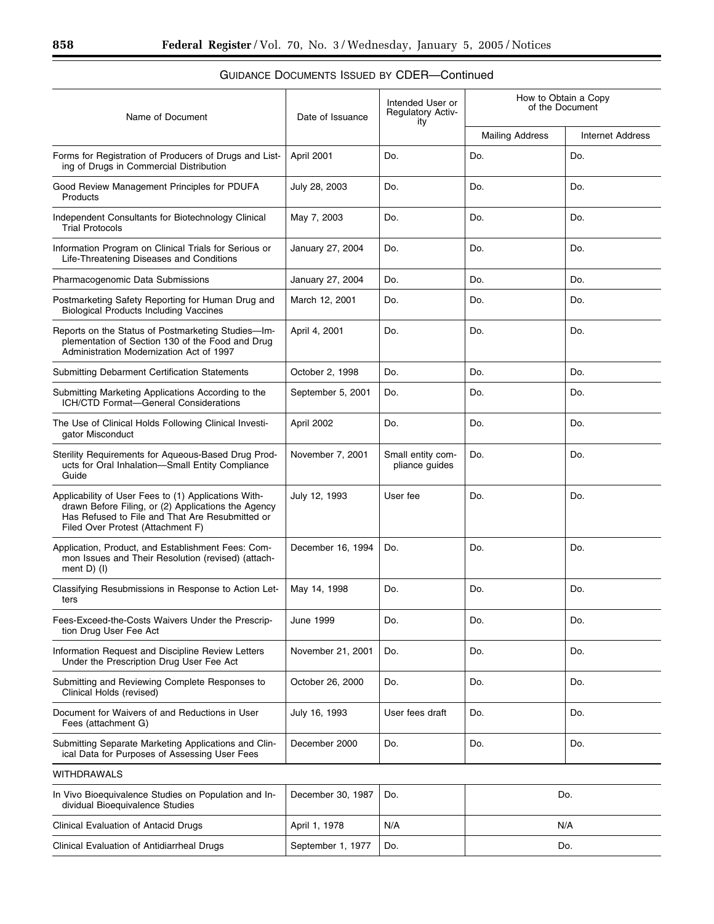#### GUIDANCE DOCUMENTS ISSUED BY CDER—Continued  $\overline{\phantom{a}}$ <u> 1980 - Johann Barbara, martxa</u>  $\overline{1}$  $\overline{1}$

| Name of Document                                                                                                                                                                                    | Date of Issuance  | Intended User or<br><b>Regulatory Activ-</b><br>ity |                        | How to Obtain a Copy<br>of the Document |
|-----------------------------------------------------------------------------------------------------------------------------------------------------------------------------------------------------|-------------------|-----------------------------------------------------|------------------------|-----------------------------------------|
|                                                                                                                                                                                                     |                   |                                                     | <b>Mailing Address</b> | <b>Internet Address</b>                 |
| Forms for Registration of Producers of Drugs and List-<br>ing of Drugs in Commercial Distribution                                                                                                   | April 2001        | Do.                                                 | Do.                    | Do.                                     |
| Good Review Management Principles for PDUFA<br>Products                                                                                                                                             | July 28, 2003     | Do.                                                 | Do.                    | Do.                                     |
| Independent Consultants for Biotechnology Clinical<br><b>Trial Protocols</b>                                                                                                                        | May 7, 2003       | Do.                                                 | Do.                    | Do.                                     |
| Information Program on Clinical Trials for Serious or<br>Life-Threatening Diseases and Conditions                                                                                                   | January 27, 2004  | Do.                                                 | Do.                    | Do.                                     |
| Pharmacogenomic Data Submissions                                                                                                                                                                    | January 27, 2004  | Do.                                                 | Do.                    | Do.                                     |
| Postmarketing Safety Reporting for Human Drug and<br><b>Biological Products Including Vaccines</b>                                                                                                  | March 12, 2001    | Do.                                                 | Do.                    | Do.                                     |
| Reports on the Status of Postmarketing Studies-Im-<br>plementation of Section 130 of the Food and Drug<br>Administration Modernization Act of 1997                                                  | April 4, 2001     | Do.                                                 | Do.                    | Do.                                     |
| Submitting Debarment Certification Statements                                                                                                                                                       | October 2, 1998   | Do.                                                 | Do.                    | Do.                                     |
| Submitting Marketing Applications According to the<br>ICH/CTD Format-General Considerations                                                                                                         | September 5, 2001 | Do.                                                 | Do.                    | Do.                                     |
| The Use of Clinical Holds Following Clinical Investi-<br>gator Misconduct                                                                                                                           | April 2002        | Do.                                                 | Do.                    | Do.                                     |
| Sterility Requirements for Aqueous-Based Drug Prod-<br>ucts for Oral Inhalation-Small Entity Compliance<br>Guide                                                                                    | November 7, 2001  | Small entity com-<br>pliance guides                 | Do.                    | Do.                                     |
| Applicability of User Fees to (1) Applications With-<br>drawn Before Filing, or (2) Applications the Agency<br>Has Refused to File and That Are Resubmitted or<br>Filed Over Protest (Attachment F) | July 12, 1993     | User fee                                            | Do.                    | Do.                                     |
| Application, Product, and Establishment Fees: Com-<br>mon Issues and Their Resolution (revised) (attach-<br>ment $D$ ) ( $I$ )                                                                      | December 16, 1994 | Do.                                                 | Do.                    | Do.                                     |
| Classifying Resubmissions in Response to Action Let-<br>ters                                                                                                                                        | May 14, 1998      | Do.                                                 | Do.                    | Do.                                     |
| Fees-Exceed-the-Costs Waivers Under the Prescrip-<br>tion Drug User Fee Act                                                                                                                         | <b>June 1999</b>  | Do.                                                 | Do.                    | Do.                                     |
| Information Request and Discipline Review Letters<br>Under the Prescription Drug User Fee Act                                                                                                       | November 21, 2001 | Do.                                                 | Do.                    | Do.                                     |
| Submitting and Reviewing Complete Responses to<br>Clinical Holds (revised)                                                                                                                          | October 26, 2000  | Do.                                                 | Do.                    | Do.                                     |
| Document for Waivers of and Reductions in User<br>Fees (attachment G)                                                                                                                               | July 16, 1993     | User fees draft                                     | Do.                    | Do.                                     |
| Submitting Separate Marketing Applications and Clin-<br>ical Data for Purposes of Assessing User Fees                                                                                               | December 2000     | Do.                                                 | Do.                    | Do.                                     |
| <b>WITHDRAWALS</b>                                                                                                                                                                                  |                   |                                                     |                        |                                         |
| In Vivo Bioequivalence Studies on Population and In-<br>dividual Bioequivalence Studies                                                                                                             | December 30, 1987 | Do.                                                 |                        | Do.                                     |
| Clinical Evaluation of Antacid Drugs                                                                                                                                                                | April 1, 1978     | N/A                                                 |                        | N/A                                     |
| Clinical Evaluation of Antidiarrheal Drugs                                                                                                                                                          | September 1, 1977 | Do.                                                 | Do.                    |                                         |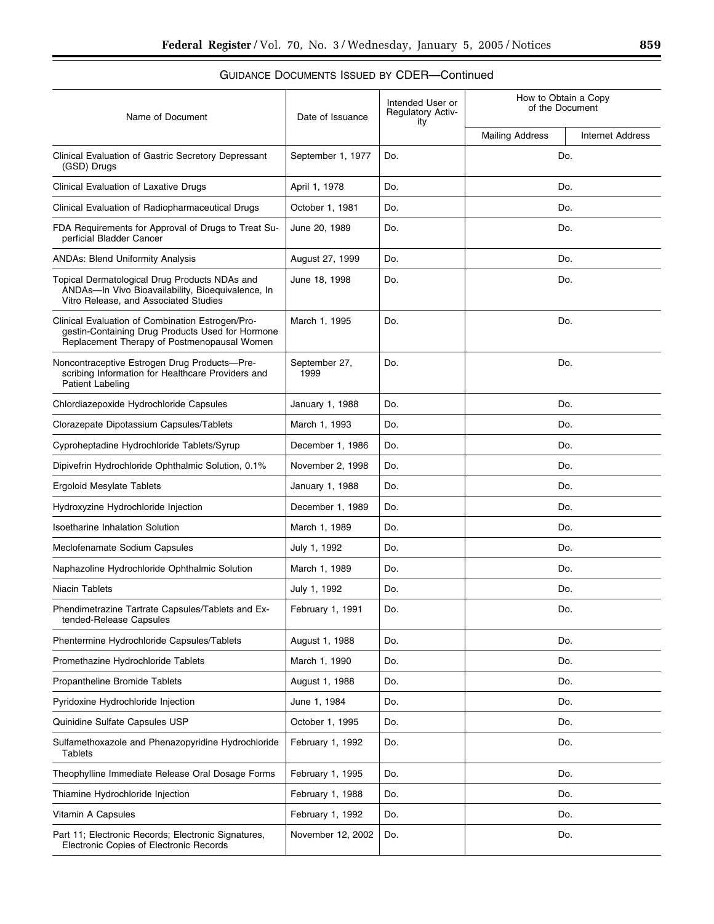| Name of Document                                                                                                                                    | Date of Issuance      | Intended User or<br><b>Regulatory Activ-</b><br>ity | How to Obtain a Copy<br>of the Document |                         |
|-----------------------------------------------------------------------------------------------------------------------------------------------------|-----------------------|-----------------------------------------------------|-----------------------------------------|-------------------------|
|                                                                                                                                                     |                       |                                                     | <b>Mailing Address</b>                  | <b>Internet Address</b> |
| Clinical Evaluation of Gastric Secretory Depressant<br>(GSD) Drugs                                                                                  | September 1, 1977     | Do.                                                 | Do.                                     |                         |
| <b>Clinical Evaluation of Laxative Drugs</b>                                                                                                        | April 1, 1978         | Do.                                                 | Do.                                     |                         |
| Clinical Evaluation of Radiopharmaceutical Drugs                                                                                                    | October 1, 1981       | Do.                                                 | Do.                                     |                         |
| FDA Requirements for Approval of Drugs to Treat Su-<br>perficial Bladder Cancer                                                                     | June 20, 1989         | Do.                                                 | Do.                                     |                         |
| <b>ANDAs: Blend Uniformity Analysis</b>                                                                                                             | August 27, 1999       | Do.                                                 | Do.                                     |                         |
| Topical Dermatological Drug Products NDAs and<br>ANDAs-In Vivo Bioavailability, Bioequivalence, In<br>Vitro Release, and Associated Studies         | June 18, 1998         | Do.                                                 | Do.                                     |                         |
| Clinical Evaluation of Combination Estrogen/Pro-<br>gestin-Containing Drug Products Used for Hormone<br>Replacement Therapy of Postmenopausal Women | March 1, 1995         | Do.                                                 | Do.                                     |                         |
| Noncontraceptive Estrogen Drug Products-Pre-<br>scribing Information for Healthcare Providers and<br>Patient Labeling                               | September 27,<br>1999 | Do.                                                 | Do.                                     |                         |
| Chlordiazepoxide Hydrochloride Capsules                                                                                                             | January 1, 1988       | Do.                                                 | Do.                                     |                         |
| Clorazepate Dipotassium Capsules/Tablets                                                                                                            | March 1, 1993         | Do.                                                 | Do.                                     |                         |
| Cyproheptadine Hydrochloride Tablets/Syrup                                                                                                          | December 1, 1986      | Do.                                                 | Do.                                     |                         |
| Dipivefrin Hydrochloride Ophthalmic Solution, 0.1%                                                                                                  | November 2, 1998      | Do.                                                 | Do.                                     |                         |
| Ergoloid Mesylate Tablets                                                                                                                           | January 1, 1988       | Do.                                                 | Do.                                     |                         |
| Hydroxyzine Hydrochloride Injection                                                                                                                 | December 1, 1989      | Do.                                                 | Do.                                     |                         |
| <b>Isoetharine Inhalation Solution</b>                                                                                                              | March 1, 1989         | Do.                                                 | Do.                                     |                         |
| Meclofenamate Sodium Capsules                                                                                                                       | July 1, 1992          | Do.                                                 | Do.                                     |                         |
| Naphazoline Hydrochloride Ophthalmic Solution                                                                                                       | March 1, 1989         | Do.                                                 | Do.                                     |                         |
| Niacin Tablets                                                                                                                                      | July 1, 1992          | Do.                                                 | Do.                                     |                         |
| Phendimetrazine Tartrate Capsules/Tablets and Ex-<br>tended-Release Capsules                                                                        | February 1, 1991      | Do.                                                 | Do.                                     |                         |
| Phentermine Hydrochloride Capsules/Tablets                                                                                                          | August 1, 1988        | Do.                                                 | Do.                                     |                         |
| Promethazine Hydrochloride Tablets                                                                                                                  | March 1, 1990         | Do.                                                 | Do.                                     |                         |
| Propantheline Bromide Tablets                                                                                                                       | August 1, 1988        | Do.                                                 | Do.                                     |                         |
| Pyridoxine Hydrochloride Injection                                                                                                                  | June 1, 1984          | Do.                                                 | Do.                                     |                         |
| Quinidine Sulfate Capsules USP                                                                                                                      | October 1, 1995       | Do.                                                 | Do.                                     |                         |
| Sulfamethoxazole and Phenazopyridine Hydrochloride<br>Tablets                                                                                       | February 1, 1992      | Do.                                                 | Do.                                     |                         |
| Theophylline Immediate Release Oral Dosage Forms                                                                                                    | February 1, 1995      | Do.                                                 | Do.                                     |                         |
| Thiamine Hydrochloride Injection                                                                                                                    | February 1, 1988      | Do.                                                 | Do.                                     |                         |
| Vitamin A Capsules                                                                                                                                  | February 1, 1992      | Do.                                                 | Do.                                     |                         |
| Part 11; Electronic Records; Electronic Signatures,<br>Electronic Copies of Electronic Records                                                      | November 12, 2002     | Do.                                                 | Do.                                     |                         |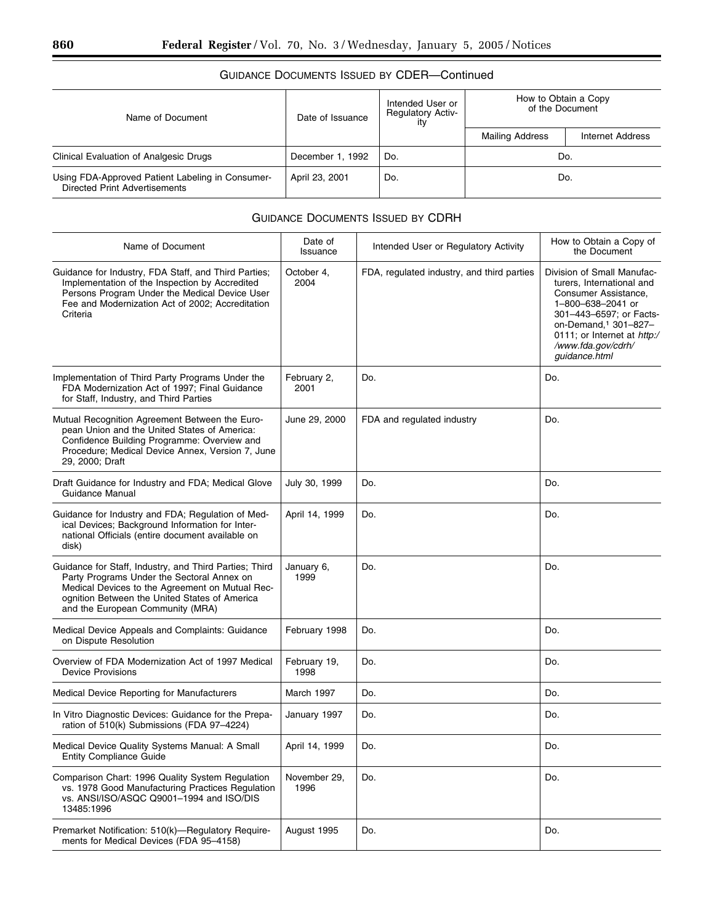| Name of Document                                                                  | Date of Issuance | Intended User or<br><b>Regulatory Activ-</b><br>itv | How to Obtain a Copy<br>of the Document |                         |
|-----------------------------------------------------------------------------------|------------------|-----------------------------------------------------|-----------------------------------------|-------------------------|
|                                                                                   |                  |                                                     | <b>Mailing Address</b>                  | <b>Internet Address</b> |
| Clinical Evaluation of Analgesic Drugs                                            | December 1, 1992 | Do.                                                 | Do.                                     |                         |
| Using FDA-Approved Patient Labeling in Consumer-<br>Directed Print Advertisements | April 23, 2001   | Do.                                                 | Do.                                     |                         |

#### GUIDANCE DOCUMENTS ISSUED BY CDRH

| Name of Document                                                                                                                                                                                                                             | Date of<br>Issuance  | Intended User or Regulatory Activity       | How to Obtain a Copy of<br>the Document                                                                                                                                                                                                   |
|----------------------------------------------------------------------------------------------------------------------------------------------------------------------------------------------------------------------------------------------|----------------------|--------------------------------------------|-------------------------------------------------------------------------------------------------------------------------------------------------------------------------------------------------------------------------------------------|
| Guidance for Industry, FDA Staff, and Third Parties;<br>Implementation of the Inspection by Accredited<br>Persons Program Under the Medical Device User<br>Fee and Modernization Act of 2002; Accreditation<br>Criteria                      | October 4,<br>2004   | FDA, regulated industry, and third parties | Division of Small Manufac-<br>turers, International and<br>Consumer Assistance,<br>1-800-638-2041 or<br>301-443-6597; or Facts-<br>on-Demand, <sup>1</sup> 301-827-<br>0111; or Internet at http:/<br>/www.fda.gov/cdrh/<br>guidance.html |
| Implementation of Third Party Programs Under the<br>FDA Modernization Act of 1997; Final Guidance<br>for Staff, Industry, and Third Parties                                                                                                  | February 2,<br>2001  | Do.                                        | Do.                                                                                                                                                                                                                                       |
| Mutual Recognition Agreement Between the Euro-<br>pean Union and the United States of America:<br>Confidence Building Programme: Overview and<br>Procedure; Medical Device Annex, Version 7, June<br>29, 2000; Draft                         | June 29, 2000        | FDA and regulated industry                 | Do.                                                                                                                                                                                                                                       |
| Draft Guidance for Industry and FDA; Medical Glove<br>Guidance Manual                                                                                                                                                                        | July 30, 1999        | Do.                                        | Do.                                                                                                                                                                                                                                       |
| Guidance for Industry and FDA; Regulation of Med-<br>ical Devices; Background Information for Inter-<br>national Officials (entire document available on<br>disk)                                                                            | April 14, 1999       | Do.                                        | Do.                                                                                                                                                                                                                                       |
| Guidance for Staff, Industry, and Third Parties; Third<br>Party Programs Under the Sectoral Annex on<br>Medical Devices to the Agreement on Mutual Rec-<br>ognition Between the United States of America<br>and the European Community (MRA) | January 6,<br>1999   | Do.                                        | Do.                                                                                                                                                                                                                                       |
| Medical Device Appeals and Complaints: Guidance<br>on Dispute Resolution                                                                                                                                                                     | February 1998        | Do.                                        | Do.                                                                                                                                                                                                                                       |
| Overview of FDA Modernization Act of 1997 Medical<br><b>Device Provisions</b>                                                                                                                                                                | February 19,<br>1998 | Do.                                        | Do.                                                                                                                                                                                                                                       |
| Medical Device Reporting for Manufacturers                                                                                                                                                                                                   | March 1997           | Do.                                        | Do.                                                                                                                                                                                                                                       |
| In Vitro Diagnostic Devices: Guidance for the Prepa-<br>ration of 510(k) Submissions (FDA 97-4224)                                                                                                                                           | January 1997         | Do.                                        | Do.                                                                                                                                                                                                                                       |
| Medical Device Quality Systems Manual: A Small<br><b>Entity Compliance Guide</b>                                                                                                                                                             | April 14, 1999       | Do.                                        | Do.                                                                                                                                                                                                                                       |
| Comparison Chart: 1996 Quality System Regulation<br>vs. 1978 Good Manufacturing Practices Regulation<br>vs. ANSI/ISO/ASQC Q9001-1994 and ISO/DIS<br>13485:1996                                                                               | November 29,<br>1996 | Do.                                        | Do.                                                                                                                                                                                                                                       |
| Premarket Notification: 510(k)-Regulatory Require-<br>ments for Medical Devices (FDA 95-4158)                                                                                                                                                | August 1995          | Do.                                        | Do.                                                                                                                                                                                                                                       |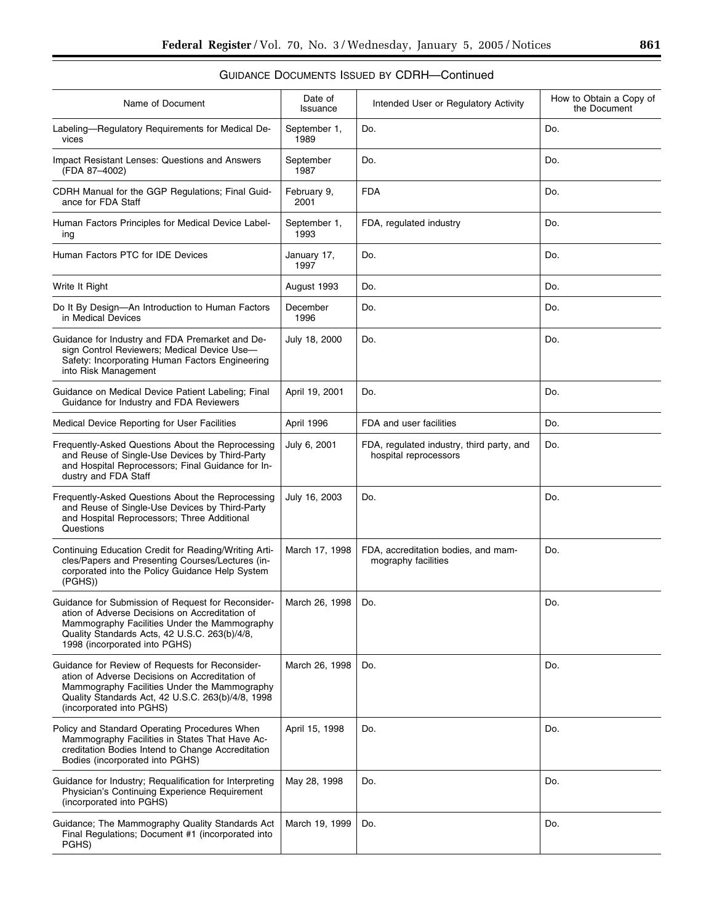| Name of Document                                                                                                                                                                                                                       | Date of<br>Issuance  | Intended User or Regulatory Activity                               | How to Obtain a Copy of<br>the Document |
|----------------------------------------------------------------------------------------------------------------------------------------------------------------------------------------------------------------------------------------|----------------------|--------------------------------------------------------------------|-----------------------------------------|
| Labeling-Regulatory Requirements for Medical De-<br>vices                                                                                                                                                                              | September 1,<br>1989 | Do.                                                                | Do.                                     |
| Impact Resistant Lenses: Questions and Answers<br>(FDA 87-4002)                                                                                                                                                                        | September<br>1987    | Do.                                                                | Do.                                     |
| CDRH Manual for the GGP Regulations; Final Guid-<br>ance for FDA Staff                                                                                                                                                                 | February 9,<br>2001  | <b>FDA</b>                                                         | Do.                                     |
| Human Factors Principles for Medical Device Label-<br>ing                                                                                                                                                                              | September 1,<br>1993 | FDA, regulated industry                                            | Do.                                     |
| Human Factors PTC for IDE Devices                                                                                                                                                                                                      | January 17,<br>1997  | Do.                                                                | Do.                                     |
| Write It Right                                                                                                                                                                                                                         | August 1993          | Do.                                                                | Do.                                     |
| Do It By Design—An Introduction to Human Factors<br>in Medical Devices                                                                                                                                                                 | December<br>1996     | Do.                                                                | Do.                                     |
| Guidance for Industry and FDA Premarket and De-<br>sign Control Reviewers; Medical Device Use-<br>Safety: Incorporating Human Factors Engineering<br>into Risk Management                                                              | July 18, 2000        | Do.                                                                | Do.                                     |
| Guidance on Medical Device Patient Labeling; Final<br>Guidance for Industry and FDA Reviewers                                                                                                                                          | April 19, 2001       | Do.                                                                | Do.                                     |
| Medical Device Reporting for User Facilities                                                                                                                                                                                           | April 1996           | FDA and user facilities                                            | Do.                                     |
| Frequently-Asked Questions About the Reprocessing<br>and Reuse of Single-Use Devices by Third-Party<br>and Hospital Reprocessors; Final Guidance for In-<br>dustry and FDA Staff                                                       | July 6, 2001         | FDA, regulated industry, third party, and<br>hospital reprocessors | Do.                                     |
| Frequently-Asked Questions About the Reprocessing<br>and Reuse of Single-Use Devices by Third-Party<br>and Hospital Reprocessors; Three Additional<br>Questions                                                                        | July 16, 2003        | Do.                                                                | Do.                                     |
| Continuing Education Credit for Reading/Writing Arti-<br>cles/Papers and Presenting Courses/Lectures (in-<br>corporated into the Policy Guidance Help System<br>(PGHS)                                                                 | March 17, 1998       | FDA, accreditation bodies, and mam-<br>mography facilities         | Do.                                     |
| Guidance for Submission of Request for Reconsider-<br>ation of Adverse Decisions on Accreditation of<br>Mammography Facilities Under the Mammography<br>Quality Standards Acts, 42 U.S.C. 263(b)/4/8,<br>1998 (incorporated into PGHS) | March 26, 1998       | Do.                                                                | Do.                                     |
| Guidance for Review of Requests for Reconsider-<br>ation of Adverse Decisions on Accreditation of<br>Mammography Facilities Under the Mammography<br>Quality Standards Act, 42 U.S.C. 263(b)/4/8, 1998<br>(incorporated into PGHS)     | March 26, 1998       | Do.                                                                | Do.                                     |
| Policy and Standard Operating Procedures When<br>Mammography Facilities in States That Have Ac-<br>creditation Bodies Intend to Change Accreditation<br>Bodies (incorporated into PGHS)                                                | April 15, 1998       | Do.                                                                | Do.                                     |
| Guidance for Industry; Requalification for Interpreting<br>Physician's Continuing Experience Requirement<br>(incorporated into PGHS)                                                                                                   | May 28, 1998         | Do.                                                                | Do.                                     |
| Guidance; The Mammography Quality Standards Act<br>Final Regulations; Document #1 (incorporated into<br>PGHS)                                                                                                                          | March 19, 1999       | Do.                                                                | Do.                                     |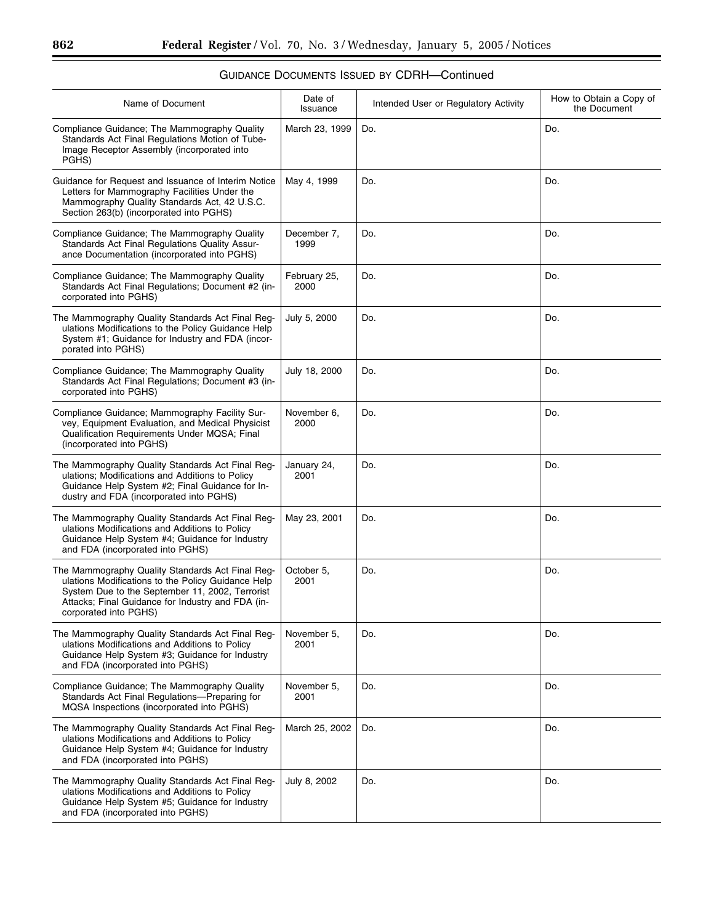| Name of Document                                                                                                                                                                                                                        | Date of<br>Issuance  | Intended User or Regulatory Activity | How to Obtain a Copy of<br>the Document |
|-----------------------------------------------------------------------------------------------------------------------------------------------------------------------------------------------------------------------------------------|----------------------|--------------------------------------|-----------------------------------------|
| Compliance Guidance; The Mammography Quality<br>Standards Act Final Regulations Motion of Tube-<br>Image Receptor Assembly (incorporated into<br>PGHS)                                                                                  | March 23, 1999       | Do.                                  | Do.                                     |
| Guidance for Request and Issuance of Interim Notice<br>Letters for Mammography Facilities Under the<br>Mammography Quality Standards Act, 42 U.S.C.<br>Section 263(b) (incorporated into PGHS)                                          | May 4, 1999          | Do.                                  | Do.                                     |
| Compliance Guidance; The Mammography Quality<br>Standards Act Final Regulations Quality Assur-<br>ance Documentation (incorporated into PGHS)                                                                                           | December 7,<br>1999  | Do.                                  | Do.                                     |
| Compliance Guidance; The Mammography Quality<br>Standards Act Final Regulations; Document #2 (in-<br>corporated into PGHS)                                                                                                              | February 25,<br>2000 | Do.                                  | Do.                                     |
| The Mammography Quality Standards Act Final Reg-<br>ulations Modifications to the Policy Guidance Help<br>System #1; Guidance for Industry and FDA (incor-<br>porated into PGHS)                                                        | July 5, 2000         | Do.                                  | Do.                                     |
| Compliance Guidance; The Mammography Quality<br>Standards Act Final Regulations; Document #3 (in-<br>corporated into PGHS)                                                                                                              | July 18, 2000        | Do.                                  | Do.                                     |
| Compliance Guidance; Mammography Facility Sur-<br>vey, Equipment Evaluation, and Medical Physicist<br>Qualification Requirements Under MQSA; Final<br>(incorporated into PGHS)                                                          | November 6,<br>2000  | Do.                                  | Do.                                     |
| The Mammography Quality Standards Act Final Reg-<br>ulations; Modifications and Additions to Policy<br>Guidance Help System #2; Final Guidance for In-<br>dustry and FDA (incorporated into PGHS)                                       | January 24,<br>2001  | Do.                                  | Do.                                     |
| The Mammography Quality Standards Act Final Reg-<br>ulations Modifications and Additions to Policy<br>Guidance Help System #4; Guidance for Industry<br>and FDA (incorporated into PGHS)                                                | May 23, 2001         | Do.                                  | Do.                                     |
| The Mammography Quality Standards Act Final Reg-<br>ulations Modifications to the Policy Guidance Help<br>System Due to the September 11, 2002, Terrorist<br>Attacks; Final Guidance for Industry and FDA (in-<br>corporated into PGHS) | October 5,<br>2001   | Do.                                  | Do.                                     |
| The Mammography Quality Standards Act Final Reg-<br>ulations Modifications and Additions to Policy<br>Guidance Help System #3; Guidance for Industry<br>and FDA (incorporated into PGHS)                                                | November 5,<br>2001  | Do.                                  | Do.                                     |
| Compliance Guidance; The Mammography Quality<br>Standards Act Final Regulations-Preparing for<br>MQSA Inspections (incorporated into PGHS)                                                                                              | November 5,<br>2001  | Do.                                  | Do.                                     |
| The Mammography Quality Standards Act Final Reg-<br>ulations Modifications and Additions to Policy<br>Guidance Help System #4; Guidance for Industry<br>and FDA (incorporated into PGHS)                                                | March 25, 2002       | Do.                                  | Do.                                     |
| The Mammography Quality Standards Act Final Reg-                                                                                                                                                                                        | July 8, 2002         | Do.                                  | Do.                                     |

ulations Modifications and Additions to Policy Guidance Help System #5; Guidance for Industry

and FDA (incorporated into PGHS)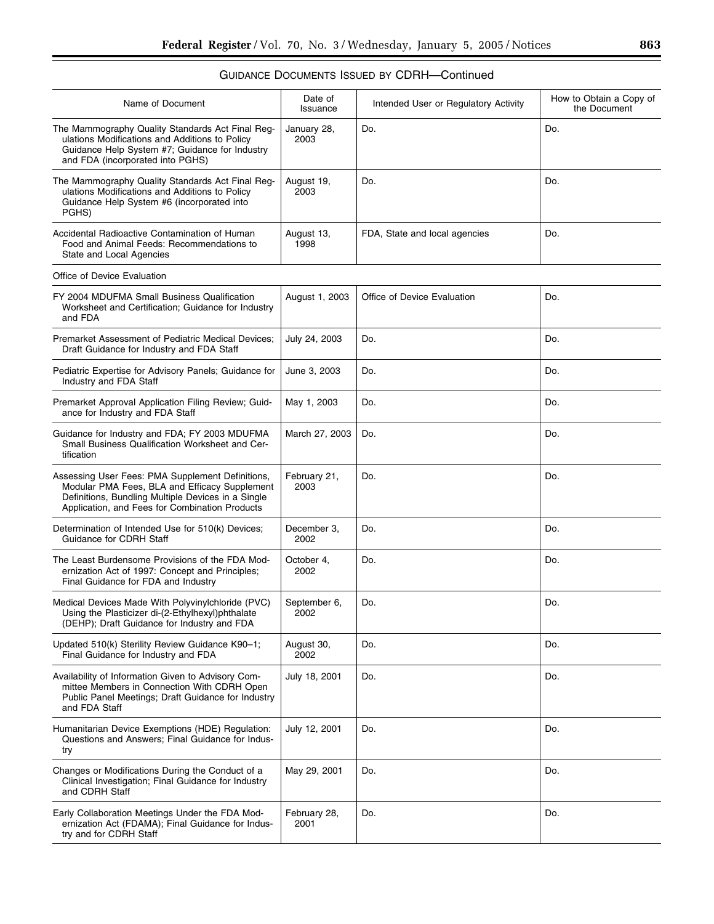| Name of Document                                                                                                                                                                                          | Date of<br>Issuance  | Intended User or Regulatory Activity | How to Obtain a Copy of<br>the Document |
|-----------------------------------------------------------------------------------------------------------------------------------------------------------------------------------------------------------|----------------------|--------------------------------------|-----------------------------------------|
| The Mammography Quality Standards Act Final Reg-<br>ulations Modifications and Additions to Policy<br>Guidance Help System #7; Guidance for Industry<br>and FDA (incorporated into PGHS)                  | January 28,<br>2003  | Do.                                  | Do.                                     |
| The Mammography Quality Standards Act Final Reg-<br>ulations Modifications and Additions to Policy<br>Guidance Help System #6 (incorporated into<br>PGHS)                                                 | August 19,<br>2003   | Do.                                  | Do.                                     |
| Accidental Radioactive Contamination of Human<br>Food and Animal Feeds: Recommendations to<br>State and Local Agencies                                                                                    | August 13,<br>1998   | FDA, State and local agencies        | Do.                                     |
| Office of Device Evaluation                                                                                                                                                                               |                      |                                      |                                         |
| FY 2004 MDUFMA Small Business Qualification<br>Worksheet and Certification; Guidance for Industry<br>and FDA                                                                                              | August 1, 2003       | Office of Device Evaluation          | Do.                                     |
| Premarket Assessment of Pediatric Medical Devices;<br>Draft Guidance for Industry and FDA Staff                                                                                                           | July 24, 2003        | Do.                                  | Do.                                     |
| Pediatric Expertise for Advisory Panels; Guidance for<br>Industry and FDA Staff                                                                                                                           | June 3, 2003         | Do.                                  | Do.                                     |
| Premarket Approval Application Filing Review; Guid-<br>ance for Industry and FDA Staff                                                                                                                    | May 1, 2003          | Do.                                  | Do.                                     |
| Guidance for Industry and FDA; FY 2003 MDUFMA<br>Small Business Qualification Worksheet and Cer-<br>tification                                                                                            | March 27, 2003       | Do.                                  | Do.                                     |
| Assessing User Fees: PMA Supplement Definitions,<br>Modular PMA Fees, BLA and Efficacy Supplement<br>Definitions, Bundling Multiple Devices in a Single<br>Application, and Fees for Combination Products | February 21,<br>2003 | Do.                                  | Do.                                     |
| Determination of Intended Use for 510(k) Devices;<br>Guidance for CDRH Staff                                                                                                                              | December 3,<br>2002  | Do.                                  | Do.                                     |
| The Least Burdensome Provisions of the FDA Mod-<br>ernization Act of 1997: Concept and Principles;<br>Final Guidance for FDA and Industry                                                                 | October 4,<br>2002   | Do.                                  | Do.                                     |
| Medical Devices Made With Polyvinylchloride (PVC)<br>Using the Plasticizer di-(2-Ethylhexyl)phthalate<br>(DEHP); Draft Guidance for Industry and FDA                                                      | September 6,<br>2002 | Do.                                  | Do.                                     |
| Updated 510(k) Sterility Review Guidance K90-1;<br>Final Guidance for Industry and FDA                                                                                                                    | August 30,<br>2002   | Do.                                  | Do.                                     |
| Availability of Information Given to Advisory Com-<br>mittee Members in Connection With CDRH Open<br>Public Panel Meetings; Draft Guidance for Industry<br>and FDA Staff                                  | July 18, 2001        | Do.                                  | Do.                                     |
| Humanitarian Device Exemptions (HDE) Regulation:<br>Questions and Answers; Final Guidance for Indus-<br>try                                                                                               | July 12, 2001        | Do.                                  | Do.                                     |
| Changes or Modifications During the Conduct of a<br>Clinical Investigation; Final Guidance for Industry<br>and CDRH Staff                                                                                 | May 29, 2001         | Do.                                  | Do.                                     |
| Early Collaboration Meetings Under the FDA Mod-<br>ernization Act (FDAMA); Final Guidance for Indus-<br>try and for CDRH Staff                                                                            | February 28,<br>2001 | Do.                                  | Do.                                     |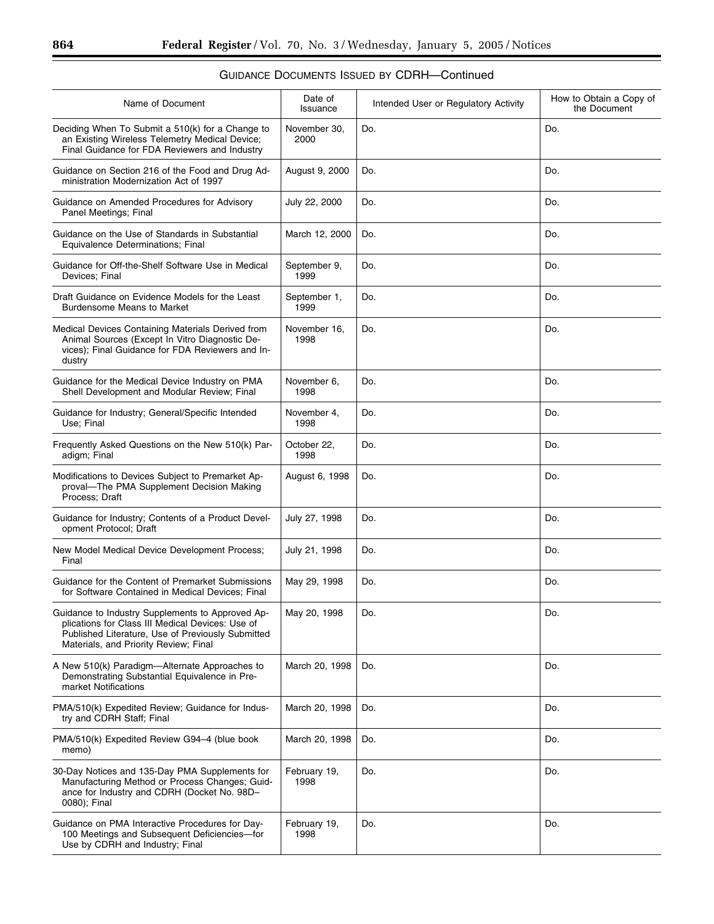| Name of Document                                                                                                                                                                                   | Date of<br>Issuance  | Intended User or Regulatory Activity | How to Obtain a Copy of<br>the Document |
|----------------------------------------------------------------------------------------------------------------------------------------------------------------------------------------------------|----------------------|--------------------------------------|-----------------------------------------|
| Deciding When To Submit a 510(k) for a Change to<br>an Existing Wireless Telemetry Medical Device;<br>Final Guidance for FDA Reviewers and Industry                                                | November 30,<br>2000 | Do.                                  | Do.                                     |
| Guidance on Section 216 of the Food and Drug Ad-<br>ministration Modernization Act of 1997                                                                                                         | August 9, 2000       | Do.                                  | Do.                                     |
| Guidance on Amended Procedures for Advisory<br>Panel Meetings; Final                                                                                                                               | July 22, 2000        | Do.                                  | Do.                                     |
| Guidance on the Use of Standards in Substantial<br>Equivalence Determinations; Final                                                                                                               | March 12, 2000       | Do.                                  | Do.                                     |
| Guidance for Off-the-Shelf Software Use in Medical<br>Devices: Final                                                                                                                               | September 9,<br>1999 | Do.                                  | Do.                                     |
| Draft Guidance on Evidence Models for the Least<br><b>Burdensome Means to Market</b>                                                                                                               | September 1,<br>1999 | Do.                                  | Do.                                     |
| Medical Devices Containing Materials Derived from<br>Animal Sources (Except In Vitro Diagnostic De-<br>vices): Final Guidance for FDA Reviewers and In-<br>dustry                                  | November 16,<br>1998 | Do.                                  | Do.                                     |
| Guidance for the Medical Device Industry on PMA<br>Shell Development and Modular Review; Final                                                                                                     | November 6,<br>1998  | Do.                                  | Do.                                     |
| Guidance for Industry; General/Specific Intended<br>Use: Final                                                                                                                                     | November 4,<br>1998  | Do.                                  | Do.                                     |
| Frequently Asked Questions on the New 510(k) Par-<br>adigm; Final                                                                                                                                  | October 22,<br>1998  | Do.                                  | Do.                                     |
| Modifications to Devices Subject to Premarket Ap-<br>proval-The PMA Supplement Decision Making<br>Process; Draft                                                                                   | August 6, 1998       | Do.                                  | Do.                                     |
| Guidance for Industry; Contents of a Product Devel-<br>opment Protocol; Draft                                                                                                                      | July 27, 1998        | Do.                                  | Do.                                     |
| New Model Medical Device Development Process;<br>Final                                                                                                                                             | July 21, 1998        | Do.                                  | Do.                                     |
| Guidance for the Content of Premarket Submissions<br>for Software Contained in Medical Devices; Final                                                                                              | May 29, 1998         | Do.                                  | Do.                                     |
| Guidance to Industry Supplements to Approved Ap-<br>plications for Class III Medical Devices: Use of<br>Published Literature, Use of Previously Submitted<br>Materials, and Priority Review; Final | May 20, 1998         | Do.                                  | Do.                                     |
| A New 510(k) Paradigm—Alternate Approaches to<br>Demonstrating Substantial Equivalence in Pre-<br>market Notifications                                                                             | March 20, 1998       | Do.                                  | Do.                                     |
| PMA/510(k) Expedited Review; Guidance for Indus-<br>try and CDRH Staff; Final                                                                                                                      | March 20, 1998       | Do.                                  | Do.                                     |
| PMA/510(k) Expedited Review G94-4 (blue book<br>memo)                                                                                                                                              | March 20, 1998       | Do.                                  | Do.                                     |
| 30-Day Notices and 135-Day PMA Supplements for<br>Manufacturing Method or Process Changes; Guid-<br>ance for Industry and CDRH (Docket No. 98D-<br>0080); Final                                    | February 19,<br>1998 | Do.                                  | Do.                                     |
| Guidance on PMA Interactive Procedures for Day-<br>100 Meetings and Subsequent Deficiencies-for<br>Use by CDRH and Industry; Final                                                                 | February 19,<br>1998 | Do.                                  | Do.                                     |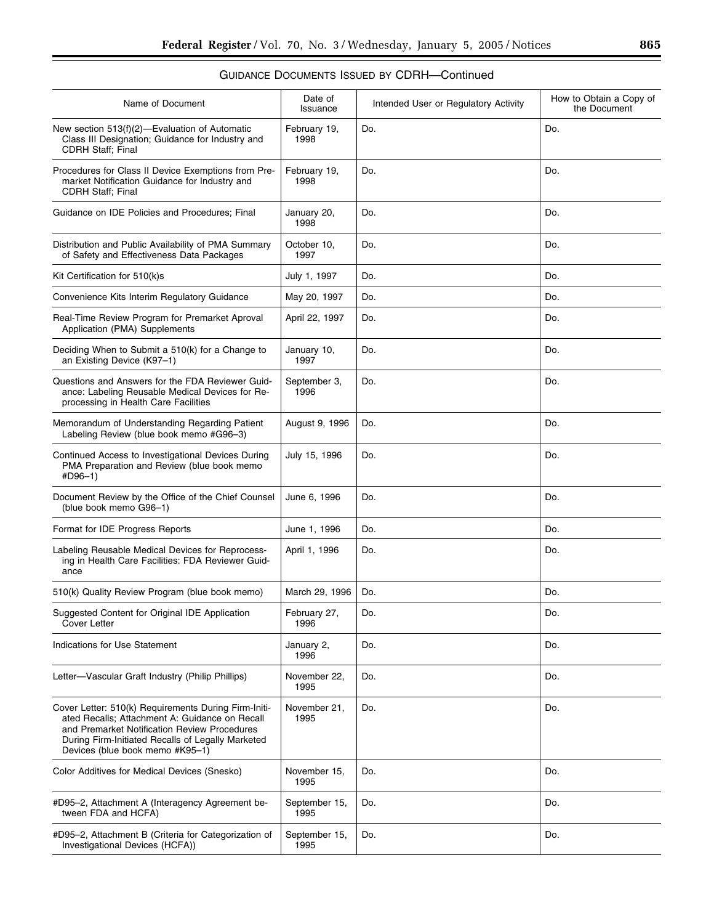| Name of Document                                                                                                                                                                                                                               | Date of<br>Issuance   | Intended User or Regulatory Activity | How to Obtain a Copy of<br>the Document |
|------------------------------------------------------------------------------------------------------------------------------------------------------------------------------------------------------------------------------------------------|-----------------------|--------------------------------------|-----------------------------------------|
| New section $513(f)(2)$ —Evaluation of Automatic<br>Class III Designation; Guidance for Industry and<br><b>CDRH Staff</b> ; Final                                                                                                              | February 19,<br>1998  | Do.                                  | Do.                                     |
| Procedures for Class II Device Exemptions from Pre-<br>market Notification Guidance for Industry and<br><b>CDRH Staff</b> ; Final                                                                                                              | February 19,<br>1998  | Do.                                  | Do.                                     |
| Guidance on IDE Policies and Procedures; Final                                                                                                                                                                                                 | January 20,<br>1998   | Do.                                  | Do.                                     |
| Distribution and Public Availability of PMA Summary<br>of Safety and Effectiveness Data Packages                                                                                                                                               | October 10,<br>1997   | Do.                                  | Do.                                     |
| Kit Certification for 510(k)s                                                                                                                                                                                                                  | July 1, 1997          | Do.                                  | Do.                                     |
| Convenience Kits Interim Regulatory Guidance                                                                                                                                                                                                   | May 20, 1997          | Do.                                  | Do.                                     |
| Real-Time Review Program for Premarket Aproval<br>Application (PMA) Supplements                                                                                                                                                                | April 22, 1997        | Do.                                  | Do.                                     |
| Deciding When to Submit a 510(k) for a Change to<br>an Existing Device (K97-1)                                                                                                                                                                 | January 10,<br>1997   | Do.                                  | Do.                                     |
| Questions and Answers for the FDA Reviewer Guid-<br>ance: Labeling Reusable Medical Devices for Re-<br>processing in Health Care Facilities                                                                                                    | September 3,<br>1996  | Do.                                  | Do.                                     |
| Memorandum of Understanding Regarding Patient<br>Labeling Review (blue book memo #G96-3)                                                                                                                                                       | August 9, 1996        | Do.                                  | Do.                                     |
| Continued Access to Investigational Devices During<br>PMA Preparation and Review (blue book memo<br>#D96-1)                                                                                                                                    | July 15, 1996         | Do.                                  | Do.                                     |
| Document Review by the Office of the Chief Counsel<br>(blue book memo G96-1)                                                                                                                                                                   | June 6, 1996          | Do.                                  | Do.                                     |
| Format for IDE Progress Reports                                                                                                                                                                                                                | June 1, 1996          | Do.                                  | Do.                                     |
| Labeling Reusable Medical Devices for Reprocess-<br>ing in Health Care Facilities: FDA Reviewer Guid-<br>ance                                                                                                                                  | April 1, 1996         | Do.                                  | Do.                                     |
| 510(k) Quality Review Program (blue book memo)                                                                                                                                                                                                 | March 29, 1996        | Do.                                  | Do.                                     |
| Suggested Content for Original IDE Application<br>Cover Letter                                                                                                                                                                                 | February 27,<br>1996  | Do.                                  | Do.                                     |
| <b>Indications for Use Statement</b>                                                                                                                                                                                                           | January 2,<br>1996    | Do.                                  | Do.                                     |
| Letter—Vascular Graft Industry (Philip Phillips)                                                                                                                                                                                               | November 22,<br>1995  | Do.                                  | Do.                                     |
| Cover Letter: 510(k) Requirements During Firm-Initi-<br>ated Recalls; Attachment A: Guidance on Recall<br>and Premarket Notification Review Procedures<br>During Firm-Initiated Recalls of Legally Marketed<br>Devices (blue book memo #K95-1) | November 21,<br>1995  | Do.                                  | Do.                                     |
| Color Additives for Medical Devices (Snesko)                                                                                                                                                                                                   | November 15,<br>1995  | Do.                                  | Do.                                     |
| #D95-2, Attachment A (Interagency Agreement be-<br>tween FDA and HCFA)                                                                                                                                                                         | September 15,<br>1995 | Do.                                  | Do.                                     |
| #D95-2, Attachment B (Criteria for Categorization of<br>Investigational Devices (HCFA))                                                                                                                                                        | September 15,<br>1995 | Do.                                  | Do.                                     |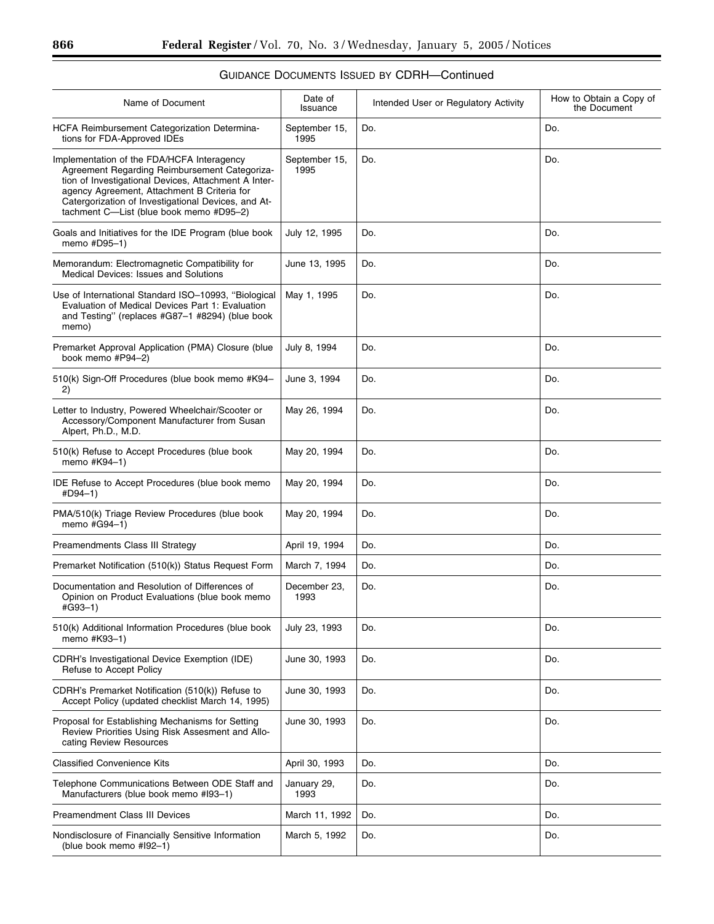| Name of Document                                                                                                                                                                                                                                                                                     | Date of<br>Issuance   | Intended User or Regulatory Activity | How to Obtain a Copy of<br>the Document |
|------------------------------------------------------------------------------------------------------------------------------------------------------------------------------------------------------------------------------------------------------------------------------------------------------|-----------------------|--------------------------------------|-----------------------------------------|
| HCFA Reimbursement Categorization Determina-<br>tions for FDA-Approved IDEs                                                                                                                                                                                                                          | September 15,<br>1995 | Do.                                  | Do.                                     |
| Implementation of the FDA/HCFA Interagency<br>Agreement Regarding Reimbursement Categoriza-<br>tion of Investigational Devices, Attachment A Inter-<br>agency Agreement, Attachment B Criteria for<br>Catergorization of Investigational Devices, and At-<br>tachment C-List (blue book memo #D95-2) | September 15,<br>1995 | Do.                                  | Do.                                     |
| Goals and Initiatives for the IDE Program (blue book<br>memo #D95-1)                                                                                                                                                                                                                                 | July 12, 1995         | Do.                                  | Do.                                     |
| Memorandum: Electromagnetic Compatibility for<br>Medical Devices: Issues and Solutions                                                                                                                                                                                                               | June 13, 1995         | Do.                                  | Do.                                     |
| Use of International Standard ISO-10993, "Biological<br>Evaluation of Medical Devices Part 1: Evaluation<br>and Testing" (replaces #G87-1 #8294) (blue book<br>memo)                                                                                                                                 | May 1, 1995           | Do.                                  | Do.                                     |
| Premarket Approval Application (PMA) Closure (blue<br>book memo #P94-2)                                                                                                                                                                                                                              | July 8, 1994          | Do.                                  | Do.                                     |
| 510(k) Sign-Off Procedures (blue book memo #K94-<br>2)                                                                                                                                                                                                                                               | June 3, 1994          | Do.                                  | Do.                                     |
| Letter to Industry, Powered Wheelchair/Scooter or<br>Accessory/Component Manufacturer from Susan<br>Alpert, Ph.D., M.D.                                                                                                                                                                              | May 26, 1994          | Do.                                  | Do.                                     |
| 510(k) Refuse to Accept Procedures (blue book<br>memo #K94-1)                                                                                                                                                                                                                                        | May 20, 1994          | Do.                                  | Do.                                     |
| <b>IDE Refuse to Accept Procedures (blue book memo</b><br>#D94-1)                                                                                                                                                                                                                                    | May 20, 1994          | Do.                                  | Do.                                     |
| PMA/510(k) Triage Review Procedures (blue book<br>memo #G94-1)                                                                                                                                                                                                                                       | May 20, 1994          | Do.                                  | Do.                                     |
| Preamendments Class III Strategy                                                                                                                                                                                                                                                                     | April 19, 1994        | Do.                                  | Do.                                     |
| Premarket Notification (510(k)) Status Request Form                                                                                                                                                                                                                                                  | March 7, 1994         | Do.                                  | Do.                                     |
| Documentation and Resolution of Differences of<br>Opinion on Product Evaluations (blue book memo<br>#G93-1)                                                                                                                                                                                          | December 23,<br>1993  | Do.                                  | Do.                                     |
| 510(k) Additional Information Procedures (blue book<br>memo #K93-1)                                                                                                                                                                                                                                  | July 23, 1993         | Do.                                  | Do.                                     |
| CDRH's Investigational Device Exemption (IDE)<br>Refuse to Accept Policy                                                                                                                                                                                                                             | June 30, 1993         | Do.                                  | Do.                                     |
| CDRH's Premarket Notification (510(k)) Refuse to<br>Accept Policy (updated checklist March 14, 1995)                                                                                                                                                                                                 | June 30, 1993         | Do.                                  | Do.                                     |
| Proposal for Establishing Mechanisms for Setting<br>Review Priorities Using Risk Assesment and Allo-<br>cating Review Resources                                                                                                                                                                      | June 30, 1993         | Do.                                  | Do.                                     |
| <b>Classified Convenience Kits</b>                                                                                                                                                                                                                                                                   | April 30, 1993        | Do.                                  | Do.                                     |
| Telephone Communications Between ODE Staff and<br>Manufacturers (blue book memo #193-1)                                                                                                                                                                                                              | January 29,<br>1993   | Do.                                  | Do.                                     |
| <b>Preamendment Class III Devices</b>                                                                                                                                                                                                                                                                | March 11, 1992        | Do.                                  | Do.                                     |
| Nondisclosure of Financially Sensitive Information<br>(blue book memo #192-1)                                                                                                                                                                                                                        | March 5, 1992         | Do.                                  | Do.                                     |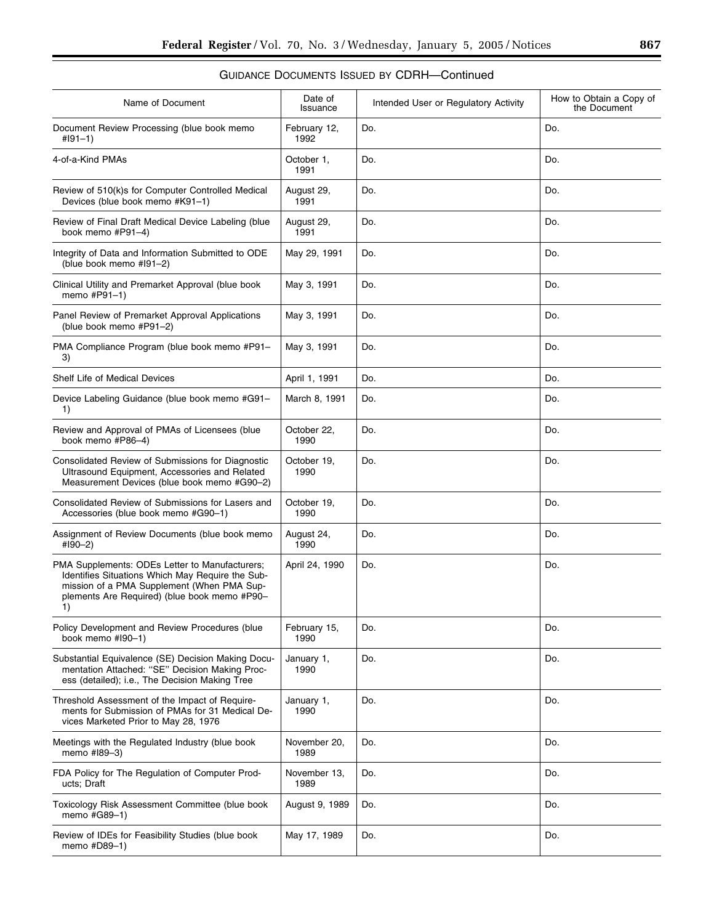| Name of Document                                                                                                                                                                                       | Date of<br>Issuance  | Intended User or Regulatory Activity | How to Obtain a Copy of<br>the Document |
|--------------------------------------------------------------------------------------------------------------------------------------------------------------------------------------------------------|----------------------|--------------------------------------|-----------------------------------------|
| Document Review Processing (blue book memo<br>$#191-1)$                                                                                                                                                | February 12,<br>1992 | Do.                                  | Do.                                     |
| 4-of-a-Kind PMAs                                                                                                                                                                                       | October 1,<br>1991   | Do.                                  | Do.                                     |
| Review of 510(k)s for Computer Controlled Medical<br>Devices (blue book memo #K91-1)                                                                                                                   | August 29,<br>1991   | Do.                                  | Do.                                     |
| Review of Final Draft Medical Device Labeling (blue<br>book memo #P91-4)                                                                                                                               | August 29,<br>1991   | Do.                                  | Do.                                     |
| Integrity of Data and Information Submitted to ODE<br>(blue book memo #191-2)                                                                                                                          | May 29, 1991         | Do.                                  | Do.                                     |
| Clinical Utility and Premarket Approval (blue book<br>memo #P91-1)                                                                                                                                     | May 3, 1991          | Do.                                  | Do.                                     |
| Panel Review of Premarket Approval Applications<br>(blue book memo #P91-2)                                                                                                                             | May 3, 1991          | Do.                                  | Do.                                     |
| PMA Compliance Program (blue book memo #P91-<br>3)                                                                                                                                                     | May 3, 1991          | Do.                                  | Do.                                     |
| Shelf Life of Medical Devices                                                                                                                                                                          | April 1, 1991        | Do.                                  | Do.                                     |
| Device Labeling Guidance (blue book memo #G91–<br>1)                                                                                                                                                   | March 8, 1991        | Do.                                  | Do.                                     |
| Review and Approval of PMAs of Licensees (blue<br>book memo #P86-4)                                                                                                                                    | October 22,<br>1990  | Do.                                  | Do.                                     |
| Consolidated Review of Submissions for Diagnostic<br>Ultrasound Equipment, Accessories and Related<br>Measurement Devices (blue book memo #G90-2)                                                      | October 19,<br>1990  | Do.                                  | Do.                                     |
| Consolidated Review of Submissions for Lasers and<br>Accessories (blue book memo #G90-1)                                                                                                               | October 19,<br>1990  | Do.                                  | Do.                                     |
| Assignment of Review Documents (blue book memo<br>#190-2)                                                                                                                                              | August 24,<br>1990   | Do.                                  | Do.                                     |
| PMA Supplements: ODEs Letter to Manufacturers;<br>Identifies Situations Which May Require the Sub-<br>mission of a PMA Supplement (When PMA Sup-<br>plements Are Required) (blue book memo #P90-<br>1) | April 24, 1990       | Do.                                  | Do.                                     |
| Policy Development and Review Procedures (blue<br>book memo #I90-1)                                                                                                                                    | February 15,<br>1990 | Do.                                  | Do.                                     |
| Substantial Equivalence (SE) Decision Making Docu-<br>mentation Attached: "SE" Decision Making Proc-<br>ess (detailed); i.e., The Decision Making Tree                                                 | January 1,<br>1990   | Do.                                  | Do.                                     |
| Threshold Assessment of the Impact of Require-<br>ments for Submission of PMAs for 31 Medical De-<br>vices Marketed Prior to May 28, 1976                                                              | January 1,<br>1990   | Do.                                  | Do.                                     |
| Meetings with the Regulated Industry (blue book<br>memo #189-3)                                                                                                                                        | November 20,<br>1989 | Do.                                  | Do.                                     |
| FDA Policy for The Regulation of Computer Prod-<br>ucts; Draft                                                                                                                                         | November 13,<br>1989 | Do.                                  | Do.                                     |
| Toxicology Risk Assessment Committee (blue book<br>memo #G89-1)                                                                                                                                        | August 9, 1989       | Do.                                  | Do.                                     |
| Review of IDEs for Feasibility Studies (blue book<br>memo #D89-1)                                                                                                                                      | May 17, 1989         | Do.                                  | Do.                                     |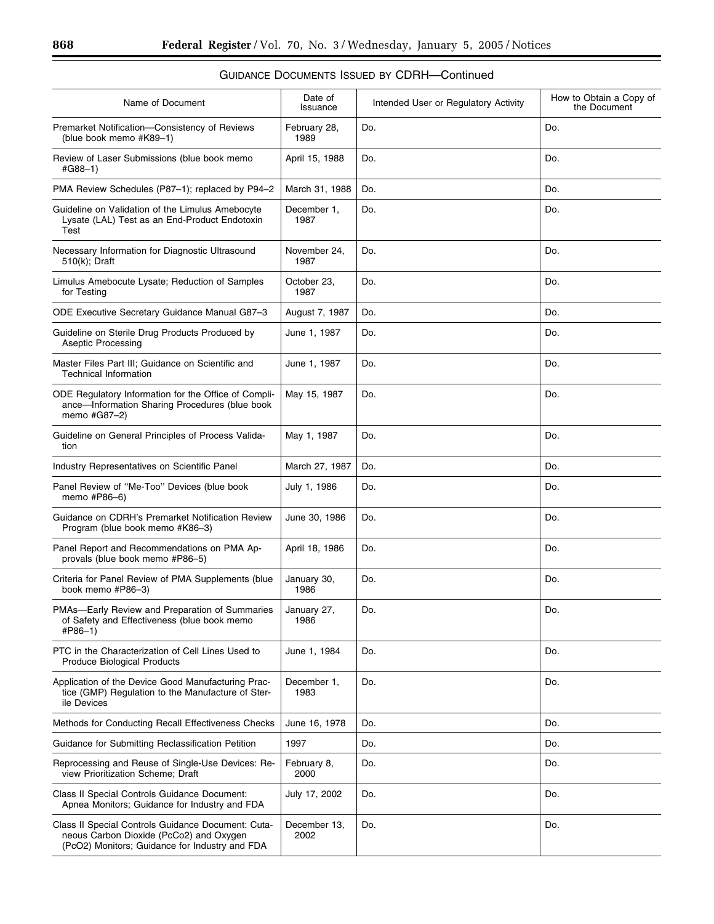| Name of Document                                                                                                                                | Date of<br>Issuance  | Intended User or Regulatory Activity | How to Obtain a Copy of<br>the Document |
|-------------------------------------------------------------------------------------------------------------------------------------------------|----------------------|--------------------------------------|-----------------------------------------|
| Premarket Notification-Consistency of Reviews<br>(blue book memo #K89-1)                                                                        | February 28,<br>1989 | Do.                                  | Do.                                     |
| Review of Laser Submissions (blue book memo<br>#G88-1)                                                                                          | April 15, 1988       | Do.                                  | Do.                                     |
| PMA Review Schedules (P87-1); replaced by P94-2                                                                                                 | March 31, 1988       | Do.                                  | Do.                                     |
| Guideline on Validation of the Limulus Amebocyte<br>Lysate (LAL) Test as an End-Product Endotoxin<br>Test                                       | December 1,<br>1987  | Do.                                  | Do.                                     |
| Necessary Information for Diagnostic Ultrasound<br>510(k); Draft                                                                                | November 24,<br>1987 | Do.                                  | Do.                                     |
| Limulus Amebocute Lysate; Reduction of Samples<br>for Testing                                                                                   | October 23,<br>1987  | Do.                                  | Do.                                     |
| ODE Executive Secretary Guidance Manual G87-3                                                                                                   | August 7, 1987       | Do.                                  | Do.                                     |
| Guideline on Sterile Drug Products Produced by<br><b>Aseptic Processing</b>                                                                     | June 1, 1987         | Do.                                  | Do.                                     |
| Master Files Part III; Guidance on Scientific and<br><b>Technical Information</b>                                                               | June 1, 1987         | Do.                                  | Do.                                     |
| ODE Regulatory Information for the Office of Compli-<br>ance-Information Sharing Procedures (blue book<br>memo #G87-2)                          | May 15, 1987         | Do.                                  | Do.                                     |
| Guideline on General Principles of Process Valida-<br>tion                                                                                      | May 1, 1987          | Do.                                  | Do.                                     |
| Industry Representatives on Scientific Panel                                                                                                    | March 27, 1987       | Do.                                  | Do.                                     |
| Panel Review of "Me-Too" Devices (blue book<br>memo #P86-6)                                                                                     | July 1, 1986         | Do.                                  | Do.                                     |
| Guidance on CDRH's Premarket Notification Review<br>Program (blue book memo #K86-3)                                                             | June 30, 1986        | Do.                                  | Do.                                     |
| Panel Report and Recommendations on PMA Ap-<br>provals (blue book memo #P86-5)                                                                  | April 18, 1986       | Do.                                  | Do.                                     |
| Criteria for Panel Review of PMA Supplements (blue<br>book memo #P86-3)                                                                         | January 30,<br>1986  | Do.                                  | Do.                                     |
| PMAs-Early Review and Preparation of Summaries<br>of Safety and Effectiveness (blue book memo<br>#P86-1)                                        | January 27,<br>1986  | Do.                                  | Do.                                     |
| PTC in the Characterization of Cell Lines Used to<br><b>Produce Biological Products</b>                                                         | June 1, 1984         | Do.                                  | Do.                                     |
| Application of the Device Good Manufacturing Prac-<br>tice (GMP) Regulation to the Manufacture of Ster-<br>ile Devices                          | December 1,<br>1983  | Do.                                  | Do.                                     |
| Methods for Conducting Recall Effectiveness Checks                                                                                              | June 16, 1978        | Do.                                  | Do.                                     |
| Guidance for Submitting Reclassification Petition                                                                                               | 1997                 | Do.                                  | Do.                                     |
| Reprocessing and Reuse of Single-Use Devices: Re-<br>view Prioritization Scheme; Draft                                                          | February 8,<br>2000  | Do.                                  | Do.                                     |
| Class II Special Controls Guidance Document:<br>Apnea Monitors; Guidance for Industry and FDA                                                   | July 17, 2002        | Do.                                  | Do.                                     |
| Class II Special Controls Guidance Document: Cuta-<br>neous Carbon Dioxide (PcCo2) and Oxygen<br>(PcO2) Monitors; Guidance for Industry and FDA | December 13,<br>2002 | Do.                                  | Do.                                     |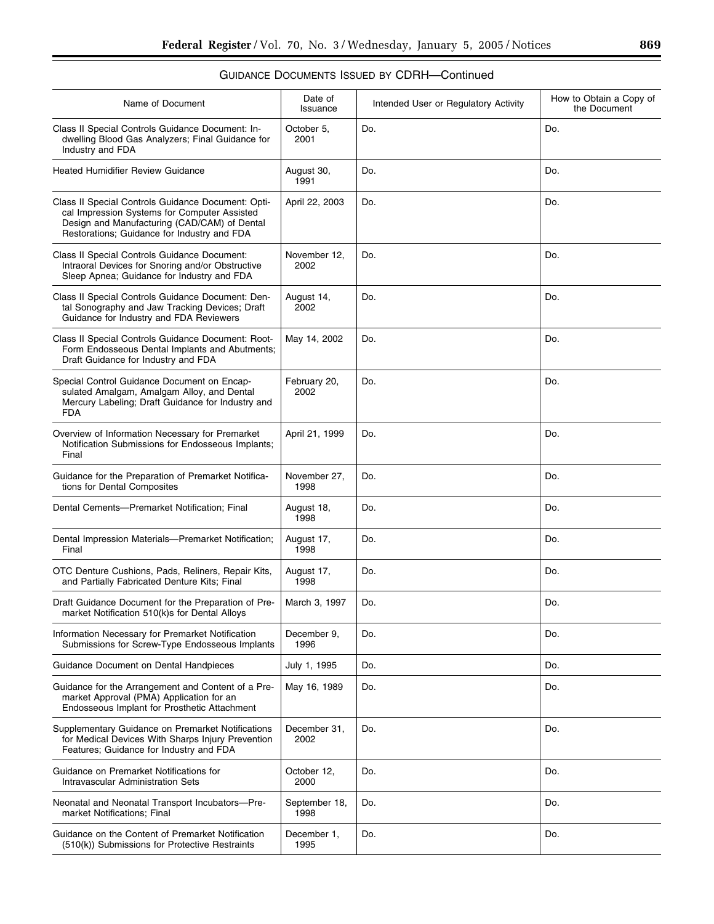| Name of Document                                                                                                                                                                                  | Date of<br>Issuance   | Intended User or Regulatory Activity | How to Obtain a Copy of<br>the Document |
|---------------------------------------------------------------------------------------------------------------------------------------------------------------------------------------------------|-----------------------|--------------------------------------|-----------------------------------------|
| Class II Special Controls Guidance Document: In-<br>dwelling Blood Gas Analyzers; Final Guidance for<br>Industry and FDA                                                                          | October 5,<br>2001    | Do.                                  | Do.                                     |
| <b>Heated Humidifier Review Guidance</b>                                                                                                                                                          | August 30,<br>1991    | Do.                                  | Do.                                     |
| Class II Special Controls Guidance Document: Opti-<br>cal Impression Systems for Computer Assisted<br>Design and Manufacturing (CAD/CAM) of Dental<br>Restorations; Guidance for Industry and FDA | April 22, 2003        | Do.                                  | Do.                                     |
| Class II Special Controls Guidance Document:<br>Intraoral Devices for Snoring and/or Obstructive<br>Sleep Apnea; Guidance for Industry and FDA                                                    | November 12,<br>2002  | Do.                                  | Do.                                     |
| Class II Special Controls Guidance Document: Den-<br>tal Sonography and Jaw Tracking Devices; Draft<br>Guidance for Industry and FDA Reviewers                                                    | August 14,<br>2002    | Do.                                  | Do.                                     |
| Class II Special Controls Guidance Document: Root-<br>Form Endosseous Dental Implants and Abutments;<br>Draft Guidance for Industry and FDA                                                       | May 14, 2002          | Do.                                  | Do.                                     |
| Special Control Guidance Document on Encap-<br>sulated Amalgam, Amalgam Alloy, and Dental<br>Mercury Labeling; Draft Guidance for Industry and<br><b>FDA</b>                                      | February 20,<br>2002  | Do.                                  | Do.                                     |
| Overview of Information Necessary for Premarket<br>Notification Submissions for Endosseous Implants;<br>Final                                                                                     | April 21, 1999        | Do.                                  | Do.                                     |
| Guidance for the Preparation of Premarket Notifica-<br>tions for Dental Composites                                                                                                                | November 27,<br>1998  | Do.                                  | Do.                                     |
| Dental Cements-Premarket Notification; Final                                                                                                                                                      | August 18,<br>1998    | Do.                                  | Do.                                     |
| Dental Impression Materials-Premarket Notification;<br>Final                                                                                                                                      | August 17,<br>1998    | Do.                                  | Do.                                     |
| OTC Denture Cushions, Pads, Reliners, Repair Kits,<br>and Partially Fabricated Denture Kits; Final                                                                                                | August 17,<br>1998    | Do.                                  | Do.                                     |
| Draft Guidance Document for the Preparation of Pre-<br>market Notification 510(k)s for Dental Alloys                                                                                              | March 3, 1997         | Do.                                  | Do.                                     |
| Information Necessary for Premarket Notification<br>Submissions for Screw-Type Endosseous Implants                                                                                                | December 9,<br>1996   | Do.                                  | Do.                                     |
| Guidance Document on Dental Handpieces                                                                                                                                                            | July 1, 1995          | Do.                                  | Do.                                     |
| Guidance for the Arrangement and Content of a Pre-<br>market Approval (PMA) Application for an<br>Endosseous Implant for Prosthetic Attachment                                                    | May 16, 1989          | Do.                                  | Do.                                     |
| Supplementary Guidance on Premarket Notifications<br>for Medical Devices With Sharps Injury Prevention<br>Features; Guidance for Industry and FDA                                                 | December 31,<br>2002  | Do.                                  | Do.                                     |
| Guidance on Premarket Notifications for<br><b>Intravascular Administration Sets</b>                                                                                                               | October 12,<br>2000   | Do.                                  | Do.                                     |
| Neonatal and Neonatal Transport Incubators-Pre-<br>market Notifications; Final                                                                                                                    | September 18,<br>1998 | Do.                                  | Do.                                     |
| Guidance on the Content of Premarket Notification<br>(510(k)) Submissions for Protective Restraints                                                                                               | December 1,<br>1995   | Do.                                  | Do.                                     |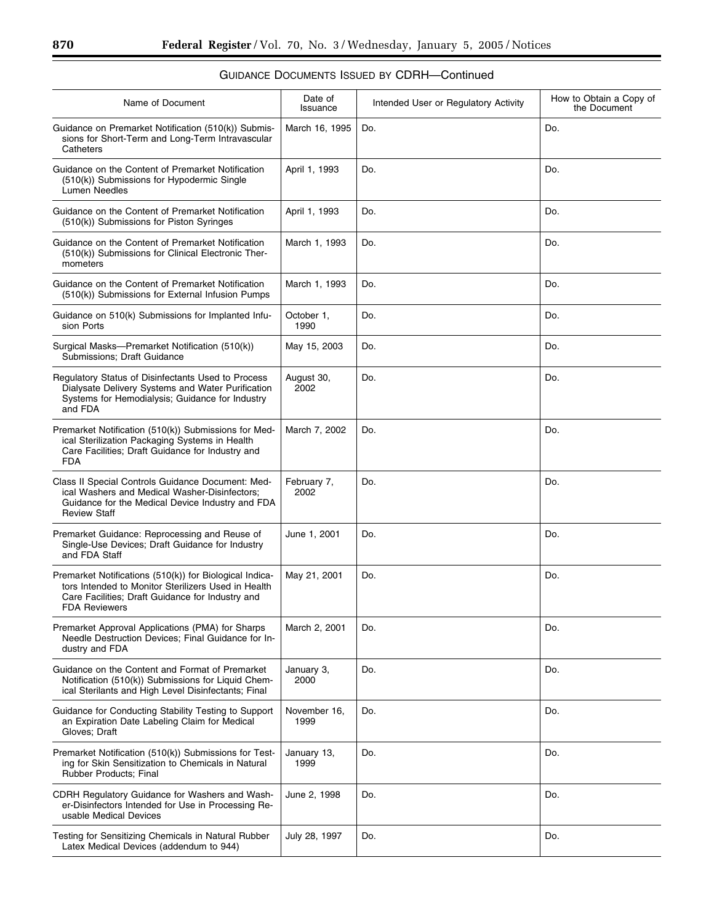| Name of Document                                                                                                                                                                           | Date of<br>Issuance  | Intended User or Regulatory Activity | How to Obtain a Copy of<br>the Document |
|--------------------------------------------------------------------------------------------------------------------------------------------------------------------------------------------|----------------------|--------------------------------------|-----------------------------------------|
| Guidance on Premarket Notification (510(k)) Submis-<br>sions for Short-Term and Long-Term Intravascular<br>Catheters                                                                       | March 16, 1995       | Do.                                  | Do.                                     |
| Guidance on the Content of Premarket Notification<br>(510(k)) Submissions for Hypodermic Single<br><b>Lumen Needles</b>                                                                    | April 1, 1993        | Do.                                  | Do.                                     |
| Guidance on the Content of Premarket Notification<br>(510(k)) Submissions for Piston Syringes                                                                                              | April 1, 1993        | Do.                                  | Do.                                     |
| Guidance on the Content of Premarket Notification<br>(510(k)) Submissions for Clinical Electronic Ther-<br>mometers                                                                        | March 1, 1993        | Do.                                  | Do.                                     |
| Guidance on the Content of Premarket Notification<br>(510(k)) Submissions for External Infusion Pumps                                                                                      | March 1, 1993        | Do.                                  | Do.                                     |
| Guidance on 510(k) Submissions for Implanted Infu-<br>sion Ports                                                                                                                           | October 1,<br>1990   | Do.                                  | Do.                                     |
| Surgical Masks-Premarket Notification (510(k))<br>Submissions: Draft Guidance                                                                                                              | May 15, 2003         | Do.                                  | Do.                                     |
| Regulatory Status of Disinfectants Used to Process<br>Dialysate Delivery Systems and Water Purification<br>Systems for Hemodialysis; Guidance for Industry<br>and FDA                      | August 30,<br>2002   | Do.                                  | Do.                                     |
| Premarket Notification (510(k)) Submissions for Med-<br>ical Sterilization Packaging Systems in Health<br>Care Facilities; Draft Guidance for Industry and<br><b>FDA</b>                   | March 7, 2002        | Do.                                  | Do.                                     |
| Class II Special Controls Guidance Document: Med-<br>ical Washers and Medical Washer-Disinfectors;<br>Guidance for the Medical Device Industry and FDA<br><b>Review Staff</b>              | February 7,<br>2002  | Do.                                  | Do.                                     |
| Premarket Guidance: Reprocessing and Reuse of<br>Single-Use Devices; Draft Guidance for Industry<br>and FDA Staff                                                                          | June 1, 2001         | Do.                                  | Do.                                     |
| Premarket Notifications (510(k)) for Biological Indica-<br>tors Intended to Monitor Sterilizers Used in Health<br>Care Facilities; Draft Guidance for Industry and<br><b>FDA Reviewers</b> | May 21, 2001         | Do.                                  | Do.                                     |
| Premarket Approval Applications (PMA) for Sharps<br>Needle Destruction Devices; Final Guidance for In-<br>dustry and FDA                                                                   | March 2, 2001        | Do.                                  | Do.                                     |
| Guidance on the Content and Format of Premarket<br>Notification (510(k)) Submissions for Liquid Chem-<br>ical Sterilants and High Level Disinfectants; Final                               | January 3,<br>2000   | Do.                                  | Do.                                     |
| Guidance for Conducting Stability Testing to Support<br>an Expiration Date Labeling Claim for Medical<br>Gloves; Draft                                                                     | November 16,<br>1999 | Do.                                  | Do.                                     |
| Premarket Notification (510(k)) Submissions for Test-<br>ing for Skin Sensitization to Chemicals in Natural<br>Rubber Products; Final                                                      | January 13,<br>1999  | Do.                                  | Do.                                     |
| CDRH Regulatory Guidance for Washers and Wash-<br>er-Disinfectors Intended for Use in Processing Re-<br>usable Medical Devices                                                             | June 2, 1998         | Do.                                  | Do.                                     |
| Testing for Sensitizing Chemicals in Natural Rubber<br>Latex Medical Devices (addendum to 944)                                                                                             | July 28, 1997        | Do.                                  | Do.                                     |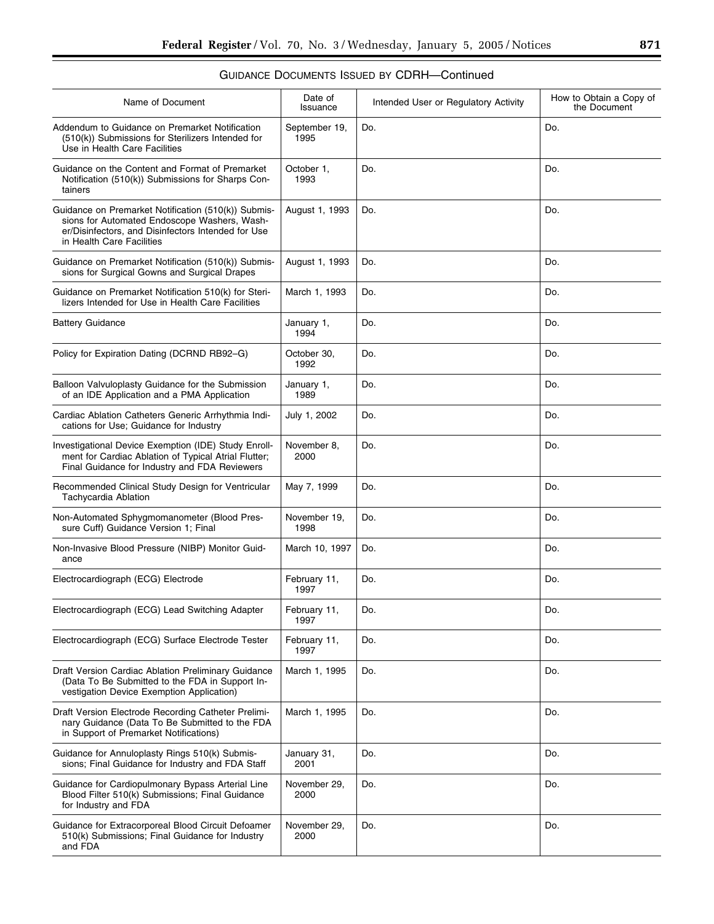| Name of Document                                                                                                                                                                       | Date of<br>Issuance   | Intended User or Regulatory Activity | How to Obtain a Copy of<br>the Document |
|----------------------------------------------------------------------------------------------------------------------------------------------------------------------------------------|-----------------------|--------------------------------------|-----------------------------------------|
| Addendum to Guidance on Premarket Notification<br>(510(k)) Submissions for Sterilizers Intended for<br>Use in Health Care Facilities                                                   | September 19,<br>1995 | Do.                                  | Do.                                     |
| Guidance on the Content and Format of Premarket<br>Notification (510(k)) Submissions for Sharps Con-<br>tainers                                                                        | October 1,<br>1993    | Do.                                  | Do.                                     |
| Guidance on Premarket Notification (510(k)) Submis-<br>sions for Automated Endoscope Washers, Wash-<br>er/Disinfectors, and Disinfectors Intended for Use<br>in Health Care Facilities | August 1, 1993        | Do.                                  | Do.                                     |
| Guidance on Premarket Notification (510(k)) Submis-<br>sions for Surgical Gowns and Surgical Drapes                                                                                    | August 1, 1993        | Do.                                  | Do.                                     |
| Guidance on Premarket Notification 510(k) for Steri-<br>lizers Intended for Use in Health Care Facilities                                                                              | March 1, 1993         | Do.                                  | Do.                                     |
| <b>Battery Guidance</b>                                                                                                                                                                | January 1,<br>1994    | Do.                                  | Do.                                     |
| Policy for Expiration Dating (DCRND RB92-G)                                                                                                                                            | October 30,<br>1992   | Do.                                  | Do.                                     |
| Balloon Valvuloplasty Guidance for the Submission<br>of an IDE Application and a PMA Application                                                                                       | January 1,<br>1989    | Do.                                  | Do.                                     |
| Cardiac Ablation Catheters Generic Arrhythmia Indi-<br>cations for Use; Guidance for Industry                                                                                          | July 1, 2002          | Do.                                  | Do.                                     |
| Investigational Device Exemption (IDE) Study Enroll-<br>ment for Cardiac Ablation of Typical Atrial Flutter;<br>Final Guidance for Industry and FDA Reviewers                          | November 8,<br>2000   | Do.                                  | Do.                                     |
| Recommended Clinical Study Design for Ventricular<br>Tachycardia Ablation                                                                                                              | May 7, 1999           | Do.                                  | Do.                                     |
| Non-Automated Sphygmomanometer (Blood Pres-<br>sure Cuff) Guidance Version 1; Final                                                                                                    | November 19,<br>1998  | Do.                                  | Do.                                     |
| Non-Invasive Blood Pressure (NIBP) Monitor Guid-<br>ance                                                                                                                               | March 10, 1997        | Do.                                  | Do.                                     |
| Electrocardiograph (ECG) Electrode                                                                                                                                                     | February 11,<br>1997  | Do.                                  | Do.                                     |
| Electrocardiograph (ECG) Lead Switching Adapter                                                                                                                                        | February 11,<br>1997  | Do.                                  | Do.                                     |
| Electrocardiograph (ECG) Surface Electrode Tester                                                                                                                                      | February 11,<br>1997  | Do.                                  | Do.                                     |
| Draft Version Cardiac Ablation Preliminary Guidance<br>(Data To Be Submitted to the FDA in Support In-<br>vestigation Device Exemption Application)                                    | March 1, 1995         | Do.                                  | Do.                                     |
| Draft Version Electrode Recording Catheter Prelimi-<br>nary Guidance (Data To Be Submitted to the FDA<br>in Support of Premarket Notifications)                                        | March 1, 1995         | Do.                                  | Do.                                     |
| Guidance for Annuloplasty Rings 510(k) Submis-<br>sions; Final Guidance for Industry and FDA Staff                                                                                     | January 31,<br>2001   | Do.                                  | Do.                                     |
| Guidance for Cardiopulmonary Bypass Arterial Line<br>Blood Filter 510(k) Submissions; Final Guidance<br>for Industry and FDA                                                           | November 29,<br>2000  | Do.                                  | Do.                                     |
| Guidance for Extracorporeal Blood Circuit Defoamer<br>510(k) Submissions; Final Guidance for Industry<br>and FDA                                                                       | November 29,<br>2000  | Do.                                  | Do.                                     |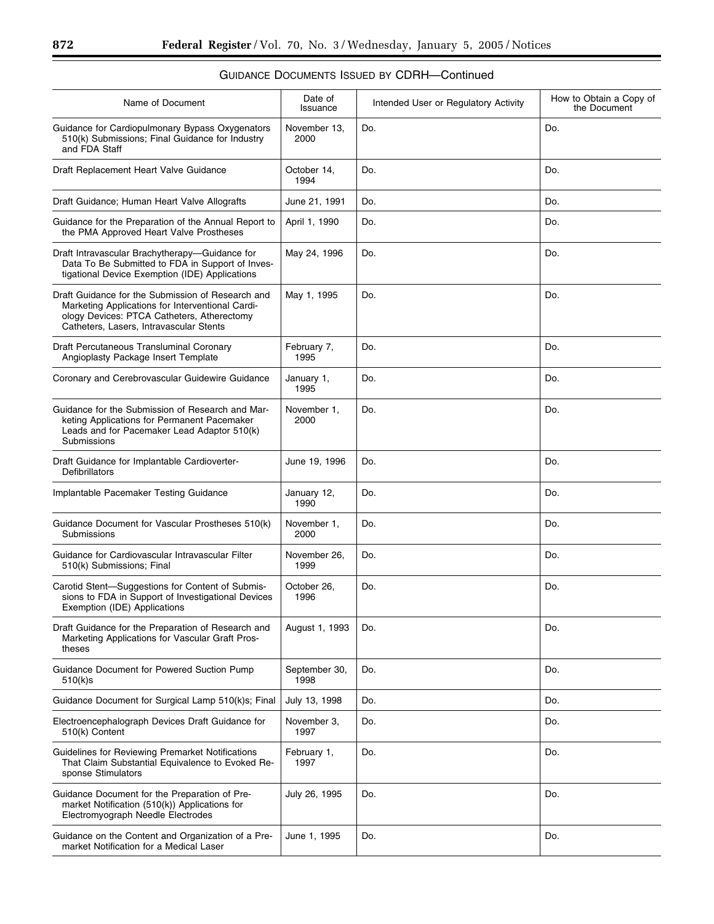| Name of Document                                                                                                                                                                               | Date of<br>Issuance   | Intended User or Regulatory Activity | How to Obtain a Copy of<br>the Document |
|------------------------------------------------------------------------------------------------------------------------------------------------------------------------------------------------|-----------------------|--------------------------------------|-----------------------------------------|
| Guidance for Cardiopulmonary Bypass Oxygenators<br>510(k) Submissions; Final Guidance for Industry<br>and FDA Staff                                                                            | November 13,<br>2000  | Do.                                  | Do.                                     |
| Draft Replacement Heart Valve Guidance                                                                                                                                                         | October 14,<br>1994   | Do.                                  | Do.                                     |
| Draft Guidance; Human Heart Valve Allografts                                                                                                                                                   | June 21, 1991         | Do.                                  | Do.                                     |
| Guidance for the Preparation of the Annual Report to<br>the PMA Approved Heart Valve Prostheses                                                                                                | April 1, 1990         | Do.                                  | Do.                                     |
| Draft Intravascular Brachytherapy-Guidance for<br>Data To Be Submitted to FDA in Support of Inves-<br>tigational Device Exemption (IDE) Applications                                           | May 24, 1996          | Do.                                  | Do.                                     |
| Draft Guidance for the Submission of Research and<br>Marketing Applications for Interventional Cardi-<br>ology Devices: PTCA Catheters, Atherectomy<br>Catheters. Lasers. Intravascular Stents | May 1, 1995           | Do.                                  | Do.                                     |
| Draft Percutaneous Transluminal Coronary<br>Angioplasty Package Insert Template                                                                                                                | February 7,<br>1995   | Do.                                  | Do.                                     |
| Coronary and Cerebrovascular Guidewire Guidance                                                                                                                                                | January 1,<br>1995    | Do.                                  | Do.                                     |
| Guidance for the Submission of Research and Mar-<br>keting Applications for Permanent Pacemaker<br>Leads and for Pacemaker Lead Adaptor 510(k)<br>Submissions                                  | November 1,<br>2000   | Do.                                  | Do.                                     |
| Draft Guidance for Implantable Cardioverter-<br>Defibrillators                                                                                                                                 | June 19, 1996         | Do.                                  | Do.                                     |
| Implantable Pacemaker Testing Guidance                                                                                                                                                         | January 12,<br>1990   | Do.                                  | Do.                                     |
| Guidance Document for Vascular Prostheses 510(k)<br>Submissions                                                                                                                                | November 1,<br>2000   | Do.                                  | Do.                                     |
| Guidance for Cardiovascular Intravascular Filter<br>510(k) Submissions; Final                                                                                                                  | November 26,<br>1999  | Do.                                  | Do.                                     |
| Carotid Stent-Suggestions for Content of Submis-<br>sions to FDA in Support of Investigational Devices<br>Exemption (IDE) Applications                                                         | October 26,<br>1996   | Do.                                  | Do.                                     |
| Draft Guidance for the Preparation of Research and<br>Marketing Applications for Vascular Graft Pros-<br>theses                                                                                | August 1, 1993        | Do.                                  | Do.                                     |
| Guidance Document for Powered Suction Pump<br>510(k)s                                                                                                                                          | September 30,<br>1998 | Do.                                  | Do.                                     |
| Guidance Document for Surgical Lamp 510(k)s; Final                                                                                                                                             | July 13, 1998         | Do.                                  | Do.                                     |
| Electroencephalograph Devices Draft Guidance for<br>510(k) Content                                                                                                                             | November 3,<br>1997   | Do.                                  | Do.                                     |
| Guidelines for Reviewing Premarket Notifications<br>That Claim Substantial Equivalence to Evoked Re-<br>sponse Stimulators                                                                     | February 1,<br>1997   | Do.                                  | Do.                                     |
| Guidance Document for the Preparation of Pre-                                                                                                                                                  | July 26, 1995         | Do.                                  | Do.                                     |

June 1, 1995 Do. 2010 Do.

#### GUIDANCE DOCUMENTS ISSUED BY CDRH—Continued

market Notification (510(k)) Applications for Electromyograph Needle Electrodes

Guidance on the Content and Organization of a Premarket Notification for a Medical Laser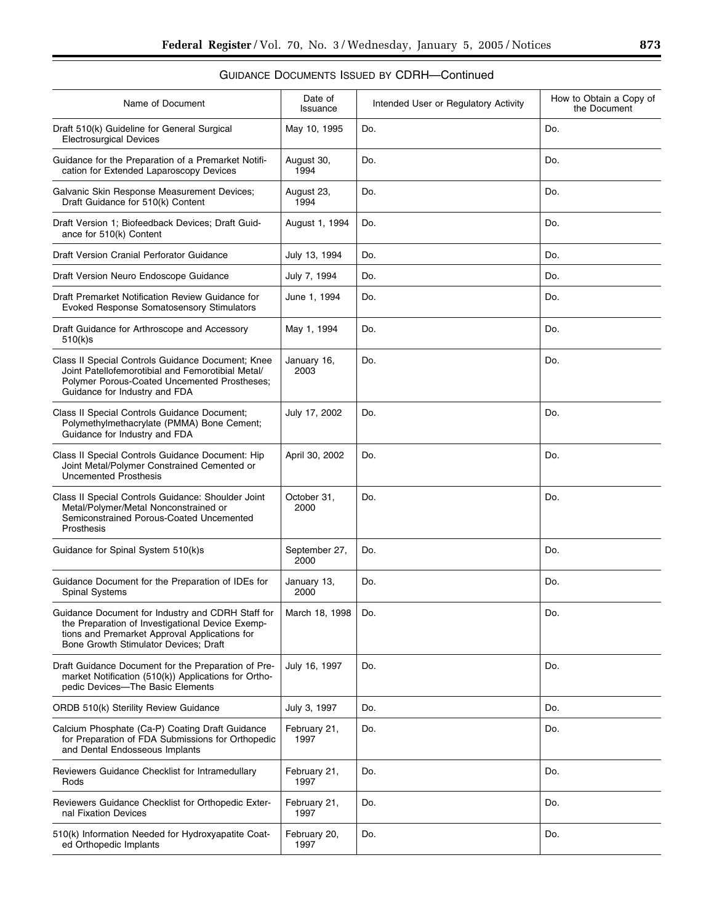| Name of Document                                                                                                                                                                                | Date of<br>Issuance   | Intended User or Regulatory Activity | How to Obtain a Copy of<br>the Document |
|-------------------------------------------------------------------------------------------------------------------------------------------------------------------------------------------------|-----------------------|--------------------------------------|-----------------------------------------|
| Draft 510(k) Guideline for General Surgical<br><b>Electrosurgical Devices</b>                                                                                                                   | May 10, 1995          | Do.                                  | Do.                                     |
| Guidance for the Preparation of a Premarket Notifi-<br>cation for Extended Laparoscopy Devices                                                                                                  | August 30,<br>1994    | Do.                                  | Do.                                     |
| Galvanic Skin Response Measurement Devices;<br>Draft Guidance for 510(k) Content                                                                                                                | August 23,<br>1994    | Do.                                  | Do.                                     |
| Draft Version 1; Biofeedback Devices; Draft Guid-<br>ance for 510(k) Content                                                                                                                    | August 1, 1994        | Do.                                  | Do.                                     |
| Draft Version Cranial Perforator Guidance                                                                                                                                                       | July 13, 1994         | Do.                                  | Do.                                     |
| Draft Version Neuro Endoscope Guidance                                                                                                                                                          | July 7, 1994          | Do.                                  | Do.                                     |
| Draft Premarket Notification Review Guidance for<br>Evoked Response Somatosensory Stimulators                                                                                                   | June 1, 1994          | Do.                                  | Do.                                     |
| Draft Guidance for Arthroscope and Accessory<br>510(k)s                                                                                                                                         | May 1, 1994           | Do.                                  | Do.                                     |
| Class II Special Controls Guidance Document; Knee<br>Joint Patellofemorotibial and Femorotibial Metal/<br>Polymer Porous-Coated Uncemented Prostheses;<br>Guidance for Industry and FDA         | January 16,<br>2003   | Do.                                  | Do.                                     |
| Class II Special Controls Guidance Document;<br>Polymethylmethacrylate (PMMA) Bone Cement;<br>Guidance for Industry and FDA                                                                     | July 17, 2002         | Do.                                  | Do.                                     |
| Class II Special Controls Guidance Document: Hip<br>Joint Metal/Polymer Constrained Cemented or<br><b>Uncemented Prosthesis</b>                                                                 | April 30, 2002        | Do.                                  | Do.                                     |
| Class II Special Controls Guidance: Shoulder Joint<br>Metal/Polymer/Metal Nonconstrained or<br>Semiconstrained Porous-Coated Uncemented<br>Prosthesis                                           | October 31,<br>2000   | Do.                                  | Do.                                     |
| Guidance for Spinal System 510(k)s                                                                                                                                                              | September 27,<br>2000 | Do.                                  | Do.                                     |
| Guidance Document for the Preparation of IDEs for<br><b>Spinal Systems</b>                                                                                                                      | January 13,<br>2000   | Do.                                  | Do.                                     |
| Guidance Document for Industry and CDRH Staff for<br>the Preparation of Investigational Device Exemp-<br>tions and Premarket Approval Applications for<br>Bone Growth Stimulator Devices: Draft | March 18, 1998        | Do.                                  | Do.                                     |
| Draft Guidance Document for the Preparation of Pre-<br>market Notification (510(k)) Applications for Ortho-<br>pedic Devices-The Basic Elements                                                 | July 16, 1997         | Do.                                  | Do.                                     |
| ORDB 510(k) Sterility Review Guidance                                                                                                                                                           | July 3, 1997          | Do.                                  | Do.                                     |
| Calcium Phosphate (Ca-P) Coating Draft Guidance<br>for Preparation of FDA Submissions for Orthopedic<br>and Dental Endosseous Implants                                                          | February 21,<br>1997  | Do.                                  | Do.                                     |
| Reviewers Guidance Checklist for Intramedullary<br>Rods                                                                                                                                         | February 21,<br>1997  | Do.                                  | Do.                                     |
| Reviewers Guidance Checklist for Orthopedic Exter-<br>nal Fixation Devices                                                                                                                      | February 21,<br>1997  | Do.                                  | Do.                                     |
| 510(k) Information Needed for Hydroxyapatite Coat-<br>ed Orthopedic Implants                                                                                                                    | February 20,<br>1997  | Do.                                  | Do.                                     |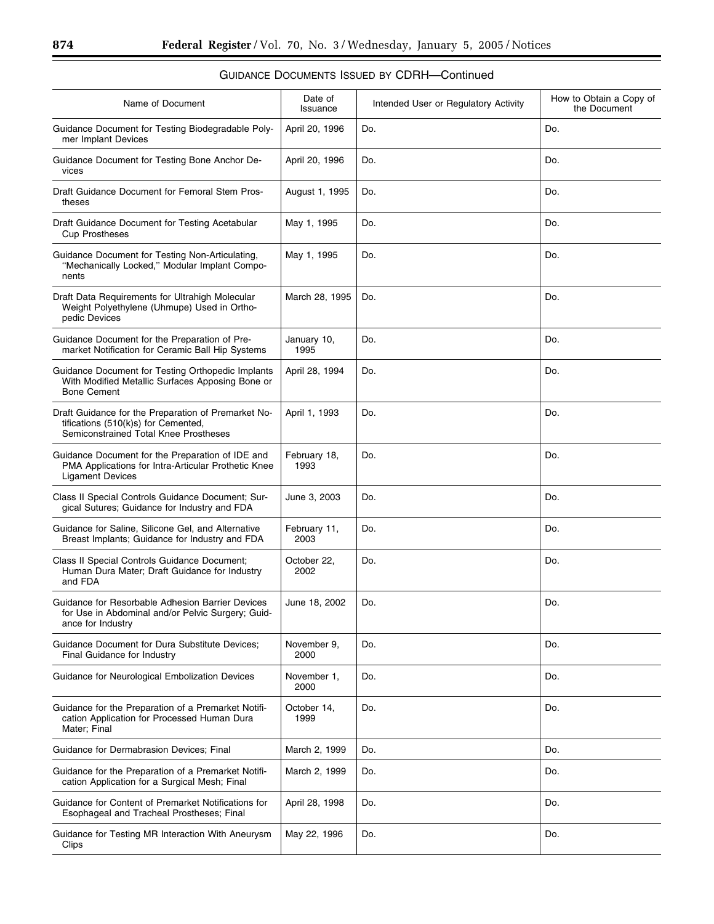| Name of Document                                                                                                                    | Date of<br>Issuance  | Intended User or Regulatory Activity | How to Obtain a Copy of<br>the Document |
|-------------------------------------------------------------------------------------------------------------------------------------|----------------------|--------------------------------------|-----------------------------------------|
| Guidance Document for Testing Biodegradable Poly-<br>mer Implant Devices                                                            | April 20, 1996       | Do.                                  | Do.                                     |
| Guidance Document for Testing Bone Anchor De-<br>vices                                                                              | April 20, 1996       | Do.                                  | Do.                                     |
| Draft Guidance Document for Femoral Stem Pros-<br>theses                                                                            | August 1, 1995       | Do.                                  | Do.                                     |
| Draft Guidance Document for Testing Acetabular<br><b>Cup Prostheses</b>                                                             | May 1, 1995          | Do.                                  | Do.                                     |
| Guidance Document for Testing Non-Articulating,<br>"Mechanically Locked," Modular Implant Compo-<br>nents                           | May 1, 1995          | Do.                                  | Do.                                     |
| Draft Data Requirements for Ultrahigh Molecular<br>Weight Polyethylene (Uhmupe) Used in Ortho-<br>pedic Devices                     | March 28, 1995       | Do.                                  | Do.                                     |
| Guidance Document for the Preparation of Pre-<br>market Notification for Ceramic Ball Hip Systems                                   | January 10,<br>1995  | Do.                                  | Do.                                     |
| Guidance Document for Testing Orthopedic Implants<br>With Modified Metallic Surfaces Apposing Bone or<br><b>Bone Cement</b>         | April 28, 1994       | Do.                                  | Do.                                     |
| Draft Guidance for the Preparation of Premarket No-<br>tifications (510(k)s) for Cemented,<br>Semiconstrained Total Knee Prostheses | April 1, 1993        | Do.                                  | Do.                                     |
| Guidance Document for the Preparation of IDE and<br>PMA Applications for Intra-Articular Prothetic Knee<br><b>Ligament Devices</b>  | February 18,<br>1993 | Do.                                  | Do.                                     |
| Class II Special Controls Guidance Document; Sur-<br>gical Sutures; Guidance for Industry and FDA                                   | June 3, 2003         | Do.                                  | Do.                                     |
| Guidance for Saline, Silicone Gel, and Alternative<br>Breast Implants; Guidance for Industry and FDA                                | February 11,<br>2003 | Do.                                  | Do.                                     |
| Class II Special Controls Guidance Document;<br>Human Dura Mater; Draft Guidance for Industry<br>and FDA                            | October 22,<br>2002  | Do.                                  | Do.                                     |
| Guidance for Resorbable Adhesion Barrier Devices<br>for Use in Abdominal and/or Pelvic Surgery; Guid-<br>ance for Industry          | June 18, 2002        | Do.                                  | Do.                                     |
| <b>Guidance Document for Dura Substitute Devices;</b><br>Final Guidance for Industry                                                | November 9,<br>2000  | Do.                                  | Do.                                     |
| Guidance for Neurological Embolization Devices                                                                                      | November 1,<br>2000  | Do.                                  | Do.                                     |
| Guidance for the Preparation of a Premarket Notifi-<br>cation Application for Processed Human Dura<br>Mater; Final                  | October 14,<br>1999  | Do.                                  | Do.                                     |
| Guidance for Dermabrasion Devices; Final                                                                                            | March 2, 1999        | Do.                                  | Do.                                     |
| Guidance for the Preparation of a Premarket Notifi-<br>cation Application for a Surgical Mesh; Final                                | March 2, 1999        | Do.                                  | Do.                                     |
| Guidance for Content of Premarket Notifications for<br>Esophageal and Tracheal Prostheses; Final                                    | April 28, 1998       | Do.                                  | Do.                                     |
| Guidance for Testing MR Interaction With Aneurysm<br>Clips                                                                          | May 22, 1996         | Do.                                  | Do.                                     |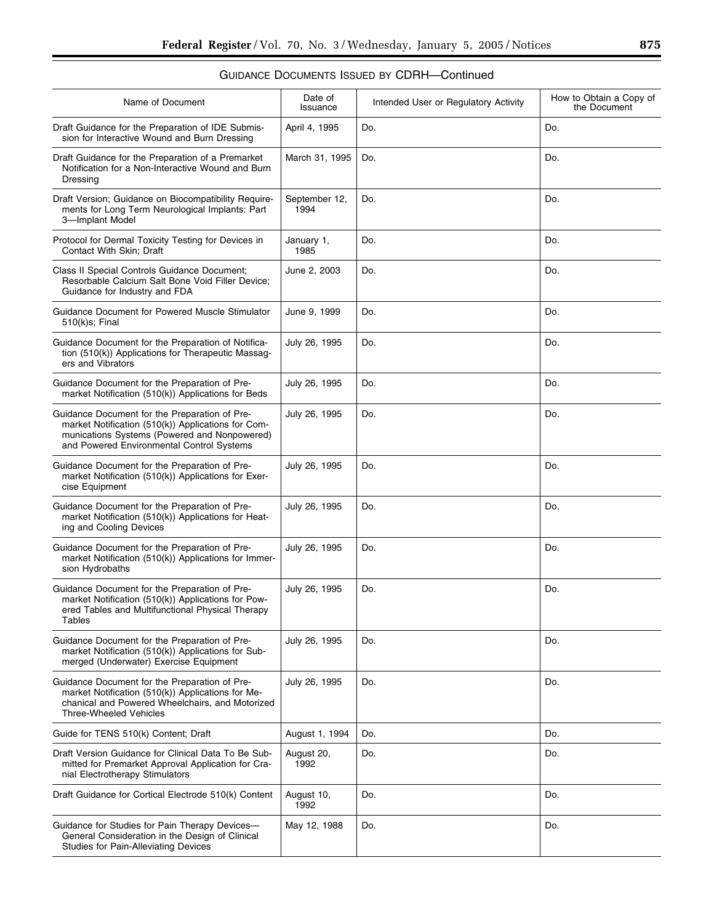| Name of Document                                                                                                                                                                                 | Date of<br>Issuance   | Intended User or Regulatory Activity | How to Obtain a Copy of<br>the Document |
|--------------------------------------------------------------------------------------------------------------------------------------------------------------------------------------------------|-----------------------|--------------------------------------|-----------------------------------------|
| Draft Guidance for the Preparation of IDE Submis-<br>sion for Interactive Wound and Burn Dressing                                                                                                | April 4, 1995         | Do.                                  | Do.                                     |
| Draft Guidance for the Preparation of a Premarket<br>Notification for a Non-Interactive Wound and Burn<br>Dressing                                                                               | March 31, 1995        | Do.                                  | Do.                                     |
| Draft Version; Guidance on Biocompatibility Require-<br>ments for Long Term Neurological Implants: Part<br>3-Implant Model                                                                       | September 12,<br>1994 | Do.                                  | Do.                                     |
| Protocol for Dermal Toxicity Testing for Devices in<br>Contact With Skin; Draft                                                                                                                  | January 1,<br>1985    | Do.                                  | Do.                                     |
| Class II Special Controls Guidance Document;<br>Resorbable Calcium Salt Bone Void Filler Device;<br>Guidance for Industry and FDA                                                                | June 2, 2003          | Do.                                  | Do.                                     |
| Guidance Document for Powered Muscle Stimulator<br>510(k)s; Final                                                                                                                                | June 9, 1999          | Do.                                  | Do.                                     |
| Guidance Document for the Preparation of Notifica-<br>tion (510(k)) Applications for Therapeutic Massag-<br>ers and Vibrators                                                                    | July 26, 1995         | Do.                                  | Do.                                     |
| Guidance Document for the Preparation of Pre-<br>market Notification (510(k)) Applications for Beds                                                                                              | July 26, 1995         | Do.                                  | Do.                                     |
| Guidance Document for the Preparation of Pre-<br>market Notification (510(k)) Applications for Com-<br>munications Systems (Powered and Nonpowered)<br>and Powered Environmental Control Systems | July 26, 1995         | Do.                                  | Do.                                     |
| Guidance Document for the Preparation of Pre-<br>market Notification (510(k)) Applications for Exer-<br>cise Equipment                                                                           | July 26, 1995         | Do.                                  | Do.                                     |
| Guidance Document for the Preparation of Pre-<br>market Notification (510(k)) Applications for Heat-<br>ing and Cooling Devices                                                                  | July 26, 1995         | Do.                                  | Do.                                     |
| Guidance Document for the Preparation of Pre-<br>market Notification (510(k)) Applications for Immer-<br>sion Hydrobaths                                                                         | July 26, 1995         | Do.                                  | Do.                                     |
| Guidance Document for the Preparation of Pre-<br>market Notification (510(k)) Applications for Pow-<br>ered Tables and Multifunctional Physical Therapy<br>Tables                                | July 26, 1995         | Do.                                  | Do.                                     |
| Guidance Document for the Preparation of Pre-<br>market Notification (510(k)) Applications for Sub-<br>merged (Underwater) Exercise Equipment                                                    | July 26, 1995         | Do.                                  | Do.                                     |
| Guidance Document for the Preparation of Pre-<br>market Notification (510(k)) Applications for Me-<br>chanical and Powered Wheelchairs, and Motorized<br><b>Three-Wheeled Vehicles</b>           | July 26, 1995         | Do.                                  | Do.                                     |
| Guide for TENS 510(k) Content; Draft                                                                                                                                                             | August 1, 1994        | Do.                                  | Do.                                     |
| Draft Version Guidance for Clinical Data To Be Sub-<br>mitted for Premarket Approval Application for Cra-<br>nial Electrotherapy Stimulators                                                     | August 20,<br>1992    | Do.                                  | Do.                                     |
| Draft Guidance for Cortical Electrode 510(k) Content                                                                                                                                             | August 10,<br>1992    | Do.                                  | Do.                                     |
| Guidance for Studies for Pain Therapy Devices-<br>General Consideration in the Design of Clinical<br>Studies for Pain-Alleviating Devices                                                        | May 12, 1988          | Do.                                  | Do.                                     |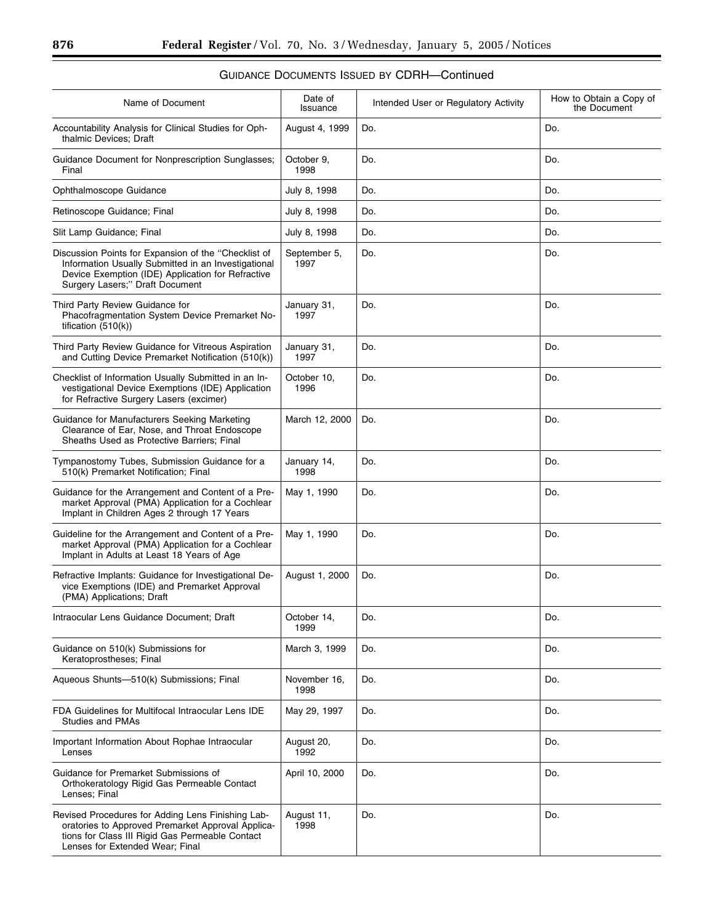| Name of Document                                                                                                                                                                                    | Date of<br>Issuance  | Intended User or Regulatory Activity | How to Obtain a Copy of<br>the Document |
|-----------------------------------------------------------------------------------------------------------------------------------------------------------------------------------------------------|----------------------|--------------------------------------|-----------------------------------------|
| Accountability Analysis for Clinical Studies for Oph-<br>thalmic Devices; Draft                                                                                                                     | August 4, 1999       | Do.                                  | Do.                                     |
| <b>Guidance Document for Nonprescription Sunglasses:</b><br>Final                                                                                                                                   | October 9,<br>1998   | Do.                                  | Do.                                     |
| Ophthalmoscope Guidance                                                                                                                                                                             | July 8, 1998         | Do.                                  | Do.                                     |
| Retinoscope Guidance; Final                                                                                                                                                                         | July 8, 1998         | Do.                                  | Do.                                     |
| Slit Lamp Guidance; Final                                                                                                                                                                           | July 8, 1998         | Do.                                  | Do.                                     |
| Discussion Points for Expansion of the "Checklist of<br>Information Usually Submitted in an Investigational<br>Device Exemption (IDE) Application for Refractive<br>Surgery Lasers;" Draft Document | September 5,<br>1997 | Do.                                  | Do.                                     |
| Third Party Review Guidance for<br>Phacofragmentation System Device Premarket No-<br>tification $(510(k))$                                                                                          | January 31,<br>1997  | Do.                                  | Do.                                     |
| Third Party Review Guidance for Vitreous Aspiration<br>and Cutting Device Premarket Notification (510(k))                                                                                           | January 31,<br>1997  | Do.                                  | Do.                                     |
| Checklist of Information Usually Submitted in an In-<br>vestigational Device Exemptions (IDE) Application<br>for Refractive Surgery Lasers (excimer)                                                | October 10,<br>1996  | Do.                                  | Do.                                     |
| Guidance for Manufacturers Seeking Marketing<br>Clearance of Ear, Nose, and Throat Endoscope<br>Sheaths Used as Protective Barriers; Final                                                          | March 12, 2000       | Do.                                  | Do.                                     |
| Tympanostomy Tubes, Submission Guidance for a<br>510(k) Premarket Notification; Final                                                                                                               | January 14,<br>1998  | Do.                                  | Do.                                     |
| Guidance for the Arrangement and Content of a Pre-<br>market Approval (PMA) Application for a Cochlear<br>Implant in Children Ages 2 through 17 Years                                               | May 1, 1990          | Do.                                  | Do.                                     |
| Guideline for the Arrangement and Content of a Pre-<br>market Approval (PMA) Application for a Cochlear<br>Implant in Adults at Least 18 Years of Age                                               | May 1, 1990          | Do.                                  | Do.                                     |
| Refractive Implants: Guidance for Investigational De-<br>vice Exemptions (IDE) and Premarket Approval<br>(PMA) Applications; Draft                                                                  | August 1, 2000       | Do.                                  | Do.                                     |
| Intraocular Lens Guidance Document; Draft                                                                                                                                                           | October 14,<br>1999  | Do.                                  | Do.                                     |
| Guidance on 510(k) Submissions for<br>Keratoprostheses; Final                                                                                                                                       | March 3, 1999        | Do.                                  | Do.                                     |
| Aqueous Shunts--510(k) Submissions; Final                                                                                                                                                           | November 16,<br>1998 | Do.                                  | Do.                                     |
| FDA Guidelines for Multifocal Intraocular Lens IDE<br><b>Studies and PMAs</b>                                                                                                                       | May 29, 1997         | Do.                                  | Do.                                     |
| Important Information About Rophae Intraocular<br>Lenses                                                                                                                                            | August 20,<br>1992   | Do.                                  | Do.                                     |
| Guidance for Premarket Submissions of<br>Orthokeratology Rigid Gas Permeable Contact<br>Lenses; Final                                                                                               | April 10, 2000       | Do.                                  | Do.                                     |
| Revised Procedures for Adding Lens Finishing Lab-<br>oratories to Approved Premarket Approval Applica-<br>tions for Class III Rigid Gas Permeable Contact<br>Lenses for Extended Wear; Final        | August 11,<br>1998   | Do.                                  | Do.                                     |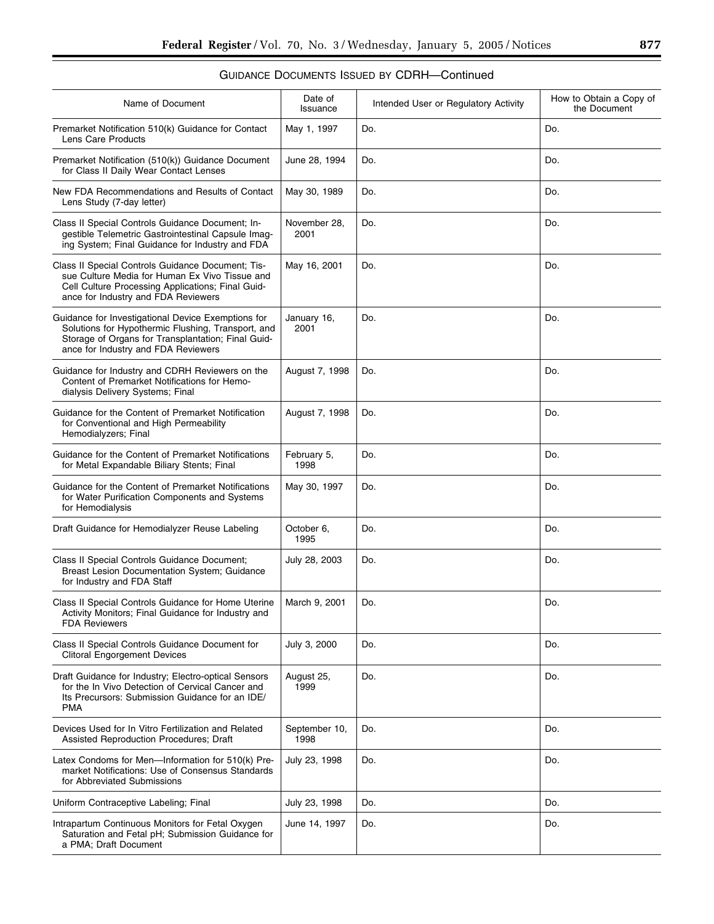| Name of Document                                                                                                                                                                                      | Date of<br>Issuance   | Intended User or Regulatory Activity | How to Obtain a Copy of<br>the Document |
|-------------------------------------------------------------------------------------------------------------------------------------------------------------------------------------------------------|-----------------------|--------------------------------------|-----------------------------------------|
| Premarket Notification 510(k) Guidance for Contact<br>Lens Care Products                                                                                                                              | May 1, 1997           | Do.                                  | Do.                                     |
| Premarket Notification (510(k)) Guidance Document<br>for Class II Daily Wear Contact Lenses                                                                                                           | June 28, 1994         | Do.                                  | Do.                                     |
| New FDA Recommendations and Results of Contact<br>Lens Study (7-day letter)                                                                                                                           | May 30, 1989          | Do.                                  | Do.                                     |
| Class II Special Controls Guidance Document; In-<br>gestible Telemetric Gastrointestinal Capsule Imag-<br>ing System; Final Guidance for Industry and FDA                                             | November 28,<br>2001  | Do.                                  | Do.                                     |
| Class II Special Controls Guidance Document; Tis-<br>sue Culture Media for Human Ex Vivo Tissue and<br>Cell Culture Processing Applications; Final Guid-<br>ance for Industry and FDA Reviewers       | May 16, 2001          | Do.                                  | Do.                                     |
| Guidance for Investigational Device Exemptions for<br>Solutions for Hypothermic Flushing, Transport, and<br>Storage of Organs for Transplantation; Final Guid-<br>ance for Industry and FDA Reviewers | January 16,<br>2001   | Do.                                  | Do.                                     |
| Guidance for Industry and CDRH Reviewers on the<br>Content of Premarket Notifications for Hemo-<br>dialysis Delivery Systems; Final                                                                   | August 7, 1998        | Do.                                  | Do.                                     |
| Guidance for the Content of Premarket Notification<br>for Conventional and High Permeability<br>Hemodialyzers; Final                                                                                  | August 7, 1998        | Do.                                  | Do.                                     |
| Guidance for the Content of Premarket Notifications<br>for Metal Expandable Biliary Stents; Final                                                                                                     | February 5,<br>1998   | Do.                                  | Do.                                     |
| Guidance for the Content of Premarket Notifications<br>for Water Purification Components and Systems<br>for Hemodialysis                                                                              | May 30, 1997          | Do.                                  | Do.                                     |
| Draft Guidance for Hemodialyzer Reuse Labeling                                                                                                                                                        | October 6,<br>1995    | Do.                                  | Do.                                     |
| Class II Special Controls Guidance Document;<br>Breast Lesion Documentation System; Guidance<br>for Industry and FDA Staff                                                                            | July 28, 2003         | Do.                                  | Do.                                     |
| Class II Special Controls Guidance for Home Uterine<br>Activity Monitors; Final Guidance for Industry and<br><b>FDA Reviewers</b>                                                                     | March 9, 2001         | Do.                                  | Do.                                     |
| Class II Special Controls Guidance Document for<br><b>Clitoral Engorgement Devices</b>                                                                                                                | July 3, 2000          | Do.                                  | Do.                                     |
| Draft Guidance for Industry; Electro-optical Sensors<br>for the In Vivo Detection of Cervical Cancer and<br>Its Precursors: Submission Guidance for an IDE/<br><b>PMA</b>                             | August 25,<br>1999    | Do.                                  | Do.                                     |
| Devices Used for In Vitro Fertilization and Related<br>Assisted Reproduction Procedures; Draft                                                                                                        | September 10,<br>1998 | Do.                                  | Do.                                     |
| Latex Condoms for Men-Information for 510(k) Pre-<br>market Notifications: Use of Consensus Standards<br>for Abbreviated Submissions                                                                  | July 23, 1998         | Do.                                  | Do.                                     |
| Uniform Contraceptive Labeling; Final                                                                                                                                                                 | July 23, 1998         | Do.                                  | Do.                                     |
| Intrapartum Continuous Monitors for Fetal Oxygen<br>Saturation and Fetal pH; Submission Guidance for<br>a PMA; Draft Document                                                                         | June 14, 1997         | Do.                                  | Do.                                     |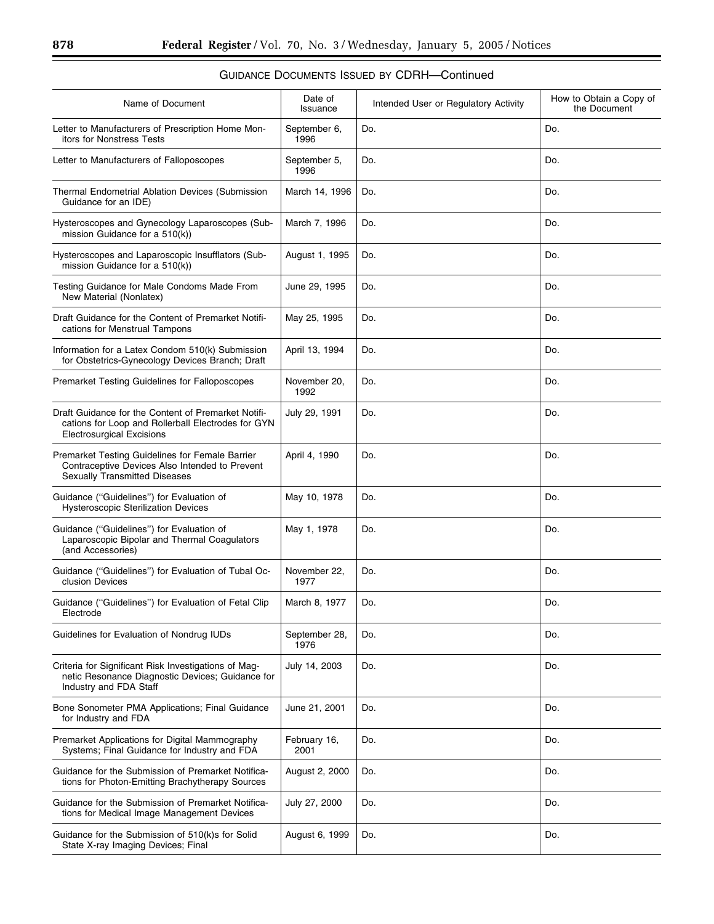| Name of Document                                                                                                                              | Date of<br>Issuance   | Intended User or Regulatory Activity | How to Obtain a Copy of<br>the Document |
|-----------------------------------------------------------------------------------------------------------------------------------------------|-----------------------|--------------------------------------|-----------------------------------------|
| Letter to Manufacturers of Prescription Home Mon-<br>itors for Nonstress Tests                                                                | September 6,<br>1996  | Do.                                  | Do.                                     |
| Letter to Manufacturers of Falloposcopes                                                                                                      | September 5,<br>1996  | Do.                                  | Do.                                     |
| Thermal Endometrial Ablation Devices (Submission<br>Guidance for an IDE)                                                                      | March 14, 1996        | Do.                                  | Do.                                     |
| Hysteroscopes and Gynecology Laparoscopes (Sub-<br>mission Guidance for a 510(k))                                                             | March 7, 1996         | Do.                                  | Do.                                     |
| Hysteroscopes and Laparoscopic Insufflators (Sub-<br>mission Guidance for a 510(k))                                                           | August 1, 1995        | Do.                                  | Do.                                     |
| Testing Guidance for Male Condoms Made From<br>New Material (Nonlatex)                                                                        | June 29, 1995         | Do.                                  | Do.                                     |
| Draft Guidance for the Content of Premarket Notifi-<br>cations for Menstrual Tampons                                                          | May 25, 1995          | Do.                                  | Do.                                     |
| Information for a Latex Condom 510(k) Submission<br>for Obstetrics-Gynecology Devices Branch; Draft                                           | April 13, 1994        | Do.                                  | Do.                                     |
| Premarket Testing Guidelines for Falloposcopes                                                                                                | November 20,<br>1992  | Do.                                  | Do.                                     |
| Draft Guidance for the Content of Premarket Notifi-<br>cations for Loop and Rollerball Electrodes for GYN<br><b>Electrosurgical Excisions</b> | July 29, 1991         | Do.                                  | Do.                                     |
| Premarket Testing Guidelines for Female Barrier<br>Contraceptive Devices Also Intended to Prevent<br><b>Sexually Transmitted Diseases</b>     | April 4, 1990         | Do.                                  | Do.                                     |
| Guidance ("Guidelines") for Evaluation of<br><b>Hysteroscopic Sterilization Devices</b>                                                       | May 10, 1978          | Do.                                  | Do.                                     |
| Guidance ("Guidelines") for Evaluation of<br>Laparoscopic Bipolar and Thermal Coagulators<br>(and Accessories)                                | May 1, 1978           | Do.                                  | Do.                                     |
| Guidance ("Guidelines") for Evaluation of Tubal Oc-<br>clusion Devices                                                                        | November 22,<br>1977  | Do.                                  | Do.                                     |
| Guidance ("Guidelines") for Evaluation of Fetal Clip<br>Electrode                                                                             | March 8, 1977         | Do.                                  | Do.                                     |
| Guidelines for Evaluation of Nondrug IUDs                                                                                                     | September 28,<br>1976 | Do.                                  | Do.                                     |
| Criteria for Significant Risk Investigations of Mag-<br>netic Resonance Diagnostic Devices; Guidance for<br>Industry and FDA Staff            | July 14, 2003         | Do.                                  | Do.                                     |
| Bone Sonometer PMA Applications; Final Guidance<br>for Industry and FDA                                                                       | June 21, 2001         | Do.                                  | Do.                                     |
| Premarket Applications for Digital Mammography<br>Systems; Final Guidance for Industry and FDA                                                | February 16,<br>2001  | Do.                                  | Do.                                     |
| Guidance for the Submission of Premarket Notifica-<br>tions for Photon-Emitting Brachytherapy Sources                                         | August 2, 2000        | Do.                                  | Do.                                     |
| Guidance for the Submission of Premarket Notifica-<br>tions for Medical Image Management Devices                                              | July 27, 2000         | Do.                                  | Do.                                     |
| Guidance for the Submission of 510(k)s for Solid<br>State X-ray Imaging Devices; Final                                                        | August 6, 1999        | Do.                                  | Do.                                     |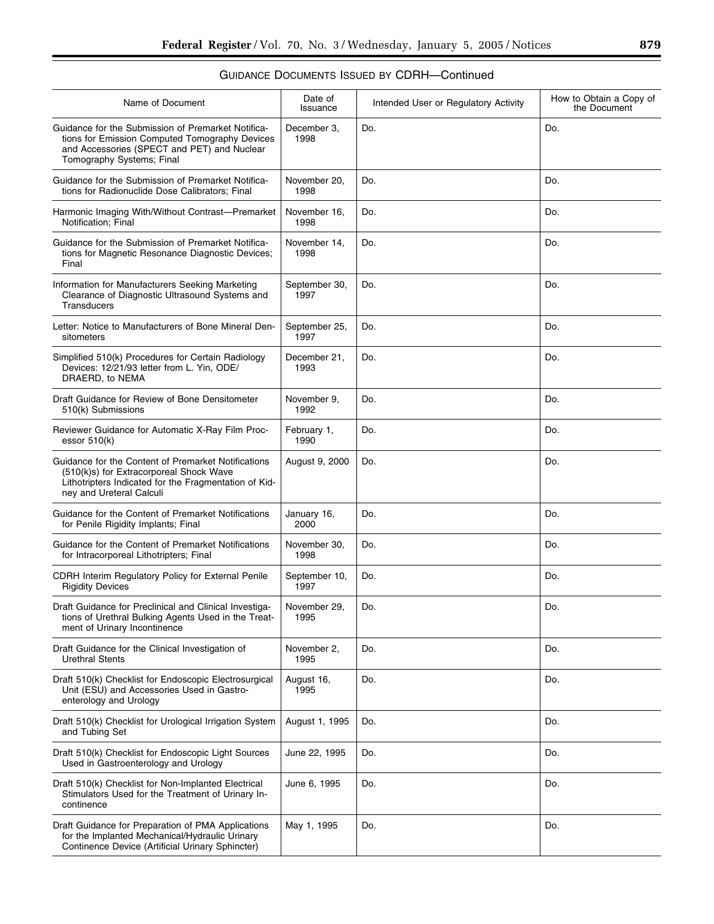| Name of Document                                                                                                                                                                    | Date of<br>Issuance   | Intended User or Regulatory Activity | How to Obtain a Copy of<br>the Document |
|-------------------------------------------------------------------------------------------------------------------------------------------------------------------------------------|-----------------------|--------------------------------------|-----------------------------------------|
| Guidance for the Submission of Premarket Notifica-<br>tions for Emission Computed Tomography Devices<br>and Accessories (SPECT and PET) and Nuclear<br>Tomography Systems; Final    | December 3,<br>1998   | Do.                                  | Do.                                     |
| Guidance for the Submission of Premarket Notifica-<br>tions for Radionuclide Dose Calibrators; Final                                                                                | November 20,<br>1998  | Do.                                  | Do.                                     |
| Harmonic Imaging With/Without Contrast-Premarket<br>Notification; Final                                                                                                             | November 16,<br>1998  | Do.                                  | Do.                                     |
| Guidance for the Submission of Premarket Notifica-<br>tions for Magnetic Resonance Diagnostic Devices;<br>Final                                                                     | November 14,<br>1998  | Do.                                  | Do.                                     |
| Information for Manufacturers Seeking Marketing<br>Clearance of Diagnostic Ultrasound Systems and<br><b>Transducers</b>                                                             | September 30,<br>1997 | Do.                                  | Do.                                     |
| Letter: Notice to Manufacturers of Bone Mineral Den-<br>sitometers                                                                                                                  | September 25,<br>1997 | Do.                                  | Do.                                     |
| Simplified 510(k) Procedures for Certain Radiology<br>Devices: 12/21/93 letter from L. Yin, ODE/<br>DRAERD, to NEMA                                                                 | December 21,<br>1993  | Do.                                  | Do.                                     |
| Draft Guidance for Review of Bone Densitometer<br>510(k) Submissions                                                                                                                | November 9,<br>1992   | Do.                                  | Do.                                     |
| Reviewer Guidance for Automatic X-Ray Film Proc-<br>essor $510(k)$                                                                                                                  | February 1,<br>1990   | Do.                                  | Do.                                     |
| Guidance for the Content of Premarket Notifications<br>(510(k)s) for Extracorporeal Shock Wave<br>Lithotripters Indicated for the Fragmentation of Kid-<br>ney and Ureteral Calculi | August 9, 2000        | Do.                                  | Do.                                     |
| Guidance for the Content of Premarket Notifications<br>for Penile Rigidity Implants; Final                                                                                          | January 16,<br>2000   | Do.                                  | Do.                                     |
| Guidance for the Content of Premarket Notifications<br>for Intracorporeal Lithotripters; Final                                                                                      | November 30,<br>1998  | Do.                                  | Do.                                     |
| CDRH Interim Regulatory Policy for External Penile<br><b>Rigidity Devices</b>                                                                                                       | September 10,<br>1997 | Do.                                  | Do.                                     |
| Draft Guidance for Preclinical and Clinical Investiga-<br>tions of Urethral Bulking Agents Used in the Treat-<br>ment of Urinary Incontinence                                       | November 29,<br>1995  | Do.                                  | Do.                                     |
| Draft Guidance for the Clinical Investigation of<br><b>Urethral Stents</b>                                                                                                          | November 2,<br>1995   | Do.                                  | Do.                                     |
| Draft 510(k) Checklist for Endoscopic Electrosurgical<br>Unit (ESU) and Accessories Used in Gastro-<br>enterology and Urology                                                       | August 16,<br>1995    | Do.                                  | Do.                                     |
| Draft 510(k) Checklist for Urological Irrigation System<br>and Tubing Set                                                                                                           | August 1, 1995        | Do.                                  | Do.                                     |
| Draft 510(k) Checklist for Endoscopic Light Sources<br>Used in Gastroenterology and Urology                                                                                         | June 22, 1995         | Do.                                  | Do.                                     |
| Draft 510(k) Checklist for Non-Implanted Electrical<br>Stimulators Used for the Treatment of Urinary In-<br>continence                                                              | June 6, 1995          | Do.                                  | Do.                                     |
| Draft Guidance for Preparation of PMA Applications<br>for the Implanted Mechanical/Hydraulic Urinary<br>Continence Device (Artificial Urinary Sphincter)                            | May 1, 1995           | Do.                                  | Do.                                     |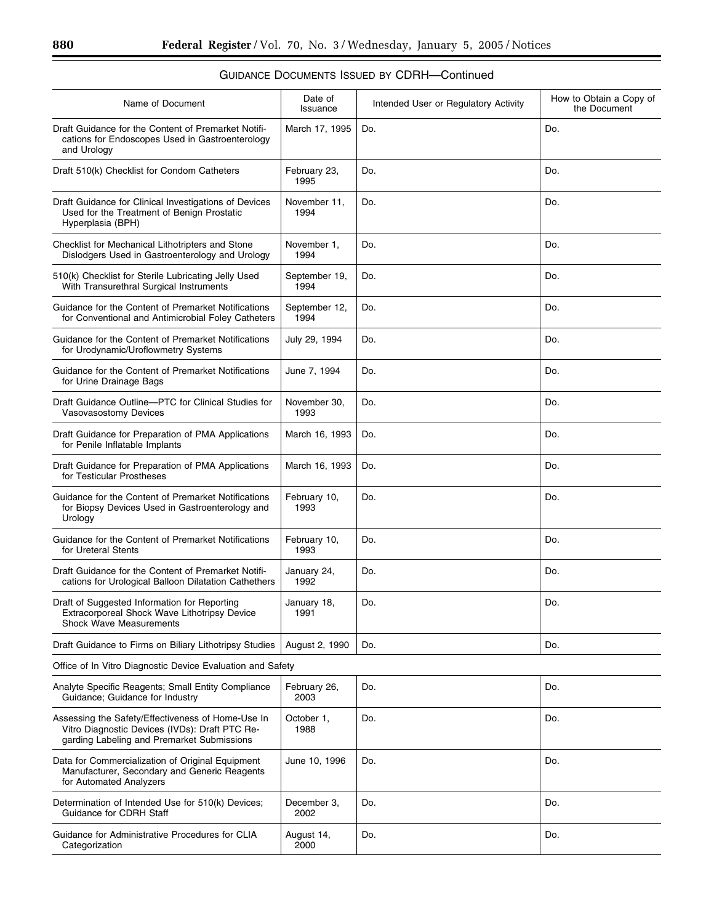| Name of Document                                                                                                                                  | Date of<br>Issuance   | Intended User or Regulatory Activity | How to Obtain a Copy of<br>the Document |
|---------------------------------------------------------------------------------------------------------------------------------------------------|-----------------------|--------------------------------------|-----------------------------------------|
| Draft Guidance for the Content of Premarket Notifi-<br>cations for Endoscopes Used in Gastroenterology<br>and Urology                             | March 17, 1995        | Do.                                  | Do.                                     |
| Draft 510(k) Checklist for Condom Catheters                                                                                                       | February 23,<br>1995  | Do.                                  | Do.                                     |
| Draft Guidance for Clinical Investigations of Devices<br>Used for the Treatment of Benign Prostatic<br>Hyperplasia (BPH)                          | November 11,<br>1994  | Do.                                  | Do.                                     |
| Checklist for Mechanical Lithotripters and Stone<br>Dislodgers Used in Gastroenterology and Urology                                               | November 1,<br>1994   | Do.                                  | Do.                                     |
| 510(k) Checklist for Sterile Lubricating Jelly Used<br>With Transurethral Surgical Instruments                                                    | September 19,<br>1994 | Do.                                  | Do.                                     |
| Guidance for the Content of Premarket Notifications<br>for Conventional and Antimicrobial Foley Catheters                                         | September 12,<br>1994 | Do.                                  | Do.                                     |
| Guidance for the Content of Premarket Notifications<br>for Urodynamic/Uroflowmetry Systems                                                        | July 29, 1994         | Do.                                  | Do.                                     |
| Guidance for the Content of Premarket Notifications<br>for Urine Drainage Bags                                                                    | June 7, 1994          | Do.                                  | Do.                                     |
| Draft Guidance Outline-PTC for Clinical Studies for<br>Vasovasostomy Devices                                                                      | November 30,<br>1993  | Do.                                  | Do.                                     |
| Draft Guidance for Preparation of PMA Applications<br>for Penile Inflatable Implants                                                              | March 16, 1993        | Do.                                  | Do.                                     |
| Draft Guidance for Preparation of PMA Applications<br>for Testicular Prostheses                                                                   | March 16, 1993        | Do.                                  | Do.                                     |
| Guidance for the Content of Premarket Notifications<br>for Biopsy Devices Used in Gastroenterology and<br>Urology                                 | February 10,<br>1993  | Do.                                  | Do.                                     |
| Guidance for the Content of Premarket Notifications<br>for Ureteral Stents                                                                        | February 10,<br>1993  | Do.                                  | Do.                                     |
| Draft Guidance for the Content of Premarket Notifi-<br>cations for Urological Balloon Dilatation Cathethers                                       | January 24,<br>1992   | Do.                                  | Do.                                     |
| Draft of Suggested Information for Reporting<br>Extracorporeal Shock Wave Lithotripsy Device<br><b>Shock Wave Measurements</b>                    | January 18,<br>1991   | Do.                                  | Do.                                     |
| Draft Guidance to Firms on Biliary Lithotripsy Studies                                                                                            | August 2, 1990        | Do.                                  | Do.                                     |
| Office of In Vitro Diagnostic Device Evaluation and Safety                                                                                        |                       |                                      |                                         |
| Analyte Specific Reagents; Small Entity Compliance<br>Guidance; Guidance for Industry                                                             | February 26,<br>2003  | Do.                                  | Do.                                     |
| Assessing the Safety/Effectiveness of Home-Use In<br>Vitro Diagnostic Devices (IVDs): Draft PTC Re-<br>garding Labeling and Premarket Submissions | October 1,<br>1988    | Do.                                  | Do.                                     |
| Data for Commercialization of Original Equipment<br>Manufacturer, Secondary and Generic Reagents<br>for Automated Analyzers                       | June 10, 1996         | Do.                                  | Do.                                     |
| Determination of Intended Use for 510(k) Devices;<br>Guidance for CDRH Staff                                                                      | December 3,<br>2002   | Do.                                  | Do.                                     |
| Guidance for Administrative Procedures for CLIA<br>Categorization                                                                                 | August 14,<br>2000    | Do.                                  | Do.                                     |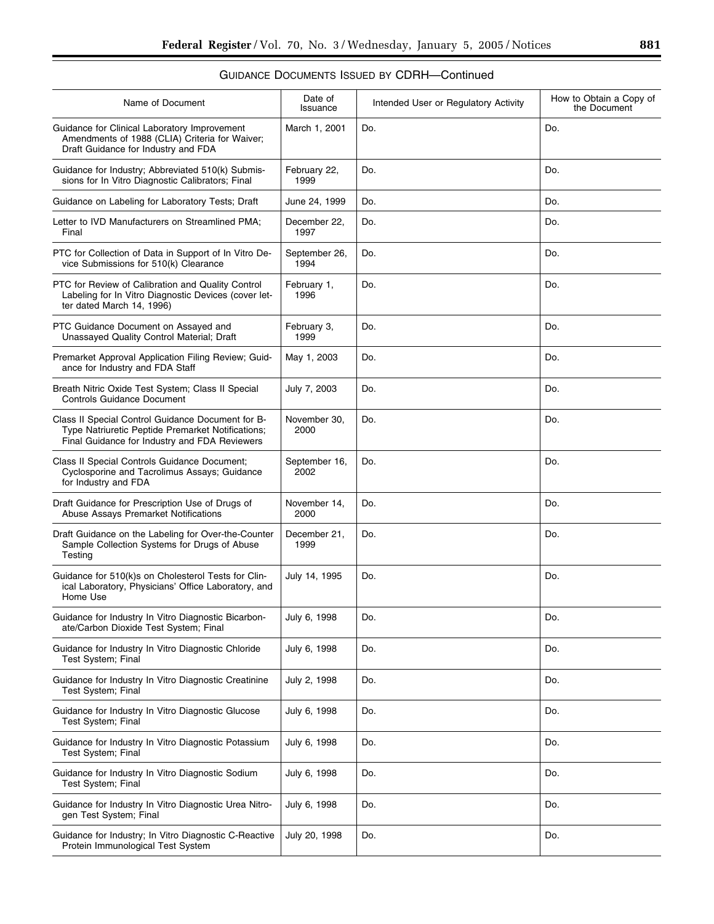| Name of Document                                                                                                                                        | Date of<br>Issuance   | Intended User or Regulatory Activity | How to Obtain a Copy of<br>the Document |
|---------------------------------------------------------------------------------------------------------------------------------------------------------|-----------------------|--------------------------------------|-----------------------------------------|
| Guidance for Clinical Laboratory Improvement<br>Amendments of 1988 (CLIA) Criteria for Waiver;<br>Draft Guidance for Industry and FDA                   | March 1, 2001         | Do.                                  | Do.                                     |
| Guidance for Industry; Abbreviated 510(k) Submis-<br>sions for In Vitro Diagnostic Calibrators; Final                                                   | February 22,<br>1999  | Do.                                  | Do.                                     |
| Guidance on Labeling for Laboratory Tests; Draft                                                                                                        | June 24, 1999         | Do.                                  | Do.                                     |
| Letter to IVD Manufacturers on Streamlined PMA;<br>Final                                                                                                | December 22,<br>1997  | Do.                                  | Do.                                     |
| PTC for Collection of Data in Support of In Vitro De-<br>vice Submissions for 510(k) Clearance                                                          | September 26,<br>1994 | Do.                                  | Do.                                     |
| PTC for Review of Calibration and Quality Control<br>Labeling for In Vitro Diagnostic Devices (cover let-<br>ter dated March 14, 1996)                  | February 1,<br>1996   | Do.                                  | Do.                                     |
| PTC Guidance Document on Assayed and<br>Unassayed Quality Control Material; Draft                                                                       | February 3,<br>1999   | Do.                                  | Do.                                     |
| Premarket Approval Application Filing Review; Guid-<br>ance for Industry and FDA Staff                                                                  | May 1, 2003           | Do.                                  | Do.                                     |
| Breath Nitric Oxide Test System; Class II Special<br><b>Controls Guidance Document</b>                                                                  | July 7, 2003          | Do.                                  | Do.                                     |
| Class II Special Control Guidance Document for B-<br>Type Natriuretic Peptide Premarket Notifications;<br>Final Guidance for Industry and FDA Reviewers | November 30,<br>2000  | Do.                                  | Do.                                     |
| Class II Special Controls Guidance Document;<br>Cyclosporine and Tacrolimus Assays; Guidance<br>for Industry and FDA                                    | September 16,<br>2002 | Do.                                  | Do.                                     |
| Draft Guidance for Prescription Use of Drugs of<br>Abuse Assays Premarket Notifications                                                                 | November 14,<br>2000  | Do.                                  | Do.                                     |
| Draft Guidance on the Labeling for Over-the-Counter<br>Sample Collection Systems for Drugs of Abuse<br>Testing                                          | December 21,<br>1999  | Do.                                  | Do.                                     |
| Guidance for 510(k)s on Cholesterol Tests for Clin-<br>ical Laboratory, Physicians' Office Laboratory, and<br>Home Use                                  | July 14, 1995         | Do.                                  | Do.                                     |
| Guidance for Industry In Vitro Diagnostic Bicarbon-<br>ate/Carbon Dioxide Test System; Final                                                            | July 6, 1998          | Do.                                  | Do.                                     |
| Guidance for Industry In Vitro Diagnostic Chloride<br><b>Test System</b> ; Final                                                                        | July 6, 1998          | Do.                                  | Do.                                     |
| Guidance for Industry In Vitro Diagnostic Creatinine<br>Test System; Final                                                                              | July 2, 1998          | Do.                                  | Do.                                     |
| Guidance for Industry In Vitro Diagnostic Glucose<br>Test System; Final                                                                                 | July 6, 1998          | Do.                                  | Do.                                     |
| Guidance for Industry In Vitro Diagnostic Potassium<br><b>Test System</b> ; Final                                                                       | July 6, 1998          | Do.                                  | Do.                                     |
| Guidance for Industry In Vitro Diagnostic Sodium<br>Test System; Final                                                                                  | July 6, 1998          | Do.                                  | Do.                                     |
| Guidance for Industry In Vitro Diagnostic Urea Nitro-<br>gen Test System; Final                                                                         | July 6, 1998          | Do.                                  | Do.                                     |
| Guidance for Industry; In Vitro Diagnostic C-Reactive<br>Protein Immunological Test System                                                              | July 20, 1998         | Do.                                  | Do.                                     |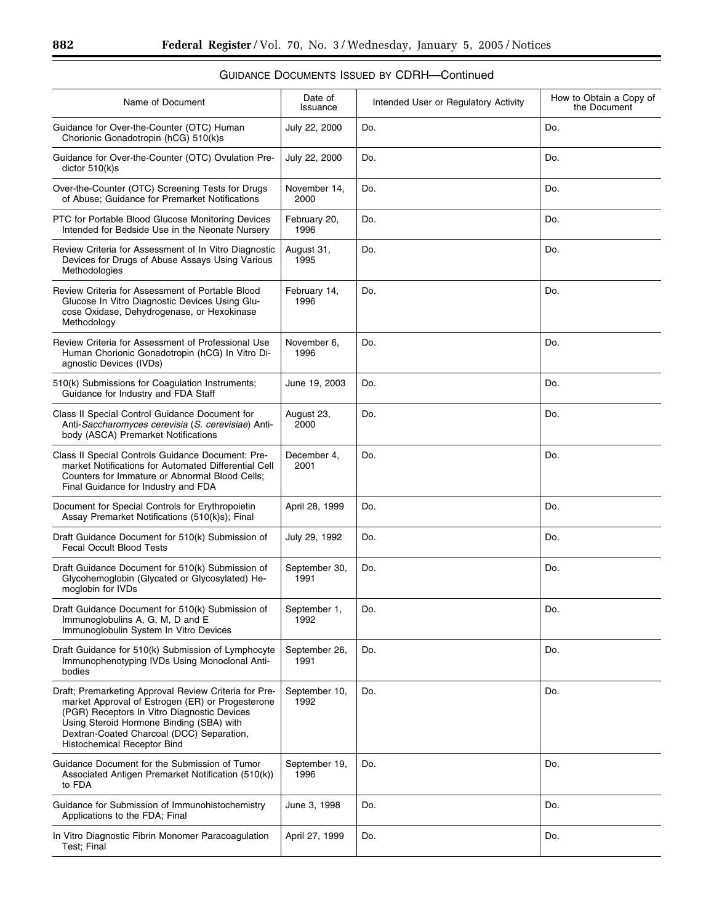| Name of Document                                                                                                                                                                                                                                                                        | Date of<br>Issuance   | Intended User or Regulatory Activity | How to Obtain a Copy of<br>the Document |
|-----------------------------------------------------------------------------------------------------------------------------------------------------------------------------------------------------------------------------------------------------------------------------------------|-----------------------|--------------------------------------|-----------------------------------------|
| Guidance for Over-the-Counter (OTC) Human<br>Chorionic Gonadotropin (hCG) 510(k)s                                                                                                                                                                                                       | July 22, 2000         | Do.                                  | Do.                                     |
| Guidance for Over-the-Counter (OTC) Ovulation Pre-<br>dictor 510(k)s                                                                                                                                                                                                                    | July 22, 2000         | Do.                                  | Do.                                     |
| Over-the-Counter (OTC) Screening Tests for Drugs<br>of Abuse; Guidance for Premarket Notifications                                                                                                                                                                                      | November 14,<br>2000  | Do.                                  | Do.                                     |
| PTC for Portable Blood Glucose Monitoring Devices<br>Intended for Bedside Use in the Neonate Nursery                                                                                                                                                                                    | February 20,<br>1996  | Do.                                  | Do.                                     |
| Review Criteria for Assessment of In Vitro Diagnostic<br>Devices for Drugs of Abuse Assays Using Various<br>Methodologies                                                                                                                                                               | August 31,<br>1995    | Do.                                  | Do.                                     |
| Review Criteria for Assessment of Portable Blood<br>Glucose In Vitro Diagnostic Devices Using Glu-<br>cose Oxidase, Dehydrogenase, or Hexokinase<br>Methodology                                                                                                                         | February 14,<br>1996  | Do.                                  | Do.                                     |
| Review Criteria for Assessment of Professional Use<br>Human Chorionic Gonadotropin (hCG) In Vitro Di-<br>agnostic Devices (IVDs)                                                                                                                                                        | November 6,<br>1996   | Do.                                  | Do.                                     |
| 510(k) Submissions for Coagulation Instruments;<br>Guidance for Industry and FDA Staff                                                                                                                                                                                                  | June 19, 2003         | Do.                                  | Do.                                     |
| Class II Special Control Guidance Document for<br>Anti-Saccharomyces cerevisia (S. cerevisiae) Anti-<br>body (ASCA) Premarket Notifications                                                                                                                                             | August 23,<br>2000    | Do.                                  | Do.                                     |
| Class II Special Controls Guidance Document: Pre-<br>market Notifications for Automated Differential Cell<br>Counters for Immature or Abnormal Blood Cells;<br>Final Guidance for Industry and FDA                                                                                      | December 4,<br>2001   | Do.                                  | Do.                                     |
| Document for Special Controls for Erythropoietin<br>Assay Premarket Notifications (510(k)s); Final                                                                                                                                                                                      | April 28, 1999        | Do.                                  | Do.                                     |
| Draft Guidance Document for 510(k) Submission of<br><b>Fecal Occult Blood Tests</b>                                                                                                                                                                                                     | July 29, 1992         | Do.                                  | Do.                                     |
| Draft Guidance Document for 510(k) Submission of<br>Glycohemoglobin (Glycated or Glycosylated) He-<br>moglobin for IVDs                                                                                                                                                                 | September 30,<br>1991 | Do.                                  | Do.                                     |
| Draft Guidance Document for 510(k) Submission of<br>Immunoglobulins A, G, M, D and E<br>Immunoglobulin System In Vitro Devices                                                                                                                                                          | September 1,<br>1992  | Do.                                  | Do.                                     |
| Draft Guidance for 510(k) Submission of Lymphocyte<br>Immunophenotyping IVDs Using Monoclonal Anti-<br>bodies                                                                                                                                                                           | September 26,<br>1991 | Do.                                  | Do.                                     |
| Draft; Premarketing Approval Review Criteria for Pre-<br>market Approval of Estrogen (ER) or Progesterone<br>(PGR) Receptors In Vitro Diagnostic Devices<br>Using Steroid Hormone Binding (SBA) with<br>Dextran-Coated Charcoal (DCC) Separation,<br><b>Histochemical Receptor Bind</b> | September 10,<br>1992 | Do.                                  | Do.                                     |
| Guidance Document for the Submission of Tumor<br>Associated Antigen Premarket Notification (510(k))<br>to FDA                                                                                                                                                                           | September 19,<br>1996 | Do.                                  | Do.                                     |
| Guidance for Submission of Immunohistochemistry<br>Applications to the FDA; Final                                                                                                                                                                                                       | June 3, 1998          | Do.                                  | Do.                                     |
| In Vitro Diagnostic Fibrin Monomer Paracoagulation<br>Test: Final                                                                                                                                                                                                                       | April 27, 1999        | Do.                                  | Do.                                     |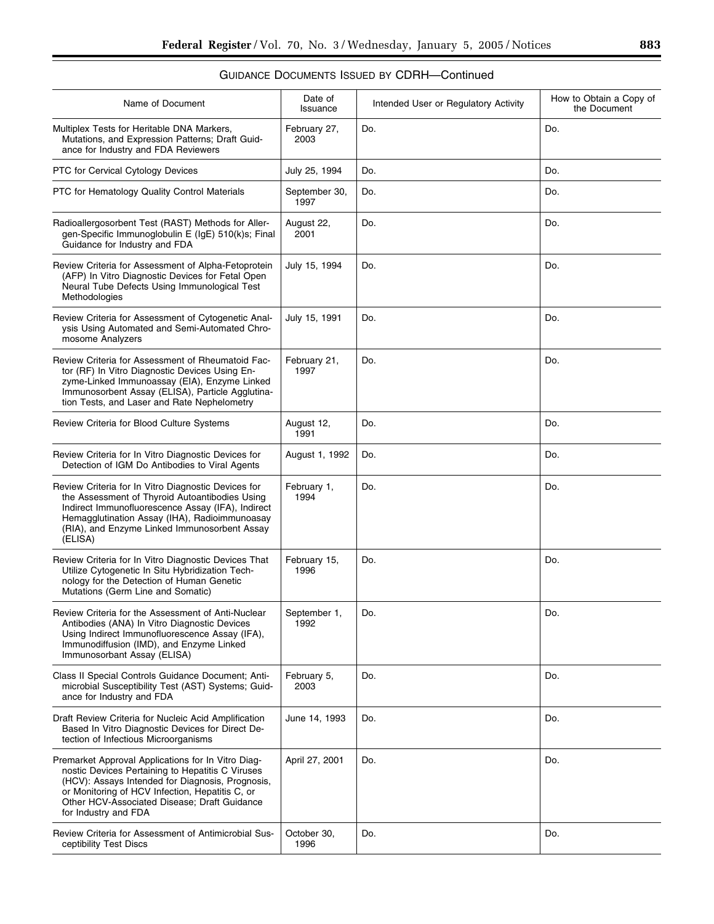| Name of Document                                                                                                                                                                                                                                                                      | Date of<br>Issuance   | Intended User or Regulatory Activity | How to Obtain a Copy of<br>the Document |
|---------------------------------------------------------------------------------------------------------------------------------------------------------------------------------------------------------------------------------------------------------------------------------------|-----------------------|--------------------------------------|-----------------------------------------|
| Multiplex Tests for Heritable DNA Markers,<br>Mutations, and Expression Patterns; Draft Guid-<br>ance for Industry and FDA Reviewers                                                                                                                                                  | February 27,<br>2003  | Do.                                  | Do.                                     |
| PTC for Cervical Cytology Devices                                                                                                                                                                                                                                                     | July 25, 1994         | Do.                                  | Do.                                     |
| PTC for Hematology Quality Control Materials                                                                                                                                                                                                                                          | September 30,<br>1997 | Do.                                  | Do.                                     |
| Radioallergosorbent Test (RAST) Methods for Aller-<br>gen-Specific Immunoglobulin E (IgE) 510(k)s; Final<br>Guidance for Industry and FDA                                                                                                                                             | August 22,<br>2001    | Do.                                  | Do.                                     |
| Review Criteria for Assessment of Alpha-Fetoprotein<br>(AFP) In Vitro Diagnostic Devices for Fetal Open<br>Neural Tube Defects Using Immunological Test<br>Methodologies                                                                                                              | July 15, 1994         | Do.                                  | Do.                                     |
| Review Criteria for Assessment of Cytogenetic Anal-<br>ysis Using Automated and Semi-Automated Chro-<br>mosome Analyzers                                                                                                                                                              | July 15, 1991         | Do.                                  | Do.                                     |
| Review Criteria for Assessment of Rheumatoid Fac-<br>tor (RF) In Vitro Diagnostic Devices Using En-<br>zyme-Linked Immunoassay (EIA), Enzyme Linked<br>Immunosorbent Assay (ELISA), Particle Agglutina-<br>tion Tests, and Laser and Rate Nephelometry                                | February 21,<br>1997  | Do.                                  | Do.                                     |
| Review Criteria for Blood Culture Systems                                                                                                                                                                                                                                             | August 12,<br>1991    | Do.                                  | Do.                                     |
| Review Criteria for In Vitro Diagnostic Devices for<br>Detection of IGM Do Antibodies to Viral Agents                                                                                                                                                                                 | August 1, 1992        | Do.                                  | Do.                                     |
| Review Criteria for In Vitro Diagnostic Devices for<br>the Assessment of Thyroid Autoantibodies Using<br>Indirect Immunofluorescence Assay (IFA), Indirect<br>Hemagglutination Assay (IHA), Radioimmunoasay<br>(RIA), and Enzyme Linked Immunosorbent Assay<br>(ELISA)                | February 1,<br>1994   | Do.                                  | Do.                                     |
| Review Criteria for In Vitro Diagnostic Devices That<br>Utilize Cytogenetic In Situ Hybridization Tech-<br>nology for the Detection of Human Genetic<br>Mutations (Germ Line and Somatic)                                                                                             | February 15,<br>1996  | Do.                                  | Do.                                     |
| Review Criteria for the Assessment of Anti-Nuclear<br>Antibodies (ANA) In Vitro Diagnostic Devices<br>Using Indirect Immunofluorescence Assay (IFA),<br>Immunodiffusion (IMD), and Enzyme Linked<br>Immunosorbant Assay (ELISA)                                                       | September 1,<br>1992  | Do.                                  | Do.                                     |
| Class II Special Controls Guidance Document; Anti-<br>microbial Susceptibility Test (AST) Systems; Guid-<br>ance for Industry and FDA                                                                                                                                                 | February 5.<br>2003   | Do.                                  | Do.                                     |
| Draft Review Criteria for Nucleic Acid Amplification<br>Based In Vitro Diagnostic Devices for Direct De-<br>tection of Infectious Microorganisms                                                                                                                                      | June 14, 1993         | Do.                                  | Do.                                     |
| Premarket Approval Applications for In Vitro Diag-<br>nostic Devices Pertaining to Hepatitis C Viruses<br>(HCV): Assays Intended for Diagnosis, Prognosis,<br>or Monitoring of HCV Infection, Hepatitis C, or<br>Other HCV-Associated Disease; Draft Guidance<br>for Industry and FDA | April 27, 2001        | Do.                                  | Do.                                     |
| Review Criteria for Assessment of Antimicrobial Sus-<br>ceptibility Test Discs                                                                                                                                                                                                        | October 30,<br>1996   | Do.                                  | Do.                                     |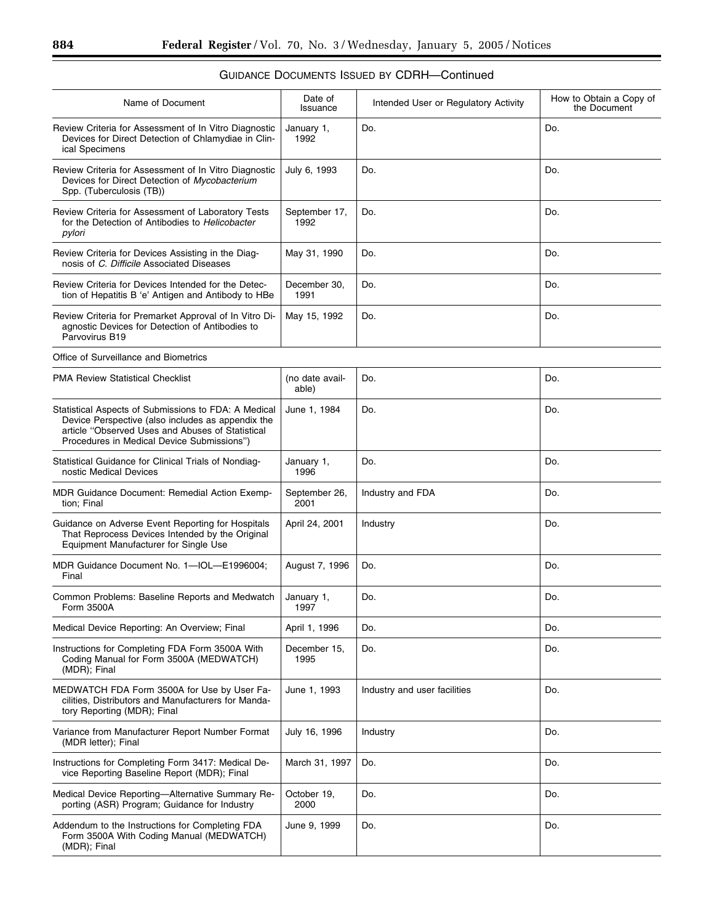| Name of Document                                                                                                                                                                                            | Date of<br>Issuance      | Intended User or Regulatory Activity | How to Obtain a Copy of<br>the Document |
|-------------------------------------------------------------------------------------------------------------------------------------------------------------------------------------------------------------|--------------------------|--------------------------------------|-----------------------------------------|
| Review Criteria for Assessment of In Vitro Diagnostic<br>Devices for Direct Detection of Chlamydiae in Clin-<br>ical Specimens                                                                              | January 1,<br>1992       | Do.                                  | Do.                                     |
| Review Criteria for Assessment of In Vitro Diagnostic<br>Devices for Direct Detection of Mycobacterium<br>Spp. (Tuberculosis (TB))                                                                          | July 6, 1993             | Do.                                  | Do.                                     |
| Review Criteria for Assessment of Laboratory Tests<br>for the Detection of Antibodies to Helicobacter<br>pylori                                                                                             | September 17,<br>1992    | Do.                                  | Do.                                     |
| Review Criteria for Devices Assisting in the Diag-<br>nosis of C. Difficile Associated Diseases                                                                                                             | May 31, 1990             | Do.                                  | Do.                                     |
| Review Criteria for Devices Intended for the Detec-<br>tion of Hepatitis B 'e' Antigen and Antibody to HBe                                                                                                  | December 30,<br>1991     | Do.                                  | Do.                                     |
| Review Criteria for Premarket Approval of In Vitro Di-<br>agnostic Devices for Detection of Antibodies to<br>Parvovirus B19                                                                                 | May 15, 1992             | Do.                                  | Do.                                     |
| Office of Surveillance and Biometrics                                                                                                                                                                       |                          |                                      |                                         |
| <b>PMA Review Statistical Checklist</b>                                                                                                                                                                     | (no date avail-<br>able) | Do.                                  | Do.                                     |
| Statistical Aspects of Submissions to FDA: A Medical<br>Device Perspective (also includes as appendix the<br>article "Observed Uses and Abuses of Statistical<br>Procedures in Medical Device Submissions") | June 1, 1984             | Do.                                  | Do.                                     |
| Statistical Guidance for Clinical Trials of Nondiag-<br>nostic Medical Devices                                                                                                                              | January 1,<br>1996       | Do.                                  | Do.                                     |
| <b>MDR Guidance Document: Remedial Action Exemp-</b><br>tion; Final                                                                                                                                         | September 26,<br>2001    | Industry and FDA                     | Do.                                     |
| Guidance on Adverse Event Reporting for Hospitals<br>That Reprocess Devices Intended by the Original<br>Equipment Manufacturer for Single Use                                                               | April 24, 2001           | Industry                             | Do.                                     |
| MDR Guidance Document No. 1-IOL-E1996004;<br>Final                                                                                                                                                          | August 7, 1996           | Do.                                  | Do.                                     |
| Common Problems: Baseline Reports and Medwatch<br>Form 3500A                                                                                                                                                | January 1,<br>1997       | Do.                                  | Do.                                     |
| Medical Device Reporting: An Overview; Final                                                                                                                                                                | April 1, 1996            | Do.                                  | Do.                                     |
| Instructions for Completing FDA Form 3500A With<br>Coding Manual for Form 3500A (MEDWATCH)<br>(MDR); Final                                                                                                  | December 15,<br>1995     | Do.                                  | Do.                                     |
| MEDWATCH FDA Form 3500A for Use by User Fa-<br>cilities, Distributors and Manufacturers for Manda-<br>tory Reporting (MDR); Final                                                                           | June 1, 1993             | Industry and user facilities         | Do.                                     |
| Variance from Manufacturer Report Number Format<br>(MDR letter); Final                                                                                                                                      | July 16, 1996            | Industry                             | Do.                                     |
| Instructions for Completing Form 3417: Medical De-<br>vice Reporting Baseline Report (MDR); Final                                                                                                           | March 31, 1997           | Do.                                  | Do.                                     |
| Medical Device Reporting-Alternative Summary Re-<br>porting (ASR) Program; Guidance for Industry                                                                                                            | October 19,<br>2000      | Do.                                  | Do.                                     |
| Addendum to the Instructions for Completing FDA<br>Form 3500A With Coding Manual (MEDWATCH)<br>(MDR); Final                                                                                                 | June 9, 1999             | Do.                                  | Do.                                     |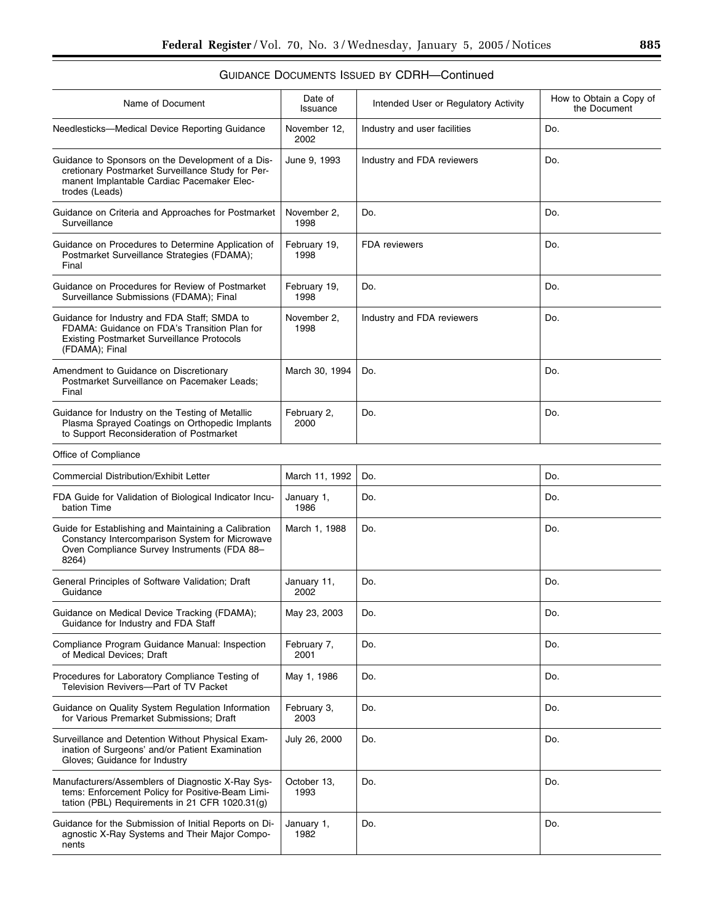| Name of Document                                                                                                                                                       | Date of<br>Issuance  | Intended User or Regulatory Activity | How to Obtain a Copy of<br>the Document |
|------------------------------------------------------------------------------------------------------------------------------------------------------------------------|----------------------|--------------------------------------|-----------------------------------------|
| Needlesticks-Medical Device Reporting Guidance                                                                                                                         | November 12,<br>2002 | Industry and user facilities         | Do.                                     |
| Guidance to Sponsors on the Development of a Dis-<br>cretionary Postmarket Surveillance Study for Per-<br>manent Implantable Cardiac Pacemaker Elec-<br>trodes (Leads) | June 9, 1993         | Industry and FDA reviewers           | Do.                                     |
| Guidance on Criteria and Approaches for Postmarket<br>Surveillance                                                                                                     | November 2,<br>1998  | Do.                                  | Do.                                     |
| Guidance on Procedures to Determine Application of<br>Postmarket Surveillance Strategies (FDAMA);<br>Final                                                             | February 19,<br>1998 | <b>FDA</b> reviewers                 | Do.                                     |
| Guidance on Procedures for Review of Postmarket<br>Surveillance Submissions (FDAMA); Final                                                                             | February 19,<br>1998 | Do.                                  | Do.                                     |
| Guidance for Industry and FDA Staff; SMDA to<br>FDAMA: Guidance on FDA's Transition Plan for<br><b>Existing Postmarket Surveillance Protocols</b><br>(FDAMA); Final    | November 2,<br>1998  | Industry and FDA reviewers           | Do.                                     |
| Amendment to Guidance on Discretionary<br>Postmarket Surveillance on Pacemaker Leads;<br>Final                                                                         | March 30, 1994       | Do.                                  | Do.                                     |
| Guidance for Industry on the Testing of Metallic<br>Plasma Sprayed Coatings on Orthopedic Implants<br>to Support Reconsideration of Postmarket                         | February 2,<br>2000  | Do.                                  | Do.                                     |
| Office of Compliance                                                                                                                                                   |                      |                                      |                                         |
| Commercial Distribution/Exhibit Letter                                                                                                                                 | March 11, 1992       | Do.                                  | Do.                                     |
| FDA Guide for Validation of Biological Indicator Incu-<br>bation Time                                                                                                  | January 1,<br>1986   | Do.                                  | Do.                                     |
| Guide for Establishing and Maintaining a Calibration<br>Constancy Intercomparison System for Microwave<br>Oven Compliance Survey Instruments (FDA 88-<br>8264)         | March 1, 1988        | Do.                                  | Do.                                     |
| General Principles of Software Validation; Draft<br>Guidance                                                                                                           | January 11,<br>2002  | Do.                                  | Do.                                     |
| Guidance on Medical Device Tracking (FDAMA);<br>Guidance for Industry and FDA Staff                                                                                    | May 23, 2003         | Do.                                  | Do.                                     |
| Compliance Program Guidance Manual: Inspection<br>of Medical Devices; Draft                                                                                            | February 7,<br>2001  | Do.                                  | Do.                                     |
| Procedures for Laboratory Compliance Testing of<br>Television Revivers--Part of TV Packet                                                                              | May 1, 1986          | Do.                                  | Do.                                     |
| Guidance on Quality System Regulation Information<br>for Various Premarket Submissions; Draft                                                                          | February 3,<br>2003  | Do.                                  | Do.                                     |
| Surveillance and Detention Without Physical Exam-<br>ination of Surgeons' and/or Patient Examination<br>Gloves; Guidance for Industry                                  | July 26, 2000        | Do.                                  | Do.                                     |
| Manufacturers/Assemblers of Diagnostic X-Ray Sys-<br>tems: Enforcement Policy for Positive-Beam Limi-<br>tation (PBL) Requirements in 21 CFR 1020.31(g)                | October 13,<br>1993  | Do.                                  | Do.                                     |
| Guidance for the Submission of Initial Reports on Di-<br>agnostic X-Ray Systems and Their Major Compo-<br>nents                                                        | January 1,<br>1982   | Do.                                  | Do.                                     |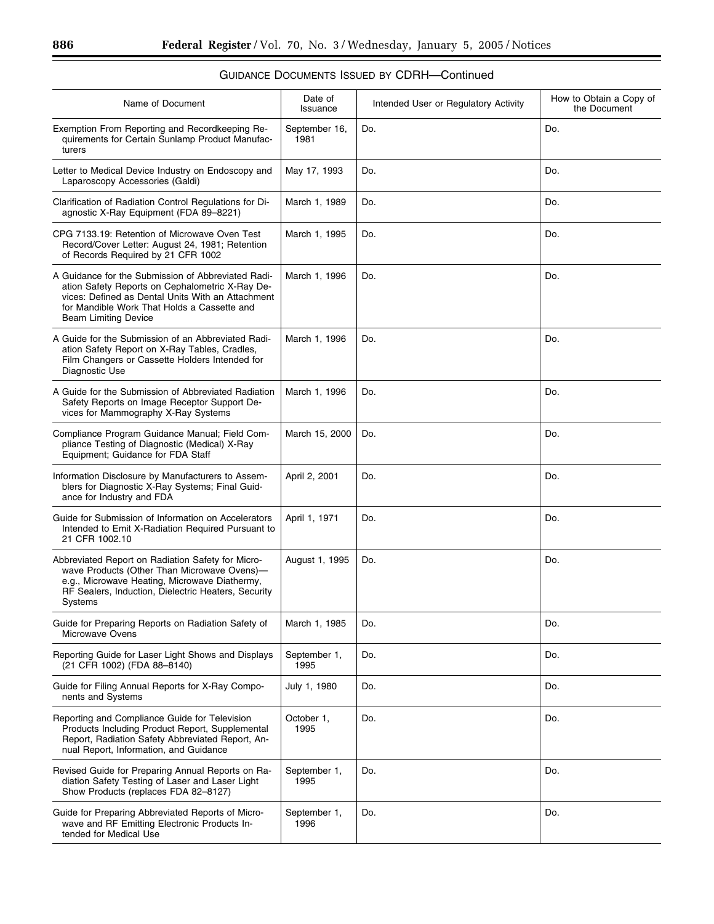| Name of Document                                                                                                                                                                                                                         | Date of<br>Issuance   | Intended User or Regulatory Activity | How to Obtain a Copy of<br>the Document |
|------------------------------------------------------------------------------------------------------------------------------------------------------------------------------------------------------------------------------------------|-----------------------|--------------------------------------|-----------------------------------------|
| Exemption From Reporting and Recordkeeping Re-<br>quirements for Certain Sunlamp Product Manufac-<br>turers                                                                                                                              | September 16,<br>1981 | Do.                                  | Do.                                     |
| Letter to Medical Device Industry on Endoscopy and<br>Laparoscopy Accessories (Galdi)                                                                                                                                                    | May 17, 1993          | Do.                                  | Do.                                     |
| Clarification of Radiation Control Regulations for Di-<br>agnostic X-Ray Equipment (FDA 89-8221)                                                                                                                                         | March 1, 1989         | Do.                                  | Do.                                     |
| CPG 7133.19: Retention of Microwave Oven Test<br>Record/Cover Letter: August 24, 1981; Retention<br>of Records Required by 21 CFR 1002                                                                                                   | March 1, 1995         | Do.                                  | Do.                                     |
| A Guidance for the Submission of Abbreviated Radi-<br>ation Safety Reports on Cephalometric X-Ray De-<br>vices: Defined as Dental Units With an Attachment<br>for Mandible Work That Holds a Cassette and<br><b>Beam Limiting Device</b> | March 1, 1996         | Do.                                  | Do.                                     |
| A Guide for the Submission of an Abbreviated Radi-<br>ation Safety Report on X-Ray Tables, Cradles,<br>Film Changers or Cassette Holders Intended for<br>Diagnostic Use                                                                  | March 1, 1996         | Do.                                  | Do.                                     |
| A Guide for the Submission of Abbreviated Radiation<br>Safety Reports on Image Receptor Support De-<br>vices for Mammography X-Ray Systems                                                                                               | March 1, 1996         | Do.                                  | Do.                                     |
| Compliance Program Guidance Manual; Field Com-<br>pliance Testing of Diagnostic (Medical) X-Ray<br>Equipment; Guidance for FDA Staff                                                                                                     | March 15, 2000        | Do.                                  | Do.                                     |
| Information Disclosure by Manufacturers to Assem-<br>blers for Diagnostic X-Ray Systems; Final Guid-<br>ance for Industry and FDA                                                                                                        | April 2, 2001         | Do.                                  | Do.                                     |
| Guide for Submission of Information on Accelerators<br>Intended to Emit X-Radiation Required Pursuant to<br>21 CFR 1002.10                                                                                                               | April 1, 1971         | Do.                                  | Do.                                     |
| Abbreviated Report on Radiation Safety for Micro-<br>wave Products (Other Than Microwave Ovens)-<br>e.g., Microwave Heating, Microwave Diathermy,<br>RF Sealers, Induction, Dielectric Heaters, Security<br>Systems                      | August 1, 1995        | Do.                                  | Do.                                     |
| Guide for Preparing Reports on Radiation Safety of<br>Microwave Ovens                                                                                                                                                                    | March 1, 1985         | Do.                                  | Do.                                     |
| Reporting Guide for Laser Light Shows and Displays<br>(21 CFR 1002) (FDA 88-8140)                                                                                                                                                        | September 1,<br>1995  | Do.                                  | Do.                                     |
| Guide for Filing Annual Reports for X-Ray Compo-<br>nents and Systems                                                                                                                                                                    | July 1, 1980          | Do.                                  | Do.                                     |
| Reporting and Compliance Guide for Television<br>Products Including Product Report, Supplemental<br>Report, Radiation Safety Abbreviated Report, An-<br>nual Report, Information, and Guidance                                           | October 1,<br>1995    | Do.                                  | Do.                                     |
| Revised Guide for Preparing Annual Reports on Ra-<br>diation Safety Testing of Laser and Laser Light<br>Show Products (replaces FDA 82-8127)                                                                                             | September 1,<br>1995  | Do.                                  | Do.                                     |
| Guide for Preparing Abbreviated Reports of Micro-<br>wave and RF Emitting Electronic Products In-<br>tended for Medical Use                                                                                                              | September 1,<br>1996  | Do.                                  | Do.                                     |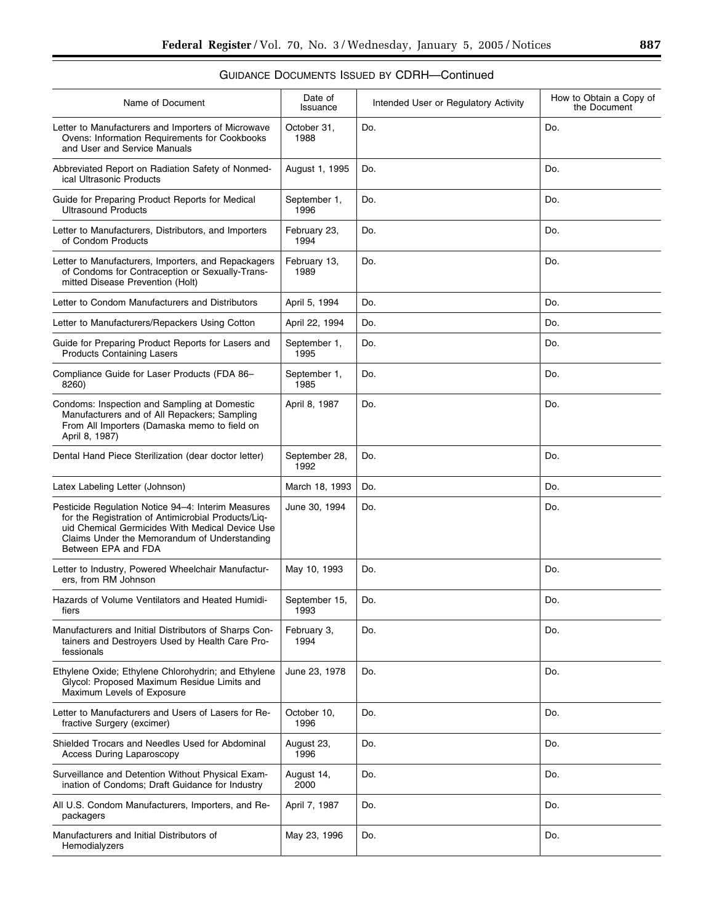| Name of Document                                                                                                                                                                                                                    | Date of<br>Issuance   | Intended User or Regulatory Activity | How to Obtain a Copy of<br>the Document |
|-------------------------------------------------------------------------------------------------------------------------------------------------------------------------------------------------------------------------------------|-----------------------|--------------------------------------|-----------------------------------------|
| Letter to Manufacturers and Importers of Microwave<br>Ovens: Information Requirements for Cookbooks<br>and User and Service Manuals                                                                                                 | October 31,<br>1988   | Do.                                  | Do.                                     |
| Abbreviated Report on Radiation Safety of Nonmed-<br>ical Ultrasonic Products                                                                                                                                                       | August 1, 1995        | Do.                                  | Do.                                     |
| Guide for Preparing Product Reports for Medical<br><b>Ultrasound Products</b>                                                                                                                                                       | September 1,<br>1996  | Do.                                  | Do.                                     |
| Letter to Manufacturers, Distributors, and Importers<br>of Condom Products                                                                                                                                                          | February 23,<br>1994  | Do.                                  | Do.                                     |
| Letter to Manufacturers, Importers, and Repackagers<br>of Condoms for Contraception or Sexually-Trans-<br>mitted Disease Prevention (Holt)                                                                                          | February 13,<br>1989  | Do.                                  | Do.                                     |
| Letter to Condom Manufacturers and Distributors                                                                                                                                                                                     | April 5, 1994         | Do.                                  | Do.                                     |
| Letter to Manufacturers/Repackers Using Cotton                                                                                                                                                                                      | April 22, 1994        | Do.                                  | Do.                                     |
| Guide for Preparing Product Reports for Lasers and<br><b>Products Containing Lasers</b>                                                                                                                                             | September 1,<br>1995  | Do.                                  | Do.                                     |
| Compliance Guide for Laser Products (FDA 86-<br>8260)                                                                                                                                                                               | September 1,<br>1985  | Do.                                  | Do.                                     |
| Condoms: Inspection and Sampling at Domestic<br>Manufacturers and of All Repackers; Sampling<br>From All Importers (Damaska memo to field on<br>April 8, 1987)                                                                      | April 8, 1987         | Do.                                  | Do.                                     |
| Dental Hand Piece Sterilization (dear doctor letter)                                                                                                                                                                                | September 28,<br>1992 | Do.                                  | Do.                                     |
| Latex Labeling Letter (Johnson)                                                                                                                                                                                                     | March 18, 1993        | Do.                                  | Do.                                     |
| Pesticide Regulation Notice 94-4: Interim Measures<br>for the Registration of Antimicrobial Products/Lig-<br>uid Chemical Germicides With Medical Device Use<br>Claims Under the Memorandum of Understanding<br>Between EPA and FDA | June 30, 1994         | Do.                                  | Do.                                     |
| Letter to Industry, Powered Wheelchair Manufactur-<br>ers, from RM Johnson                                                                                                                                                          | May 10, 1993          | Do.                                  | Do.                                     |
| Hazards of Volume Ventilators and Heated Humidi-<br>fiers                                                                                                                                                                           | September 15,<br>1993 | Do.                                  | Do.                                     |
| Manufacturers and Initial Distributors of Sharps Con-<br>tainers and Destroyers Used by Health Care Pro-<br>fessionals                                                                                                              | February 3.<br>1994   | Do.                                  | Do.                                     |
| Ethylene Oxide; Ethylene Chlorohydrin; and Ethylene<br>Glycol: Proposed Maximum Residue Limits and<br>Maximum Levels of Exposure                                                                                                    | June 23, 1978         | Do.                                  | Do.                                     |
| Letter to Manufacturers and Users of Lasers for Re-<br>fractive Surgery (excimer)                                                                                                                                                   | October 10,<br>1996   | Do.                                  | Do.                                     |
| Shielded Trocars and Needles Used for Abdominal<br><b>Access During Laparoscopy</b>                                                                                                                                                 | August 23,<br>1996    | Do.                                  | Do.                                     |
| Surveillance and Detention Without Physical Exam-<br>ination of Condoms; Draft Guidance for Industry                                                                                                                                | August 14,<br>2000    | Do.                                  | Do.                                     |
| All U.S. Condom Manufacturers, Importers, and Re-<br>packagers                                                                                                                                                                      | April 7, 1987         | Do.                                  | Do.                                     |
| Manufacturers and Initial Distributors of<br>Hemodialyzers                                                                                                                                                                          | May 23, 1996          | Do.                                  | Do.                                     |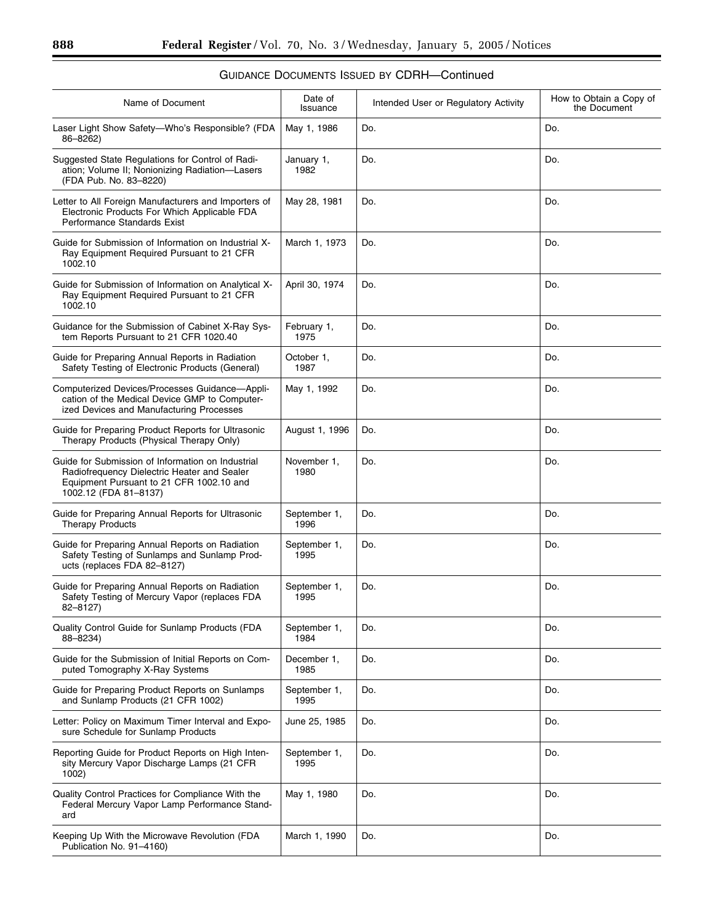| Name of Document                                                                                                                                                      | Date of<br>Issuance  | Intended User or Regulatory Activity | How to Obtain a Copy of<br>the Document |
|-----------------------------------------------------------------------------------------------------------------------------------------------------------------------|----------------------|--------------------------------------|-----------------------------------------|
| Laser Light Show Safety-Who's Responsible? (FDA<br>86-8262)                                                                                                           | May 1, 1986          | Do.                                  | Do.                                     |
| Suggested State Regulations for Control of Radi-<br>ation; Volume II; Nonionizing Radiation-Lasers<br>(FDA Pub. No. 83-8220)                                          | January 1,<br>1982   | Do.                                  | Do.                                     |
| Letter to All Foreign Manufacturers and Importers of<br>Electronic Products For Which Applicable FDA<br>Performance Standards Exist                                   | May 28, 1981         | Do.                                  | Do.                                     |
| Guide for Submission of Information on Industrial X-<br>Ray Equipment Required Pursuant to 21 CFR<br>1002.10                                                          | March 1, 1973        | Do.                                  | Do.                                     |
| Guide for Submission of Information on Analytical X-<br>Ray Equipment Required Pursuant to 21 CFR<br>1002.10                                                          | April 30, 1974       | Do.                                  | Do.                                     |
| Guidance for the Submission of Cabinet X-Ray Sys-<br>tem Reports Pursuant to 21 CFR 1020.40                                                                           | February 1,<br>1975  | Do.                                  | Do.                                     |
| Guide for Preparing Annual Reports in Radiation<br>Safety Testing of Electronic Products (General)                                                                    | October 1,<br>1987   | Do.                                  | Do.                                     |
| Computerized Devices/Processes Guidance-Appli-<br>cation of the Medical Device GMP to Computer-<br>ized Devices and Manufacturing Processes                           | May 1, 1992          | Do.                                  | Do.                                     |
| Guide for Preparing Product Reports for Ultrasonic<br>Therapy Products (Physical Therapy Only)                                                                        | August 1, 1996       | Do.                                  | Do.                                     |
| Guide for Submission of Information on Industrial<br>Radiofrequency Dielectric Heater and Sealer<br>Equipment Pursuant to 21 CFR 1002.10 and<br>1002.12 (FDA 81-8137) | November 1,<br>1980  | Do.                                  | Do.                                     |
| Guide for Preparing Annual Reports for Ultrasonic<br><b>Therapy Products</b>                                                                                          | September 1,<br>1996 | Do.                                  | Do.                                     |
| Guide for Preparing Annual Reports on Radiation<br>Safety Testing of Sunlamps and Sunlamp Prod-<br>ucts (replaces FDA 82-8127)                                        | September 1,<br>1995 | Do.                                  | Do.                                     |
| Guide for Preparing Annual Reports on Radiation<br>Safety Testing of Mercury Vapor (replaces FDA<br>82-8127)                                                          | September 1,<br>1995 | Do.                                  | Do.                                     |
| Quality Control Guide for Sunlamp Products (FDA<br>88-8234)                                                                                                           | September 1,<br>1984 | Do.                                  | Do.                                     |
| Guide for the Submission of Initial Reports on Com-<br>puted Tomography X-Ray Systems                                                                                 | December 1,<br>1985  | Do.                                  | Do.                                     |
| Guide for Preparing Product Reports on Sunlamps<br>and Sunlamp Products (21 CFR 1002)                                                                                 | September 1,<br>1995 | Do.                                  | Do.                                     |
| Letter: Policy on Maximum Timer Interval and Expo-<br>sure Schedule for Sunlamp Products                                                                              | June 25, 1985        | Do.                                  | Do.                                     |
| Reporting Guide for Product Reports on High Inten-<br>sity Mercury Vapor Discharge Lamps (21 CFR<br>1002)                                                             | September 1,<br>1995 | Do.                                  | Do.                                     |
| Quality Control Practices for Compliance With the<br>Federal Mercury Vapor Lamp Performance Stand-<br>ard                                                             | May 1, 1980          | Do.                                  | Do.                                     |
| Keeping Up With the Microwave Revolution (FDA<br>Publication No. 91-4160)                                                                                             | March 1, 1990        | Do.                                  | Do.                                     |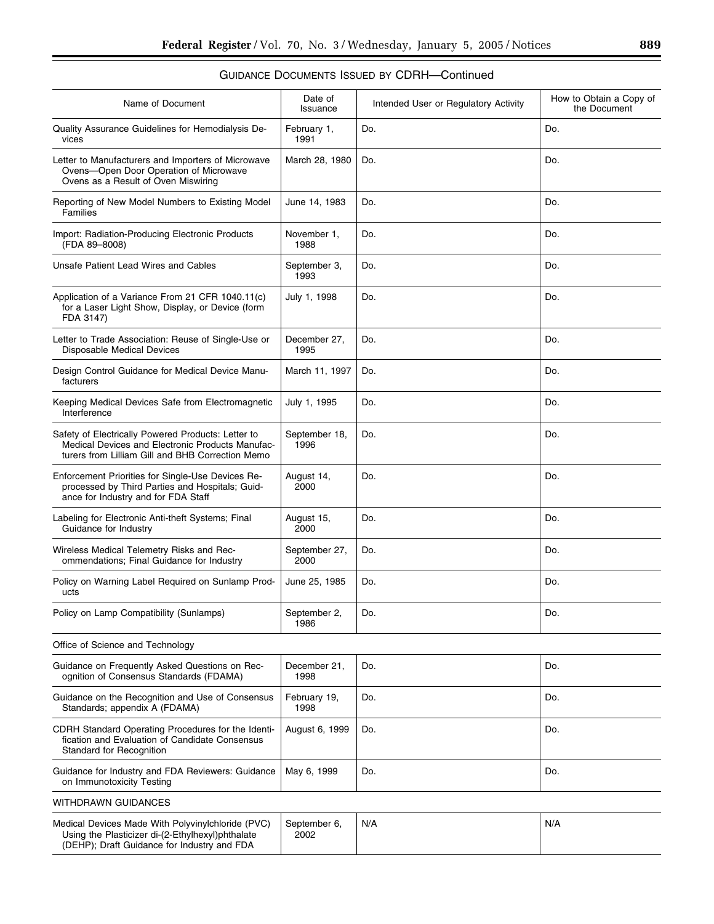| Name of Document                                                                                                                                           | Date of<br>Issuance   | Intended User or Regulatory Activity | How to Obtain a Copy of<br>the Document |
|------------------------------------------------------------------------------------------------------------------------------------------------------------|-----------------------|--------------------------------------|-----------------------------------------|
| Quality Assurance Guidelines for Hemodialysis De-<br>vices                                                                                                 | February 1,<br>1991   | Do.                                  | Do.                                     |
| Letter to Manufacturers and Importers of Microwave<br>Ovens-Open Door Operation of Microwave<br>Ovens as a Result of Oven Miswiring                        | March 28, 1980        | Do.                                  | Do.                                     |
| Reporting of New Model Numbers to Existing Model<br>Families                                                                                               | June 14, 1983         | Do.                                  | Do.                                     |
| Import: Radiation-Producing Electronic Products<br>(FDA 89-8008)                                                                                           | November 1,<br>1988   | Do.                                  | Do.                                     |
| Unsafe Patient Lead Wires and Cables                                                                                                                       | September 3,<br>1993  | Do.                                  | Do.                                     |
| Application of a Variance From 21 CFR 1040.11(c)<br>for a Laser Light Show, Display, or Device (form<br>FDA 3147)                                          | July 1, 1998          | Do.                                  | Do.                                     |
| Letter to Trade Association: Reuse of Single-Use or<br>Disposable Medical Devices                                                                          | December 27,<br>1995  | Do.                                  | Do.                                     |
| Design Control Guidance for Medical Device Manu-<br>facturers                                                                                              | March 11, 1997        | Do.                                  | Do.                                     |
| Keeping Medical Devices Safe from Electromagnetic<br>Interference                                                                                          | July 1, 1995          | Do.                                  | Do.                                     |
| Safety of Electrically Powered Products: Letter to<br>Medical Devices and Electronic Products Manufac-<br>turers from Lilliam Gill and BHB Correction Memo | September 18,<br>1996 | Do.                                  | Do.                                     |
| Enforcement Priorities for Single-Use Devices Re-<br>processed by Third Parties and Hospitals; Guid-<br>ance for Industry and for FDA Staff                | August 14,<br>2000    | Do.                                  | Do.                                     |
| Labeling for Electronic Anti-theft Systems; Final<br>Guidance for Industry                                                                                 | August 15,<br>2000    | Do.                                  | Do.                                     |
| Wireless Medical Telemetry Risks and Rec-<br>ommendations; Final Guidance for Industry                                                                     | September 27,<br>2000 | Do.                                  | Do.                                     |
| Policy on Warning Label Required on Sunlamp Prod-<br>ucts                                                                                                  | June 25, 1985         | Do.                                  | Do.                                     |
| Policy on Lamp Compatibility (Sunlamps)                                                                                                                    | September 2,<br>1986  | Do.                                  | Do.                                     |
| Office of Science and Technology                                                                                                                           |                       |                                      |                                         |
| Guidance on Frequently Asked Questions on Rec-<br>ognition of Consensus Standards (FDAMA)                                                                  | December 21,<br>1998  | Do.                                  | Do.                                     |
| Guidance on the Recognition and Use of Consensus<br>Standards; appendix A (FDAMA)                                                                          | February 19,<br>1998  | Do.                                  | Do.                                     |
| CDRH Standard Operating Procedures for the Identi-<br>fication and Evaluation of Candidate Consensus<br>Standard for Recognition                           | August 6, 1999        | Do.                                  | Do.                                     |
| Guidance for Industry and FDA Reviewers: Guidance<br>on Immunotoxicity Testing                                                                             | May 6, 1999           | Do.                                  | Do.                                     |
| WITHDRAWN GUIDANCES                                                                                                                                        |                       |                                      |                                         |
| Medical Devices Made With Polyvinylchloride (PVC)<br>Using the Plasticizer di-(2-Ethylhexyl)phthalate<br>(DEHP); Draft Guidance for Industry and FDA       | September 6,<br>2002  | N/A                                  | N/A                                     |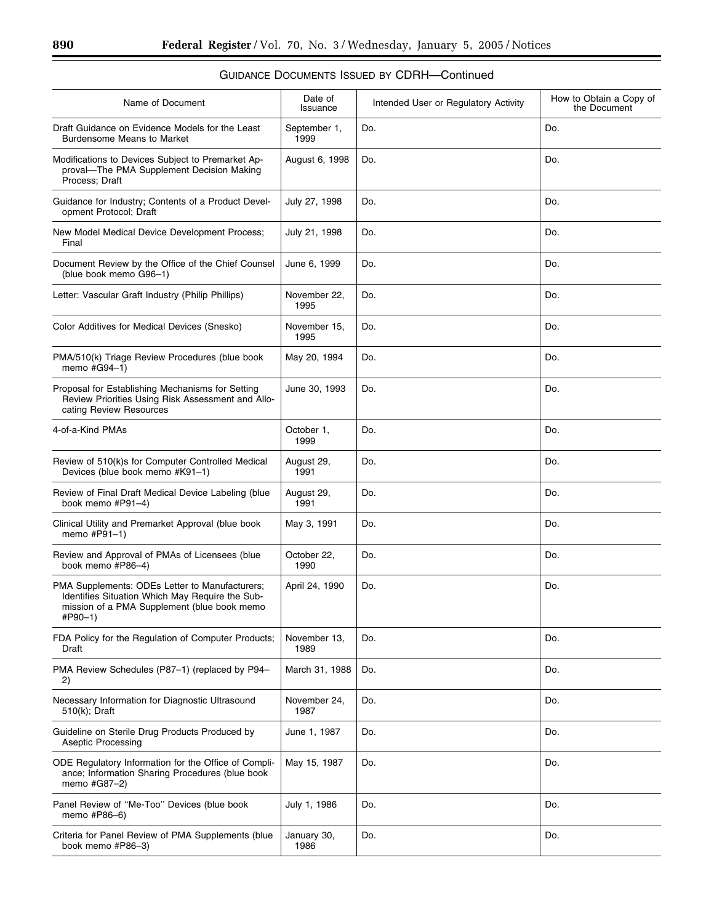| Name of Document                                                                                                                                            | Date of<br>Issuance  | Intended User or Regulatory Activity | How to Obtain a Copy of<br>the Document |
|-------------------------------------------------------------------------------------------------------------------------------------------------------------|----------------------|--------------------------------------|-----------------------------------------|
| Draft Guidance on Evidence Models for the Least<br><b>Burdensome Means to Market</b>                                                                        | September 1,<br>1999 | Do.                                  | Do.                                     |
| Modifications to Devices Subject to Premarket Ap-<br>proval-The PMA Supplement Decision Making<br>Process; Draft                                            | August 6, 1998       | Do.                                  | Do.                                     |
| Guidance for Industry; Contents of a Product Devel-<br>opment Protocol; Draft                                                                               | July 27, 1998        | Do.                                  | Do.                                     |
| New Model Medical Device Development Process;<br>Final                                                                                                      | July 21, 1998        | Do.                                  | Do.                                     |
| Document Review by the Office of the Chief Counsel<br>(blue book memo G96-1)                                                                                | June 6, 1999         | Do.                                  | Do.                                     |
| Letter: Vascular Graft Industry (Philip Phillips)                                                                                                           | November 22,<br>1995 | Do.                                  | Do.                                     |
| Color Additives for Medical Devices (Snesko)                                                                                                                | November 15,<br>1995 | Do.                                  | Do.                                     |
| PMA/510(k) Triage Review Procedures (blue book<br>memo #G94-1)                                                                                              | May 20, 1994         | Do.                                  | Do.                                     |
| Proposal for Establishing Mechanisms for Setting<br>Review Priorities Using Risk Assessment and Allo-<br>cating Review Resources                            | June 30, 1993        | Do.                                  | Do.                                     |
| 4-of-a-Kind PMAs                                                                                                                                            | October 1,<br>1999   | Do.                                  | Do.                                     |
| Review of 510(k)s for Computer Controlled Medical<br>Devices (blue book memo #K91-1)                                                                        | August 29,<br>1991   | Do.                                  | Do.                                     |
| Review of Final Draft Medical Device Labeling (blue<br>book memo #P91-4)                                                                                    | August 29,<br>1991   | Do.                                  | Do.                                     |
| Clinical Utility and Premarket Approval (blue book<br>memo #P91-1)                                                                                          | May 3, 1991          | Do.                                  | Do.                                     |
| Review and Approval of PMAs of Licensees (blue<br>book memo #P86-4)                                                                                         | October 22,<br>1990  | Do.                                  | Do.                                     |
| PMA Supplements: ODEs Letter to Manufacturers;<br>Identifies Situation Which May Require the Sub-<br>mission of a PMA Supplement (blue book memo<br>#P90-1) | April 24, 1990       | Do.                                  | Do.                                     |
| FDA Policy for the Regulation of Computer Products;<br>Draft                                                                                                | November 13,<br>1989 | Do.                                  | Do.                                     |
| PMA Review Schedules (P87-1) (replaced by P94-<br>2)                                                                                                        | March 31, 1988       | Do.                                  | Do.                                     |
| Necessary Information for Diagnostic Ultrasound<br>510(k); Draft                                                                                            | November 24,<br>1987 | Do.                                  | Do.                                     |
| Guideline on Sterile Drug Products Produced by<br>Aseptic Processing                                                                                        | June 1, 1987         | Do.                                  | Do.                                     |
| ODE Regulatory Information for the Office of Compli-<br>ance; Information Sharing Procedures (blue book<br>memo #G87-2)                                     | May 15, 1987         | Do.                                  | Do.                                     |
| Panel Review of "Me-Too" Devices (blue book<br>memo #P86-6)                                                                                                 | July 1, 1986         | Do.                                  | Do.                                     |
| Criteria for Panel Review of PMA Supplements (blue<br>book memo #P86-3)                                                                                     | January 30,<br>1986  | Do.                                  | Do.                                     |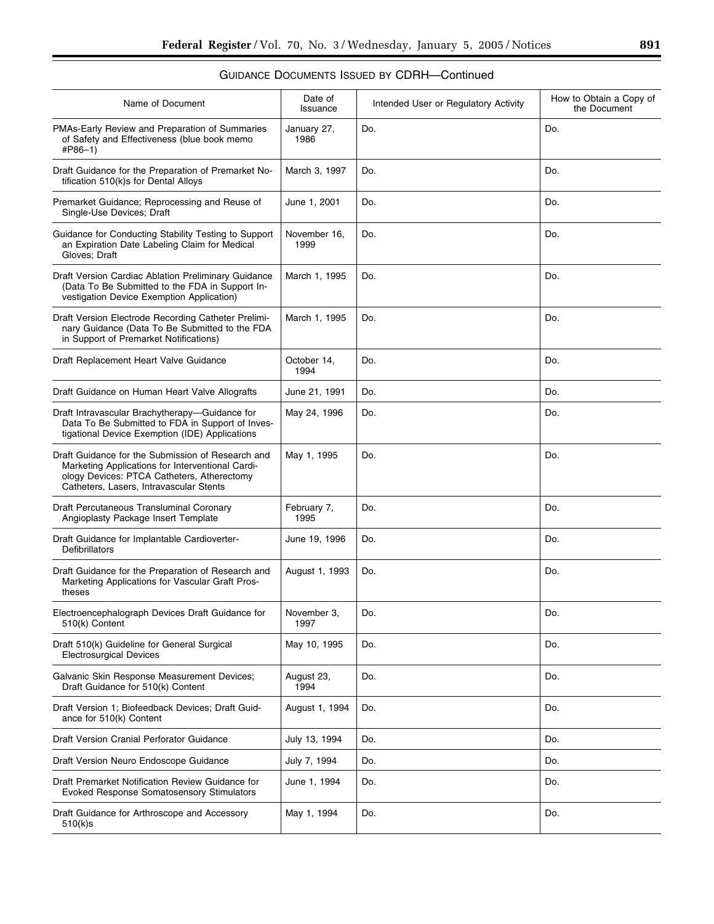| Name of Document                                                                                                                                                                               | Date of<br>Issuance  | Intended User or Regulatory Activity | How to Obtain a Copy of<br>the Document |
|------------------------------------------------------------------------------------------------------------------------------------------------------------------------------------------------|----------------------|--------------------------------------|-----------------------------------------|
| PMAs-Early Review and Preparation of Summaries<br>of Safety and Effectiveness (blue book memo<br>#P86-1)                                                                                       | January 27,<br>1986  | Do.                                  | Do.                                     |
| Draft Guidance for the Preparation of Premarket No-<br>tification 510(k)s for Dental Alloys                                                                                                    | March 3, 1997        | Do.                                  | Do.                                     |
| Premarket Guidance; Reprocessing and Reuse of<br>Single-Use Devices; Draft                                                                                                                     | June 1, 2001         | Do.                                  | Do.                                     |
| Guidance for Conducting Stability Testing to Support<br>an Expiration Date Labeling Claim for Medical<br>Gloves; Draft                                                                         | November 16,<br>1999 | Do.                                  | Do.                                     |
| Draft Version Cardiac Ablation Preliminary Guidance<br>(Data To Be Submitted to the FDA in Support In-<br>vestigation Device Exemption Application)                                            | March 1, 1995        | Do.                                  | Do.                                     |
| Draft Version Electrode Recording Catheter Prelimi-<br>nary Guidance (Data To Be Submitted to the FDA<br>in Support of Premarket Notifications)                                                | March 1, 1995        | Do.                                  | Do.                                     |
| Draft Replacement Heart Valve Guidance                                                                                                                                                         | October 14,<br>1994  | Do.                                  | Do.                                     |
| Draft Guidance on Human Heart Valve Allografts                                                                                                                                                 | June 21, 1991        | Do.                                  | Do.                                     |
| Draft Intravascular Brachytherapy-Guidance for<br>Data To Be Submitted to FDA in Support of Inves-<br>tigational Device Exemption (IDE) Applications                                           | May 24, 1996         | Do.                                  | Do.                                     |
| Draft Guidance for the Submission of Research and<br>Marketing Applications for Interventional Cardi-<br>ology Devices: PTCA Catheters, Atherectomy<br>Catheters, Lasers, Intravascular Stents | May 1, 1995          | Do.                                  | Do.                                     |
| Draft Percutaneous Transluminal Coronary<br>Angioplasty Package Insert Template                                                                                                                | February 7,<br>1995  | Do.                                  | Do.                                     |
| Draft Guidance for Implantable Cardioverter-<br>Defibrillators                                                                                                                                 | June 19, 1996        | Do.                                  | Do.                                     |
| Draft Guidance for the Preparation of Research and<br>Marketing Applications for Vascular Graft Pros-<br>theses                                                                                | August 1, 1993       | Do.                                  | Do.                                     |
| Electroencephalograph Devices Draft Guidance for<br>510(k) Content                                                                                                                             | November 3,<br>1997  | Do.                                  | Do.                                     |
| Draft 510(k) Guideline for General Surgical<br><b>Electrosurgical Devices</b>                                                                                                                  | May 10, 1995         | Do.                                  | Do.                                     |
| Galvanic Skin Response Measurement Devices;<br>Draft Guidance for 510(k) Content                                                                                                               | August 23,<br>1994   | Do.                                  | Do.                                     |
| Draft Version 1; Biofeedback Devices; Draft Guid-<br>ance for 510(k) Content                                                                                                                   | August 1, 1994       | Do.                                  | Do.                                     |
| Draft Version Cranial Perforator Guidance                                                                                                                                                      | July 13, 1994        | Do.                                  | Do.                                     |
| Draft Version Neuro Endoscope Guidance                                                                                                                                                         | July 7, 1994         | Do.                                  | Do.                                     |
| Draft Premarket Notification Review Guidance for<br><b>Evoked Response Somatosensory Stimulators</b>                                                                                           | June 1, 1994         | Do.                                  | Do.                                     |
| Draft Guidance for Arthroscope and Accessory<br>510(k)s                                                                                                                                        | May 1, 1994          | Do.                                  | Do.                                     |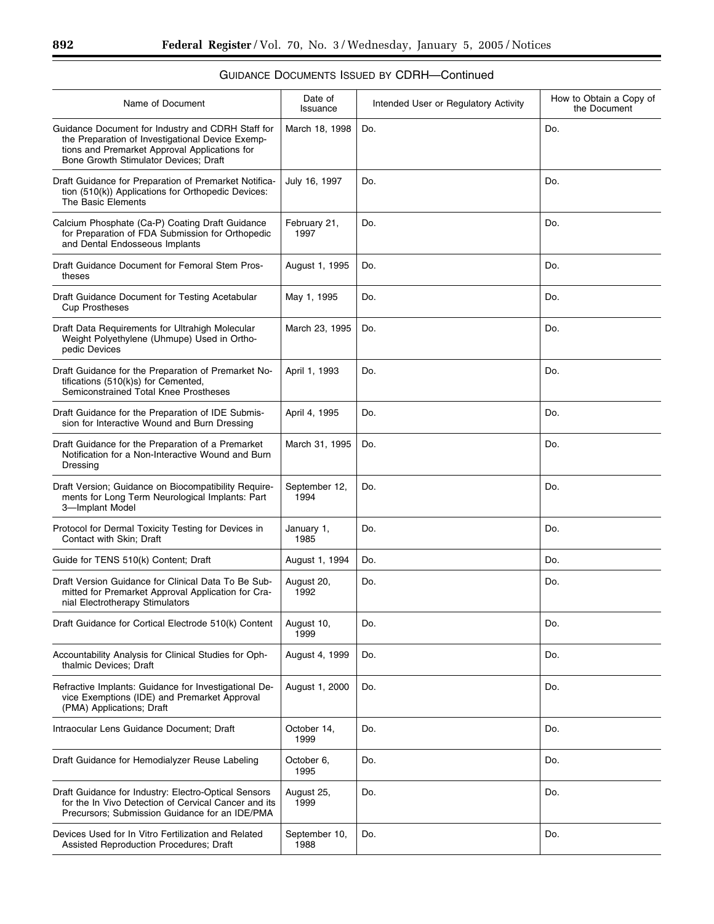| Name of Document                                                                                                                                                                                | Date of<br>Issuance   | Intended User or Regulatory Activity | How to Obtain a Copy of<br>the Document |
|-------------------------------------------------------------------------------------------------------------------------------------------------------------------------------------------------|-----------------------|--------------------------------------|-----------------------------------------|
| Guidance Document for Industry and CDRH Staff for<br>the Preparation of Investigational Device Exemp-<br>tions and Premarket Approval Applications for<br>Bone Growth Stimulator Devices: Draft | March 18, 1998        | Do.                                  | Do.                                     |
| Draft Guidance for Preparation of Premarket Notifica-<br>tion (510(k)) Applications for Orthopedic Devices:<br>The Basic Elements                                                               | July 16, 1997         | Do.                                  | Do.                                     |
| Calcium Phosphate (Ca-P) Coating Draft Guidance<br>for Preparation of FDA Submission for Orthopedic<br>and Dental Endosseous Implants                                                           | February 21,<br>1997  | Do.                                  | Do.                                     |
| Draft Guidance Document for Femoral Stem Pros-<br>theses                                                                                                                                        | August 1, 1995        | Do.                                  | Do.                                     |
| Draft Guidance Document for Testing Acetabular<br><b>Cup Prostheses</b>                                                                                                                         | May 1, 1995           | Do.                                  | Do.                                     |
| Draft Data Requirements for Ultrahigh Molecular<br>Weight Polyethylene (Uhmupe) Used in Ortho-<br>pedic Devices                                                                                 | March 23, 1995        | Do.                                  | Do.                                     |
| Draft Guidance for the Preparation of Premarket No-<br>tifications (510(k)s) for Cemented,<br>Semiconstrained Total Knee Prostheses                                                             | April 1, 1993         | Do.                                  | Do.                                     |
| Draft Guidance for the Preparation of IDE Submis-<br>sion for Interactive Wound and Burn Dressing                                                                                               | April 4, 1995         | Do.                                  | Do.                                     |
| Draft Guidance for the Preparation of a Premarket<br>Notification for a Non-Interactive Wound and Burn<br>Dressing                                                                              | March 31, 1995        | Do.                                  | Do.                                     |
| Draft Version; Guidance on Biocompatibility Require-<br>ments for Long Term Neurological Implants: Part<br>3-Implant Model                                                                      | September 12,<br>1994 | Do.                                  | Do.                                     |
| Protocol for Dermal Toxicity Testing for Devices in<br>Contact with Skin; Draft                                                                                                                 | January 1,<br>1985    | Do.                                  | Do.                                     |
| Guide for TENS 510(k) Content; Draft                                                                                                                                                            | August 1, 1994        | Do.                                  | Do.                                     |
| Draft Version Guidance for Clinical Data To Be Sub-<br>mitted for Premarket Approval Application for Cra-<br>nial Electrotherapy Stimulators                                                    | August 20,<br>1992    | Do.                                  | Do.                                     |
| Draft Guidance for Cortical Electrode 510(k) Content                                                                                                                                            | August 10,<br>1999    | Do.                                  | Do.                                     |
| Accountability Analysis for Clinical Studies for Oph-<br>thalmic Devices; Draft                                                                                                                 | August 4, 1999        | Do.                                  | Do.                                     |
| Refractive Implants: Guidance for Investigational De-<br>vice Exemptions (IDE) and Premarket Approval<br>(PMA) Applications; Draft                                                              | August 1, 2000        | Do.                                  | Do.                                     |
| Intraocular Lens Guidance Document; Draft                                                                                                                                                       | October 14,<br>1999   | Do.                                  | Do.                                     |
| Draft Guidance for Hemodialyzer Reuse Labeling                                                                                                                                                  | October 6,<br>1995    | Do.                                  | Do.                                     |
| Draft Guidance for Industry: Electro-Optical Sensors<br>for the In Vivo Detection of Cervical Cancer and its<br>Precursors; Submission Guidance for an IDE/PMA                                  | August 25,<br>1999    | Do.                                  | Do.                                     |
| Devices Used for In Vitro Fertilization and Related<br>Assisted Reproduction Procedures; Draft                                                                                                  | September 10,<br>1988 | Do.                                  | Do.                                     |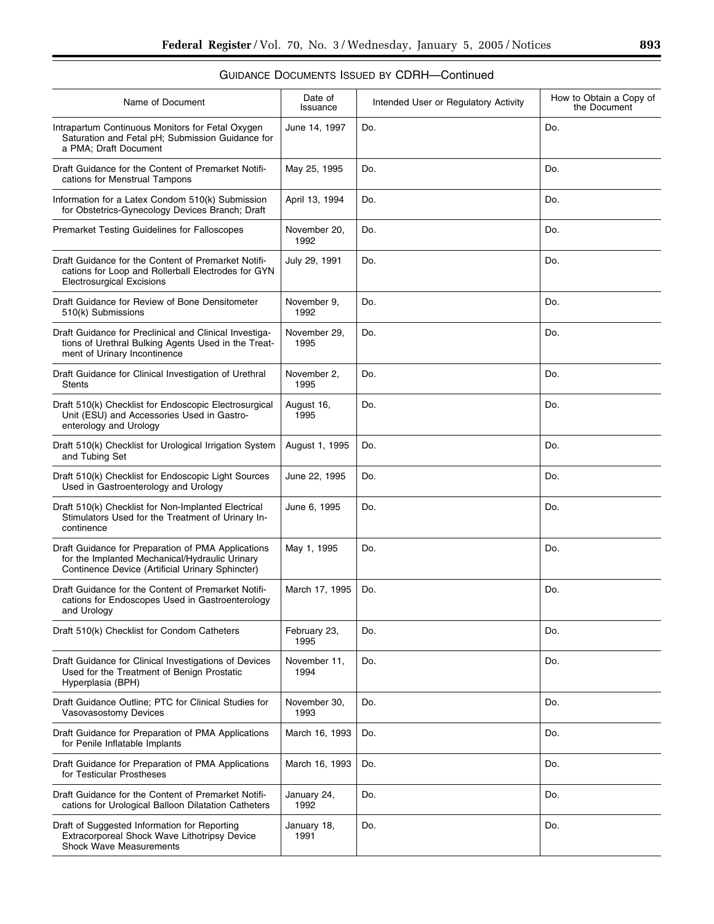| Name of Document                                                                                                                                         | Date of<br>Issuance  | Intended User or Regulatory Activity | How to Obtain a Copy of<br>the Document |
|----------------------------------------------------------------------------------------------------------------------------------------------------------|----------------------|--------------------------------------|-----------------------------------------|
| Intrapartum Continuous Monitors for Fetal Oxygen<br>Saturation and Fetal pH; Submission Guidance for<br>a PMA; Draft Document                            | June 14, 1997        | Do.                                  | Do.                                     |
| Draft Guidance for the Content of Premarket Notifi-<br>cations for Menstrual Tampons                                                                     | May 25, 1995         | Do.                                  | Do.                                     |
| Information for a Latex Condom 510(k) Submission<br>for Obstetrics-Gynecology Devices Branch; Draft                                                      | April 13, 1994       | Do.                                  | Do.                                     |
| Premarket Testing Guidelines for Falloscopes                                                                                                             | November 20,<br>1992 | Do.                                  | Do.                                     |
| Draft Guidance for the Content of Premarket Notifi-<br>cations for Loop and Rollerball Electrodes for GYN<br><b>Electrosurgical Excisions</b>            | July 29, 1991        | Do.                                  | Do.                                     |
| Draft Guidance for Review of Bone Densitometer<br>510(k) Submissions                                                                                     | November 9,<br>1992  | Do.                                  | Do.                                     |
| Draft Guidance for Preclinical and Clinical Investiga-<br>tions of Urethral Bulking Agents Used in the Treat-<br>ment of Urinary Incontinence            | November 29,<br>1995 | Do.                                  | Do.                                     |
| Draft Guidance for Clinical Investigation of Urethral<br><b>Stents</b>                                                                                   | November 2,<br>1995  | Do.                                  | Do.                                     |
| Draft 510(k) Checklist for Endoscopic Electrosurgical<br>Unit (ESU) and Accessories Used in Gastro-<br>enterology and Urology                            | August 16,<br>1995   | Do.                                  | Do.                                     |
| Draft 510(k) Checklist for Urological Irrigation System<br>and Tubing Set                                                                                | August 1, 1995       | Do.                                  | Do.                                     |
| Draft 510(k) Checklist for Endoscopic Light Sources<br>Used in Gastroenterology and Urology                                                              | June 22, 1995        | Do.                                  | Do.                                     |
| Draft 510(k) Checklist for Non-Implanted Electrical<br>Stimulators Used for the Treatment of Urinary In-<br>continence                                   | June 6, 1995         | Do.                                  | Do.                                     |
| Draft Guidance for Preparation of PMA Applications<br>for the Implanted Mechanical/Hydraulic Urinary<br>Continence Device (Artificial Urinary Sphincter) | May 1, 1995          | Do.                                  | Do.                                     |
| Draft Guidance for the Content of Premarket Notifi-<br>cations for Endoscopes Used in Gastroenterology<br>and Urology                                    | March 17, 1995       | Do.                                  | Do.                                     |
| Draft 510(k) Checklist for Condom Catheters                                                                                                              | February 23,<br>1995 | Do.                                  | Do.                                     |
| Draft Guidance for Clinical Investigations of Devices<br>Used for the Treatment of Benign Prostatic<br>Hyperplasia (BPH)                                 | November 11,<br>1994 | Do.                                  | Do.                                     |
| Draft Guidance Outline; PTC for Clinical Studies for<br>Vasovasostomy Devices                                                                            | November 30,<br>1993 | Do.                                  | Do.                                     |
| Draft Guidance for Preparation of PMA Applications<br>for Penile Inflatable Implants                                                                     | March 16, 1993       | Do.                                  | Do.                                     |
| Draft Guidance for Preparation of PMA Applications<br>for Testicular Prostheses                                                                          | March 16, 1993       | Do.                                  | Do.                                     |
| Draft Guidance for the Content of Premarket Notifi-<br>cations for Urological Balloon Dilatation Catheters                                               | January 24,<br>1992  | Do.                                  | Do.                                     |
| Draft of Suggested Information for Reporting<br>Extracorporeal Shock Wave Lithotripsy Device<br><b>Shock Wave Measurements</b>                           | January 18,<br>1991  | Do.                                  | Do.                                     |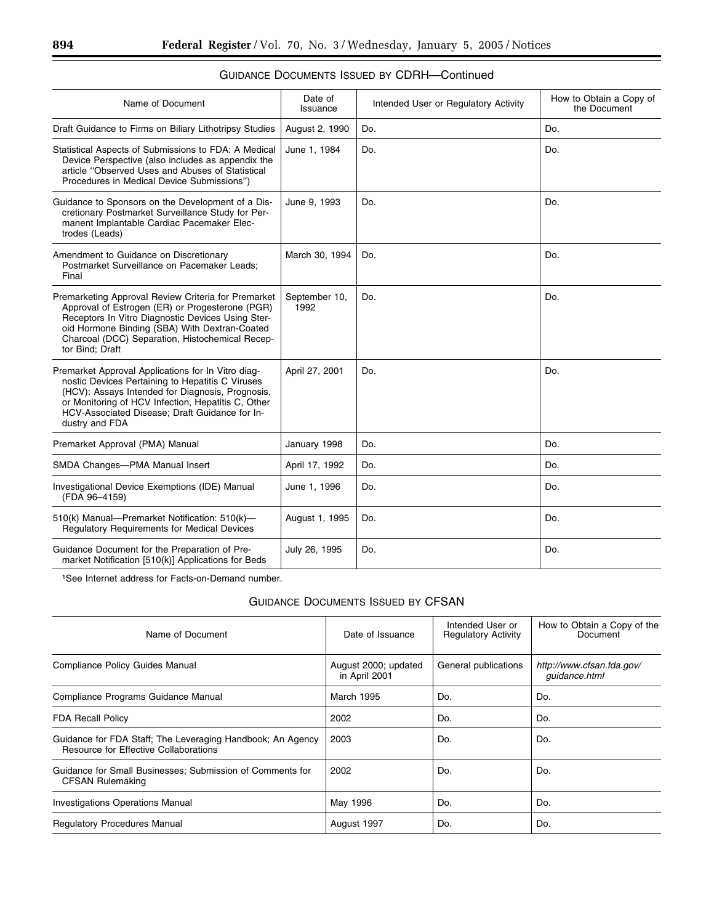| GUIDANCE DOCUMENTS ISSUED BY CDRH—Continued |  |
|---------------------------------------------|--|
|---------------------------------------------|--|

| Name of Document                                                                                                                                                                                                                                                                     | Date of<br>Issuance   | Intended User or Regulatory Activity | How to Obtain a Copy of<br>the Document |
|--------------------------------------------------------------------------------------------------------------------------------------------------------------------------------------------------------------------------------------------------------------------------------------|-----------------------|--------------------------------------|-----------------------------------------|
| Draft Guidance to Firms on Biliary Lithotripsy Studies                                                                                                                                                                                                                               | August 2, 1990        | Do.                                  | Do.                                     |
| Statistical Aspects of Submissions to FDA: A Medical<br>Device Perspective (also includes as appendix the<br>article "Observed Uses and Abuses of Statistical<br>Procedures in Medical Device Submissions")                                                                          | June 1, 1984          | Do.                                  | Do.                                     |
| Guidance to Sponsors on the Development of a Dis-<br>cretionary Postmarket Surveillance Study for Per-<br>manent Implantable Cardiac Pacemaker Elec-<br>trodes (Leads)                                                                                                               | June 9, 1993          | Do.                                  | Do.                                     |
| Amendment to Guidance on Discretionary<br>Postmarket Surveillance on Pacemaker Leads;<br>Final                                                                                                                                                                                       | March 30, 1994        | Do.                                  | Do.                                     |
| Premarketing Approval Review Criteria for Premarket<br>Approval of Estrogen (ER) or Progesterone (PGR)<br>Receptors In Vitro Diagnostic Devices Using Ster-<br>oid Hormone Binding (SBA) With Dextran-Coated<br>Charcoal (DCC) Separation, Histochemical Recep-<br>tor Bind; Draft   | September 10,<br>1992 | Do.                                  | Do.                                     |
| Premarket Approval Applications for In Vitro diag-<br>nostic Devices Pertaining to Hepatitis C Viruses<br>(HCV): Assays Intended for Diagnosis, Prognosis,<br>or Monitoring of HCV Infection, Hepatitis C, Other<br>HCV-Associated Disease; Draft Guidance for In-<br>dustry and FDA | April 27, 2001        | Do.                                  | Do.                                     |
| Premarket Approval (PMA) Manual                                                                                                                                                                                                                                                      | January 1998          | Do.                                  | Do.                                     |
| SMDA Changes-PMA Manual Insert                                                                                                                                                                                                                                                       | April 17, 1992        | Do.                                  | Do.                                     |
| Investigational Device Exemptions (IDE) Manual<br>(FDA 96-4159)                                                                                                                                                                                                                      | June 1, 1996          | Do.                                  | Do.                                     |
| 510(k) Manual-Premarket Notification: 510(k)-<br>Regulatory Requirements for Medical Devices                                                                                                                                                                                         | August 1, 1995        | Do.                                  | Do.                                     |
| Guidance Document for the Preparation of Pre-<br>market Notification [510(k)] Applications for Beds                                                                                                                                                                                  | July 26, 1995         | Do.                                  | Do.                                     |

1See Internet address for Facts-on-Demand number.

## GUIDANCE DOCUMENTS ISSUED BY CFSAN

| Name of Document                                                                                    | Date of Issuance                      | Intended User or<br><b>Regulatory Activity</b> | How to Obtain a Copy of the<br>Document    |
|-----------------------------------------------------------------------------------------------------|---------------------------------------|------------------------------------------------|--------------------------------------------|
| <b>Compliance Policy Guides Manual</b>                                                              | August 2000; updated<br>in April 2001 | General publications                           | http://www.cfsan.fda.gov/<br>guidance.html |
| Compliance Programs Guidance Manual                                                                 | March 1995                            | Do.                                            | Do.                                        |
| <b>FDA Recall Policy</b>                                                                            | 2002                                  | Do.                                            | Do.                                        |
| Guidance for FDA Staff; The Leveraging Handbook; An Agency<br>Resource for Effective Collaborations | 2003                                  | Do.                                            | Do.                                        |
| Guidance for Small Businesses; Submission of Comments for<br><b>CFSAN Rulemaking</b>                | 2002                                  | Do.                                            | Do.                                        |
| <b>Investigations Operations Manual</b>                                                             | May 1996                              | Do.                                            | Do.                                        |
| <b>Regulatory Procedures Manual</b>                                                                 | August 1997                           | Do.                                            | Do.                                        |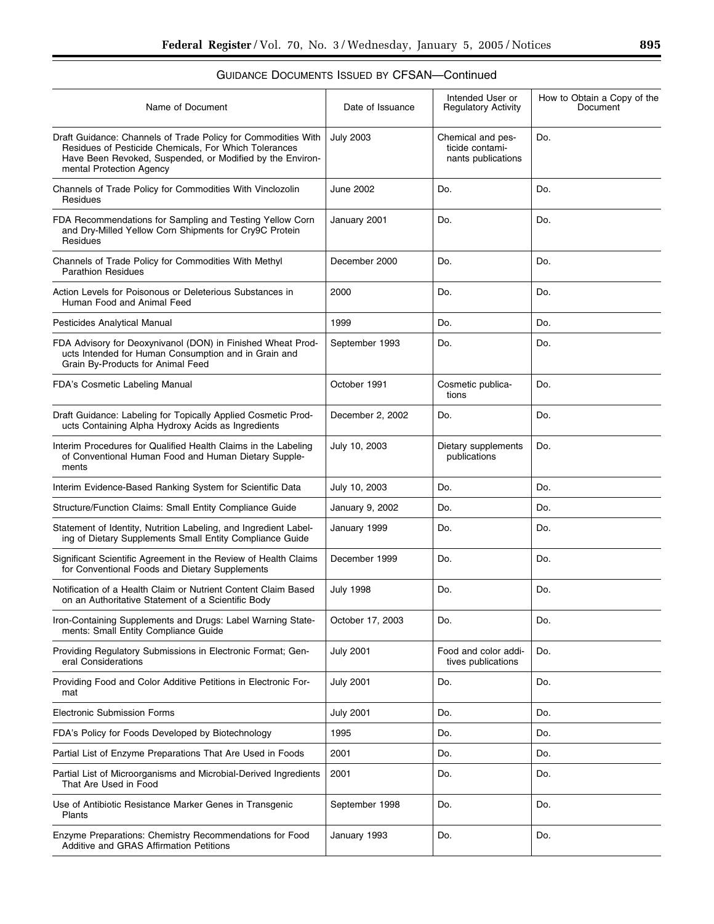| <b>GUIDANCE DOCUMENTS ISSUED BY CFSAN—Continued</b>                                                                                                                                                             |                  |                                                            |                                         |
|-----------------------------------------------------------------------------------------------------------------------------------------------------------------------------------------------------------------|------------------|------------------------------------------------------------|-----------------------------------------|
| Name of Document                                                                                                                                                                                                | Date of Issuance | Intended User or<br><b>Regulatory Activity</b>             | How to Obtain a Copy of the<br>Document |
| Draft Guidance: Channels of Trade Policy for Commodities With<br>Residues of Pesticide Chemicals, For Which Tolerances<br>Have Been Revoked, Suspended, or Modified by the Environ-<br>mental Protection Agency | <b>July 2003</b> | Chemical and pes-<br>ticide contami-<br>nants publications | Do.                                     |
| Channels of Trade Policy for Commodities With Vinclozolin<br>Residues                                                                                                                                           | June 2002        | Do.                                                        | Do.                                     |
| FDA Recommendations for Sampling and Testing Yellow Corn<br>and Dry-Milled Yellow Corn Shipments for Cry9C Protein<br>Residues                                                                                  | January 2001     | Do.                                                        | Do.                                     |
| Channels of Trade Policy for Commodities With Methyl<br><b>Parathion Residues</b>                                                                                                                               | December 2000    | Do.                                                        | Do.                                     |
| Action Levels for Poisonous or Deleterious Substances in<br>Human Food and Animal Feed                                                                                                                          | 2000             | Do.                                                        | Do.                                     |
| Pesticides Analytical Manual                                                                                                                                                                                    | 1999             | Do.                                                        | Do.                                     |
| FDA Advisory for Deoxynivanol (DON) in Finished Wheat Prod-<br>ucts Intended for Human Consumption and in Grain and<br>Grain By-Products for Animal Feed                                                        | September 1993   | Do.                                                        | Do.                                     |
| FDA's Cosmetic Labeling Manual                                                                                                                                                                                  | October 1991     | Cosmetic publica-<br>tions                                 | Do.                                     |
|                                                                                                                                                                                                                 |                  |                                                            |                                         |

Interim Evidence-Based Ranking System for Scientific Data | July 10, 2003 | Do. | Do. | Do. Structure/Function Claims: Small Entity Compliance Guide | January 9, 2002 | Do. | Do. | Do.

Electronic Submission Forms  $\vert$  July 2001  $\vert$  Do.  $\vert$  Do.  $\vert$  Do. FDA's Policy for Foods Developed by Biotechnology 1995 and Do. Do. Do. Do. Do. Partial List of Enzyme Preparations That Are Used in Foods 2001 Do. 2001 Do. 2001

December 2, 2002 Do. Do.

January 1999 | Do. | Do. | Do.

December 1999 | Do. | Do.

July 1998 Do. Do.

October 17, 2003 Do. Do.

July 2001 Do. Do.

2001 Do. Do.

September 1998 Do. Do.

January 1993 | Do. | Do.

tives publications

July 2001 Food and color addi-

publications

Do.

Do.

July 10, 2003 Dietary supplements

Draft Guidance: Labeling for Topically Applied Cosmetic Products Containing Alpha Hydroxy Acids as Ingredients

Interim Procedures for Qualified Health Claims in the Labeling of Conventional Human Food and Human Dietary Supple-

Statement of Identity, Nutrition Labeling, and Ingredient Labeling of Dietary Supplements Small Entity Compliance Guide

Significant Scientific Agreement in the Review of Health Claims for Conventional Foods and Dietary Supplements

Notification of a Health Claim or Nutrient Content Claim Based on an Authoritative Statement of a Scientific Body

Iron-Containing Supplements and Drugs: Label Warning State-

Providing Regulatory Submissions in Electronic Format; Gen-

Providing Food and Color Additive Petitions in Electronic For-

Partial List of Microorganisms and Microbial-Derived Ingredients

Use of Antibiotic Resistance Marker Genes in Transgenic

Additive and GRAS Affirmation Petitions

Enzyme Preparations: Chemistry Recommendations for Food

ments: Small Entity Compliance Guide

eral Considerations

That Are Used in Food

mat

Plants

ments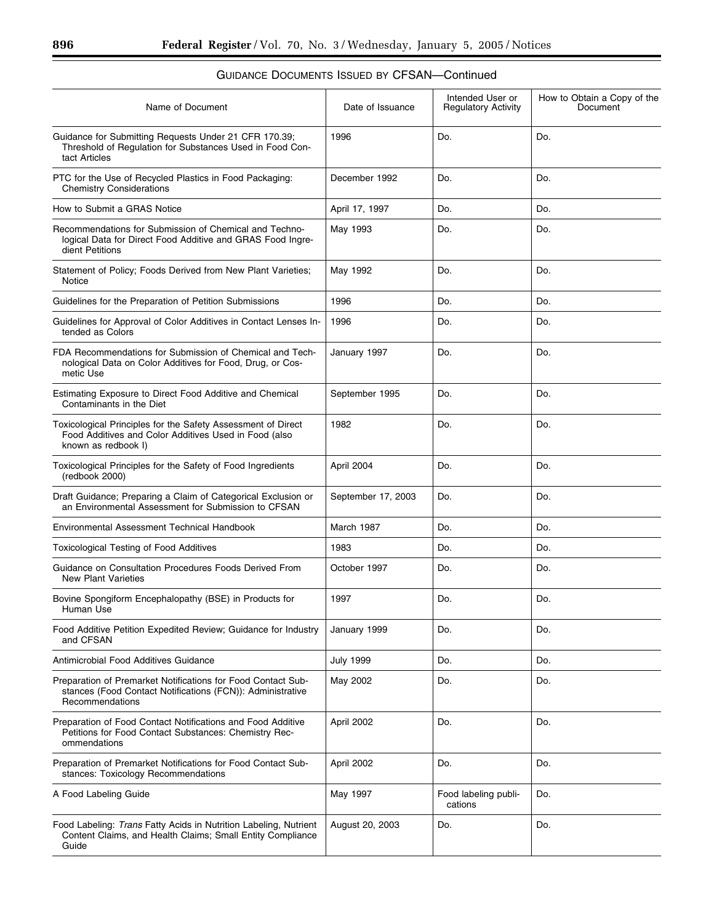▀

| Name of Document                                                                                                                              | Date of Issuance   | Intended User or<br><b>Regulatory Activity</b> | How to Obtain a Copy of the<br>Document |
|-----------------------------------------------------------------------------------------------------------------------------------------------|--------------------|------------------------------------------------|-----------------------------------------|
| Guidance for Submitting Requests Under 21 CFR 170.39;<br>Threshold of Regulation for Substances Used in Food Con-<br>tact Articles            | 1996               | Do.                                            | Do.                                     |
| PTC for the Use of Recycled Plastics in Food Packaging:<br><b>Chemistry Considerations</b>                                                    | December 1992      | Do.                                            | Do.                                     |
| How to Submit a GRAS Notice                                                                                                                   | April 17, 1997     | Do.                                            | Do.                                     |
| Recommendations for Submission of Chemical and Techno-<br>logical Data for Direct Food Additive and GRAS Food Ingre-<br>dient Petitions       | May 1993           | Do.                                            | Do.                                     |
| Statement of Policy; Foods Derived from New Plant Varieties;<br>Notice                                                                        | May 1992           | Do.                                            | Do.                                     |
| Guidelines for the Preparation of Petition Submissions                                                                                        | 1996               | Do.                                            | Do.                                     |
| Guidelines for Approval of Color Additives in Contact Lenses In-<br>tended as Colors                                                          | 1996               | Do.                                            | Do.                                     |
| FDA Recommendations for Submission of Chemical and Tech-<br>nological Data on Color Additives for Food, Drug, or Cos-<br>metic Use            | January 1997       | Do.                                            | Do.                                     |
| Estimating Exposure to Direct Food Additive and Chemical<br>Contaminants in the Diet                                                          | September 1995     | Do.                                            | Do.                                     |
| Toxicological Principles for the Safety Assessment of Direct<br>Food Additives and Color Additives Used in Food (also<br>known as redbook I)  | 1982               | Do.                                            | Do.                                     |
| Toxicological Principles for the Safety of Food Ingredients<br>(redbook 2000)                                                                 | April 2004         | Do.                                            | Do.                                     |
| Draft Guidance; Preparing a Claim of Categorical Exclusion or<br>an Environmental Assessment for Submission to CFSAN                          | September 17, 2003 | Do.                                            | Do.                                     |
| Environmental Assessment Technical Handbook                                                                                                   | March 1987         | Do.                                            | Do.                                     |
| <b>Toxicological Testing of Food Additives</b>                                                                                                | 1983               | Do.                                            | Do.                                     |
| Guidance on Consultation Procedures Foods Derived From<br><b>New Plant Varieties</b>                                                          | October 1997       | Do.                                            | Do.                                     |
| Bovine Spongiform Encephalopathy (BSE) in Products for<br>Human Use                                                                           | 1997               | Do.                                            | Do.                                     |
| Food Additive Petition Expedited Review; Guidance for Industry<br>and CFSAN                                                                   | January 1999       | Do.                                            | Do.                                     |
| Antimicrobial Food Additives Guidance                                                                                                         | <b>July 1999</b>   | Do.                                            | Do.                                     |
| Preparation of Premarket Notifications for Food Contact Sub-<br>stances (Food Contact Notifications (FCN)): Administrative<br>Recommendations | May 2002           | Do.                                            | Do.                                     |
| Preparation of Food Contact Notifications and Food Additive<br>Petitions for Food Contact Substances: Chemistry Rec-<br>ommendations          | April 2002         | Do.                                            | Do.                                     |
| Preparation of Premarket Notifications for Food Contact Sub-<br>stances: Toxicology Recommendations                                           | April 2002         | Do.                                            | Do.                                     |
| A Food Labeling Guide                                                                                                                         | May 1997           | Food labeling publi-<br>cations                | Do.                                     |
| Food Labeling: Trans Fatty Acids in Nutrition Labeling, Nutrient<br>Content Claims, and Health Claims; Small Entity Compliance<br>Guide       | August 20, 2003    | Do.                                            | Do.                                     |
|                                                                                                                                               |                    |                                                |                                         |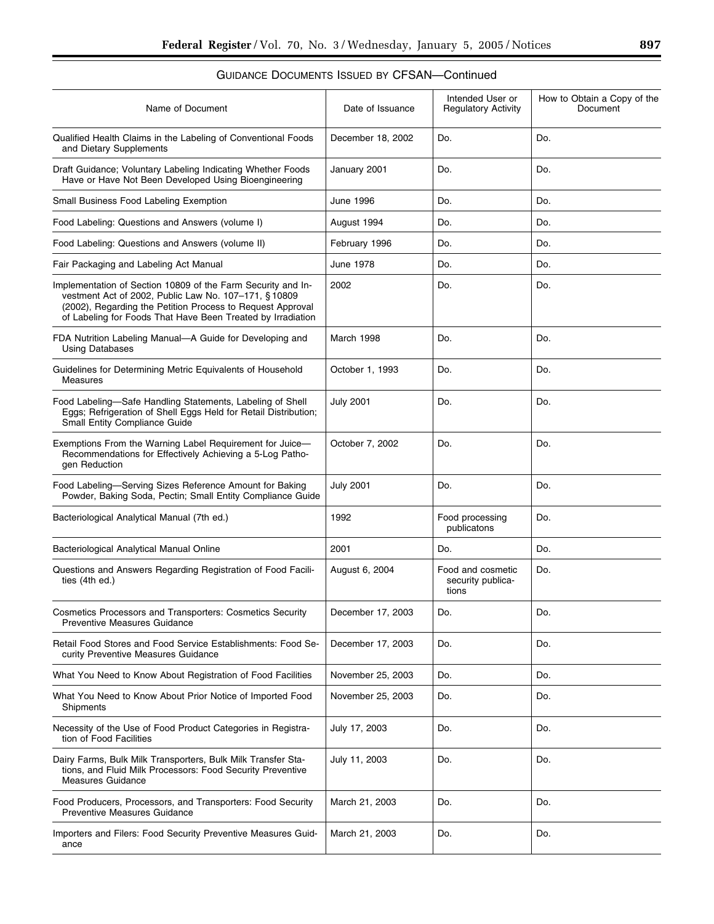| Name of Document                                                                                                                                                                                                                                   | Intended User or<br>Date of Issuance<br><b>Regulatory Activity</b> |                                | How to Obtain a Copy of the<br>Document |
|----------------------------------------------------------------------------------------------------------------------------------------------------------------------------------------------------------------------------------------------------|--------------------------------------------------------------------|--------------------------------|-----------------------------------------|
| Qualified Health Claims in the Labeling of Conventional Foods<br>and Dietary Supplements                                                                                                                                                           | December 18, 2002<br>Do.                                           |                                | Do.                                     |
| Draft Guidance; Voluntary Labeling Indicating Whether Foods<br>Have or Have Not Been Developed Using Bioengineering                                                                                                                                | January 2001                                                       | Do.                            | Do.                                     |
| Small Business Food Labeling Exemption                                                                                                                                                                                                             | June 1996                                                          | Do.                            | Do.                                     |
| Food Labeling: Questions and Answers (volume I)                                                                                                                                                                                                    | August 1994                                                        | Do.                            | Do.                                     |
| Food Labeling: Questions and Answers (volume II)                                                                                                                                                                                                   | February 1996                                                      | Do.                            | Do.                                     |
| Fair Packaging and Labeling Act Manual                                                                                                                                                                                                             | June 1978                                                          | Do.                            | Do.                                     |
| Implementation of Section 10809 of the Farm Security and In-<br>vestment Act of 2002, Public Law No. 107-171, § 10809<br>(2002), Regarding the Petition Process to Request Approval<br>of Labeling for Foods That Have Been Treated by Irradiation | 2002                                                               | Do.                            | Do.                                     |
| FDA Nutrition Labeling Manual-A Guide for Developing and<br><b>Using Databases</b>                                                                                                                                                                 | March 1998                                                         | Do.                            | Do.                                     |
| Guidelines for Determining Metric Equivalents of Household<br><b>Measures</b>                                                                                                                                                                      | October 1, 1993                                                    | Do.                            | Do.                                     |
| Food Labeling-Safe Handling Statements, Labeling of Shell<br>Eggs; Refrigeration of Shell Eggs Held for Retail Distribution;<br>Small Entity Compliance Guide                                                                                      | <b>July 2001</b><br>Do.                                            |                                | Do.                                     |
| Exemptions From the Warning Label Requirement for Juice-<br>Recommendations for Effectively Achieving a 5-Log Patho-<br>gen Reduction                                                                                                              | October 7, 2002                                                    | Do.                            | Do.                                     |
| Food Labeling-Serving Sizes Reference Amount for Baking<br>Powder, Baking Soda, Pectin; Small Entity Compliance Guide                                                                                                                              | <b>July 2001</b>                                                   | Do.                            | Do.                                     |
| Bacteriological Analytical Manual (7th ed.)                                                                                                                                                                                                        | 1992                                                               | Food processing<br>publicatons | Do.                                     |
| Bacteriological Analytical Manual Online                                                                                                                                                                                                           | 2001<br>Do.                                                        |                                | Do.                                     |
| Questions and Answers Regarding Registration of Food Facili-<br>ties (4th ed.)                                                                                                                                                                     | August 6, 2004<br>Food and cosmetic<br>security publica-<br>tions  |                                | Do.                                     |
| Cosmetics Processors and Transporters: Cosmetics Security<br><b>Preventive Measures Guidance</b>                                                                                                                                                   | December 17, 2003                                                  | Do.                            | Do.                                     |
| Retail Food Stores and Food Service Establishments: Food Se-<br>curity Preventive Measures Guidance                                                                                                                                                | December 17, 2003<br>Do.                                           |                                | Do.                                     |
| What You Need to Know About Registration of Food Facilities                                                                                                                                                                                        | November 25, 2003                                                  | Do.                            |                                         |
| What You Need to Know About Prior Notice of Imported Food<br>Shipments                                                                                                                                                                             | November 25, 2003<br>Do.                                           |                                | Do.                                     |
| Necessity of the Use of Food Product Categories in Registra-<br>tion of Food Facilities                                                                                                                                                            | July 17, 2003                                                      | Do.                            | Do.                                     |
| Dairy Farms, Bulk Milk Transporters, Bulk Milk Transfer Sta-<br>tions, and Fluid Milk Processors: Food Security Preventive<br><b>Measures Guidance</b>                                                                                             | July 11, 2003                                                      | Do.                            | Do.                                     |
| Food Producers, Processors, and Transporters: Food Security<br><b>Preventive Measures Guidance</b>                                                                                                                                                 | March 21, 2003                                                     | Do.                            | Do.                                     |
| Importers and Filers: Food Security Preventive Measures Guid-<br>ance                                                                                                                                                                              | March 21, 2003                                                     | Do.                            | Do.                                     |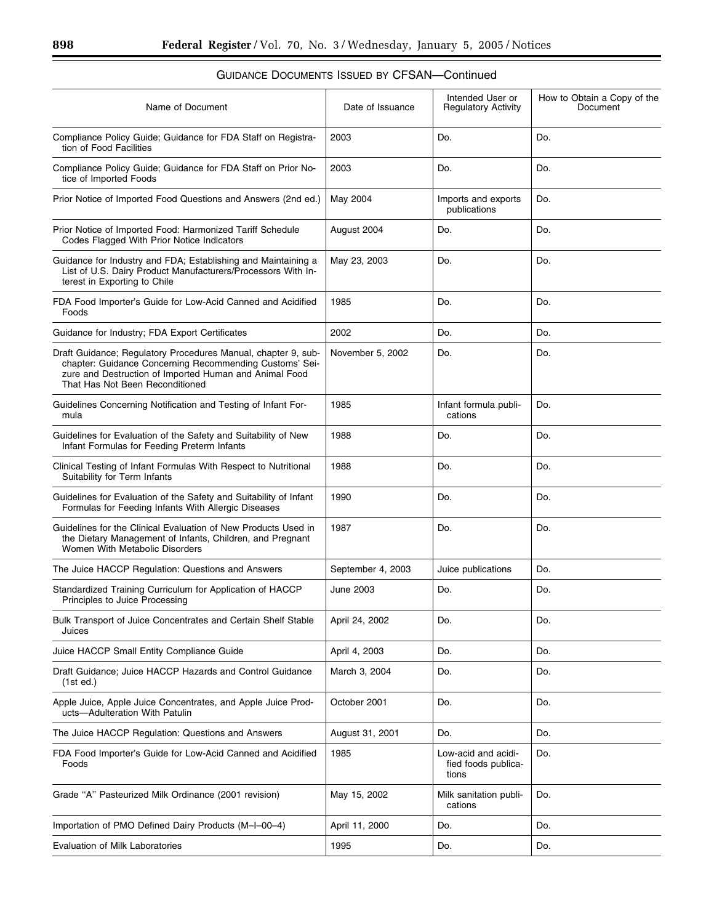### Name of Document and Date of Issuance Intended User or Regulatory Activity How to Obtain a Copy of the Document Compliance Policy Guide; Guidance for FDA Staff on Registration of Food Facilities 2003 Do. Do. Compliance Policy Guide; Guidance for FDA Staff on Prior Notice of Imported Foods 2003 Do. Do. Prior Notice of Imported Food Questions and Answers (2nd ed.) May 2004 Imports and exports publications Do. Prior Notice of Imported Food: Harmonized Tariff Schedule Codes Flagged With Prior Notice Indicators August 2004 | Do. | Do. | Do. Guidance for Industry and FDA; Establishing and Maintaining a List of U.S. Dairy Product Manufacturers/Processors With Interest in Exporting to Chile May 23, 2003 | Do. | Do. FDA Food Importer's Guide for Low-Acid Canned and Acidified Foods 1985 Do. Do. Guidance for Industry; FDA Export Certificates 2002 Do. 2002 Do. Draft Guidance; Regulatory Procedures Manual, chapter 9, subchapter: Guidance Concerning Recommending Customs' Seizure and Destruction of Imported Human and Animal Food That Has Not Been Reconditioned November 5, 2002 | Do. | Do. Guidelines Concerning Notification and Testing of Infant Formula 1985 | Infant formula publications Do. Guidelines for Evaluation of the Safety and Suitability of New Infant Formulas for Feeding Preterm Infants 1988 | Do. | Do. | Do. Clinical Testing of Infant Formulas With Respect to Nutritional Suitability for Term Infants 1988 Do. Do. Guidelines for Evaluation of the Safety and Suitability of Infant Formulas for Feeding Infants With Allergic Diseases 1990 | Do. | Do. | Do. Guidelines for the Clinical Evaluation of New Products Used in the Dietary Management of Infants, Children, and Pregnant Women With Metabolic Disorders 1987 Do. Do. The Juice HACCP Regulation: Questions and Answers September 4, 2003 Juice publications Do. Standardized Training Curriculum for Application of HACCP Principles to Juice Processing June 2003 Do. Do. Bulk Transport of Juice Concentrates and Certain Shelf Stable Juices April 24, 2002 Do. Do. Juice HACCP Small Entity Compliance Guide **April 4, 2003** Do. 2003 Do. Draft Guidance; Juice HACCP Hazards and Control Guidance (1st ed.) March 3, 2004 | Do. | Do. Apple Juice, Apple Juice Concentrates, and Apple Juice Products—Adulteration With Patulin October 2001 Do. Do. The Juice HACCP Regulation: Questions and Answers August 31, 2001 Do. Do. FDA Food Importer's Guide for Low-Acid Canned and Acidified Foods 1985 Low-acid and acidified foods publications Do. Grade "A" Pasteurized Milk Ordinance (2001 revision) May 15, 2002 Milk sanitation publications Do. Importation of PMO Defined Dairy Products (M-I–00–4) April 11, 2000 Do. Do. Do. Evaluation of Milk Laboratories **1995** Do. 2011 **Do.** Do. 2012 Do.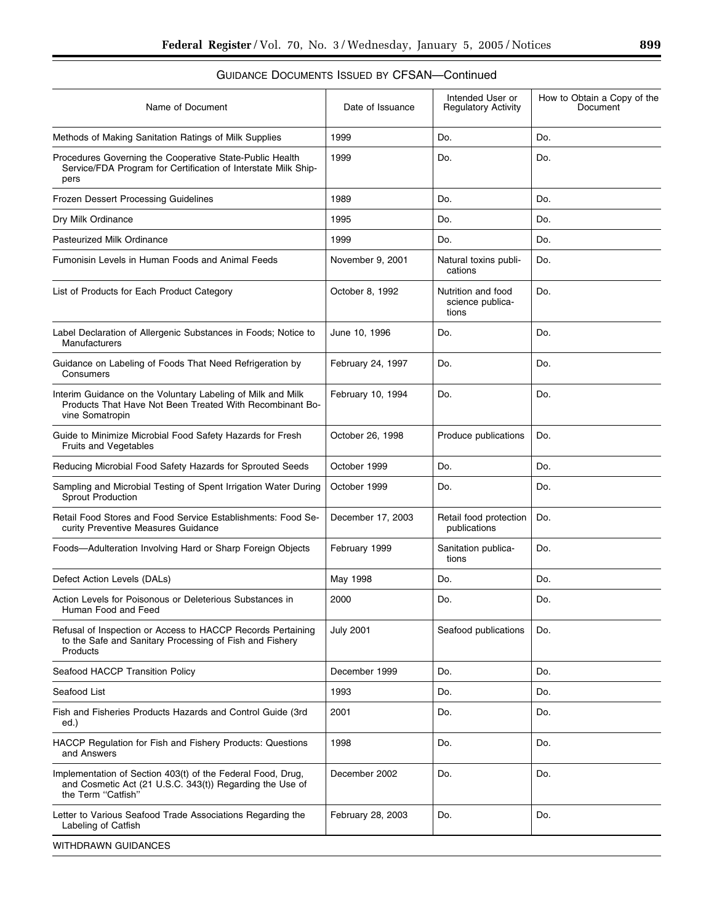| Name of Document                                                                                                                              | Date of Issuance         | Intended User or<br><b>Regulatory Activity</b>  | How to Obtain a Copy of the<br>Document |
|-----------------------------------------------------------------------------------------------------------------------------------------------|--------------------------|-------------------------------------------------|-----------------------------------------|
| Methods of Making Sanitation Ratings of Milk Supplies                                                                                         | 1999                     | Do.                                             |                                         |
| Procedures Governing the Cooperative State-Public Health<br>Service/FDA Program for Certification of Interstate Milk Ship-<br>pers            | 1999                     | Do.                                             | Do.                                     |
| Frozen Dessert Processing Guidelines                                                                                                          | 1989                     | Do.                                             | Do.                                     |
| Dry Milk Ordinance                                                                                                                            | 1995                     | Do.                                             | Do.                                     |
| <b>Pasteurized Milk Ordinance</b>                                                                                                             | 1999                     | Do.                                             | Do.                                     |
| Fumonisin Levels in Human Foods and Animal Feeds                                                                                              | November 9, 2001         | Natural toxins publi-<br>cations                | Do.                                     |
| List of Products for Each Product Category                                                                                                    | October 8, 1992          | Nutrition and food<br>science publica-<br>tions | Do.                                     |
| Label Declaration of Allergenic Substances in Foods; Notice to<br>Manufacturers                                                               | June 10, 1996            | Do.                                             | Do.                                     |
| Guidance on Labeling of Foods That Need Refrigeration by<br>Consumers                                                                         | February 24, 1997        | Do.                                             | Do.                                     |
| Interim Guidance on the Voluntary Labeling of Milk and Milk<br>Products That Have Not Been Treated With Recombinant Bo-<br>vine Somatropin    | February 10, 1994<br>Do. |                                                 | Do.                                     |
| Guide to Minimize Microbial Food Safety Hazards for Fresh<br><b>Fruits and Vegetables</b>                                                     | October 26, 1998         | Produce publications                            | Do.                                     |
| Reducing Microbial Food Safety Hazards for Sprouted Seeds                                                                                     | October 1999             | Do.                                             |                                         |
| Sampling and Microbial Testing of Spent Irrigation Water During<br><b>Sprout Production</b>                                                   | October 1999             | Do.                                             | Do.                                     |
| Retail Food Stores and Food Service Establishments: Food Se-<br>curity Preventive Measures Guidance                                           | December 17, 2003        | Retail food protection<br>publications          | Do.                                     |
| Foods—Adulteration Involving Hard or Sharp Foreign Objects                                                                                    | February 1999            | Sanitation publica-<br>tions                    | Do.                                     |
| Defect Action Levels (DALs)                                                                                                                   | May 1998                 | Do.                                             | Do.                                     |
| Action Levels for Poisonous or Deleterious Substances in<br>Human Food and Feed                                                               | 2000                     | Do.                                             | Do.                                     |
| Refusal of Inspection or Access to HACCP Records Pertaining<br>to the Safe and Sanitary Processing of Fish and Fishery<br>Products            | <b>July 2001</b>         | Seafood publications                            |                                         |
| Seafood HACCP Transition Policy                                                                                                               | December 1999            | Do.                                             | Do.                                     |
| Seafood List                                                                                                                                  | 1993                     | Do.                                             | Do.                                     |
| Fish and Fisheries Products Hazards and Control Guide (3rd<br>ed.)                                                                            | 2001                     | Do.                                             | Do.                                     |
| HACCP Regulation for Fish and Fishery Products: Questions<br>and Answers                                                                      | 1998                     | Do.                                             | Do.                                     |
| Implementation of Section 403(t) of the Federal Food, Drug,<br>and Cosmetic Act (21 U.S.C. 343(t)) Regarding the Use of<br>the Term "Catfish" | December 2002            | Do.                                             | Do.                                     |
| Letter to Various Seafood Trade Associations Regarding the<br>Labeling of Catfish                                                             | February 28, 2003        | Do.                                             | Do.                                     |
| WITHDRAWN GUIDANCES                                                                                                                           |                          |                                                 |                                         |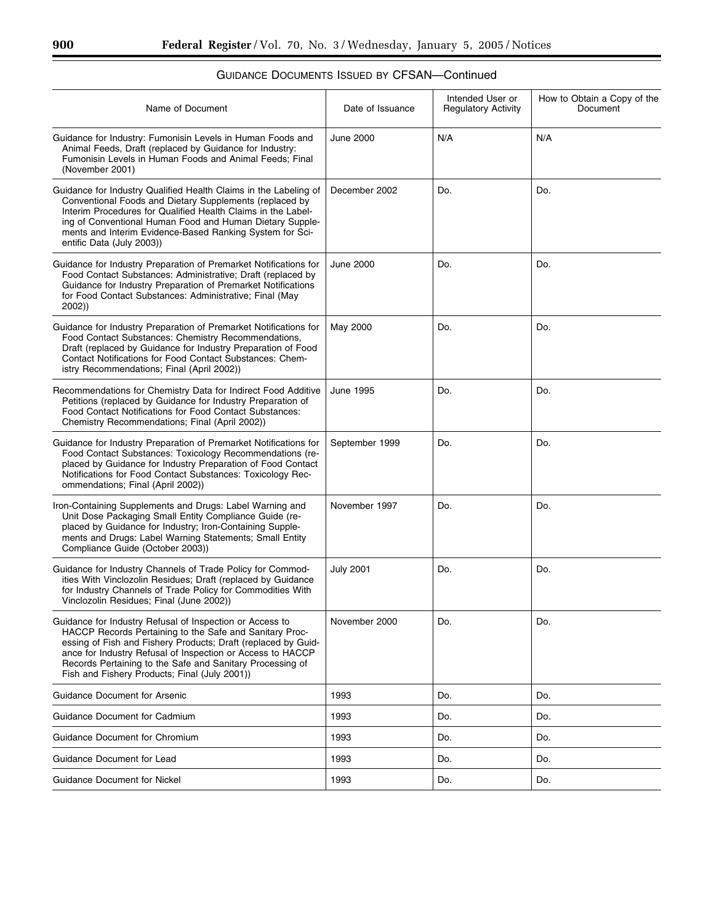| Name of Document                                                                                                                                                                                                                                                                                                                                                 | Date of Issuance | Intended User or<br><b>Regulatory Activity</b> | How to Obtain a Copy of the<br>Document |
|------------------------------------------------------------------------------------------------------------------------------------------------------------------------------------------------------------------------------------------------------------------------------------------------------------------------------------------------------------------|------------------|------------------------------------------------|-----------------------------------------|
| Guidance for Industry: Fumonisin Levels in Human Foods and<br>Animal Feeds, Draft (replaced by Guidance for Industry:<br>Fumonisin Levels in Human Foods and Animal Feeds; Final<br>(November 2001)                                                                                                                                                              | <b>June 2000</b> | N/A                                            | N/A                                     |
| Guidance for Industry Qualified Health Claims in the Labeling of<br>Conventional Foods and Dietary Supplements (replaced by<br>Interim Procedures for Qualified Health Claims in the Label-<br>ing of Conventional Human Food and Human Dietary Supple-<br>ments and Interim Evidence-Based Ranking System for Sci-<br>entific Data (July 2003))                 | December 2002    | Do.                                            | Do.                                     |
| Guidance for Industry Preparation of Premarket Notifications for<br>Food Contact Substances: Administrative; Draft (replaced by<br>Guidance for Industry Preparation of Premarket Notifications<br>for Food Contact Substances: Administrative; Final (May<br>2002))                                                                                             | <b>June 2000</b> | Do.                                            | Do.                                     |
| Guidance for Industry Preparation of Premarket Notifications for<br>Food Contact Substances: Chemistry Recommendations,<br>Draft (replaced by Guidance for Industry Preparation of Food<br>Contact Notifications for Food Contact Substances: Chem-<br>istry Recommendations; Final (April 2002))                                                                | May 2000         | Do.                                            | Do.                                     |
| Recommendations for Chemistry Data for Indirect Food Additive<br>Petitions (replaced by Guidance for Industry Preparation of<br>Food Contact Notifications for Food Contact Substances:<br>Chemistry Recommendations; Final (April 2002))                                                                                                                        | June 1995        | Do.                                            | Do.                                     |
| Guidance for Industry Preparation of Premarket Notifications for<br>Food Contact Substances: Toxicology Recommendations (re-<br>placed by Guidance for Industry Preparation of Food Contact<br>Notifications for Food Contact Substances: Toxicology Rec-<br>ommendations; Final (April 2002))                                                                   | September 1999   | Do.                                            | Do.                                     |
| Iron-Containing Supplements and Drugs: Label Warning and<br>Unit Dose Packaging Small Entity Compliance Guide (re-<br>placed by Guidance for Industry; Iron-Containing Supple-<br>ments and Drugs: Label Warning Statements; Small Entity<br>Compliance Guide (October 2003))                                                                                    | November 1997    | Do.                                            | Do.                                     |
| Guidance for Industry Channels of Trade Policy for Commod-<br>ities With Vinclozolin Residues; Draft (replaced by Guidance<br>for Industry Channels of Trade Policy for Commodities With<br>Vinclozolin Residues; Final (June 2002))                                                                                                                             | <b>July 2001</b> | Do.                                            | Do.                                     |
| Guidance for Industry Refusal of Inspection or Access to<br>HACCP Records Pertaining to the Safe and Sanitary Proc-<br>essing of Fish and Fishery Products; Draft (replaced by Guid-<br>ance for Industry Refusal of Inspection or Access to HACCP<br>Records Pertaining to the Safe and Sanitary Processing of<br>Fish and Fishery Products; Final (July 2001)) | November 2000    | Do.                                            | Do.                                     |
| <b>Guidance Document for Arsenic</b>                                                                                                                                                                                                                                                                                                                             | 1993             | Do.                                            | Do.                                     |
| Guidance Document for Cadmium                                                                                                                                                                                                                                                                                                                                    | 1993             | Do.                                            | Do.                                     |
| <b>Guidance Document for Chromium</b>                                                                                                                                                                                                                                                                                                                            | 1993             | Do.                                            | Do.                                     |
| Guidance Document for Lead                                                                                                                                                                                                                                                                                                                                       | 1993             | Do.                                            | Do.                                     |
| <b>Guidance Document for Nickel</b>                                                                                                                                                                                                                                                                                                                              | 1993             | Do.                                            | Do.                                     |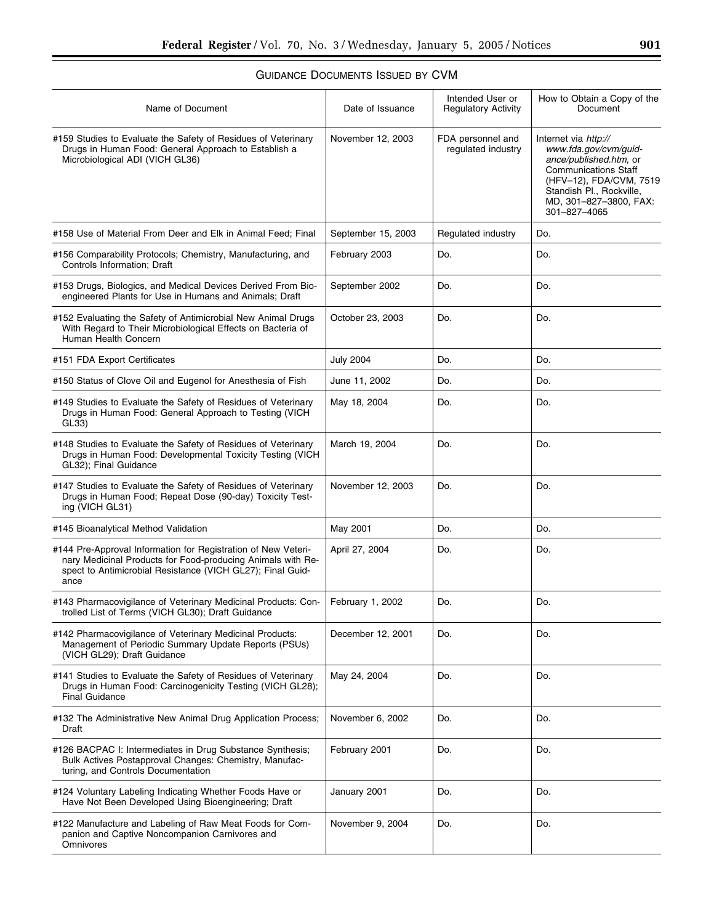# GUIDANCE DOCUMENTS ISSUED BY CVM

| Name of Document                                                                                                                                                                                   | Date of Issuance   | Intended User or<br><b>Regulatory Activity</b> | How to Obtain a Copy of the<br>Document                                                                                                                                                                 |
|----------------------------------------------------------------------------------------------------------------------------------------------------------------------------------------------------|--------------------|------------------------------------------------|---------------------------------------------------------------------------------------------------------------------------------------------------------------------------------------------------------|
| #159 Studies to Evaluate the Safety of Residues of Veterinary<br>Drugs in Human Food: General Approach to Establish a<br>Microbiological ADI (VICH GL36)                                           | November 12, 2003  | FDA personnel and<br>regulated industry        | Internet via http://<br>www.fda.gov/cvm/guid-<br>ance/published.htm, or<br><b>Communications Staff</b><br>(HFV-12), FDA/CVM, 7519<br>Standish Pl., Rockville,<br>MD, 301-827-3800, FAX:<br>301-827-4065 |
| #158 Use of Material From Deer and Elk in Animal Feed; Final                                                                                                                                       | September 15, 2003 | Regulated industry                             | Do.                                                                                                                                                                                                     |
| #156 Comparability Protocols; Chemistry, Manufacturing, and<br>Controls Information; Draft                                                                                                         | February 2003      | Do.                                            | Do.                                                                                                                                                                                                     |
| #153 Drugs, Biologics, and Medical Devices Derived From Bio-<br>engineered Plants for Use in Humans and Animals; Draft                                                                             | September 2002     | Do.                                            | Do.                                                                                                                                                                                                     |
| #152 Evaluating the Safety of Antimicrobial New Animal Drugs<br>With Regard to Their Microbiological Effects on Bacteria of<br>Human Health Concern                                                | October 23, 2003   | Do.                                            | Do.                                                                                                                                                                                                     |
| #151 FDA Export Certificates                                                                                                                                                                       | <b>July 2004</b>   | Do.                                            | Do.                                                                                                                                                                                                     |
| #150 Status of Clove Oil and Eugenol for Anesthesia of Fish                                                                                                                                        | June 11, 2002      | Do.                                            | Do.                                                                                                                                                                                                     |
| #149 Studies to Evaluate the Safety of Residues of Veterinary<br>Drugs in Human Food: General Approach to Testing (VICH<br>GL33                                                                    | May 18, 2004       | Do.                                            | Do.                                                                                                                                                                                                     |
| #148 Studies to Evaluate the Safety of Residues of Veterinary<br>Drugs in Human Food: Developmental Toxicity Testing (VICH<br>GL32); Final Guidance                                                | March 19, 2004     | Do.                                            | Do.                                                                                                                                                                                                     |
| #147 Studies to Evaluate the Safety of Residues of Veterinary<br>Drugs in Human Food; Repeat Dose (90-day) Toxicity Test-<br>ing (VICH GL31)                                                       | November 12, 2003  | Do.                                            | Do.                                                                                                                                                                                                     |
| #145 Bioanalytical Method Validation                                                                                                                                                               | May 2001           | Do.                                            | Do.                                                                                                                                                                                                     |
| #144 Pre-Approval Information for Registration of New Veteri-<br>nary Medicinal Products for Food-producing Animals with Re-<br>spect to Antimicrobial Resistance (VICH GL27); Final Guid-<br>ance | April 27, 2004     | Do.                                            | Do.                                                                                                                                                                                                     |
| #143 Pharmacovigilance of Veterinary Medicinal Products: Con-<br>trolled List of Terms (VICH GL30); Draft Guidance                                                                                 | February 1, 2002   | Do.                                            | Do.                                                                                                                                                                                                     |
| #142 Pharmacovigilance of Veterinary Medicinal Products:<br>Management of Periodic Summary Update Reports (PSUs)<br>(VICH GL29); Draft Guidance                                                    | December 12, 2001  | Do.                                            | Do.                                                                                                                                                                                                     |
| #141 Studies to Evaluate the Safety of Residues of Veterinary<br>Drugs in Human Food: Carcinogenicity Testing (VICH GL28);<br><b>Final Guidance</b>                                                | May 24, 2004       | Do.                                            | Do.                                                                                                                                                                                                     |
| #132 The Administrative New Animal Drug Application Process;<br>Draft                                                                                                                              | November 6, 2002   | Do.                                            | Do.                                                                                                                                                                                                     |
| #126 BACPAC I: Intermediates in Drug Substance Synthesis;<br>Bulk Actives Postapproval Changes: Chemistry, Manufac-<br>turing, and Controls Documentation                                          | February 2001      | Do.                                            | Do.                                                                                                                                                                                                     |
| #124 Voluntary Labeling Indicating Whether Foods Have or<br>Have Not Been Developed Using Bioengineering; Draft                                                                                    | January 2001       | Do.                                            | Do.                                                                                                                                                                                                     |
| #122 Manufacture and Labeling of Raw Meat Foods for Com-<br>panion and Captive Noncompanion Carnivores and<br>Omnivores                                                                            | November 9, 2004   | Do.                                            | Do.                                                                                                                                                                                                     |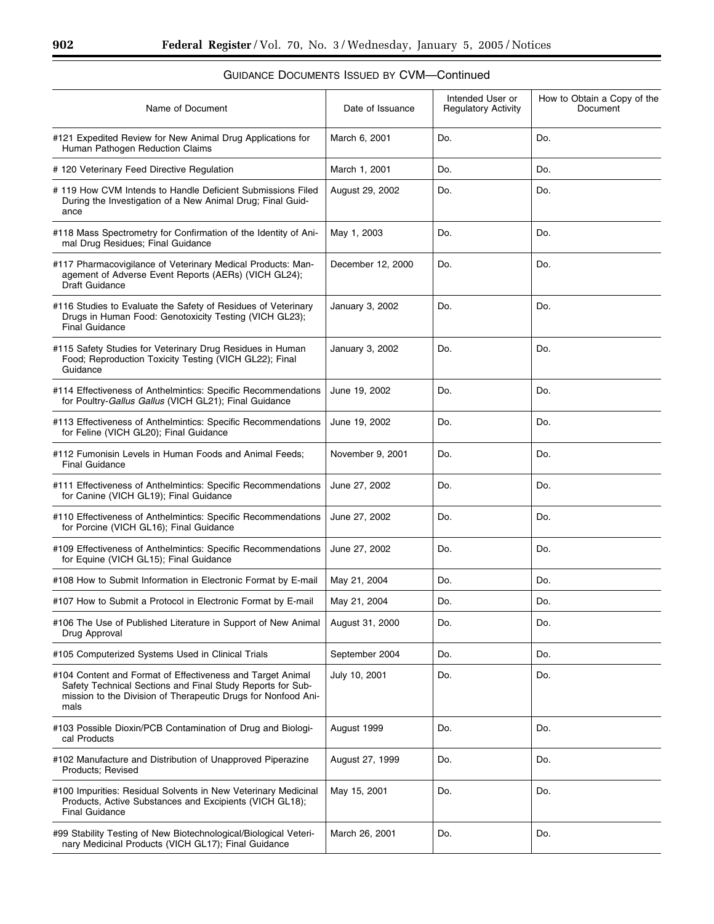$\equiv$ 

| Name of Document                                                                                                                                                                                  | Date of Issuance  | Intended User or<br><b>Regulatory Activity</b> | How to Obtain a Copy of the<br>Document |
|---------------------------------------------------------------------------------------------------------------------------------------------------------------------------------------------------|-------------------|------------------------------------------------|-----------------------------------------|
| #121 Expedited Review for New Animal Drug Applications for<br>Human Pathogen Reduction Claims                                                                                                     | March 6, 2001     | Do.                                            | Do.                                     |
| # 120 Veterinary Feed Directive Regulation                                                                                                                                                        | March 1, 2001     | Do.                                            | Do.                                     |
| #119 How CVM Intends to Handle Deficient Submissions Filed<br>During the Investigation of a New Animal Drug; Final Guid-<br>ance                                                                  | August 29, 2002   | Do.                                            | Do.                                     |
| #118 Mass Spectrometry for Confirmation of the Identity of Ani-<br>mal Drug Residues; Final Guidance                                                                                              | May 1, 2003       | Do.                                            | Do.                                     |
| #117 Pharmacovigilance of Veterinary Medical Products: Man-<br>agement of Adverse Event Reports (AERs) (VICH GL24);<br><b>Draft Guidance</b>                                                      | December 12, 2000 | Do.                                            | Do.                                     |
| #116 Studies to Evaluate the Safety of Residues of Veterinary<br>Drugs in Human Food: Genotoxicity Testing (VICH GL23);<br>Final Guidance                                                         | January 3, 2002   | Do.                                            | Do.                                     |
| #115 Safety Studies for Veterinary Drug Residues in Human<br>Food; Reproduction Toxicity Testing (VICH GL22); Final<br>Guidance                                                                   | January 3, 2002   | Do.                                            | Do.                                     |
| #114 Effectiveness of Anthelmintics: Specific Recommendations<br>for Poultry-Gallus Gallus (VICH GL21); Final Guidance                                                                            | June 19, 2002     | Do.                                            | Do.                                     |
| #113 Effectiveness of Anthelmintics: Specific Recommendations<br>for Feline (VICH GL20); Final Guidance                                                                                           | June 19, 2002     | Do.                                            | Do.                                     |
| #112 Fumonisin Levels in Human Foods and Animal Feeds;<br><b>Final Guidance</b>                                                                                                                   | November 9, 2001  | Do.                                            | Do.                                     |
| #111 Effectiveness of Anthelmintics: Specific Recommendations<br>for Canine (VICH GL19); Final Guidance                                                                                           | June 27, 2002     | Do.                                            | Do.                                     |
| #110 Effectiveness of Anthelmintics: Specific Recommendations<br>for Porcine (VICH GL16); Final Guidance                                                                                          | June 27, 2002     | Do.                                            | Do.                                     |
| #109 Effectiveness of Anthelmintics: Specific Recommendations<br>for Equine (VICH GL15); Final Guidance                                                                                           | June 27, 2002     | Do.                                            | Do.                                     |
| #108 How to Submit Information in Electronic Format by E-mail                                                                                                                                     | May 21, 2004      | Do.                                            | Do.                                     |
| #107 How to Submit a Protocol in Electronic Format by E-mail                                                                                                                                      | May 21, 2004      | Do.                                            | Do.                                     |
| #106 The Use of Published Literature in Support of New Animal<br>Drug Approval                                                                                                                    | August 31, 2000   | Do.                                            | Do.                                     |
| #105 Computerized Systems Used in Clinical Trials                                                                                                                                                 | September 2004    | Do.                                            | Do.                                     |
| #104 Content and Format of Effectiveness and Target Animal<br>Safety Technical Sections and Final Study Reports for Sub-<br>mission to the Division of Therapeutic Drugs for Nonfood Ani-<br>mals | July 10, 2001     | Do.                                            | Do.                                     |
| #103 Possible Dioxin/PCB Contamination of Drug and Biologi-<br>cal Products                                                                                                                       | August 1999       | Do.                                            | Do.                                     |
| #102 Manufacture and Distribution of Unapproved Piperazine<br>Products; Revised                                                                                                                   | August 27, 1999   | Do.                                            | Do.                                     |
| #100 Impurities: Residual Solvents in New Veterinary Medicinal<br>Products, Active Substances and Excipients (VICH GL18);<br><b>Final Guidance</b>                                                | May 15, 2001      | Do.                                            | Do.                                     |
| #99 Stability Testing of New Biotechnological/Biological Veteri-<br>nary Medicinal Products (VICH GL17); Final Guidance                                                                           | March 26, 2001    | Do.                                            | Do.                                     |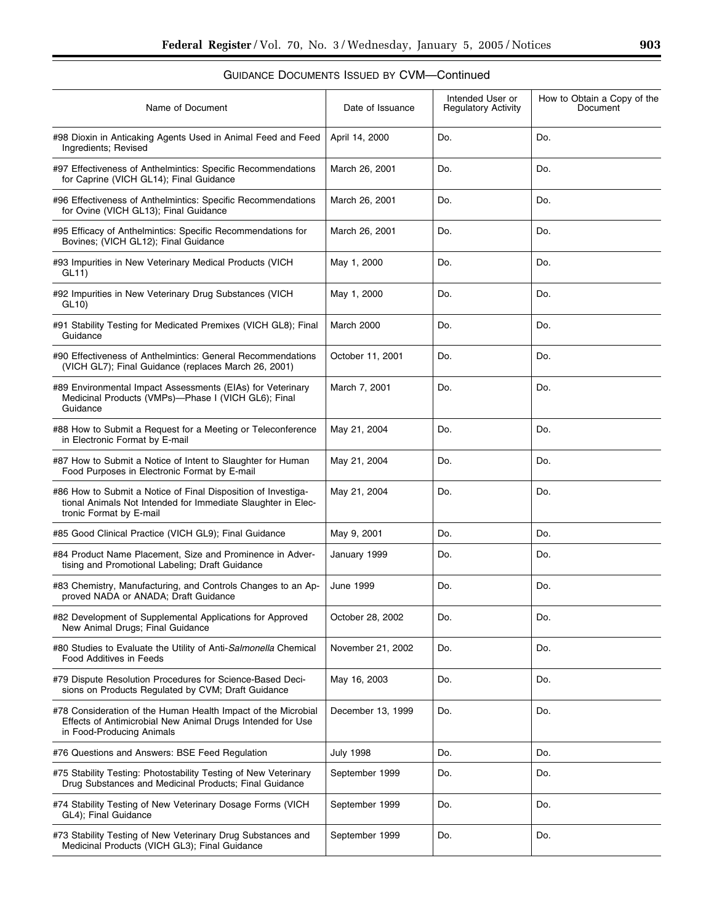### Name of Document Date of Issuance Intended User or Regulatory Activity How to Obtain a Copy of the Document #98 Dioxin in Anticaking Agents Used in Animal Feed and Feed Ingredients; Revised April 14, 2000 | Do. | Do. #97 Effectiveness of Anthelmintics: Specific Recommendations for Caprine (VICH GL14); Final Guidance March 26, 2001 | Do. | Do. #96 Effectiveness of Anthelmintics: Specific Recommendations for Ovine (VICH GL13); Final Guidance March 26, 2001 | Do. | Do. #95 Efficacy of Anthelmintics: Specific Recommendations for Bovines; (VICH GL12); Final Guidance March 26, 2001 | Do. | Do. #93 Impurities in New Veterinary Medical Products (VICH GL11) May 1, 2000 Do. Do. #92 Impurities in New Veterinary Drug Substances (VICH GL10) May 1, 2000 | Do. | Do. | Do. #91 Stability Testing for Medicated Premixes (VICH GL8); Final Guidance March 2000 Do. Do. Do. #90 Effectiveness of Anthelmintics: General Recommendations (VICH GL7); Final Guidance (replaces March 26, 2001) October 11, 2001 Do. Do. #89 Environmental Impact Assessments (EIAs) for Veterinary Medicinal Products (VMPs)—Phase I (VICH GL6); Final **Guidance** March 7, 2001 | Do. | Do. #88 How to Submit a Request for a Meeting or Teleconference in Electronic Format by E-mail May 21, 2004 Do. Do. #87 How to Submit a Notice of Intent to Slaughter for Human Food Purposes in Electronic Format by E-mail May 21, 2004 Do. Do. #86 How to Submit a Notice of Final Disposition of Investigational Animals Not Intended for Immediate Slaughter in Electronic Format by E-mail May 21, 2004 Do. 2008 Do. #85 Good Clinical Practice (VICH GL9); Final Guidance  $\vert$  May 9, 2001  $\vert$  Do.  $\vert$  Do.  $\vert$  Do. #84 Product Name Placement, Size and Prominence in Advertising and Promotional Labeling; Draft Guidance January 1999 | Do. | Do. | Do. #83 Chemistry, Manufacturing, and Controls Changes to an Approved NADA or ANADA; Draft Guidance June 1999 Do. Do. #82 Development of Supplemental Applications for Approved New Animal Drugs; Final Guidance October 28, 2002 Do. Do. #80 Studies to Evaluate the Utility of Anti-*Salmonella* Chemical Food Additives in Feeds November 21, 2002 | Do. | Do. #79 Dispute Resolution Procedures for Science-Based Decisions on Products Regulated by CVM; Draft Guidance May 16, 2003 | Do. | Do. #78 Consideration of the Human Health Impact of the Microbial Effects of Antimicrobial New Animal Drugs Intended for Use in Food-Producing Animals December 13, 1999 | Do. | Do. #76 Questions and Answers: BSE Feed Regulation  $\vert$  July 1998  $\vert$  Do.  $\vert$  Do.  $\vert$  Do. #75 Stability Testing: Photostability Testing of New Veterinary Drug Substances and Medicinal Products; Final Guidance September 1999 Do. Do. #74 Stability Testing of New Veterinary Dosage Forms (VICH GL4); Final Guidance September 1999 Do. Do. #73 Stability Testing of New Veterinary Drug Substances and Medicinal Products (VICH GL3); Final Guidance September 1999 Do. Do.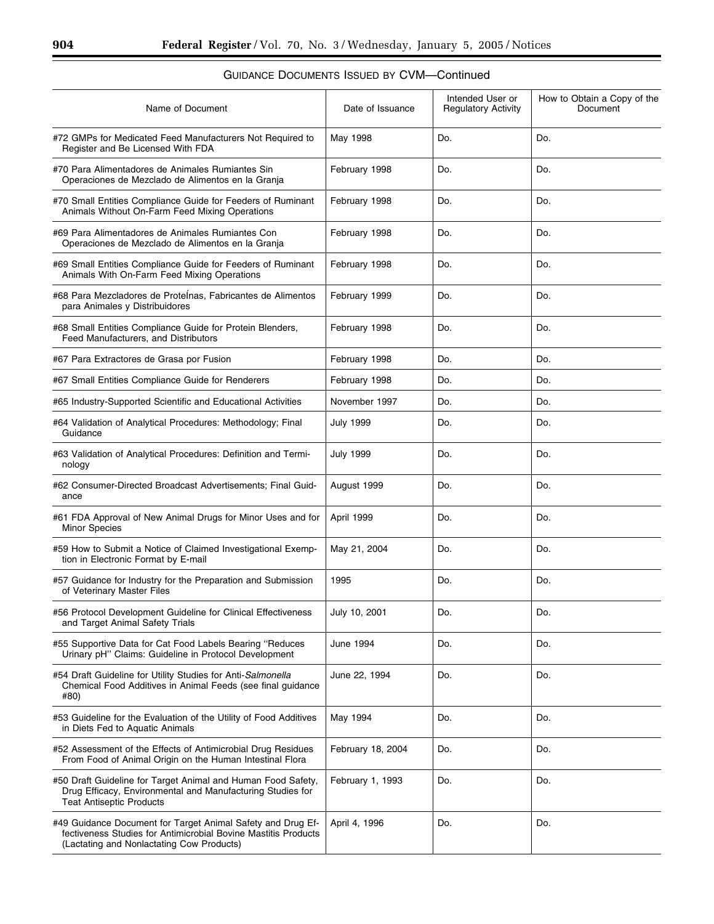▀

| Name of Document                                                                                                                                                           | Date of Issuance  | Intended User or<br><b>Regulatory Activity</b> | How to Obtain a Copy of the<br>Document |
|----------------------------------------------------------------------------------------------------------------------------------------------------------------------------|-------------------|------------------------------------------------|-----------------------------------------|
| #72 GMPs for Medicated Feed Manufacturers Not Required to<br>Register and Be Licensed With FDA                                                                             | May 1998          | Do.                                            | Do.                                     |
| #70 Para Alimentadores de Animales Rumiantes Sin<br>Operaciones de Mezclado de Alimentos en la Granja                                                                      | February 1998     | Do.                                            | Do.                                     |
| #70 Small Entities Compliance Guide for Feeders of Ruminant<br>Animals Without On-Farm Feed Mixing Operations                                                              | February 1998     | Do.                                            | Do.                                     |
| #69 Para Alimentadores de Animales Rumiantes Con<br>Operaciones de Mezclado de Alimentos en la Granja                                                                      | February 1998     | Do.                                            | Do.                                     |
| #69 Small Entities Compliance Guide for Feeders of Ruminant<br>Animals With On-Farm Feed Mixing Operations                                                                 | February 1998     | Do.                                            | Do.                                     |
| #68 Para Mezcladores de Proteinas, Fabricantes de Alimentos<br>para Animales y Distribuidores                                                                              | February 1999     | Do.                                            | Do.                                     |
| #68 Small Entities Compliance Guide for Protein Blenders,<br>Feed Manufacturers, and Distributors                                                                          | February 1998     | Do.                                            | Do.                                     |
| #67 Para Extractores de Grasa por Fusion                                                                                                                                   | February 1998     | Do.                                            | Do.                                     |
| #67 Small Entities Compliance Guide for Renderers                                                                                                                          | February 1998     | Do.                                            | Do.                                     |
| #65 Industry-Supported Scientific and Educational Activities                                                                                                               | November 1997     | Do.                                            | Do.                                     |
| #64 Validation of Analytical Procedures: Methodology; Final<br>Guidance                                                                                                    | July 1999         | Do.                                            | Do.                                     |
| #63 Validation of Analytical Procedures: Definition and Termi-<br>nology                                                                                                   | <b>July 1999</b>  | Do.                                            | Do.                                     |
| #62 Consumer-Directed Broadcast Advertisements; Final Guid-<br>ance                                                                                                        | August 1999       | Do.                                            | Do.                                     |
| #61 FDA Approval of New Animal Drugs for Minor Uses and for<br><b>Minor Species</b>                                                                                        | April 1999        | Do.                                            | Do.                                     |
| #59 How to Submit a Notice of Claimed Investigational Exemp-<br>tion in Electronic Format by E-mail                                                                        | May 21, 2004      | Do.                                            | Do.                                     |
| #57 Guidance for Industry for the Preparation and Submission<br>of Veterinary Master Files                                                                                 | 1995              | Do.                                            | Do.                                     |
| #56 Protocol Development Guideline for Clinical Effectiveness<br>and Target Animal Safety Trials                                                                           | July 10, 2001     | Do.                                            | Do.                                     |
| #55 Supportive Data for Cat Food Labels Bearing "Reduces"<br>Urinary pH" Claims: Guideline in Protocol Development                                                         | June 1994         | Do.                                            | Do.                                     |
| #54 Draft Guideline for Utility Studies for Anti-Salmonella<br>Chemical Food Additives in Animal Feeds (see final quidance<br>#80)                                         | June 22, 1994     | Do.                                            | Do.                                     |
| #53 Guideline for the Evaluation of the Utility of Food Additives<br>in Diets Fed to Aquatic Animals                                                                       | May 1994          | Do.                                            | Do.                                     |
| #52 Assessment of the Effects of Antimicrobial Drug Residues<br>From Food of Animal Origin on the Human Intestinal Flora                                                   | February 18, 2004 | Do.                                            | Do.                                     |
| #50 Draft Guideline for Target Animal and Human Food Safety,<br>Drug Efficacy, Environmental and Manufacturing Studies for<br><b>Teat Antiseptic Products</b>              | February 1, 1993  | Do.                                            | Do.                                     |
| #49 Guidance Document for Target Animal Safety and Drug Ef-<br>fectiveness Studies for Antimicrobial Bovine Mastitis Products<br>(Lactating and Nonlactating Cow Products) | April 4, 1996     | Do.                                            | Do.                                     |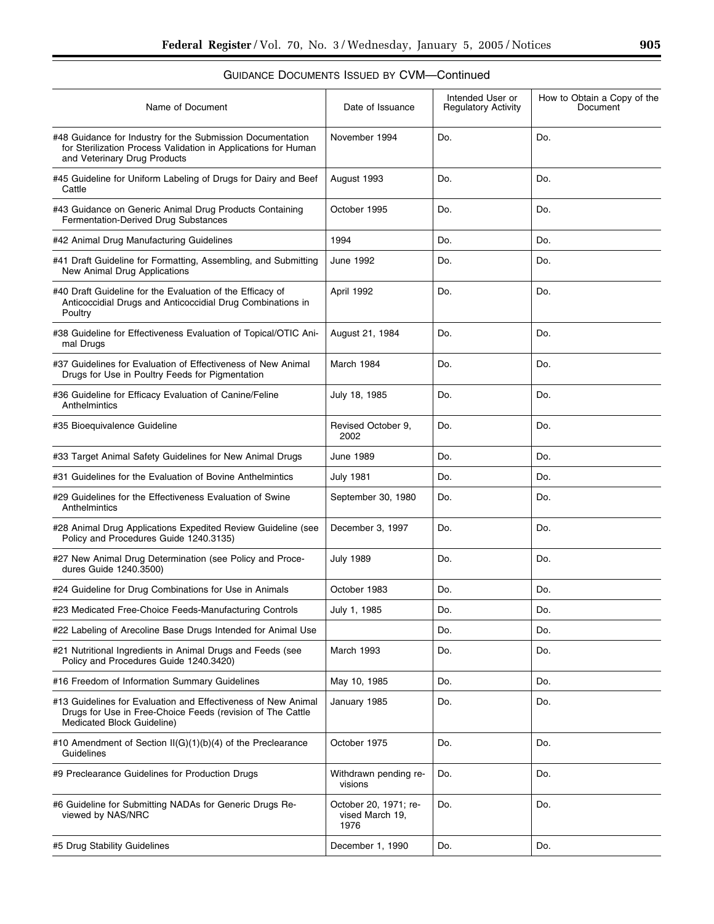| Name of Document                                                                                                                                             | Intended User or<br>Date of Issuance<br><b>Regulatory Activity</b><br>November 1994<br>Do. |     | How to Obtain a Copy of the<br>Document<br>Do. |  |
|--------------------------------------------------------------------------------------------------------------------------------------------------------------|--------------------------------------------------------------------------------------------|-----|------------------------------------------------|--|
| #48 Guidance for Industry for the Submission Documentation<br>for Sterilization Process Validation in Applications for Human<br>and Veterinary Drug Products |                                                                                            |     |                                                |  |
| #45 Guideline for Uniform Labeling of Drugs for Dairy and Beef<br>Cattle                                                                                     | August 1993                                                                                | Do. | Do.                                            |  |
| #43 Guidance on Generic Animal Drug Products Containing<br>Fermentation-Derived Drug Substances                                                              | October 1995                                                                               | Do. | Do.                                            |  |
| #42 Animal Drug Manufacturing Guidelines                                                                                                                     | 1994                                                                                       | Do. | Do.                                            |  |
| #41 Draft Guideline for Formatting, Assembling, and Submitting<br>New Animal Drug Applications                                                               | June 1992                                                                                  | Do. | Do.                                            |  |
| #40 Draft Guideline for the Evaluation of the Efficacy of<br>Anticoccidial Drugs and Anticoccidial Drug Combinations in<br>Poultry                           | April 1992                                                                                 | Do. | Do.                                            |  |
| #38 Guideline for Effectiveness Evaluation of Topical/OTIC Ani-<br>mal Drugs                                                                                 | August 21, 1984                                                                            | Do. | Do.                                            |  |
| #37 Guidelines for Evaluation of Effectiveness of New Animal<br>Drugs for Use in Poultry Feeds for Pigmentation                                              | March 1984                                                                                 | Do. | Do.                                            |  |
| #36 Guideline for Efficacy Evaluation of Canine/Feline<br>Anthelmintics                                                                                      | July 18, 1985<br>Do.                                                                       |     | Do.                                            |  |
| #35 Bioequivalence Guideline                                                                                                                                 | Revised October 9,<br>Do.<br>2002                                                          |     | Do.                                            |  |
| #33 Target Animal Safety Guidelines for New Animal Drugs                                                                                                     | June 1989<br>Do.                                                                           |     | Do.                                            |  |
| #31 Guidelines for the Evaluation of Bovine Anthelmintics                                                                                                    | July 1981                                                                                  | Do. | Do.                                            |  |
| #29 Guidelines for the Effectiveness Evaluation of Swine<br>Anthelmintics                                                                                    | September 30, 1980                                                                         | Do. | Do.                                            |  |
| #28 Animal Drug Applications Expedited Review Guideline (see<br>Policy and Procedures Guide 1240.3135)                                                       | December 3, 1997                                                                           | Do. | Do.                                            |  |
| #27 New Animal Drug Determination (see Policy and Proce-<br>dures Guide 1240.3500)                                                                           | <b>July 1989</b>                                                                           | Do. | Do.                                            |  |
| #24 Guideline for Drug Combinations for Use in Animals                                                                                                       | October 1983                                                                               | Do. | Do.                                            |  |
| #23 Medicated Free-Choice Feeds-Manufacturing Controls                                                                                                       | July 1, 1985                                                                               | Do. | Do.                                            |  |
| #22 Labeling of Arecoline Base Drugs Intended for Animal Use                                                                                                 |                                                                                            | Do. | Do.                                            |  |
| #21 Nutritional Ingredients in Animal Drugs and Feeds (see<br>Policy and Procedures Guide 1240.3420)                                                         | March 1993                                                                                 | Do. | Do.                                            |  |
| #16 Freedom of Information Summary Guidelines                                                                                                                | May 10, 1985                                                                               | Do. | Do.                                            |  |
| #13 Guidelines for Evaluation and Effectiveness of New Animal<br>Drugs for Use in Free-Choice Feeds (revision of The Cattle<br>Medicated Block Guideline)    | January 1985                                                                               | Do. | Do.                                            |  |
| #10 Amendment of Section II(G)(1)(b)(4) of the Preclearance<br>Guidelines                                                                                    | October 1975                                                                               | Do. | Do.                                            |  |
| #9 Preclearance Guidelines for Production Drugs                                                                                                              | Withdrawn pending re-<br>visions                                                           | Do. | Do.                                            |  |
| #6 Guideline for Submitting NADAs for Generic Drugs Re-<br>viewed by NAS/NRC                                                                                 | October 20, 1971; re-<br>vised March 19,<br>1976                                           | Do. | Do.                                            |  |
| #5 Drug Stability Guidelines                                                                                                                                 | December 1, 1990                                                                           | Do. | Do.                                            |  |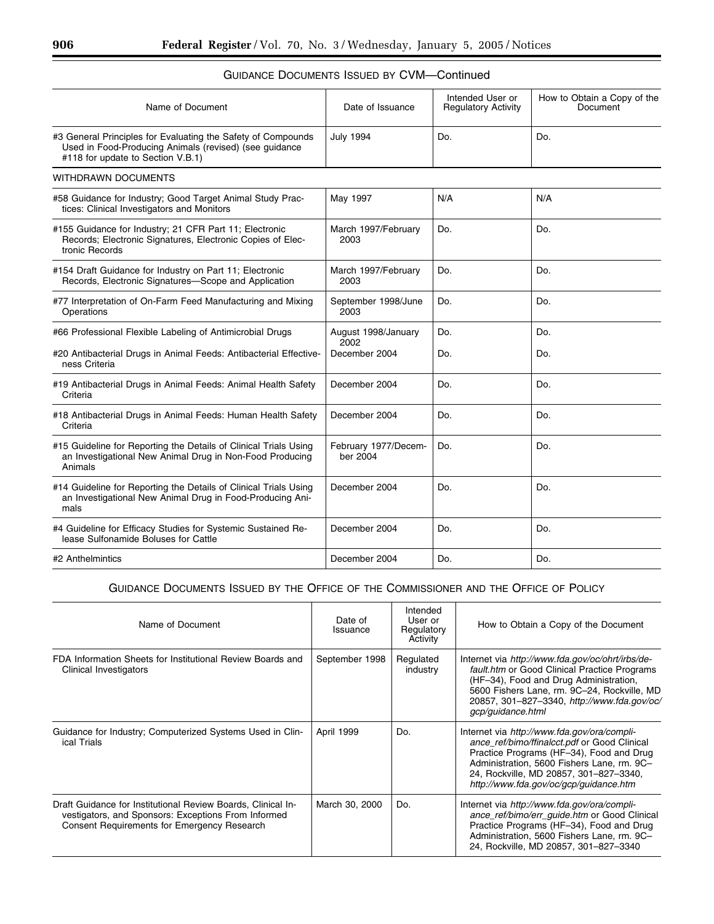| Name of Document                                                                                                                                            | Date of Issuance                 | Intended User or<br><b>Regulatory Activity</b> | How to Obtain a Copy of the<br>Document |
|-------------------------------------------------------------------------------------------------------------------------------------------------------------|----------------------------------|------------------------------------------------|-----------------------------------------|
| #3 General Principles for Evaluating the Safety of Compounds<br>Used in Food-Producing Animals (revised) (see guidance<br>#118 for update to Section V.B.1) | <b>July 1994</b>                 | Do.                                            | Do.                                     |
| WITHDRAWN DOCUMENTS                                                                                                                                         |                                  |                                                |                                         |
| #58 Guidance for Industry; Good Target Animal Study Prac-<br>tices: Clinical Investigators and Monitors                                                     | May 1997                         | N/A                                            | N/A                                     |
| #155 Guidance for Industry; 21 CFR Part 11; Electronic<br>Records; Electronic Signatures, Electronic Copies of Elec-<br>tronic Records                      | March 1997/February<br>2003      | Do.                                            | Do.                                     |
| #154 Draft Guidance for Industry on Part 11; Electronic<br>Records, Electronic Signatures-Scope and Application                                             | March 1997/February<br>2003      | Do.                                            | Do.                                     |
| #77 Interpretation of On-Farm Feed Manufacturing and Mixing<br>Operations                                                                                   | September 1998/June<br>2003      | Do.                                            | Do.                                     |
| #66 Professional Flexible Labeling of Antimicrobial Drugs                                                                                                   | August 1998/January<br>2002      | Do.                                            | Do.                                     |
| #20 Antibacterial Drugs in Animal Feeds: Antibacterial Effective-<br>ness Criteria                                                                          | December 2004                    | Do.                                            | Do.                                     |
| #19 Antibacterial Drugs in Animal Feeds: Animal Health Safety<br>Criteria                                                                                   | December 2004                    | Do.                                            | Do.                                     |
| #18 Antibacterial Drugs in Animal Feeds: Human Health Safety<br>Criteria                                                                                    | December 2004                    | Do.                                            | Do.                                     |
| #15 Guideline for Reporting the Details of Clinical Trials Using<br>an Investigational New Animal Drug in Non-Food Producing<br>Animals                     | February 1977/Decem-<br>ber 2004 | Do.                                            | Do.                                     |
| #14 Guideline for Reporting the Details of Clinical Trials Using<br>an Investigational New Animal Drug in Food-Producing Ani-<br>mals                       | December 2004                    | Do.                                            | Do.                                     |
| #4 Guideline for Efficacy Studies for Systemic Sustained Re-<br>lease Sulfonamide Boluses for Cattle                                                        | December 2004                    | Do.                                            | Do.                                     |
| #2 Anthelmintics                                                                                                                                            | December 2004                    | Do.                                            | Do.                                     |

# GUIDANCE DOCUMENTS ISSUED BY CVM—Continued

# GUIDANCE DOCUMENTS ISSUED BY THE OFFICE OF THE COMMISSIONER AND THE OFFICE OF POLICY

| Name of Document                                                                                                                                                          | Date of<br>Issuance | Intended<br>User or<br>Regulatory<br>Activity | How to Obtain a Copy of the Document                                                                                                                                                                                                                                      |
|---------------------------------------------------------------------------------------------------------------------------------------------------------------------------|---------------------|-----------------------------------------------|---------------------------------------------------------------------------------------------------------------------------------------------------------------------------------------------------------------------------------------------------------------------------|
| FDA Information Sheets for Institutional Review Boards and<br>Clinical Investigators                                                                                      | September 1998      | Regulated<br>industry                         | Internet via http://www.fda.gov/oc/ohrt/irbs/de-<br>fault.htm or Good Clinical Practice Programs<br>(HF-34), Food and Drug Administration,<br>5600 Fishers Lane, rm. 9C-24, Rockville, MD<br>20857, 301-827-3340, http://www.fda.gov/oc/<br>gcp/guidance.html             |
| Guidance for Industry; Computerized Systems Used in Clin-<br>ical Trials                                                                                                  | April 1999          | Do.                                           | Internet via http://www.fda.gov/ora/compli-<br>ance ref/bimo/ffinalcct.pdf or Good Clinical<br>Practice Programs (HF-34), Food and Drug<br>Administration, 5600 Fishers Lane, rm. 9C-<br>24, Rockville, MD 20857, 301-827-3340.<br>http://www.fda.gov/oc/gcp/guidance.htm |
| Draft Guidance for Institutional Review Boards, Clinical In-<br>vestigators, and Sponsors: Exceptions From Informed<br><b>Consent Requirements for Emergency Research</b> | March 30, 2000      | Do.                                           | Internet via http://www.fda.gov/ora/compli-<br>ance_ref/bimo/err_guide.htm or Good Clinical<br>Practice Programs (HF-34), Food and Drug<br>Administration, 5600 Fishers Lane, rm. 9C-<br>24, Rockville, MD 20857, 301-827-3340                                            |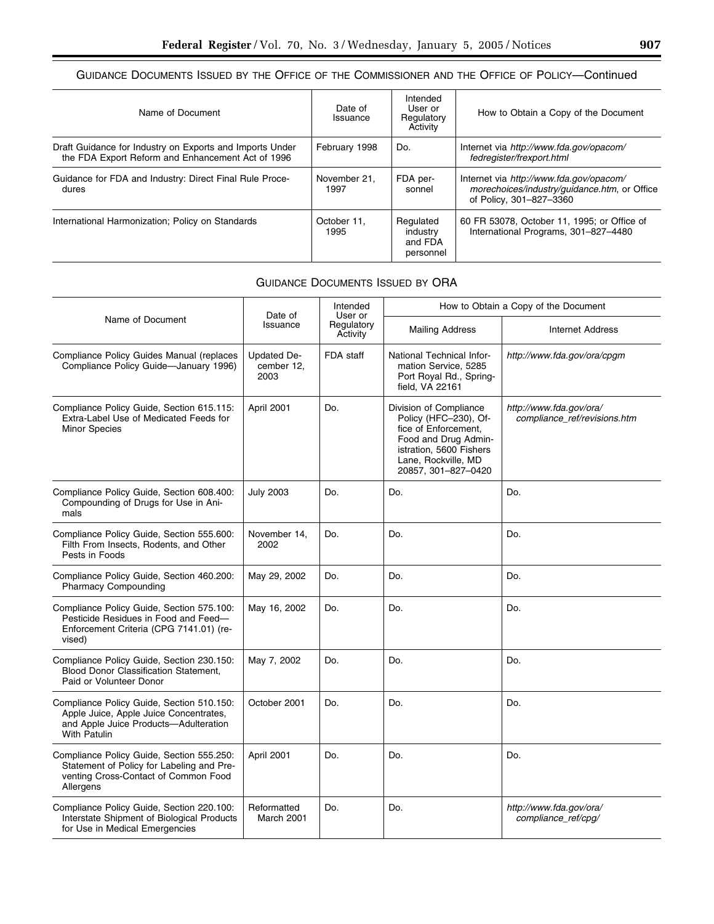# GUIDANCE DOCUMENTS ISSUED BY THE OFFICE OF THE COMMISSIONER AND THE OFFICE OF POLICY—Continued

| Name of Document                                                                                              | Date of<br>Issuance  | Intended<br>User or<br>Regulatory<br>Activity | How to Obtain a Copy of the Document                                                                               |
|---------------------------------------------------------------------------------------------------------------|----------------------|-----------------------------------------------|--------------------------------------------------------------------------------------------------------------------|
| Draft Guidance for Industry on Exports and Imports Under<br>the FDA Export Reform and Enhancement Act of 1996 | February 1998        | Do.                                           | Internet via http://www.fda.gov/opacom/<br>fedregister/frexport.html                                               |
| Guidance for FDA and Industry: Direct Final Rule Proce-<br>dures                                              | November 21.<br>1997 | FDA per-<br>sonnel                            | Internet via http://www.fda.gov/opacom/<br>morechoices/industry/guidance.htm, or Office<br>of Policy, 301-827-3360 |
| International Harmonization; Policy on Standards                                                              | October 11.<br>1995  | Regulated<br>industry<br>and FDA<br>personnel | 60 FR 53078, October 11, 1995; or Office of<br>International Programs, 301-827-4480                                |

## GUIDANCE DOCUMENTS ISSUED BY ORA

|                                                                                                                                                     | Date of<br>Issuance               | Intended<br>User or<br>Regulatory<br>Activity | How to Obtain a Copy of the Document                                                                                                                                     |                                                         |  |
|-----------------------------------------------------------------------------------------------------------------------------------------------------|-----------------------------------|-----------------------------------------------|--------------------------------------------------------------------------------------------------------------------------------------------------------------------------|---------------------------------------------------------|--|
| Name of Document                                                                                                                                    |                                   |                                               | <b>Mailing Address</b>                                                                                                                                                   | <b>Internet Address</b>                                 |  |
| Compliance Policy Guides Manual (replaces<br>Compliance Policy Guide-January 1996)                                                                  | Updated De-<br>cember 12,<br>2003 | FDA staff                                     | National Technical Infor-<br>mation Service, 5285<br>Port Royal Rd., Spring-<br>field, VA 22161                                                                          | http://www.fda.gov/ora/cpgm                             |  |
| Compliance Policy Guide, Section 615.115:<br>Extra-Label Use of Medicated Feeds for<br><b>Minor Species</b>                                         | April 2001                        | Do.                                           | Division of Compliance<br>Policy (HFC-230), Of-<br>fice of Enforcement.<br>Food and Drug Admin-<br>istration, 5600 Fishers<br>Lane, Rockville, MD<br>20857, 301-827-0420 | http://www.fda.gov/ora/<br>compliance_ref/revisions.htm |  |
| Compliance Policy Guide, Section 608.400:<br>Compounding of Drugs for Use in Ani-<br>mals                                                           | <b>July 2003</b>                  | Do.                                           | Do.                                                                                                                                                                      | Do.                                                     |  |
| Compliance Policy Guide, Section 555.600:<br>Filth From Insects, Rodents, and Other<br>Pests in Foods                                               | November 14,<br>2002              | Do.                                           | Do.                                                                                                                                                                      | Do.                                                     |  |
| Compliance Policy Guide, Section 460.200:<br><b>Pharmacy Compounding</b>                                                                            | May 29, 2002                      | Do.                                           | Do.                                                                                                                                                                      | Do.                                                     |  |
| Compliance Policy Guide, Section 575.100:<br>Pesticide Residues in Food and Feed-<br>Enforcement Criteria (CPG 7141.01) (re-<br>vised)              | May 16, 2002                      | Do.                                           | Do.                                                                                                                                                                      | Do.                                                     |  |
| Compliance Policy Guide, Section 230.150:<br><b>Blood Donor Classification Statement.</b><br>Paid or Volunteer Donor                                | May 7, 2002                       | Do.                                           | Do.                                                                                                                                                                      | Do.                                                     |  |
| Compliance Policy Guide, Section 510.150:<br>Apple Juice, Apple Juice Concentrates,<br>and Apple Juice Products-Adulteration<br><b>With Patulin</b> | October 2001                      | Do.                                           | Do.                                                                                                                                                                      | Do.                                                     |  |
| Compliance Policy Guide, Section 555.250:<br>Statement of Policy for Labeling and Pre-<br>venting Cross-Contact of Common Food<br>Allergens         | April 2001                        | Do.                                           | Do.                                                                                                                                                                      | Do.                                                     |  |
| Compliance Policy Guide, Section 220.100:<br>Interstate Shipment of Biological Products<br>for Use in Medical Emergencies                           | Reformatted<br>March 2001         | Do.                                           | Do.                                                                                                                                                                      | http://www.fda.gov/ora/<br>compliance_ref/cpg/          |  |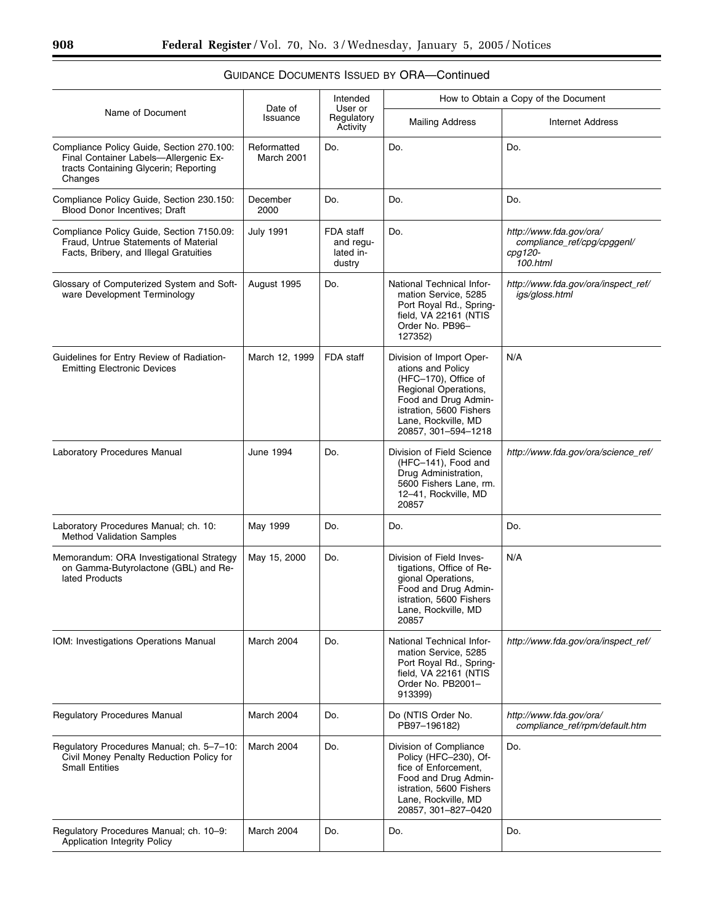|                                                                                                                                        |                           | Intended                                      | How to Obtain a Copy of the Document                                                                                                                                                           |                                                                               |
|----------------------------------------------------------------------------------------------------------------------------------------|---------------------------|-----------------------------------------------|------------------------------------------------------------------------------------------------------------------------------------------------------------------------------------------------|-------------------------------------------------------------------------------|
| Name of Document                                                                                                                       | Date of<br>Issuance       | User or<br>Regulatory<br>Activity             | <b>Mailing Address</b>                                                                                                                                                                         | <b>Internet Address</b>                                                       |
| Compliance Policy Guide, Section 270.100:<br>Final Container Labels-Allergenic Ex-<br>tracts Containing Glycerin; Reporting<br>Changes | Reformatted<br>March 2001 | Do.                                           | Do.                                                                                                                                                                                            | Do.                                                                           |
| Compliance Policy Guide, Section 230.150:<br><b>Blood Donor Incentives: Draft</b>                                                      | December<br>2000          | Do.                                           | Do.                                                                                                                                                                                            | Do.                                                                           |
| Compliance Policy Guide, Section 7150.09:<br>Fraud, Untrue Statements of Material<br>Facts, Bribery, and Illegal Gratuities            | <b>July 1991</b>          | FDA staff<br>and regu-<br>lated in-<br>dustry | Do.                                                                                                                                                                                            | http://www.fda.gov/ora/<br>compliance_ref/cpg/cpggenl/<br>cpg120-<br>100.html |
| Glossary of Computerized System and Soft-<br>ware Development Terminology                                                              | August 1995               | Do.                                           | National Technical Infor-<br>mation Service, 5285<br>Port Royal Rd., Spring-<br>field, VA 22161 (NTIS<br>Order No. PB96-<br>127352)                                                            | http://www.fda.gov/ora/inspect_ref/<br>igs/gloss.html                         |
| Guidelines for Entry Review of Radiation-<br><b>Emitting Electronic Devices</b>                                                        | March 12, 1999            | FDA staff                                     | Division of Import Oper-<br>ations and Policy<br>(HFC-170), Office of<br>Regional Operations,<br>Food and Drug Admin-<br>istration, 5600 Fishers<br>Lane, Rockville, MD<br>20857, 301-594-1218 | N/A                                                                           |
| Laboratory Procedures Manual                                                                                                           | June 1994                 | Do.                                           | Division of Field Science<br>(HFC-141), Food and<br>Drug Administration,<br>5600 Fishers Lane, rm.<br>12-41, Rockville, MD<br>20857                                                            | http://www.fda.gov/ora/science_ref/                                           |
| Laboratory Procedures Manual; ch. 10:<br><b>Method Validation Samples</b>                                                              | May 1999                  | Do.                                           | Do.                                                                                                                                                                                            | Do.                                                                           |
| Memorandum: ORA Investigational Strategy<br>on Gamma-Butyrolactone (GBL) and Re-<br>lated Products                                     | May 15, 2000              | Do.                                           | Division of Field Inves-<br>tigations, Office of Re-<br>gional Operations,<br>Food and Drug Admin-<br>istration, 5600 Fishers<br>Lane, Rockville, MD<br>20857                                  | N/A                                                                           |
| IOM: Investigations Operations Manual                                                                                                  | March 2004                | Do.                                           | National Technical Infor-<br>mation Service, 5285<br>Port Royal Rd., Spring-<br>field, VA 22161 (NTIS<br>Order No. PB2001-<br>913399)                                                          | http://www.fda.gov/ora/inspect_ref/                                           |
| Regulatory Procedures Manual                                                                                                           | March 2004                | Do.                                           | Do (NTIS Order No.<br>PB97-196182)                                                                                                                                                             | http://www.fda.gov/ora/<br>compliance_ref/rpm/default.htm                     |
| Regulatory Procedures Manual; ch. 5-7-10:<br>Civil Money Penalty Reduction Policy for<br><b>Small Entities</b>                         | March 2004                | Do.                                           | Division of Compliance<br>Policy (HFC-230), Of-<br>fice of Enforcement,<br>Food and Drug Admin-<br>istration, 5600 Fishers<br>Lane, Rockville, MD<br>20857, 301-827-0420                       | Do.                                                                           |
| Regulatory Procedures Manual; ch. 10-9:<br>Application Integrity Policy                                                                | March 2004                | Do.                                           | Do.                                                                                                                                                                                            | Do.                                                                           |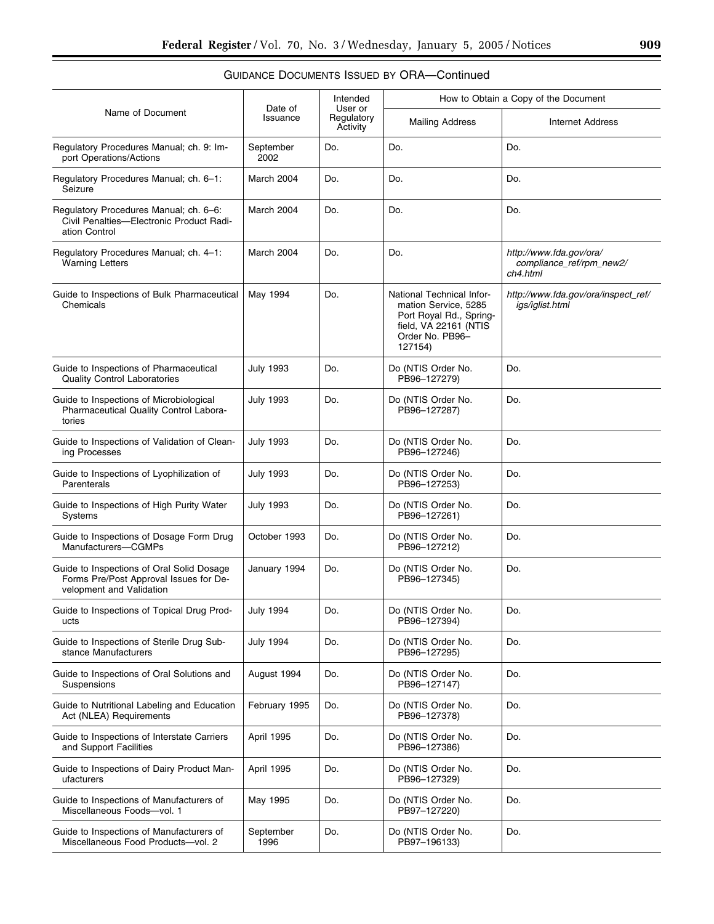| Name of Document                                                                                                | Date of<br>Issuance | Intended<br>User or<br>Regulatory<br>Activity | How to Obtain a Copy of the Document                                                                                                |                                                                 |  |
|-----------------------------------------------------------------------------------------------------------------|---------------------|-----------------------------------------------|-------------------------------------------------------------------------------------------------------------------------------------|-----------------------------------------------------------------|--|
|                                                                                                                 |                     |                                               | <b>Mailing Address</b>                                                                                                              | Internet Address                                                |  |
| Regulatory Procedures Manual; ch. 9: Im-<br>port Operations/Actions                                             | September<br>2002   | Do.                                           | Do.                                                                                                                                 | Do.                                                             |  |
| Regulatory Procedures Manual; ch. 6-1:<br>Seizure                                                               | March 2004          | Do.                                           | Do.                                                                                                                                 | Do.                                                             |  |
| Regulatory Procedures Manual; ch. 6–6:<br>Civil Penalties-Electronic Product Radi-<br>ation Control             | March 2004          | Do.                                           | Do.                                                                                                                                 | Do.                                                             |  |
| Regulatory Procedures Manual; ch. 4-1:<br><b>Warning Letters</b>                                                | March 2004          | Do.                                           | Do.                                                                                                                                 | http://www.fda.gov/ora/<br>compliance_ref/rpm_new2/<br>ch4.html |  |
| Guide to Inspections of Bulk Pharmaceutical<br>Chemicals                                                        | May 1994            | Do.                                           | National Technical Infor-<br>mation Service, 5285<br>Port Royal Rd., Spring-<br>field, VA 22161 (NTIS<br>Order No. PB96-<br>127154) | http://www.fda.gov/ora/inspect_ref/<br>igs/iglist.html          |  |
| Guide to Inspections of Pharmaceutical<br><b>Quality Control Laboratories</b>                                   | July 1993           | Do.                                           | Do (NTIS Order No.<br>PB96-127279)                                                                                                  | Do.                                                             |  |
| Guide to Inspections of Microbiological<br>Pharmaceutical Quality Control Labora-<br>tories                     | <b>July 1993</b>    | Do.                                           | Do (NTIS Order No.<br>PB96-127287)                                                                                                  | Do.                                                             |  |
| Guide to Inspections of Validation of Clean-<br>ing Processes                                                   | July 1993           | Do.                                           | Do (NTIS Order No.<br>PB96-127246)                                                                                                  | Do.                                                             |  |
| Guide to Inspections of Lyophilization of<br>Parenterals                                                        | July 1993           | Do.                                           | Do (NTIS Order No.<br>PB96-127253)                                                                                                  | Do.                                                             |  |
| Guide to Inspections of High Purity Water<br>Systems                                                            | July 1993           | Do.                                           | Do (NTIS Order No.<br>PB96-127261)                                                                                                  | Do.                                                             |  |
| Guide to Inspections of Dosage Form Drug<br>Manufacturers-CGMPs                                                 | October 1993        | Do.                                           | Do (NTIS Order No.<br>PB96-127212)                                                                                                  | Do.                                                             |  |
| Guide to Inspections of Oral Solid Dosage<br>Forms Pre/Post Approval Issues for De-<br>velopment and Validation | January 1994        | Do.                                           | Do (NTIS Order No.<br>PB96-127345)                                                                                                  | Do.                                                             |  |
| Guide to Inspections of Topical Drug Prod-<br>ucts                                                              | <b>July 1994</b>    | Do.                                           | Do (NTIS Order No.<br>PB96-127394)                                                                                                  | Do.                                                             |  |
| Guide to Inspections of Sterile Drug Sub-<br>stance Manufacturers                                               | <b>July 1994</b>    | Do.                                           | Do (NTIS Order No.<br>PB96-127295)                                                                                                  | Do.                                                             |  |
| Guide to Inspections of Oral Solutions and<br>Suspensions                                                       | August 1994         | Do.                                           | Do (NTIS Order No.<br>PB96-127147)                                                                                                  | Do.                                                             |  |
| Guide to Nutritional Labeling and Education<br>Act (NLEA) Requirements                                          | February 1995       | Do.                                           | Do (NTIS Order No.<br>PB96-127378)                                                                                                  | Do.                                                             |  |
| Guide to Inspections of Interstate Carriers<br>and Support Facilities                                           | April 1995          | Do.                                           | Do (NTIS Order No.<br>PB96-127386)                                                                                                  | Do.                                                             |  |
| Guide to Inspections of Dairy Product Man-<br>ufacturers                                                        | April 1995          | Do.                                           | Do (NTIS Order No.<br>PB96-127329)                                                                                                  | Do.                                                             |  |
| Guide to Inspections of Manufacturers of<br>Miscellaneous Foods-vol. 1                                          | May 1995            | Do.                                           | Do (NTIS Order No.<br>PB97-127220)                                                                                                  | Do.                                                             |  |
| Guide to Inspections of Manufacturers of<br>Miscellaneous Food Products-vol. 2                                  | September<br>1996   | Do.                                           | Do (NTIS Order No.<br>PB97-196133)                                                                                                  | Do.                                                             |  |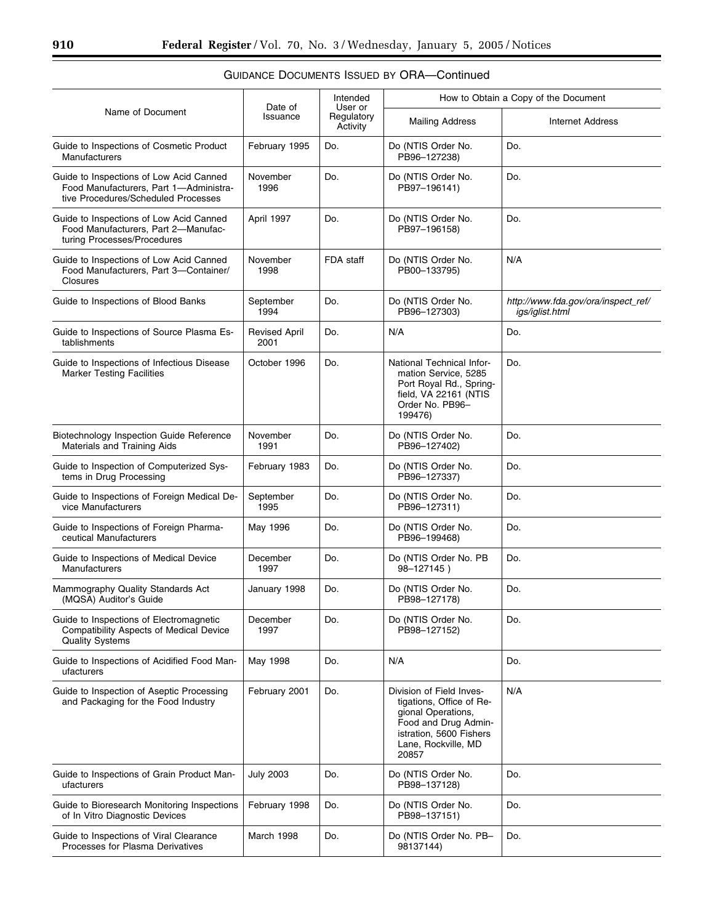| Name of Document                                                                                                         | Date of<br>Issuance          | Intended<br>User or<br>Regulatory<br>Activity | How to Obtain a Copy of the Document                                                                                                                          |                                                        |  |
|--------------------------------------------------------------------------------------------------------------------------|------------------------------|-----------------------------------------------|---------------------------------------------------------------------------------------------------------------------------------------------------------------|--------------------------------------------------------|--|
|                                                                                                                          |                              |                                               | <b>Mailing Address</b>                                                                                                                                        | <b>Internet Address</b>                                |  |
| Guide to Inspections of Cosmetic Product<br>Manufacturers                                                                | February 1995                | Do.                                           | Do (NTIS Order No.<br>PB96-127238)                                                                                                                            | Do.                                                    |  |
| Guide to Inspections of Low Acid Canned<br>Food Manufacturers, Part 1-Administra-<br>tive Procedures/Scheduled Processes | November<br>1996             | Do.                                           | Do (NTIS Order No.<br>PB97-196141)                                                                                                                            | Do.                                                    |  |
| Guide to Inspections of Low Acid Canned<br>Food Manufacturers, Part 2-Manufac-<br>turing Processes/Procedures            | April 1997                   | Do.                                           | Do (NTIS Order No.<br>PB97-196158)                                                                                                                            | Do.                                                    |  |
| Guide to Inspections of Low Acid Canned<br>Food Manufacturers, Part 3-Container/<br>Closures                             | November<br>1998             | FDA staff                                     | Do (NTIS Order No.<br>PB00-133795)                                                                                                                            | N/A                                                    |  |
| Guide to Inspections of Blood Banks                                                                                      | September<br>1994            | Do.                                           | Do (NTIS Order No.<br>PB96-127303)                                                                                                                            | http://www.fda.gov/ora/inspect_ref/<br>igs/iglist.html |  |
| Guide to Inspections of Source Plasma Es-<br>tablishments                                                                | <b>Revised April</b><br>2001 | Do.                                           | N/A                                                                                                                                                           | Do.                                                    |  |
| Guide to Inspections of Infectious Disease<br><b>Marker Testing Facilities</b>                                           | October 1996                 | Do.                                           | National Technical Infor-<br>mation Service, 5285<br>Port Royal Rd., Spring-<br>field, VA 22161 (NTIS<br>Order No. PB96-<br>199476)                           | Do.                                                    |  |
| Biotechnology Inspection Guide Reference<br>Materials and Training Aids                                                  | November<br>1991             | Do.                                           | Do (NTIS Order No.<br>PB96-127402)                                                                                                                            | Do.                                                    |  |
| Guide to Inspection of Computerized Sys-<br>tems in Drug Processing                                                      | February 1983                | Do.                                           | Do (NTIS Order No.<br>PB96-127337)                                                                                                                            | Do.                                                    |  |
| Guide to Inspections of Foreign Medical De-<br>vice Manufacturers                                                        | September<br>1995            | Do.                                           | Do (NTIS Order No.<br>PB96-127311)                                                                                                                            | Do.                                                    |  |
| Guide to Inspections of Foreign Pharma-<br>ceutical Manufacturers                                                        | May 1996                     | Do.                                           | Do (NTIS Order No.<br>PB96-199468)                                                                                                                            | Do.                                                    |  |
| Guide to Inspections of Medical Device<br>Manufacturers                                                                  | December<br>1997             | Do.                                           | Do (NTIS Order No. PB<br>98-127145)                                                                                                                           | Do.                                                    |  |
| Mammography Quality Standards Act<br>(MQSA) Auditor's Guide                                                              | January 1998                 | Do.                                           | Do (NTIS Order No.<br>PB98-127178)                                                                                                                            | Do.                                                    |  |
| Guide to Inspections of Electromagnetic<br>Compatibility Aspects of Medical Device<br><b>Quality Systems</b>             | December<br>1997             | Do.                                           | Do (NTIS Order No.<br>PB98-127152)                                                                                                                            | Do.                                                    |  |
| Guide to Inspections of Acidified Food Man-<br>ufacturers                                                                | May 1998                     | Do.                                           | N/A                                                                                                                                                           | Do.                                                    |  |
| Guide to Inspection of Aseptic Processing<br>and Packaging for the Food Industry                                         | February 2001                | Do.                                           | Division of Field Inves-<br>tigations, Office of Re-<br>gional Operations,<br>Food and Drug Admin-<br>istration, 5600 Fishers<br>Lane, Rockville, MD<br>20857 | N/A                                                    |  |
| Guide to Inspections of Grain Product Man-<br>ufacturers                                                                 | <b>July 2003</b>             | Do.                                           | Do (NTIS Order No.<br>PB98-137128)                                                                                                                            | Do.                                                    |  |
| Guide to Bioresearch Monitoring Inspections<br>of In Vitro Diagnostic Devices                                            | February 1998                | Do.                                           | Do (NTIS Order No.<br>PB98-137151)                                                                                                                            | Do.                                                    |  |
| Guide to Inspections of Viral Clearance<br>Processes for Plasma Derivatives                                              | March 1998                   | Do.                                           | Do (NTIS Order No. PB-<br>98137144)                                                                                                                           | Do.                                                    |  |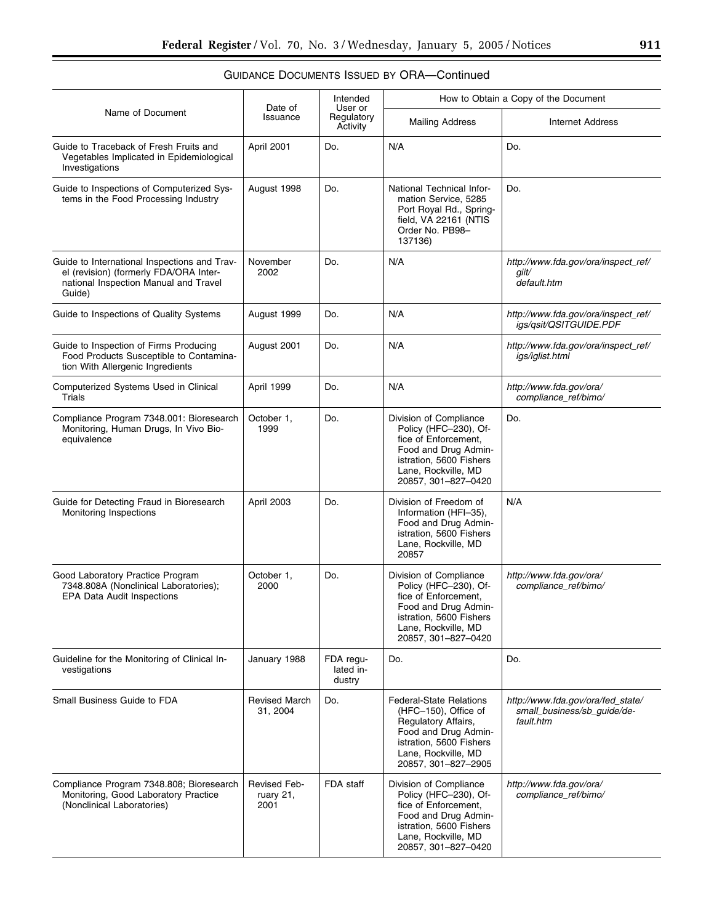|                                                                                                                                           | Date of                                  | Intended<br>User or              |                                                                                                                                                                                | How to Obtain a Copy of the Document                                          |
|-------------------------------------------------------------------------------------------------------------------------------------------|------------------------------------------|----------------------------------|--------------------------------------------------------------------------------------------------------------------------------------------------------------------------------|-------------------------------------------------------------------------------|
| Name of Document                                                                                                                          | Issuance                                 | Regulatory<br>Activity           | <b>Mailing Address</b>                                                                                                                                                         | <b>Internet Address</b>                                                       |
| Guide to Traceback of Fresh Fruits and<br>Vegetables Implicated in Epidemiological<br>Investigations                                      | April 2001                               | Do.                              | N/A                                                                                                                                                                            | Do.                                                                           |
| Guide to Inspections of Computerized Sys-<br>tems in the Food Processing Industry                                                         | August 1998                              | Do.                              | National Technical Infor-<br>mation Service, 5285<br>Port Royal Rd., Spring-<br>field, VA 22161 (NTIS<br>Order No. PB98-<br>137136)                                            | Do.                                                                           |
| Guide to International Inspections and Trav-<br>el (revision) (formerly FDA/ORA Inter-<br>national Inspection Manual and Travel<br>Guide) | November<br>2002                         | Do.                              | N/A                                                                                                                                                                            | http://www.fda.gov/ora/inspect_ref/<br>qiit∕<br>default.htm                   |
| Guide to Inspections of Quality Systems                                                                                                   | August 1999                              | Do.                              | N/A                                                                                                                                                                            | http://www.fda.gov/ora/inspect_ref/<br>igs/qsit/QSITGUIDE.PDF                 |
| Guide to Inspection of Firms Producing<br>Food Products Susceptible to Contamina-<br>tion With Allergenic Ingredients                     | August 2001                              | Do.                              | N/A                                                                                                                                                                            | http://www.fda.gov/ora/inspect_ref/<br>igs/iglist.html                        |
| Computerized Systems Used in Clinical<br>Trials                                                                                           | April 1999                               | Do.                              | N/A                                                                                                                                                                            | http://www.fda.gov/ora/<br>compliance_ref/bimo/                               |
| Compliance Program 7348.001: Bioresearch<br>Monitoring, Human Drugs, In Vivo Bio-<br>equivalence                                          | October 1,<br>1999                       | Do.                              | Division of Compliance<br>Policy (HFC-230), Of-<br>fice of Enforcement,<br>Food and Drug Admin-<br>istration, 5600 Fishers<br>Lane, Rockville, MD<br>20857, 301-827-0420       | Do.                                                                           |
| Guide for Detecting Fraud in Bioresearch<br>Monitoring Inspections                                                                        | April 2003                               | Do.                              | Division of Freedom of<br>Information (HFI-35),<br>Food and Drug Admin-<br>istration, 5600 Fishers<br>Lane, Rockville, MD<br>20857                                             | N/A                                                                           |
| Good Laboratory Practice Program<br>7348.808A (Nonclinical Laboratories);<br><b>EPA Data Audit Inspections</b>                            | October 1,<br>2000                       | Do.                              | Division of Compliance<br>Policy (HFC-230), Of-<br>fice of Enforcement,<br>Food and Drug Admin-<br>istration, 5600 Fishers<br>Lane, Rockville, MD<br>20857, 301-827-0420       | http://www.fda.gov/ora/<br>compliance_ref/bimo/                               |
| Guideline for the Monitoring of Clinical In-<br>vestigations                                                                              | January 1988                             | FDA regu-<br>lated in-<br>dustry | Do.                                                                                                                                                                            | Do.                                                                           |
| Small Business Guide to FDA                                                                                                               | <b>Revised March</b><br>31, 2004         | Do.                              | <b>Federal-State Relations</b><br>(HFC-150), Office of<br>Regulatory Affairs,<br>Food and Drug Admin-<br>istration, 5600 Fishers<br>Lane, Rockville, MD<br>20857, 301-827-2905 | http://www.fda.gov/ora/fed state/<br>small_business/sb_guide/de-<br>fault.htm |
| Compliance Program 7348.808; Bioresearch<br>Monitoring, Good Laboratory Practice<br>(Nonclinical Laboratories)                            | <b>Revised Feb-</b><br>ruary 21,<br>2001 | FDA staff                        | Division of Compliance<br>Policy (HFC-230), Of-<br>fice of Enforcement,<br>Food and Drug Admin-<br>istration, 5600 Fishers<br>Lane, Rockville, MD<br>20857, 301-827-0420       | http://www.fda.gov/ora/<br>compliance_ref/bimo/                               |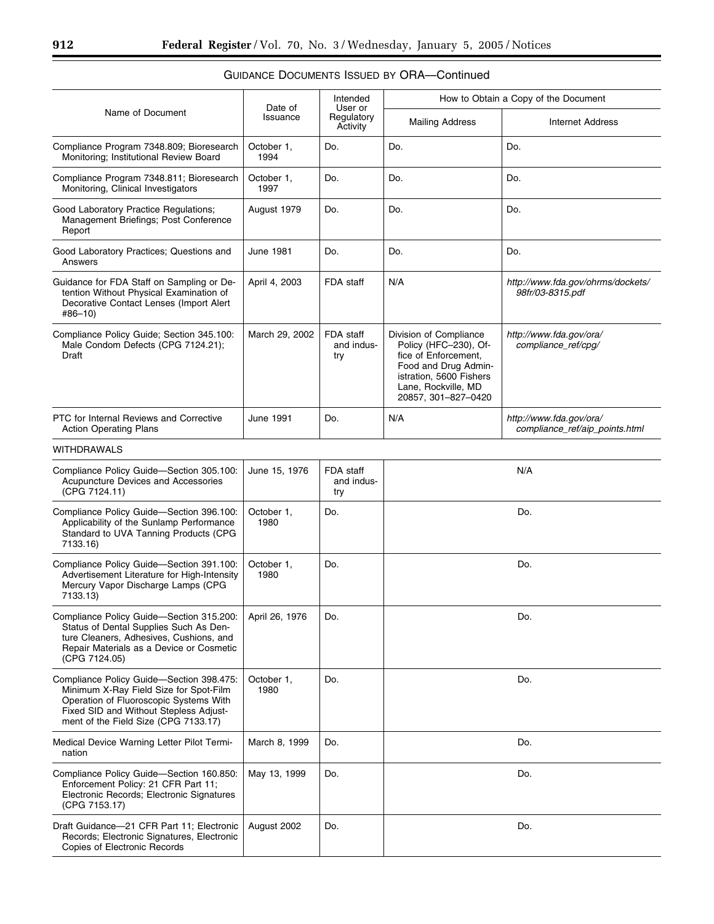| Name of Document                                                                                                                                                                                               | Date of<br>Issuance | Intended<br>User or<br>Regulatory<br>Activity | How to Obtain a Copy of the Document                                                                                                                                     |                                                           |  |
|----------------------------------------------------------------------------------------------------------------------------------------------------------------------------------------------------------------|---------------------|-----------------------------------------------|--------------------------------------------------------------------------------------------------------------------------------------------------------------------------|-----------------------------------------------------------|--|
|                                                                                                                                                                                                                |                     |                                               | <b>Mailing Address</b>                                                                                                                                                   | <b>Internet Address</b>                                   |  |
| Compliance Program 7348.809; Bioresearch<br>Monitoring; Institutional Review Board                                                                                                                             | October 1,<br>1994  | Do.                                           | Do.                                                                                                                                                                      | Do.                                                       |  |
| Compliance Program 7348.811; Bioresearch<br>Monitoring, Clinical Investigators                                                                                                                                 | October 1,<br>1997  | Do.                                           | Do.                                                                                                                                                                      | Do.                                                       |  |
| Good Laboratory Practice Regulations;<br>Management Briefings; Post Conference<br>Report                                                                                                                       | August 1979         | Do.                                           | Do.                                                                                                                                                                      | Do.                                                       |  |
| Good Laboratory Practices; Questions and<br>Answers                                                                                                                                                            | <b>June 1981</b>    | Do.                                           | Do.                                                                                                                                                                      | Do.                                                       |  |
| Guidance for FDA Staff on Sampling or De-<br>tention Without Physical Examination of<br>Decorative Contact Lenses (Import Alert<br>#86-10)                                                                     | April 4, 2003       | FDA staff                                     | N/A                                                                                                                                                                      | http://www.fda.gov/ohrms/dockets/<br>98fr/03-8315.pdf     |  |
| Compliance Policy Guide; Section 345.100:<br>Male Condom Defects (CPG 7124.21);<br>Draft                                                                                                                       | March 29, 2002      | FDA staff<br>and indus-<br>try                | Division of Compliance<br>Policy (HFC-230), Of-<br>fice of Enforcement,<br>Food and Drug Admin-<br>istration, 5600 Fishers<br>Lane, Rockville, MD<br>20857, 301-827-0420 | http://www.fda.gov/ora/<br>compliance_ref/cpg/            |  |
| PTC for Internal Reviews and Corrective<br><b>Action Operating Plans</b>                                                                                                                                       | June 1991           | Do.                                           | N/A                                                                                                                                                                      | http://www.fda.gov/ora/<br>compliance_ref/aip_points.html |  |
| <b>WITHDRAWALS</b>                                                                                                                                                                                             |                     |                                               |                                                                                                                                                                          |                                                           |  |
| Compliance Policy Guide-Section 305.100:<br>Acupuncture Devices and Accessories<br>(CPG 7124.11)                                                                                                               | June 15, 1976       | FDA staff<br>and indus-<br>try                |                                                                                                                                                                          | N/A                                                       |  |
| Compliance Policy Guide-Section 396.100:<br>Applicability of the Sunlamp Performance<br>Standard to UVA Tanning Products (CPG<br>7133.16)                                                                      | October 1,<br>1980  | Do.                                           | Do.                                                                                                                                                                      |                                                           |  |
| Compliance Policy Guide-Section 391.100:<br>Advertisement Literature for High-Intensity<br>Mercury Vapor Discharge Lamps (CPG<br>7133.13)                                                                      | October 1,<br>1980  | Do.                                           | Do.                                                                                                                                                                      |                                                           |  |
| Compliance Policy Guide-Section 315.200:<br>Status of Dental Supplies Such As Den-<br>ture Cleaners, Adhesives, Cushions, and<br>Repair Materials as a Device or Cosmetic<br>(CPG 7124.05)                     | April 26, 1976      | Do.                                           | Do.                                                                                                                                                                      |                                                           |  |
| Compliance Policy Guide-Section 398.475:<br>Minimum X-Ray Field Size for Spot-Film<br>Operation of Fluoroscopic Systems With<br>Fixed SID and Without Stepless Adjust-<br>ment of the Field Size (CPG 7133.17) | October 1,<br>1980  | Do.                                           |                                                                                                                                                                          | Do.                                                       |  |
| Medical Device Warning Letter Pilot Termi-<br>nation                                                                                                                                                           | March 8, 1999       | Do.                                           |                                                                                                                                                                          | Do.                                                       |  |
| Compliance Policy Guide-Section 160.850:<br>Enforcement Policy: 21 CFR Part 11;<br>Electronic Records; Electronic Signatures<br>(CPG 7153.17)                                                                  | May 13, 1999        | Do.                                           |                                                                                                                                                                          | Do.                                                       |  |
| Draft Guidance-21 CFR Part 11; Electronic<br>Records; Electronic Signatures, Electronic<br>Copies of Electronic Records                                                                                        | August 2002         | Do.                                           |                                                                                                                                                                          | Do.                                                       |  |